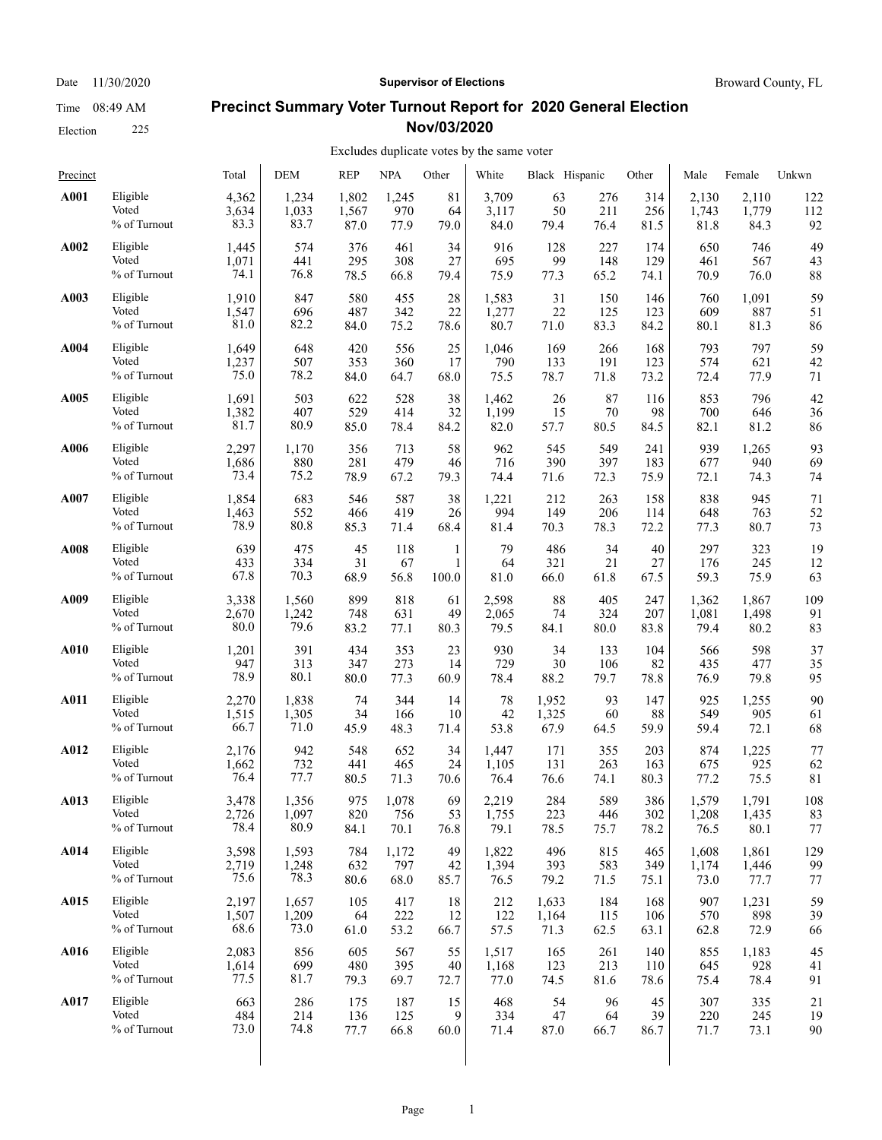Election 225

# Date 11/30/2020 **Supervisor of Elections Supervisor of Elections** Broward County, FL

## **Precinct Summary Voter Turnout Report for 2020 General Election Nov/03/2020**

| Precinct    |              | Total | <b>DEM</b> | <b>REP</b> | <b>NPA</b> | Other | White | Black Hispanic |      | Other | Male  | Female | Unkwn |
|-------------|--------------|-------|------------|------------|------------|-------|-------|----------------|------|-------|-------|--------|-------|
| A001        | Eligible     | 4,362 | 1,234      | 1,802      | 1,245      | 81    | 3,709 | 63             | 276  | 314   | 2,130 | 2,110  | 122   |
|             | Voted        | 3,634 | 1,033      | 1,567      | 970        | 64    | 3,117 | 50             | 211  | 256   | 1,743 | 1,779  | 112   |
|             | % of Turnout | 83.3  | 83.7       | 87.0       | 77.9       | 79.0  | 84.0  | 79.4           | 76.4 | 81.5  | 81.8  | 84.3   | 92    |
| A002        | Eligible     | 1,445 | 574        | 376        | 461        | 34    | 916   | 128            | 227  | 174   | 650   | 746    | 49    |
|             | Voted        | 1,071 | 441        | 295        | 308        | 27    | 695   | 99             | 148  | 129   | 461   | 567    | 43    |
|             | % of Turnout | 74.1  | 76.8       | 78.5       | 66.8       | 79.4  | 75.9  | 77.3           | 65.2 | 74.1  | 70.9  | 76.0   | 88    |
| A003        | Eligible     | 1,910 | 847        | 580        | 455        | 28    | 1,583 | 31             | 150  | 146   | 760   | 1,091  | 59    |
|             | Voted        | 1,547 | 696        | 487        | 342        | 22    | 1,277 | 22             | 125  | 123   | 609   | 887    | 51    |
|             | % of Turnout | 81.0  | 82.2       | 84.0       | 75.2       | 78.6  | 80.7  | 71.0           | 83.3 | 84.2  | 80.1  | 81.3   | 86    |
| A004        | Eligible     | 1,649 | 648        | 420        | 556        | 25    | 1,046 | 169            | 266  | 168   | 793   | 797    | 59    |
|             | Voted        | 1,237 | 507        | 353        | 360        | 17    | 790   | 133            | 191  | 123   | 574   | 621    | 42    |
|             | % of Turnout | 75.0  | 78.2       | 84.0       | 64.7       | 68.0  | 75.5  | 78.7           | 71.8 | 73.2  | 72.4  | 77.9   | 71    |
| A005        | Eligible     | 1,691 | 503        | 622        | 528        | 38    | 1,462 | 26             | 87   | 116   | 853   | 796    | 42    |
|             | Voted        | 1,382 | 407        | 529        | 414        | 32    | 1,199 | 15             | 70   | 98    | 700   | 646    | 36    |
|             | % of Turnout | 81.7  | 80.9       | 85.0       | 78.4       | 84.2  | 82.0  | 57.7           | 80.5 | 84.5  | 82.1  | 81.2   | 86    |
| A006        | Eligible     | 2,297 | 1,170      | 356        | 713        | 58    | 962   | 545            | 549  | 241   | 939   | 1,265  | 93    |
|             | Voted        | 1,686 | 880        | 281        | 479        | 46    | 716   | 390            | 397  | 183   | 677   | 940    | 69    |
|             | % of Turnout | 73.4  | 75.2       | 78.9       | 67.2       | 79.3  | 74.4  | 71.6           | 72.3 | 75.9  | 72.1  | 74.3   | 74    |
| A007        | Eligible     | 1,854 | 683        | 546        | 587        | 38    | 1,221 | 212            | 263  | 158   | 838   | 945    | 71    |
|             | Voted        | 1,463 | 552        | 466        | 419        | 26    | 994   | 149            | 206  | 114   | 648   | 763    | 52    |
|             | % of Turnout | 78.9  | 80.8       | 85.3       | 71.4       | 68.4  | 81.4  | 70.3           | 78.3 | 72.2  | 77.3  | 80.7   | 73    |
| A008        | Eligible     | 639   | 475        | 45         | 118        | 1     | 79    | 486            | 34   | 40    | 297   | 323    | 19    |
|             | Voted        | 433   | 334        | 31         | 67         | 1     | 64    | 321            | 21   | 27    | 176   | 245    | 12    |
|             | % of Turnout | 67.8  | 70.3       | 68.9       | 56.8       | 100.0 | 81.0  | 66.0           | 61.8 | 67.5  | 59.3  | 75.9   | 63    |
| A009        | Eligible     | 3,338 | 1,560      | 899        | 818        | 61    | 2,598 | 88             | 405  | 247   | 1,362 | 1,867  | 109   |
|             | Voted        | 2,670 | 1,242      | 748        | 631        | 49    | 2,065 | 74             | 324  | 207   | 1,081 | 1,498  | 91    |
|             | % of Turnout | 80.0  | 79.6       | 83.2       | 77.1       | 80.3  | 79.5  | 84.1           | 80.0 | 83.8  | 79.4  | 80.2   | 83    |
| <b>A010</b> | Eligible     | 1,201 | 391        | 434        | 353        | 23    | 930   | 34             | 133  | 104   | 566   | 598    | 37    |
|             | Voted        | 947   | 313        | 347        | 273        | 14    | 729   | $30\,$         | 106  | 82    | 435   | 477    | 35    |
|             | % of Turnout | 78.9  | 80.1       | 80.0       | 77.3       | 60.9  | 78.4  | 88.2           | 79.7 | 78.8  | 76.9  | 79.8   | 95    |
| A011        | Eligible     | 2,270 | 1,838      | 74         | 344        | 14    | 78    | 1,952          | 93   | 147   | 925   | 1,255  | 90    |
|             | Voted        | 1,515 | 1,305      | 34         | 166        | 10    | 42    | 1,325          | 60   | 88    | 549   | 905    | 61    |
|             | % of Turnout | 66.7  | 71.0       | 45.9       | 48.3       | 71.4  | 53.8  | 67.9           | 64.5 | 59.9  | 59.4  | 72.1   | 68    |
| A012        | Eligible     | 2,176 | 942        | 548        | 652        | 34    | 1,447 | 171            | 355  | 203   | 874   | 1,225  | 77    |
|             | Voted        | 1,662 | 732        | 441        | 465        | 24    | 1,105 | 131            | 263  | 163   | 675   | 925    | 62    |
|             | % of Turnout | 76.4  | 77.7       | 80.5       | 71.3       | 70.6  | 76.4  | 76.6           | 74.1 | 80.3  | 77.2  | 75.5   | 81    |
| A013        | Eligible     | 3,478 | 1,356      | 975        | 1,078      | 69    | 2,219 | 284            | 589  | 386   | 1,579 | 1,791  | 108   |
|             | Voted        | 2,726 | 1,097      | 820        | 756        | 53    | 1,755 | 223            | 446  | 302   | 1,208 | 1,435  | 83    |
|             | % of Turnout | 78.4  | 80.9       | 84.1       | 70.1       | 76.8  | 79.1  | 78.5           | 75.7 | 78.2  | 76.5  | 80.1   | 77    |
| A014        | Eligible     | 3,598 | 1,593      | 784        | 1,172      | 49    | 1,822 | 496            | 815  | 465   | 1,608 | 1,861  | 129   |
|             | Voted        | 2,719 | 1,248      | 632        | 797        | 42    | 1,394 | 393            | 583  | 349   | 1,174 | 1,446  | 99    |
|             | % of Turnout | 75.6  | 78.3       | 80.6       | 68.0       | 85.7  | 76.5  | 79.2           | 71.5 | 75.1  | 73.0  | 77.7   | 77    |
| A015        | Eligible     | 2,197 | 1,657      | 105        | 417        | 18    | 212   | 1,633          | 184  | 168   | 907   | 1,231  | 59    |
|             | Voted        | 1,507 | 1,209      | 64         | 222        | 12    | 122   | 1,164          | 115  | 106   | 570   | 898    | 39    |
|             | % of Turnout | 68.6  | 73.0       | 61.0       | 53.2       | 66.7  | 57.5  | 71.3           | 62.5 | 63.1  | 62.8  | 72.9   | 66    |
| A016        | Eligible     | 2,083 | 856        | 605        | 567        | 55    | 1,517 | 165            | 261  | 140   | 855   | 1,183  | 45    |
|             | Voted        | 1,614 | 699        | 480        | 395        | 40    | 1,168 | 123            | 213  | 110   | 645   | 928    | 41    |
|             | % of Turnout | 77.5  | 81.7       | 79.3       | 69.7       | 72.7  | 77.0  | 74.5           | 81.6 | 78.6  | 75.4  | 78.4   | 91    |
| A017        | Eligible     | 663   | 286        | 175        | 187        | 15    | 468   | 54             | 96   | 45    | 307   | 335    | 21    |
|             | Voted        | 484   | 214        | 136        | 125        | 9     | 334   | 47             | 64   | 39    | 220   | 245    | 19    |
|             | % of Turnout | 73.0  | 74.8       | 77.7       | 66.8       | 60.0  | 71.4  | 87.0           | 66.7 | 86.7  | 71.7  | 73.1   | 90    |
|             |              |       |            |            |            |       |       |                |      |       |       |        |       |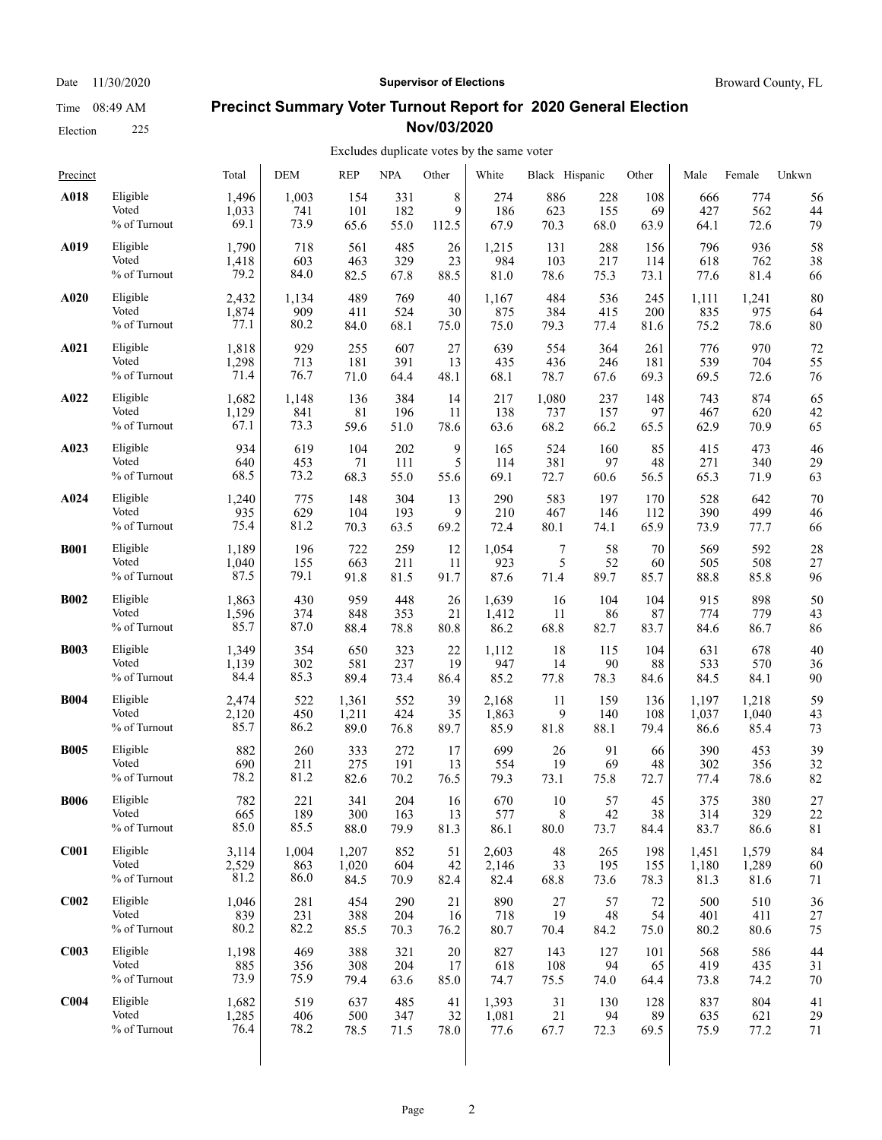Election 225

#### Date 11/30/2020 **Supervisor of Elections Supervisor of Elections** Broward County, FL

#### **Precinct Summary Voter Turnout Report for 2020 General Election Nov/03/2020**

| Precinct         |              | Total | <b>DEM</b> | <b>REP</b> | <b>NPA</b> | Other | White | Black Hispanic |      | Other | Male  | Female | Unkwn       |
|------------------|--------------|-------|------------|------------|------------|-------|-------|----------------|------|-------|-------|--------|-------------|
| A018             | Eligible     | 1,496 | 1,003      | 154        | 331        | 8     | 274   | 886            | 228  | 108   | 666   | 774    | 56          |
|                  | Voted        | 1,033 | 741        | 101        | 182        | 9     | 186   | 623            | 155  | 69    | 427   | 562    | 44          |
|                  | % of Turnout | 69.1  | 73.9       | 65.6       | 55.0       | 112.5 | 67.9  | 70.3           | 68.0 | 63.9  | 64.1  | 72.6   | 79          |
| A019             | Eligible     | 1,790 | 718        | 561        | 485        | 26    | 1,215 | 131            | 288  | 156   | 796   | 936    | 58          |
|                  | Voted        | 1,418 | 603        | 463        | 329        | 23    | 984   | 103            | 217  | 114   | 618   | 762    | 38          |
|                  | % of Turnout | 79.2  | 84.0       | 82.5       | 67.8       | 88.5  | 81.0  | 78.6           | 75.3 | 73.1  | 77.6  | 81.4   | 66          |
| A020             | Eligible     | 2,432 | 1,134      | 489        | 769        | 40    | 1,167 | 484            | 536  | 245   | 1,111 | 1,241  | 80          |
|                  | Voted        | 1,874 | 909        | 411        | 524        | 30    | 875   | 384            | 415  | 200   | 835   | 975    | 64          |
|                  | % of Turnout | 77.1  | 80.2       | 84.0       | 68.1       | 75.0  | 75.0  | 79.3           | 77.4 | 81.6  | 75.2  | 78.6   | 80          |
| A021             | Eligible     | 1,818 | 929        | 255        | 607        | 27    | 639   | 554            | 364  | 261   | 776   | 970    | 72          |
|                  | Voted        | 1,298 | 713        | 181        | 391        | 13    | 435   | 436            | 246  | 181   | 539   | 704    | 55          |
|                  | % of Turnout | 71.4  | 76.7       | 71.0       | 64.4       | 48.1  | 68.1  | 78.7           | 67.6 | 69.3  | 69.5  | 72.6   | 76          |
| A022             | Eligible     | 1,682 | 1,148      | 136        | 384        | 14    | 217   | 1,080          | 237  | 148   | 743   | 874    | 65          |
|                  | Voted        | 1,129 | 841        | $81\,$     | 196        | 11    | 138   | 737            | 157  | 97    | 467   | 620    | 42          |
|                  | % of Turnout | 67.1  | 73.3       | 59.6       | 51.0       | 78.6  | 63.6  | 68.2           | 66.2 | 65.5  | 62.9  | 70.9   | 65          |
| A023             | Eligible     | 934   | 619        | 104        | 202        | 9     | 165   | 524            | 160  | 85    | 415   | 473    | 46          |
|                  | Voted        | 640   | 453        | 71         | 111        | 5     | 114   | 381            | 97   | 48    | 271   | 340    | 29          |
|                  | % of Turnout | 68.5  | 73.2       | 68.3       | 55.0       | 55.6  | 69.1  | 72.7           | 60.6 | 56.5  | 65.3  | 71.9   | 63          |
| A024             | Eligible     | 1,240 | 775        | 148        | 304        | 13    | 290   | 583            | 197  | 170   | 528   | 642    | 70          |
|                  | Voted        | 935   | 629        | 104        | 193        | 9     | 210   | 467            | 146  | 112   | 390   | 499    | 46          |
|                  | % of Turnout | 75.4  | 81.2       | 70.3       | 63.5       | 69.2  | 72.4  | 80.1           | 74.1 | 65.9  | 73.9  | 77.7   | 66          |
| <b>B001</b>      | Eligible     | 1,189 | 196        | 722        | 259        | 12    | 1,054 | 7              | 58   | 70    | 569   | 592    | 28          |
|                  | Voted        | 1,040 | 155        | 663        | 211        | 11    | 923   | 5              | 52   | 60    | 505   | 508    | 27          |
|                  | % of Turnout | 87.5  | 79.1       | 91.8       | 81.5       | 91.7  | 87.6  | 71.4           | 89.7 | 85.7  | 88.8  | 85.8   | 96          |
| <b>B002</b>      | Eligible     | 1,863 | 430        | 959        | 448        | 26    | 1,639 | 16             | 104  | 104   | 915   | 898    | 50          |
|                  | Voted        | 1,596 | 374        | 848        | 353        | 21    | 1,412 | 11             | 86   | 87    | 774   | 779    | 43          |
|                  | % of Turnout | 85.7  | 87.0       | 88.4       | 78.8       | 80.8  | 86.2  | 68.8           | 82.7 | 83.7  | 84.6  | 86.7   | 86          |
| <b>B003</b>      | Eligible     | 1,349 | 354        | 650        | 323        | 22    | 1,112 | 18             | 115  | 104   | 631   | 678    | 40          |
|                  | Voted        | 1,139 | 302        | 581        | 237        | 19    | 947   | 14             | 90   | 88    | 533   | 570    | 36          |
|                  | % of Turnout | 84.4  | 85.3       | 89.4       | 73.4       | 86.4  | 85.2  | 77.8           | 78.3 | 84.6  | 84.5  | 84.1   | 90          |
| <b>B004</b>      | Eligible     | 2,474 | 522        | 1,361      | 552        | 39    | 2,168 | 11             | 159  | 136   | 1,197 | 1,218  | 59          |
|                  | Voted        | 2,120 | 450        | 1,211      | 424        | 35    | 1,863 | 9              | 140  | 108   | 1,037 | 1,040  | 43          |
|                  | % of Turnout | 85.7  | 86.2       | 89.0       | 76.8       | 89.7  | 85.9  | $81.8\,$       | 88.1 | 79.4  | 86.6  | 85.4   | 73          |
| <b>B005</b>      | Eligible     | 882   | 260        | 333        | 272        | 17    | 699   | 26             | 91   | 66    | 390   | 453    | 39          |
|                  | Voted        | 690   | 211        | 275        | 191        | 13    | 554   | 19             | 69   | 48    | 302   | 356    | 32          |
|                  | % of Turnout | 78.2  | 81.2       | 82.6       | 70.2       | 76.5  | 79.3  | 73.1           | 75.8 | 72.7  | 77.4  | 78.6   | 82          |
| <b>B006</b>      | Eligible     | 782   | 221        | 341        | 204        | 16    | 670   | 10             | 57   | 45    | 375   | 380    | 27          |
|                  | Voted        | 665   | 189        | 300        | 163        | 13    | 577   | $\,$ 8 $\,$    | 42   | 38    | 314   | 329    | 22          |
|                  | % of Turnout | 85.0  | 85.5       | 88.0       | 79.9       | 81.3  | 86.1  | 80.0           | 73.7 | 84.4  | 83.7  | 86.6   | $8\sqrt{1}$ |
| C <sub>001</sub> | Eligible     | 3,114 | 1,004      | 1,207      | 852        | 51    | 2,603 | 48             | 265  | 198   | 1,451 | 1,579  | 84          |
|                  | Voted        | 2,529 | 863        | 1,020      | 604        | 42    | 2,146 | 33             | 195  | 155   | 1,180 | 1,289  | 60          |
|                  | % of Turnout | 81.2  | 86.0       | 84.5       | 70.9       | 82.4  | 82.4  | 68.8           | 73.6 | 78.3  | 81.3  | 81.6   | 71          |
| C <sub>002</sub> | Eligible     | 1,046 | 281        | 454        | 290        | 21    | 890   | 27             | 57   | 72    | 500   | 510    | 36          |
|                  | Voted        | 839   | 231        | 388        | 204        | 16    | 718   | 19             | 48   | 54    | 401   | 411    | 27          |
|                  | % of Turnout | 80.2  | 82.2       | 85.5       | 70.3       | 76.2  | 80.7  | 70.4           | 84.2 | 75.0  | 80.2  | 80.6   | 75          |
| C <sub>003</sub> | Eligible     | 1,198 | 469        | 388        | 321        | 20    | 827   | 143            | 127  | 101   | 568   | 586    | 44          |
|                  | Voted        | 885   | 356        | 308        | 204        | 17    | 618   | 108            | 94   | 65    | 419   | 435    | 31          |
|                  | % of Turnout | 73.9  | 75.9       | 79.4       | 63.6       | 85.0  | 74.7  | 75.5           | 74.0 | 64.4  | 73.8  | 74.2   | 70          |
| C <sub>004</sub> | Eligible     | 1,682 | 519        | 637        | 485        | 41    | 1,393 | 31             | 130  | 128   | 837   | 804    | 41          |
|                  | Voted        | 1,285 | 406        | 500        | 347        | 32    | 1,081 | 21             | 94   | 89    | 635   | 621    | 29          |
|                  | % of Turnout | 76.4  | 78.2       | 78.5       | 71.5       | 78.0  | 77.6  | 67.7           | 72.3 | 69.5  | 75.9  | 77.2   | 71          |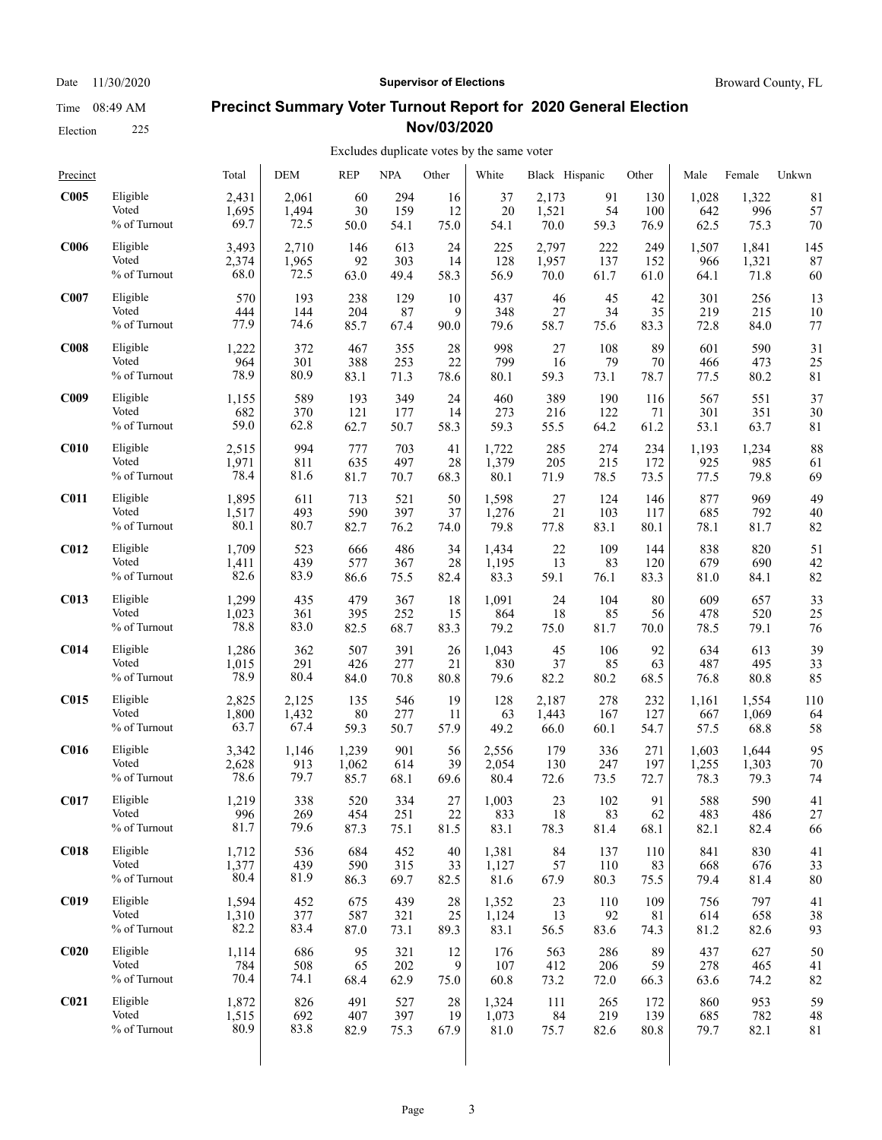Date 11/30/2020 **Supervisor of Elections Supervisor of Elections** Broward County, FL

### **Precinct Summary Voter Turnout Report for 2020 General Election Nov/03/2020**

### Excludes duplicate votes by the same voter

| Precinct         |              | Total | <b>DEM</b> | <b>REP</b> | <b>NPA</b> | Other | White | Black Hispanic |      | Other | Male  | Female | Unkwn |
|------------------|--------------|-------|------------|------------|------------|-------|-------|----------------|------|-------|-------|--------|-------|
| C005             | Eligible     | 2,431 | 2,061      | 60         | 294        | 16    | 37    | 2,173          | 91   | 130   | 1,028 | 1,322  | 81    |
|                  | Voted        | 1,695 | 1,494      | 30         | 159        | 12    | 20    | 1,521          | 54   | 100   | 642   | 996    | 57    |
|                  | % of Turnout | 69.7  | 72.5       | 50.0       | 54.1       | 75.0  | 54.1  | 70.0           | 59.3 | 76.9  | 62.5  | 75.3   | 70    |
| <b>C006</b>      | Eligible     | 3,493 | 2,710      | 146        | 613        | 24    | 225   | 2,797          | 222  | 249   | 1,507 | 1,841  | 145   |
|                  | Voted        | 2,374 | 1,965      | 92         | 303        | 14    | 128   | 1,957          | 137  | 152   | 966   | 1,321  | 87    |
|                  | % of Turnout | 68.0  | 72.5       | 63.0       | 49.4       | 58.3  | 56.9  | 70.0           | 61.7 | 61.0  | 64.1  | 71.8   | 60    |
| C007             | Eligible     | 570   | 193        | 238        | 129        | 10    | 437   | 46             | 45   | 42    | 301   | 256    | 13    |
|                  | Voted        | 444   | 144        | 204        | 87         | 9     | 348   | 27             | 34   | 35    | 219   | 215    | 10    |
|                  | % of Turnout | 77.9  | 74.6       | 85.7       | 67.4       | 90.0  | 79.6  | 58.7           | 75.6 | 83.3  | 72.8  | 84.0   | 77    |
| C <sub>008</sub> | Eligible     | 1,222 | 372        | 467        | 355        | 28    | 998   | 27             | 108  | 89    | 601   | 590    | 31    |
|                  | Voted        | 964   | 301        | 388        | 253        | 22    | 799   | 16             | 79   | 70    | 466   | 473    | 25    |
|                  | % of Turnout | 78.9  | 80.9       | 83.1       | 71.3       | 78.6  | 80.1  | 59.3           | 73.1 | 78.7  | 77.5  | 80.2   | 81    |
| <b>C009</b>      | Eligible     | 1,155 | 589        | 193        | 349        | 24    | 460   | 389            | 190  | 116   | 567   | 551    | 37    |
|                  | Voted        | 682   | 370        | 121        | 177        | 14    | 273   | 216            | 122  | 71    | 301   | 351    | 30    |
|                  | % of Turnout | 59.0  | 62.8       | 62.7       | 50.7       | 58.3  | 59.3  | 55.5           | 64.2 | 61.2  | 53.1  | 63.7   | 81    |
| C <sub>010</sub> | Eligible     | 2,515 | 994        | 777        | 703        | 41    | 1,722 | 285            | 274  | 234   | 1,193 | 1,234  | 88    |
|                  | Voted        | 1,971 | 811        | 635        | 497        | 28    | 1,379 | 205            | 215  | 172   | 925   | 985    | 61    |
|                  | % of Turnout | 78.4  | 81.6       | 81.7       | 70.7       | 68.3  | 80.1  | 71.9           | 78.5 | 73.5  | 77.5  | 79.8   | 69    |
| <b>C011</b>      | Eligible     | 1,895 | 611        | 713        | 521        | 50    | 1,598 | 27             | 124  | 146   | 877   | 969    | 49    |
|                  | Voted        | 1,517 | 493        | 590        | 397        | 37    | 1,276 | 21             | 103  | 117   | 685   | 792    | 40    |
|                  | % of Turnout | 80.1  | 80.7       | 82.7       | 76.2       | 74.0  | 79.8  | 77.8           | 83.1 | 80.1  | 78.1  | 81.7   | 82    |
| <b>C012</b>      | Eligible     | 1,709 | 523        | 666        | 486        | 34    | 1,434 | 22             | 109  | 144   | 838   | 820    | 51    |
|                  | Voted        | 1,411 | 439        | 577        | 367        | 28    | 1,195 | 13             | 83   | 120   | 679   | 690    | 42    |
|                  | % of Turnout | 82.6  | 83.9       | 86.6       | 75.5       | 82.4  | 83.3  | 59.1           | 76.1 | 83.3  | 81.0  | 84.1   | 82    |
| C <sub>013</sub> | Eligible     | 1,299 | 435        | 479        | 367        | 18    | 1,091 | 24             | 104  | 80    | 609   | 657    | 33    |
|                  | Voted        | 1,023 | 361        | 395        | 252        | 15    | 864   | 18             | 85   | 56    | 478   | 520    | 25    |
|                  | % of Turnout | 78.8  | 83.0       | 82.5       | 68.7       | 83.3  | 79.2  | 75.0           | 81.7 | 70.0  | 78.5  | 79.1   | 76    |
| C <sub>014</sub> | Eligible     | 1,286 | 362        | 507        | 391        | 26    | 1,043 | 45             | 106  | 92    | 634   | 613    | 39    |
|                  | Voted        | 1,015 | 291        | 426        | 277        | 21    | 830   | 37             | 85   | 63    | 487   | 495    | 33    |
|                  | % of Turnout | 78.9  | 80.4       | 84.0       | 70.8       | 80.8  | 79.6  | 82.2           | 80.2 | 68.5  | 76.8  | 80.8   | 85    |
| <b>C015</b>      | Eligible     | 2,825 | 2,125      | 135        | 546        | 19    | 128   | 2,187          | 278  | 232   | 1,161 | 1,554  | 110   |
|                  | Voted        | 1,800 | 1,432      | 80         | 277        | 11    | 63    | 1,443          | 167  | 127   | 667   | 1,069  | 64    |
|                  | % of Turnout | 63.7  | 67.4       | 59.3       | 50.7       | 57.9  | 49.2  | 66.0           | 60.1 | 54.7  | 57.5  | 68.8   | 58    |
| C <sub>016</sub> | Eligible     | 3,342 | 1,146      | 1,239      | 901        | 56    | 2,556 | 179            | 336  | 271   | 1,603 | 1,644  | 95    |
|                  | Voted        | 2,628 | 913        | 1,062      | 614        | 39    | 2,054 | 130            | 247  | 197   | 1,255 | 1,303  | 70    |
|                  | % of Turnout | 78.6  | 79.7       | 85.7       | 68.1       | 69.6  | 80.4  | 72.6           | 73.5 | 72.7  | 78.3  | 79.3   | 74    |
| <b>C017</b>      | Eligible     | 1,219 | 338        | 520        | 334        | 27    | 1,003 | 23             | 102  | 91    | 588   | 590    | 41    |
|                  | Voted        | 996   | 269        | 454        | 251        | 22    | 833   | 18             | 83   | 62    | 483   | 486    | 27    |
|                  | % of Turnout | 81.7  | 79.6       | 87.3       | 75.1       | 81.5  | 83.1  | 78.3           | 81.4 | 68.1  | 82.1  | 82.4   | 66    |
| C <sub>018</sub> | Eligible     | 1,712 | 536        | 684        | 452        | 40    | 1,381 | 84             | 137  | 110   | 841   | 830    | 41    |
|                  | Voted        | 1,377 | 439        | 590        | 315        | 33    | 1,127 | 57             | 110  | 83    | 668   | 676    | 33    |
|                  | % of Turnout | 80.4  | 81.9       | 86.3       | 69.7       | 82.5  | 81.6  | 67.9           | 80.3 | 75.5  | 79.4  | 81.4   | 80    |
| C <sub>019</sub> | Eligible     | 1,594 | 452        | 675        | 439        | 28    | 1,352 | 23             | 110  | 109   | 756   | 797    | 41    |
|                  | Voted        | 1,310 | 377        | 587        | 321        | 25    | 1,124 | 13             | 92   | 81    | 614   | 658    | 38    |
|                  | % of Turnout | 82.2  | 83.4       | 87.0       | 73.1       | 89.3  | 83.1  | 56.5           | 83.6 | 74.3  | 81.2  | 82.6   | 93    |
| C <sub>020</sub> | Eligible     | 1,114 | 686        | 95         | 321        | 12    | 176   | 563            | 286  | 89    | 437   | 627    | 50    |
|                  | Voted        | 784   | 508        | 65         | 202        | 9     | 107   | 412            | 206  | 59    | 278   | 465    | 41    |
|                  | % of Turnout | 70.4  | 74.1       | 68.4       | 62.9       | 75.0  | 60.8  | 73.2           | 72.0 | 66.3  | 63.6  | 74.2   | 82    |
| C <sub>021</sub> | Eligible     | 1,872 | 826        | 491        | 527        | 28    | 1,324 | 111            | 265  | 172   | 860   | 953    | 59    |
|                  | Voted        | 1,515 | 692        | 407        | 397        | 19    | 1,073 | 84             | 219  | 139   | 685   | 782    | 48    |
|                  | % of Turnout | 80.9  | 83.8       | 82.9       | 75.3       | 67.9  | 81.0  | 75.7           | 82.6 | 80.8  | 79.7  | 82.1   | 81    |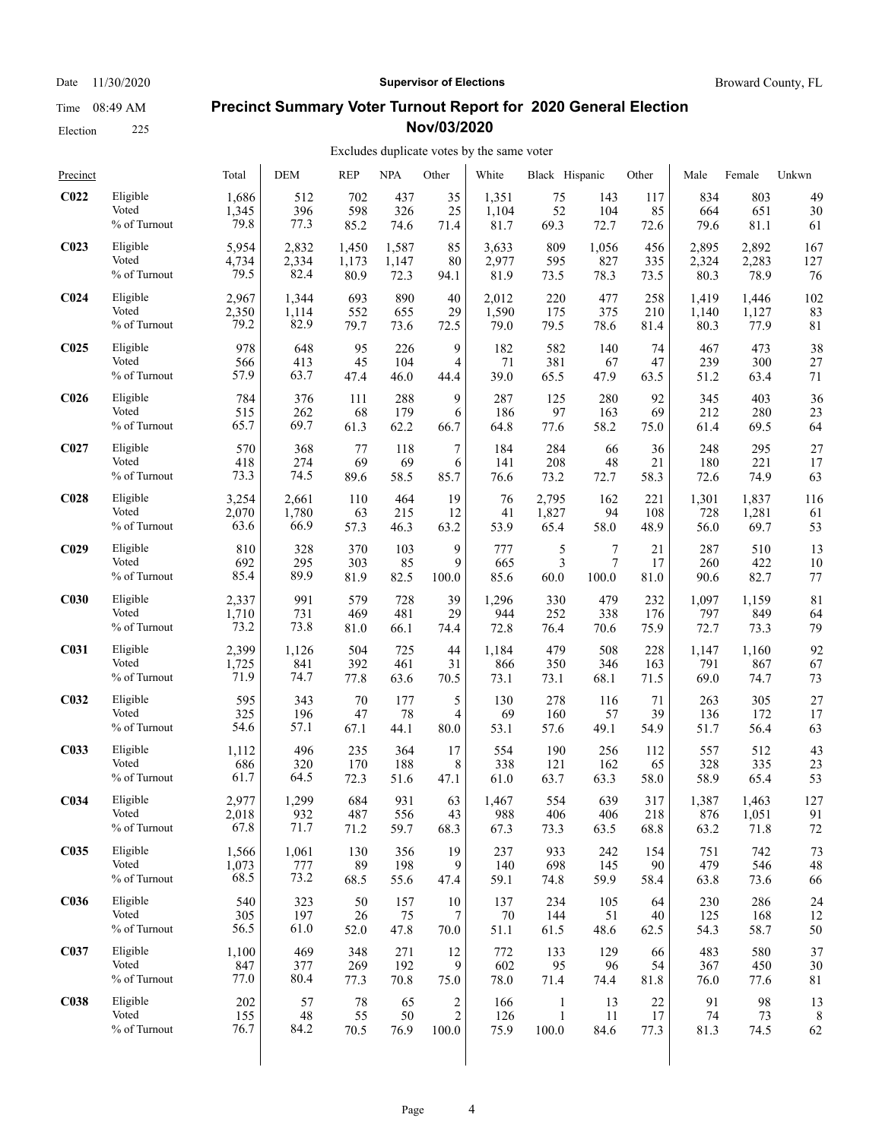Election 225

#### Date 11/30/2020 **Supervisor of Elections Supervisor of Elections** Broward County, FL

#### **Precinct Summary Voter Turnout Report for 2020 General Election Nov/03/2020**

| Precinct         |              | Total | <b>DEM</b> | <b>REP</b> | <b>NPA</b> | Other                   | White | Black Hispanic |       | Other | Male  | Female | Unkwn       |
|------------------|--------------|-------|------------|------------|------------|-------------------------|-------|----------------|-------|-------|-------|--------|-------------|
| C <sub>022</sub> | Eligible     | 1,686 | 512        | 702        | 437        | 35                      | 1,351 | 75             | 143   | 117   | 834   | 803    | 49          |
|                  | Voted        | 1,345 | 396        | 598        | 326        | 25                      | 1,104 | 52             | 104   | 85    | 664   | 651    | 30          |
|                  | % of Turnout | 79.8  | 77.3       | 85.2       | 74.6       | 71.4                    | 81.7  | 69.3           | 72.7  | 72.6  | 79.6  | 81.1   | 61          |
| C <sub>023</sub> | Eligible     | 5,954 | 2,832      | 1,450      | 1,587      | 85                      | 3,633 | 809            | 1,056 | 456   | 2,895 | 2,892  | 167         |
|                  | Voted        | 4,734 | 2,334      | 1,173      | 1,147      | 80                      | 2,977 | 595            | 827   | 335   | 2,324 | 2,283  | 127         |
|                  | % of Turnout | 79.5  | 82.4       | 80.9       | 72.3       | 94.1                    | 81.9  | 73.5           | 78.3  | 73.5  | 80.3  | 78.9   | 76          |
| C <sub>024</sub> | Eligible     | 2,967 | 1,344      | 693        | 890        | 40                      | 2,012 | 220            | 477   | 258   | 1,419 | 1,446  | 102         |
|                  | Voted        | 2,350 | 1,114      | 552        | 655        | 29                      | 1,590 | 175            | 375   | 210   | 1,140 | 1,127  | 83          |
|                  | % of Turnout | 79.2  | 82.9       | 79.7       | 73.6       | 72.5                    | 79.0  | 79.5           | 78.6  | 81.4  | 80.3  | 77.9   | 81          |
| C <sub>025</sub> | Eligible     | 978   | 648        | 95         | 226        | 9                       | 182   | 582            | 140   | 74    | 467   | 473    | 38          |
|                  | Voted        | 566   | 413        | 45         | 104        | 4                       | 71    | 381            | 67    | 47    | 239   | 300    | 27          |
|                  | % of Turnout | 57.9  | 63.7       | 47.4       | 46.0       | 44.4                    | 39.0  | 65.5           | 47.9  | 63.5  | 51.2  | 63.4   | 71          |
| <b>C026</b>      | Eligible     | 784   | 376        | 111        | 288        | 9                       | 287   | 125            | 280   | 92    | 345   | 403    | 36          |
|                  | Voted        | 515   | 262        | 68         | 179        | 6                       | 186   | 97             | 163   | 69    | 212   | 280    | 23          |
|                  | % of Turnout | 65.7  | 69.7       | 61.3       | 62.2       | 66.7                    | 64.8  | 77.6           | 58.2  | 75.0  | 61.4  | 69.5   | 64          |
| C <sub>027</sub> | Eligible     | 570   | 368        | 77         | 118        | 7                       | 184   | 284            | 66    | 36    | 248   | 295    | 27          |
|                  | Voted        | 418   | 274        | 69         | 69         | 6                       | 141   | 208            | 48    | 21    | 180   | 221    | 17          |
|                  | % of Turnout | 73.3  | 74.5       | 89.6       | 58.5       | 85.7                    | 76.6  | 73.2           | 72.7  | 58.3  | 72.6  | 74.9   | 63          |
| C <sub>028</sub> | Eligible     | 3,254 | 2,661      | 110        | 464        | 19                      | 76    | 2,795          | 162   | 221   | 1,301 | 1,837  | 116         |
|                  | Voted        | 2,070 | 1,780      | 63         | 215        | 12                      | 41    | 1,827          | 94    | 108   | 728   | 1,281  | 61          |
|                  | % of Turnout | 63.6  | 66.9       | 57.3       | 46.3       | 63.2                    | 53.9  | 65.4           | 58.0  | 48.9  | 56.0  | 69.7   | 53          |
| C <sub>029</sub> | Eligible     | 810   | 328        | 370        | 103        | 9                       | 777   | 5              | 7     | 21    | 287   | 510    | 13          |
|                  | Voted        | 692   | 295        | 303        | 85         | 9                       | 665   | 3              | 7     | 17    | 260   | 422    | 10          |
|                  | % of Turnout | 85.4  | 89.9       | 81.9       | 82.5       | 100.0                   | 85.6  | 60.0           | 100.0 | 81.0  | 90.6  | 82.7   | 77          |
| C <sub>030</sub> | Eligible     | 2,337 | 991        | 579        | 728        | 39                      | 1,296 | 330            | 479   | 232   | 1,097 | 1,159  | 81          |
|                  | Voted        | 1,710 | 731        | 469        | 481        | 29                      | 944   | 252            | 338   | 176   | 797   | 849    | 64          |
|                  | % of Turnout | 73.2  | 73.8       | 81.0       | 66.1       | 74.4                    | 72.8  | 76.4           | 70.6  | 75.9  | 72.7  | 73.3   | 79          |
| C031             | Eligible     | 2,399 | 1,126      | 504        | 725        | 44                      | 1,184 | 479            | 508   | 228   | 1,147 | 1,160  | 92          |
|                  | Voted        | 1,725 | 841        | 392        | 461        | 31                      | 866   | 350            | 346   | 163   | 791   | 867    | 67          |
|                  | % of Turnout | 71.9  | 74.7       | 77.8       | 63.6       | 70.5                    | 73.1  | 73.1           | 68.1  | 71.5  | 69.0  | 74.7   | 73          |
| C <sub>032</sub> | Eligible     | 595   | 343        | 70         | 177        | 5                       | 130   | 278            | 116   | 71    | 263   | 305    | 27          |
|                  | Voted        | 325   | 196        | 47         | 78         | 4                       | 69    | 160            | 57    | 39    | 136   | 172    | 17          |
|                  | % of Turnout | 54.6  | 57.1       | 67.1       | 44.1       | 80.0                    | 53.1  | 57.6           | 49.1  | 54.9  | 51.7  | 56.4   | 63          |
| C <sub>033</sub> | Eligible     | 1,112 | 496        | 235        | 364        | 17                      | 554   | 190            | 256   | 112   | 557   | 512    | 43          |
|                  | Voted        | 686   | 320        | 170        | 188        | 8                       | 338   | 121            | 162   | 65    | 328   | 335    | 23          |
|                  | % of Turnout | 61.7  | 64.5       | 72.3       | 51.6       | 47.1                    | 61.0  | 63.7           | 63.3  | 58.0  | 58.9  | 65.4   | 53          |
| C <sub>034</sub> | Eligible     | 2,977 | 1.299      | 684        | 931        | 63                      | 1,467 | 554            | 639   | 317   | 1,387 | 1,463  | 127         |
|                  | Voted        | 2,018 | 932        | 487        | 556        | 43                      | 988   | 406            | 406   | 218   | 876   | 1,051  | 91          |
|                  | % of Turnout | 67.8  | 71.7       | 71.2       | 59.7       | 68.3                    | 67.3  | 73.3           | 63.5  | 68.8  | 63.2  | 71.8   | 72          |
| C <sub>035</sub> | Eligible     | 1,566 | 1,061      | 130        | 356        | 19                      | 237   | 933            | 242   | 154   | 751   | 742    | 73          |
|                  | Voted        | 1,073 | 777        | 89         | 198        | 9                       | 140   | 698            | 145   | 90    | 479   | 546    | 48          |
|                  | % of Turnout | 68.5  | 73.2       | 68.5       | 55.6       | 47.4                    | 59.1  | 74.8           | 59.9  | 58.4  | 63.8  | 73.6   | 66          |
| <b>C036</b>      | Eligible     | 540   | 323        | 50         | 157        | 10                      | 137   | 234            | 105   | 64    | 230   | 286    | 24          |
|                  | Voted        | 305   | 197        | 26         | 75         | 7                       | 70    | 144            | 51    | 40    | 125   | 168    | 12          |
|                  | % of Turnout | 56.5  | 61.0       | 52.0       | 47.8       | 70.0                    | 51.1  | 61.5           | 48.6  | 62.5  | 54.3  | 58.7   | 50          |
| C <sub>037</sub> | Eligible     | 1,100 | 469        | 348        | 271        | 12                      | 772   | 133            | 129   | 66    | 483   | 580    | 37          |
|                  | Voted        | 847   | 377        | 269        | 192        | 9                       | 602   | 95             | 96    | 54    | 367   | 450    | 30          |
|                  | % of Turnout | 77.0  | 80.4       | 77.3       | 70.8       | 75.0                    | 78.0  | 71.4           | 74.4  | 81.8  | 76.0  | 77.6   | $8\sqrt{1}$ |
| <b>C038</b>      | Eligible     | 202   | 57         | 78         | 65         | $\overline{\mathbf{c}}$ | 166   | 1              | 13    | 22    | 91    | 98     | 13          |
|                  | Voted        | 155   | 48         | 55         | 50         | $\overline{c}$          | 126   | 1              | 11    | 17    | 74    | 73     | 8           |
|                  | % of Turnout | 76.7  | 84.2       | 70.5       | 76.9       | 100.0                   | 75.9  | 100.0          | 84.6  | 77.3  | 81.3  | 74.5   | 62          |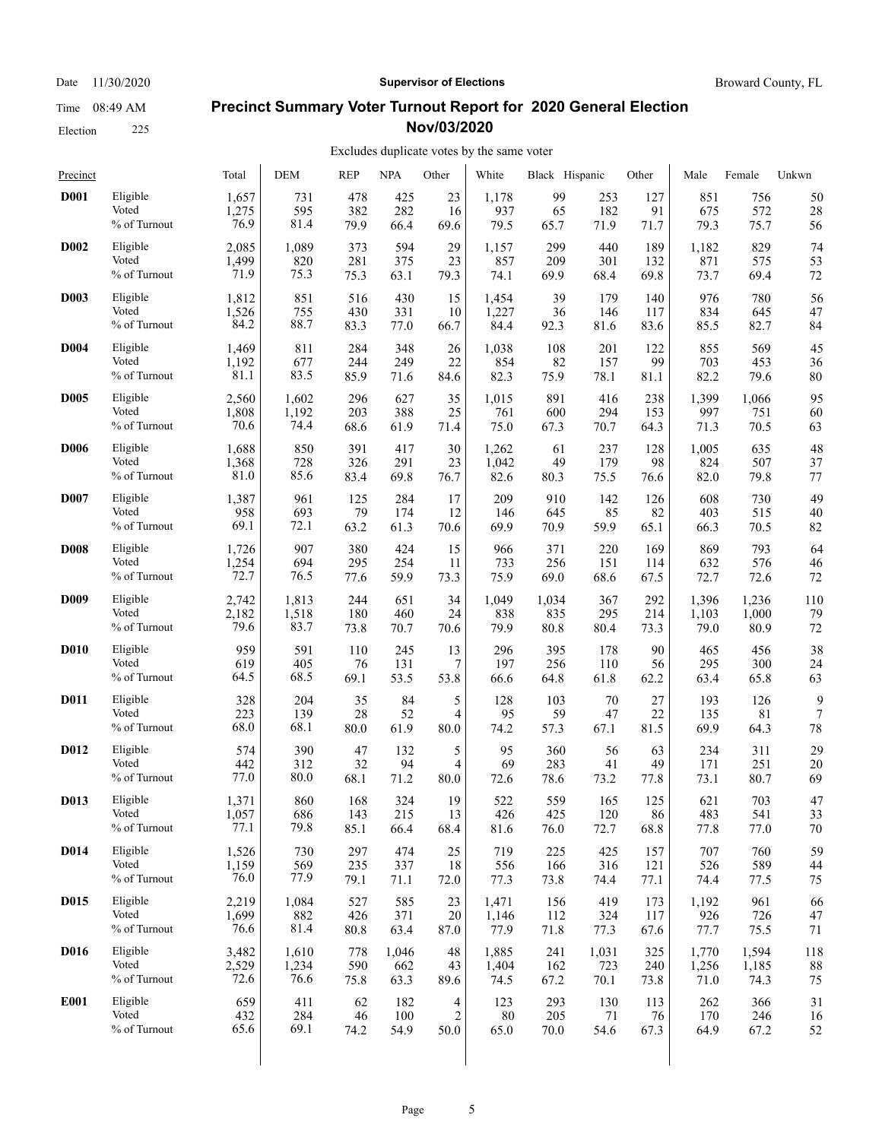#### **Precinct Summary Voter Turnout Report for 2020 General Election Nov/03/2020**

| Precinct          |                 | Total | <b>DEM</b> | <b>REP</b> | <b>NPA</b> | Other | White | Black Hispanic |       | Other | Male  | Female | Unkwn |
|-------------------|-----------------|-------|------------|------------|------------|-------|-------|----------------|-------|-------|-------|--------|-------|
| <b>D001</b>       | Eligible        | 1,657 | 731        | 478        | 425        | 23    | 1,178 | 99             | 253   | 127   | 851   | 756    | 50    |
|                   | Voted           | 1,275 | 595        | 382        | 282        | 16    | 937   | 65             | 182   | 91    | 675   | 572    | 28    |
|                   | % of Turnout    | 76.9  | 81.4       | 79.9       | 66.4       | 69.6  | 79.5  | 65.7           | 71.9  | 71.7  | 79.3  | 75.7   | 56    |
| <b>D002</b>       | Eligible        | 2,085 | 1,089      | 373        | 594        | 29    | 1,157 | 299            | 440   | 189   | 1,182 | 829    | 74    |
|                   | Voted           | 1,499 | 820        | 281        | 375        | 23    | 857   | 209            | 301   | 132   | 871   | 575    | 53    |
|                   | % of Turnout    | 71.9  | 75.3       | 75.3       | 63.1       | 79.3  | 74.1  | 69.9           | 68.4  | 69.8  | 73.7  | 69.4   | 72    |
| <b>D003</b>       | Eligible        | 1,812 | 851        | 516        | 430        | 15    | 1,454 | 39             | 179   | 140   | 976   | 780    | 56    |
|                   | Voted           | 1,526 | 755        | 430        | 331        | 10    | 1,227 | 36             | 146   | 117   | 834   | 645    | 47    |
|                   | % of Turnout    | 84.2  | 88.7       | 83.3       | 77.0       | 66.7  | 84.4  | 92.3           | 81.6  | 83.6  | 85.5  | 82.7   | 84    |
| <b>D004</b>       | Eligible        | 1,469 | 811        | 284        | 348        | 26    | 1,038 | 108            | 201   | 122   | 855   | 569    | 45    |
|                   | Voted           | 1,192 | 677        | 244        | 249        | 22    | 854   | 82             | 157   | 99    | 703   | 453    | 36    |
|                   | % of Turnout    | 81.1  | 83.5       | 85.9       | 71.6       | 84.6  | 82.3  | 75.9           | 78.1  | 81.1  | 82.2  | 79.6   | 80    |
| <b>D005</b>       | Eligible        | 2,560 | 1,602      | 296        | 627        | 35    | 1,015 | 891            | 416   | 238   | 1,399 | 1,066  | 95    |
|                   | Voted           | 1,808 | 1,192      | 203        | 388        | 25    | 761   | 600            | 294   | 153   | 997   | 751    | 60    |
|                   | % of Turnout    | 70.6  | 74.4       | 68.6       | 61.9       | 71.4  | 75.0  | 67.3           | 70.7  | 64.3  | 71.3  | 70.5   | 63    |
| <b>D006</b>       | Eligible        | 1,688 | 850        | 391        | 417        | 30    | 1,262 | 61             | 237   | 128   | 1,005 | 635    | 48    |
|                   | Voted           | 1,368 | 728        | 326        | 291        | 23    | 1,042 | 49             | 179   | 98    | 824   | 507    | 37    |
|                   | % of Turnout    | 81.0  | 85.6       | 83.4       | 69.8       | 76.7  | 82.6  | 80.3           | 75.5  | 76.6  | 82.0  | 79.8   | 77    |
| <b>D007</b>       | Eligible        | 1,387 | 961        | 125        | 284        | 17    | 209   | 910            | 142   | 126   | 608   | 730    | 49    |
|                   | Voted           | 958   | 693        | 79         | 174        | 12    | 146   | 645            | 85    | 82    | 403   | 515    | 40    |
|                   | % of Turnout    | 69.1  | 72.1       | 63.2       | 61.3       | 70.6  | 69.9  | 70.9           | 59.9  | 65.1  | 66.3  | 70.5   | 82    |
| <b>D008</b>       | Eligible        | 1,726 | 907        | 380        | 424        | 15    | 966   | 371            | 220   | 169   | 869   | 793    | 64    |
|                   | Voted           | 1,254 | 694        | 295        | 254        | 11    | 733   | 256            | 151   | 114   | 632   | 576    | 46    |
|                   | % of Turnout    | 72.7  | 76.5       | 77.6       | 59.9       | 73.3  | 75.9  | 69.0           | 68.6  | 67.5  | 72.7  | 72.6   | 72    |
| <b>D009</b>       | Eligible        | 2,742 | 1,813      | 244        | 651        | 34    | 1,049 | 1,034          | 367   | 292   | 1,396 | 1,236  | 110   |
|                   | Voted           | 2,182 | 1,518      | 180        | 460        | 24    | 838   | 835            | 295   | 214   | 1,103 | 1,000  | 79    |
|                   | $\%$ of Turnout | 79.6  | 83.7       | 73.8       | 70.7       | 70.6  | 79.9  | 80.8           | 80.4  | 73.3  | 79.0  | 80.9   | 72    |
| <b>D010</b>       | Eligible        | 959   | 591        | 110        | 245        | 13    | 296   | 395            | 178   | 90    | 465   | 456    | 38    |
|                   | Voted           | 619   | 405        | 76         | 131        | 7     | 197   | 256            | 110   | 56    | 295   | 300    | 24    |
|                   | % of Turnout    | 64.5  | 68.5       | 69.1       | 53.5       | 53.8  | 66.6  | 64.8           | 61.8  | 62.2  | 63.4  | 65.8   | 63    |
| <b>D011</b>       | Eligible        | 328   | 204        | 35         | 84         | 5     | 128   | 103            | 70    | 27    | 193   | 126    | 9     |
|                   | Voted           | 223   | 139        | 28         | 52         | 4     | 95    | 59             | 47    | 22    | 135   | 81     | 7     |
|                   | % of Turnout    | 68.0  | 68.1       | 80.0       | 61.9       | 80.0  | 74.2  | 57.3           | 67.1  | 81.5  | 69.9  | 64.3   | 78    |
| D <sub>0</sub> 12 | Eligible        | 574   | 390        | 47         | 132        | 5     | 95    | 360            | 56    | 63    | 234   | 311    | 29    |
|                   | Voted           | 442   | 312        | 32         | 94         | 4     | 69    | 283            | 41    | 49    | 171   | 251    | 20    |
|                   | % of Turnout    | 77.0  | 80.0       | 68.1       | 71.2       | 80.0  | 72.6  | 78.6           | 73.2  | 77.8  | 73.1  | 80.7   | 69    |
| D013              | Eligible        | 1,371 | 860        | 168        | 324        | 19    | 522   | 559            | 165   | 125   | 621   | 703    | 47    |
|                   | Voted           | 1,057 | 686        | 143        | 215        | 13    | 426   | 425            | 120   | 86    | 483   | 541    | 33    |
|                   | % of Turnout    | 77.1  | 79.8       | 85.1       | 66.4       | 68.4  | 81.6  | 76.0           | 72.7  | 68.8  | 77.8  | 77.0   | 70    |
| D014              | Eligible        | 1,526 | 730        | 297        | 474        | 25    | 719   | 225            | 425   | 157   | 707   | 760    | 59    |
|                   | Voted           | 1,159 | 569        | 235        | 337        | 18    | 556   | 166            | 316   | 121   | 526   | 589    | 44    |
|                   | % of Turnout    | 76.0  | 77.9       | 79.1       | 71.1       | 72.0  | 77.3  | 73.8           | 74.4  | 77.1  | 74.4  | 77.5   | 75    |
| D015              | Eligible        | 2,219 | 1,084      | 527        | 585        | 23    | 1,471 | 156            | 419   | 173   | 1,192 | 961    | 66    |
|                   | Voted           | 1,699 | 882        | 426        | 371        | 20    | 1,146 | 112            | 324   | 117   | 926   | 726    | 47    |
|                   | % of Turnout    | 76.6  | 81.4       | 80.8       | 63.4       | 87.0  | 77.9  | 71.8           | 77.3  | 67.6  | 77.7  | 75.5   | 71    |
| D016              | Eligible        | 3,482 | 1,610      | 778        | 1,046      | 48    | 1,885 | 241            | 1,031 | 325   | 1,770 | 1,594  | 118   |
|                   | Voted           | 2,529 | 1,234      | 590        | 662        | 43    | 1,404 | 162            | 723   | 240   | 1,256 | 1,185  | 88    |
|                   | % of Turnout    | 72.6  | 76.6       | 75.8       | 63.3       | 89.6  | 74.5  | 67.2           | 70.1  | 73.8  | 71.0  | 74.3   | 75    |
| <b>E001</b>       | Eligible        | 659   | 411        | 62         | 182        | 4     | 123   | 293            | 130   | 113   | 262   | 366    | 31    |
|                   | Voted           | 432   | 284        | 46         | 100        | 2     | 80    | 205            | 71    | 76    | 170   | 246    | 16    |
|                   | % of Turnout    | 65.6  | 69.1       | 74.2       | 54.9       | 50.0  | 65.0  | 70.0           | 54.6  | 67.3  | 64.9  | 67.2   | 52    |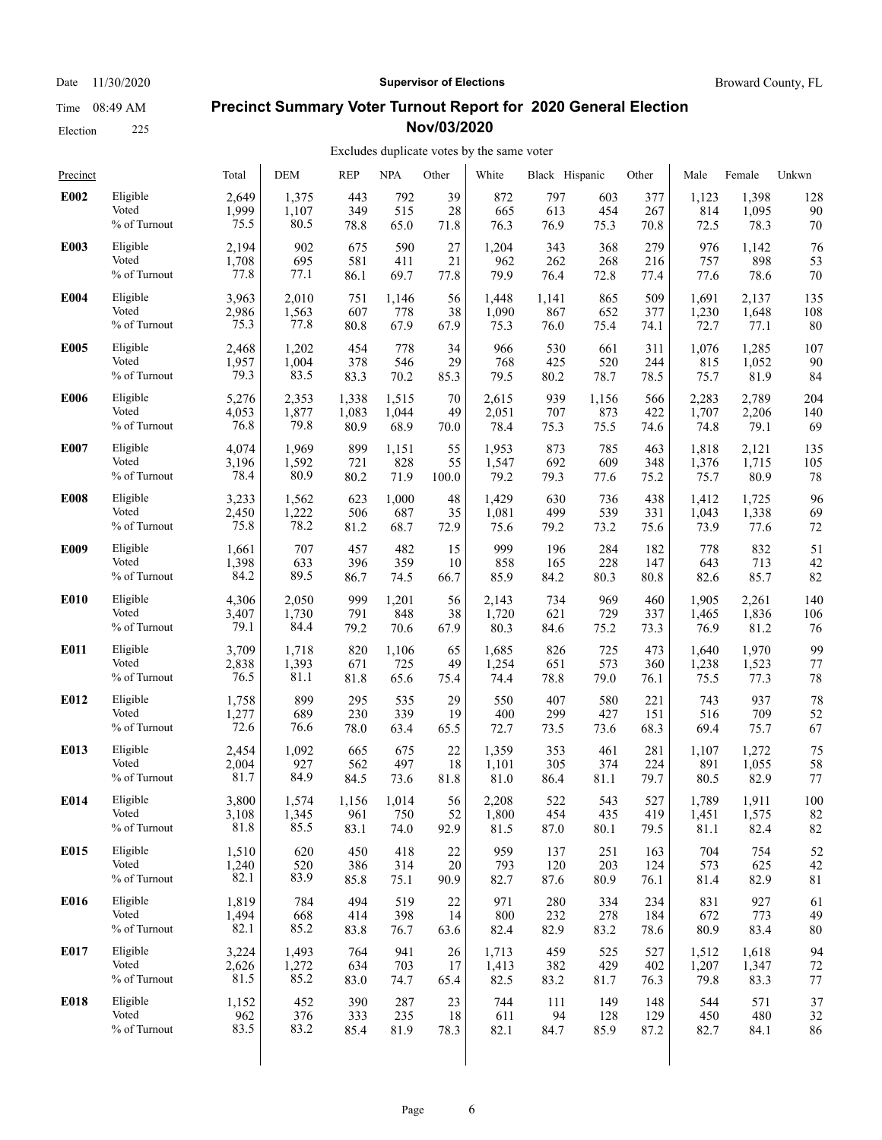Election 225

#### Date 11/30/2020 **Supervisor of Elections Supervisor of Elections** Broward County, FL

### **Precinct Summary Voter Turnout Report for 2020 General Election Nov/03/2020**

#### Excludes duplicate votes by the same voter

| Precinct    |                 | Total | <b>DEM</b> | <b>REP</b> | <b>NPA</b> | Other | White | Black Hispanic |       | Other | Male  | Female | Unkwn |
|-------------|-----------------|-------|------------|------------|------------|-------|-------|----------------|-------|-------|-------|--------|-------|
| E002        | Eligible        | 2,649 | 1,375      | 443        | 792        | 39    | 872   | 797            | 603   | 377   | 1,123 | 1,398  | 128   |
|             | Voted           | 1,999 | 1,107      | 349        | 515        | 28    | 665   | 613            | 454   | 267   | 814   | 1,095  | 90    |
|             | % of Turnout    | 75.5  | 80.5       | 78.8       | 65.0       | 71.8  | 76.3  | 76.9           | 75.3  | 70.8  | 72.5  | 78.3   | 70    |
| E003        | Eligible        | 2,194 | 902        | 675        | 590        | 27    | 1,204 | 343            | 368   | 279   | 976   | 1,142  | 76    |
|             | Voted           | 1,708 | 695        | 581        | 411        | 21    | 962   | 262            | 268   | 216   | 757   | 898    | 53    |
|             | % of Turnout    | 77.8  | 77.1       | 86.1       | 69.7       | 77.8  | 79.9  | 76.4           | 72.8  | 77.4  | 77.6  | 78.6   | 70    |
| E004        | Eligible        | 3,963 | 2,010      | 751        | 1,146      | 56    | 1,448 | 1,141          | 865   | 509   | 1,691 | 2,137  | 135   |
|             | Voted           | 2,986 | 1,563      | 607        | 778        | 38    | 1,090 | 867            | 652   | 377   | 1,230 | 1,648  | 108   |
|             | % of Turnout    | 75.3  | 77.8       | 80.8       | 67.9       | 67.9  | 75.3  | 76.0           | 75.4  | 74.1  | 72.7  | 77.1   | 80    |
| E005        | Eligible        | 2,468 | 1,202      | 454        | 778        | 34    | 966   | 530            | 661   | 311   | 1,076 | 1,285  | 107   |
|             | Voted           | 1,957 | 1,004      | 378        | 546        | 29    | 768   | 425            | 520   | 244   | 815   | 1,052  | 90    |
|             | % of Turnout    | 79.3  | 83.5       | 83.3       | 70.2       | 85.3  | 79.5  | 80.2           | 78.7  | 78.5  | 75.7  | 81.9   | 84    |
| <b>E006</b> | Eligible        | 5,276 | 2,353      | 1,338      | 1,515      | 70    | 2,615 | 939            | 1,156 | 566   | 2,283 | 2,789  | 204   |
|             | Voted           | 4,053 | 1,877      | 1,083      | 1,044      | 49    | 2,051 | 707            | 873   | 422   | 1,707 | 2,206  | 140   |
|             | % of Turnout    | 76.8  | 79.8       | 80.9       | 68.9       | 70.0  | 78.4  | 75.3           | 75.5  | 74.6  | 74.8  | 79.1   | 69    |
| E007        | Eligible        | 4,074 | 1,969      | 899        | 1,151      | 55    | 1,953 | 873            | 785   | 463   | 1,818 | 2,121  | 135   |
|             | Voted           | 3,196 | 1,592      | 721        | 828        | 55    | 1,547 | 692            | 609   | 348   | 1,376 | 1,715  | 105   |
|             | $\%$ of Turnout | 78.4  | 80.9       | 80.2       | 71.9       | 100.0 | 79.2  | 79.3           | 77.6  | 75.2  | 75.7  | 80.9   | 78    |
| <b>E008</b> | Eligible        | 3,233 | 1,562      | 623        | 1,000      | 48    | 1,429 | 630            | 736   | 438   | 1,412 | 1,725  | 96    |
|             | Voted           | 2,450 | 1,222      | 506        | 687        | 35    | 1,081 | 499            | 539   | 331   | 1,043 | 1,338  | 69    |
|             | % of Turnout    | 75.8  | 78.2       | 81.2       | 68.7       | 72.9  | 75.6  | 79.2           | 73.2  | 75.6  | 73.9  | 77.6   | 72    |
| E009        | Eligible        | 1,661 | 707        | 457        | 482        | 15    | 999   | 196            | 284   | 182   | 778   | 832    | 51    |
|             | Voted           | 1,398 | 633        | 396        | 359        | 10    | 858   | 165            | 228   | 147   | 643   | 713    | 42    |
|             | % of Turnout    | 84.2  | 89.5       | 86.7       | 74.5       | 66.7  | 85.9  | 84.2           | 80.3  | 80.8  | 82.6  | 85.7   | 82    |
| E010        | Eligible        | 4,306 | 2,050      | 999        | 1,201      | 56    | 2,143 | 734            | 969   | 460   | 1,905 | 2,261  | 140   |
|             | Voted           | 3,407 | 1,730      | 791        | 848        | 38    | 1,720 | 621            | 729   | 337   | 1,465 | 1,836  | 106   |
|             | $\%$ of Turnout | 79.1  | 84.4       | 79.2       | 70.6       | 67.9  | 80.3  | 84.6           | 75.2  | 73.3  | 76.9  | 81.2   | 76    |
| E011        | Eligible        | 3,709 | 1,718      | 820        | 1,106      | 65    | 1,685 | 826            | 725   | 473   | 1,640 | 1,970  | 99    |
|             | Voted           | 2,838 | 1,393      | 671        | 725        | 49    | 1,254 | 651            | 573   | 360   | 1,238 | 1,523  | 77    |
|             | % of Turnout    | 76.5  | 81.1       | 81.8       | 65.6       | 75.4  | 74.4  | 78.8           | 79.0  | 76.1  | 75.5  | 77.3   | 78    |
| E012        | Eligible        | 1,758 | 899        | 295        | 535        | 29    | 550   | 407            | 580   | 221   | 743   | 937    | 78    |
|             | Voted           | 1,277 | 689        | 230        | 339        | 19    | 400   | 299            | 427   | 151   | 516   | 709    | 52    |
|             | % of Turnout    | 72.6  | 76.6       | 78.0       | 63.4       | 65.5  | 72.7  | 73.5           | 73.6  | 68.3  | 69.4  | 75.7   | 67    |
| E013        | Eligible        | 2,454 | 1,092      | 665        | 675        | 22    | 1,359 | 353            | 461   | 281   | 1,107 | 1,272  | 75    |
|             | Voted           | 2,004 | 927        | 562        | 497        | 18    | 1,101 | 305            | 374   | 224   | 891   | 1,055  | 58    |
|             | % of Turnout    | 81.7  | 84.9       | 84.5       | 73.6       | 81.8  | 81.0  | 86.4           | 81.1  | 79.7  | 80.5  | 82.9   | 77    |
| E014        | Eligible        | 3,800 | 1,574      | 1,156      | 1,014      | 56    | 2,208 | 522            | 543   | 527   | 1,789 | 1,911  | 100   |
|             | Voted           | 3,108 | 1,345      | 961        | 750        | 52    | 1,800 | 454            | 435   | 419   | 1,451 | 1,575  | 82    |
|             | % of Turnout    | 81.8  | 85.5       | 83.1       | 74.0       | 92.9  | 81.5  | 87.0           | 80.1  | 79.5  | 81.1  | 82.4   | 82    |
| E015        | Eligible        | 1,510 | 620        | 450        | 418        | 22    | 959   | 137            | 251   | 163   | 704   | 754    | 52    |
|             | Voted           | 1,240 | 520        | 386        | 314        | 20    | 793   | 120            | 203   | 124   | 573   | 625    | 42    |
|             | % of Turnout    | 82.1  | 83.9       | 85.8       | 75.1       | 90.9  | 82.7  | 87.6           | 80.9  | 76.1  | 81.4  | 82.9   | 81    |
| E016        | Eligible        | 1,819 | 784        | 494        | 519        | 22    | 971   | 280            | 334   | 234   | 831   | 927    | 61    |
|             | Voted           | 1,494 | 668        | 414        | 398        | 14    | 800   | 232            | 278   | 184   | 672   | 773    | 49    |
|             | % of Turnout    | 82.1  | 85.2       | 83.8       | 76.7       | 63.6  | 82.4  | 82.9           | 83.2  | 78.6  | 80.9  | 83.4   | 80    |
| E017        | Eligible        | 3,224 | 1,493      | 764        | 941        | 26    | 1,713 | 459            | 525   | 527   | 1,512 | 1,618  | 94    |
|             | Voted           | 2,626 | 1,272      | 634        | 703        | 17    | 1,413 | 382            | 429   | 402   | 1,207 | 1,347  | 72    |
|             | % of Turnout    | 81.5  | 85.2       | 83.0       | 74.7       | 65.4  | 82.5  | 83.2           | 81.7  | 76.3  | 79.8  | 83.3   | 77    |
| E018        | Eligible        | 1,152 | 452        | 390        | 287        | 23    | 744   | 111            | 149   | 148   | 544   | 571    | 37    |
|             | Voted           | 962   | 376        | 333        | 235        | 18    | 611   | 94             | 128   | 129   | 450   | 480    | 32    |
|             | % of Turnout    | 83.5  | 83.2       | 85.4       | 81.9       | 78.3  | 82.1  | 84.7           | 85.9  | 87.2  | 82.7  | 84.1   | 86    |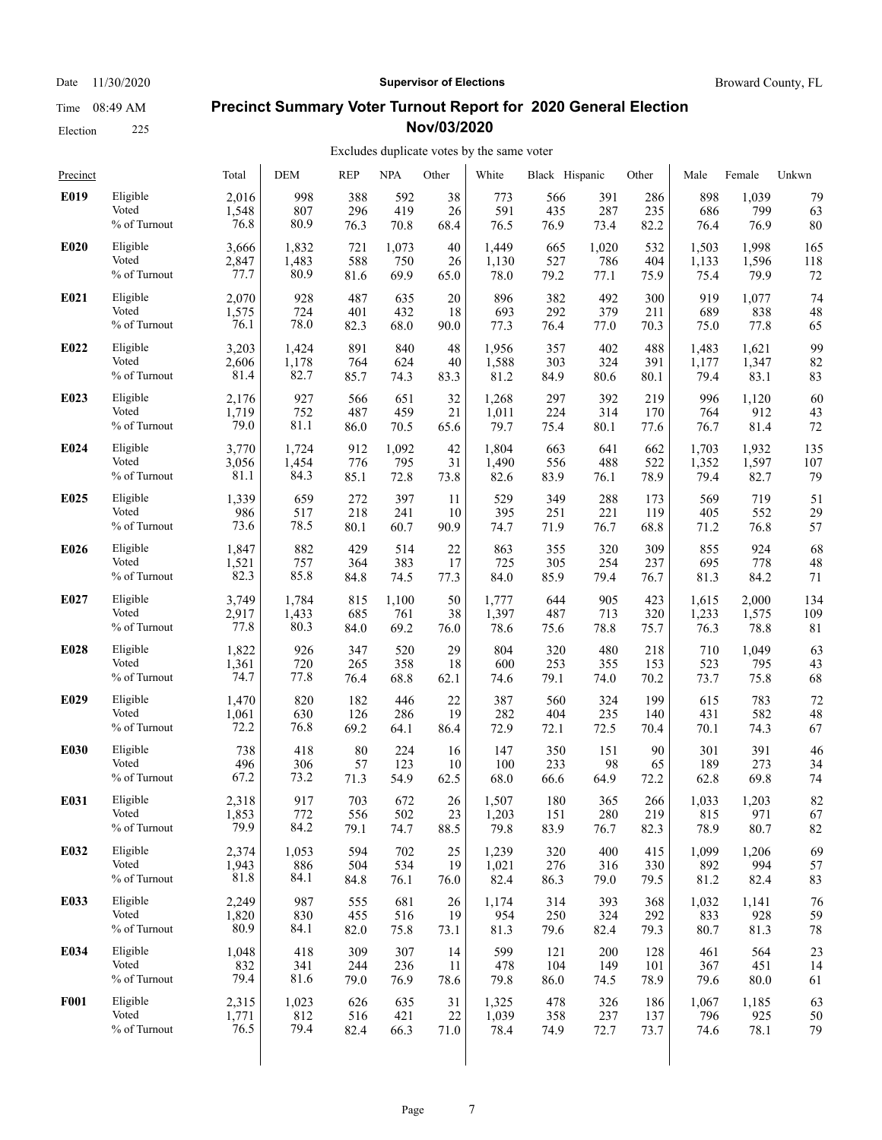Election 225

#### Date 11/30/2020 **Supervisor of Elections Supervisor of Elections** Broward County, FL

### **Precinct Summary Voter Turnout Report for 2020 General Election Nov/03/2020**

#### Excludes duplicate votes by the same voter

| Precinct    |                 | Total | <b>DEM</b> | <b>REP</b> | <b>NPA</b> | Other | White | Black Hispanic |       | Other | Male  | Female | Unkwn |
|-------------|-----------------|-------|------------|------------|------------|-------|-------|----------------|-------|-------|-------|--------|-------|
| E019        | Eligible        | 2,016 | 998        | 388        | 592        | 38    | 773   | 566            | 391   | 286   | 898   | 1,039  | 79    |
|             | Voted           | 1,548 | 807        | 296        | 419        | 26    | 591   | 435            | 287   | 235   | 686   | 799    | 63    |
|             | % of Turnout    | 76.8  | 80.9       | 76.3       | 70.8       | 68.4  | 76.5  | 76.9           | 73.4  | 82.2  | 76.4  | 76.9   | 80    |
| E020        | Eligible        | 3,666 | 1,832      | 721        | 1,073      | 40    | 1,449 | 665            | 1,020 | 532   | 1,503 | 1,998  | 165   |
|             | Voted           | 2,847 | 1,483      | 588        | 750        | 26    | 1,130 | 527            | 786   | 404   | 1,133 | 1,596  | 118   |
|             | % of Turnout    | 77.7  | 80.9       | 81.6       | 69.9       | 65.0  | 78.0  | 79.2           | 77.1  | 75.9  | 75.4  | 79.9   | 72    |
| E021        | Eligible        | 2,070 | 928        | 487        | 635        | 20    | 896   | 382            | 492   | 300   | 919   | 1,077  | 74    |
|             | Voted           | 1,575 | 724        | 401        | 432        | 18    | 693   | 292            | 379   | 211   | 689   | 838    | 48    |
|             | % of Turnout    | 76.1  | 78.0       | 82.3       | 68.0       | 90.0  | 77.3  | 76.4           | 77.0  | 70.3  | 75.0  | 77.8   | 65    |
| E022        | Eligible        | 3,203 | 1,424      | 891        | 840        | 48    | 1,956 | 357            | 402   | 488   | 1,483 | 1,621  | 99    |
|             | Voted           | 2,606 | 1,178      | 764        | 624        | 40    | 1,588 | 303            | 324   | 391   | 1,177 | 1,347  | 82    |
|             | $\%$ of Turnout | 81.4  | 82.7       | 85.7       | 74.3       | 83.3  | 81.2  | 84.9           | 80.6  | 80.1  | 79.4  | 83.1   | 83    |
| E023        | Eligible        | 2,176 | 927        | 566        | 651        | 32    | 1,268 | 297            | 392   | 219   | 996   | 1,120  | 60    |
|             | Voted           | 1,719 | 752        | 487        | 459        | 21    | 1,011 | 224            | 314   | 170   | 764   | 912    | 43    |
|             | % of Turnout    | 79.0  | 81.1       | 86.0       | 70.5       | 65.6  | 79.7  | 75.4           | 80.1  | 77.6  | 76.7  | 81.4   | 72    |
| E024        | Eligible        | 3,770 | 1,724      | 912        | 1,092      | 42    | 1,804 | 663            | 641   | 662   | 1,703 | 1,932  | 135   |
|             | Voted           | 3,056 | 1,454      | 776        | 795        | 31    | 1,490 | 556            | 488   | 522   | 1,352 | 1,597  | 107   |
|             | % of Turnout    | 81.1  | 84.3       | 85.1       | 72.8       | 73.8  | 82.6  | 83.9           | 76.1  | 78.9  | 79.4  | 82.7   | 79    |
| E025        | Eligible        | 1,339 | 659        | 272        | 397        | 11    | 529   | 349            | 288   | 173   | 569   | 719    | 51    |
|             | Voted           | 986   | 517        | 218        | 241        | 10    | 395   | 251            | 221   | 119   | 405   | 552    | 29    |
|             | % of Turnout    | 73.6  | 78.5       | 80.1       | 60.7       | 90.9  | 74.7  | 71.9           | 76.7  | 68.8  | 71.2  | 76.8   | 57    |
| E026        | Eligible        | 1,847 | 882        | 429        | 514        | 22    | 863   | 355            | 320   | 309   | 855   | 924    | 68    |
|             | Voted           | 1,521 | 757        | 364        | 383        | 17    | 725   | 305            | 254   | 237   | 695   | 778    | 48    |
|             | % of Turnout    | 82.3  | 85.8       | 84.8       | 74.5       | 77.3  | 84.0  | 85.9           | 79.4  | 76.7  | 81.3  | 84.2   | 71    |
| E027        | Eligible        | 3,749 | 1,784      | 815        | 1,100      | 50    | 1,777 | 644            | 905   | 423   | 1,615 | 2,000  | 134   |
|             | Voted           | 2,917 | 1,433      | 685        | 761        | 38    | 1,397 | 487            | 713   | 320   | 1,233 | 1,575  | 109   |
|             | % of Turnout    | 77.8  | 80.3       | 84.0       | 69.2       | 76.0  | 78.6  | 75.6           | 78.8  | 75.7  | 76.3  | 78.8   | 81    |
| E028        | Eligible        | 1,822 | 926        | 347        | 520        | 29    | 804   | 320            | 480   | 218   | 710   | 1,049  | 63    |
|             | Voted           | 1,361 | 720        | 265        | 358        | 18    | 600   | 253            | 355   | 153   | 523   | 795    | 43    |
|             | % of Turnout    | 74.7  | 77.8       | 76.4       | 68.8       | 62.1  | 74.6  | 79.1           | 74.0  | 70.2  | 73.7  | 75.8   | 68    |
| E029        | Eligible        | 1,470 | 820        | 182        | 446        | 22    | 387   | 560            | 324   | 199   | 615   | 783    | 72    |
|             | Voted           | 1,061 | 630        | 126        | 286        | 19    | 282   | 404            | 235   | 140   | 431   | 582    | 48    |
|             | % of Turnout    | 72.2  | 76.8       | 69.2       | 64.1       | 86.4  | 72.9  | 72.1           | 72.5  | 70.4  | 70.1  | 74.3   | 67    |
| E030        | Eligible        | 738   | 418        | 80         | 224        | 16    | 147   | 350            | 151   | 90    | 301   | 391    | 46    |
|             | Voted           | 496   | 306        | 57         | 123        | 10    | 100   | 233            | 98    | 65    | 189   | 273    | 34    |
|             | % of Turnout    | 67.2  | 73.2       | 71.3       | 54.9       | 62.5  | 68.0  | 66.6           | 64.9  | 72.2  | 62.8  | 69.8   | 74    |
| E031        | Eligible        | 2,318 | 917        | 703        | 672        | 26    | 1.507 | 180            | 365   | 266   | 1,033 | 1,203  | 82    |
|             | Voted           | 1,853 | 772        | 556        | 502        | 23    | 1,203 | 151            | 280   | 219   | 815   | 971    | 67    |
|             | % of Turnout    | 79.9  | 84.2       | 79.1       | 74.7       | 88.5  | 79.8  | 83.9           | 76.7  | 82.3  | 78.9  | 80.7   | 82    |
| E032        | Eligible        | 2,374 | 1,053      | 594        | 702        | 25    | 1,239 | 320            | 400   | 415   | 1,099 | 1,206  | 69    |
|             | Voted           | 1,943 | 886        | 504        | 534        | 19    | 1,021 | 276            | 316   | 330   | 892   | 994    | 57    |
|             | % of Turnout    | 81.8  | 84.1       | 84.8       | 76.1       | 76.0  | 82.4  | 86.3           | 79.0  | 79.5  | 81.2  | 82.4   | 83    |
| E033        | Eligible        | 2,249 | 987        | 555        | 681        | 26    | 1,174 | 314            | 393   | 368   | 1,032 | 1,141  | 76    |
|             | Voted           | 1,820 | 830        | 455        | 516        | 19    | 954   | 250            | 324   | 292   | 833   | 928    | 59    |
|             | % of Turnout    | 80.9  | 84.1       | 82.0       | 75.8       | 73.1  | 81.3  | 79.6           | 82.4  | 79.3  | 80.7  | 81.3   | 78    |
| E034        | Eligible        | 1,048 | 418        | 309        | 307        | 14    | 599   | 121            | 200   | 128   | 461   | 564    | 23    |
|             | Voted           | 832   | 341        | 244        | 236        | 11    | 478   | 104            | 149   | 101   | 367   | 451    | 14    |
|             | % of Turnout    | 79.4  | 81.6       | 79.0       | 76.9       | 78.6  | 79.8  | 86.0           | 74.5  | 78.9  | 79.6  | 80.0   | 61    |
| <b>F001</b> | Eligible        | 2,315 | 1,023      | 626        | 635        | 31    | 1,325 | 478            | 326   | 186   | 1,067 | 1,185  | 63    |
|             | Voted           | 1,771 | 812        | 516        | 421        | 22    | 1,039 | 358            | 237   | 137   | 796   | 925    | 50    |
|             | % of Turnout    | 76.5  | 79.4       | 82.4       | 66.3       | 71.0  | 78.4  | 74.9           | 72.7  | 73.7  | 74.6  | 78.1   | 79    |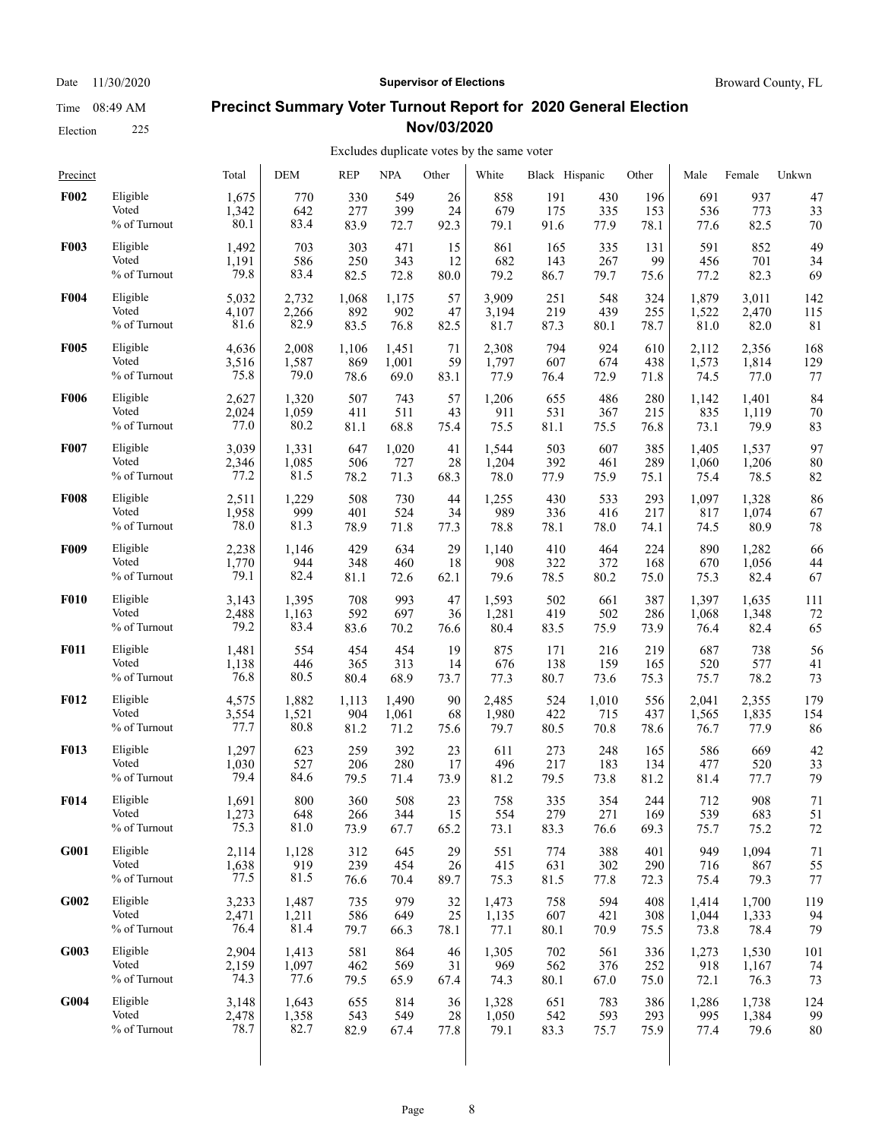Election 225

#### Date 11/30/2020 **Supervisor of Elections Supervisor of Elections** Broward County, FL

#### **Precinct Summary Voter Turnout Report for 2020 General Election Nov/03/2020**

#### Excludes duplicate votes by the same voter

| Precinct    |                 | Total | <b>DEM</b> | <b>REP</b> | <b>NPA</b> | Other | White | Black Hispanic |       | Other | Male  | Female | Unkwn |
|-------------|-----------------|-------|------------|------------|------------|-------|-------|----------------|-------|-------|-------|--------|-------|
| <b>F002</b> | Eligible        | 1,675 | 770        | 330        | 549        | 26    | 858   | 191            | 430   | 196   | 691   | 937    | 47    |
|             | Voted           | 1,342 | 642        | 277        | 399        | 24    | 679   | 175            | 335   | 153   | 536   | 773    | 33    |
|             | % of Turnout    | 80.1  | 83.4       | 83.9       | 72.7       | 92.3  | 79.1  | 91.6           | 77.9  | 78.1  | 77.6  | 82.5   | 70    |
| <b>F003</b> | Eligible        | 1,492 | 703        | 303        | 471        | 15    | 861   | 165            | 335   | 131   | 591   | 852    | 49    |
|             | Voted           | 1,191 | 586        | 250        | 343        | 12    | 682   | 143            | 267   | 99    | 456   | 701    | 34    |
|             | % of Turnout    | 79.8  | 83.4       | 82.5       | 72.8       | 80.0  | 79.2  | 86.7           | 79.7  | 75.6  | 77.2  | 82.3   | 69    |
| <b>F004</b> | Eligible        | 5,032 | 2,732      | 1,068      | 1,175      | 57    | 3,909 | 251            | 548   | 324   | 1,879 | 3,011  | 142   |
|             | Voted           | 4,107 | 2,266      | 892        | 902        | 47    | 3,194 | 219            | 439   | 255   | 1,522 | 2,470  | 115   |
|             | % of Turnout    | 81.6  | 82.9       | 83.5       | 76.8       | 82.5  | 81.7  | 87.3           | 80.1  | 78.7  | 81.0  | 82.0   | 81    |
| <b>F005</b> | Eligible        | 4,636 | 2,008      | 1,106      | 1,451      | 71    | 2,308 | 794            | 924   | 610   | 2,112 | 2,356  | 168   |
|             | Voted           | 3,516 | 1,587      | 869        | 1,001      | 59    | 1,797 | 607            | 674   | 438   | 1,573 | 1,814  | 129   |
|             | $\%$ of Turnout | 75.8  | 79.0       | 78.6       | 69.0       | 83.1  | 77.9  | 76.4           | 72.9  | 71.8  | 74.5  | 77.0   | 77    |
| <b>F006</b> | Eligible        | 2,627 | 1,320      | 507        | 743        | 57    | 1,206 | 655            | 486   | 280   | 1,142 | 1,401  | 84    |
|             | Voted           | 2,024 | 1,059      | 411        | 511        | 43    | 911   | 531            | 367   | 215   | 835   | 1,119  | 70    |
|             | % of Turnout    | 77.0  | 80.2       | 81.1       | 68.8       | 75.4  | 75.5  | 81.1           | 75.5  | 76.8  | 73.1  | 79.9   | 83    |
| F007        | Eligible        | 3,039 | 1,331      | 647        | 1,020      | 41    | 1,544 | 503            | 607   | 385   | 1,405 | 1,537  | 97    |
|             | Voted           | 2,346 | 1,085      | 506        | 727        | 28    | 1,204 | 392            | 461   | 289   | 1,060 | 1,206  | 80    |
|             | % of Turnout    | 77.2  | 81.5       | 78.2       | 71.3       | 68.3  | 78.0  | 77.9           | 75.9  | 75.1  | 75.4  | 78.5   | 82    |
| <b>F008</b> | Eligible        | 2,511 | 1,229      | 508        | 730        | 44    | 1,255 | 430            | 533   | 293   | 1,097 | 1,328  | 86    |
|             | Voted           | 1,958 | 999        | 401        | 524        | 34    | 989   | 336            | 416   | 217   | 817   | 1,074  | 67    |
|             | % of Turnout    | 78.0  | 81.3       | 78.9       | 71.8       | 77.3  | 78.8  | 78.1           | 78.0  | 74.1  | 74.5  | 80.9   | 78    |
| <b>F009</b> | Eligible        | 2,238 | 1,146      | 429        | 634        | 29    | 1,140 | 410            | 464   | 224   | 890   | 1,282  | 66    |
|             | Voted           | 1,770 | 944        | 348        | 460        | 18    | 908   | 322            | 372   | 168   | 670   | 1,056  | 44    |
|             | % of Turnout    | 79.1  | 82.4       | 81.1       | 72.6       | 62.1  | 79.6  | 78.5           | 80.2  | 75.0  | 75.3  | 82.4   | 67    |
| <b>F010</b> | Eligible        | 3,143 | 1,395      | 708        | 993        | 47    | 1,593 | 502            | 661   | 387   | 1,397 | 1,635  | 111   |
|             | Voted           | 2,488 | 1,163      | 592        | 697        | 36    | 1,281 | 419            | 502   | 286   | 1,068 | 1,348  | 72    |
|             | % of Turnout    | 79.2  | 83.4       | 83.6       | 70.2       | 76.6  | 80.4  | 83.5           | 75.9  | 73.9  | 76.4  | 82.4   | 65    |
| <b>F011</b> | Eligible        | 1,481 | 554        | 454        | 454        | 19    | 875   | 171            | 216   | 219   | 687   | 738    | 56    |
|             | Voted           | 1,138 | 446        | 365        | 313        | 14    | 676   | 138            | 159   | 165   | 520   | 577    | 41    |
|             | % of Turnout    | 76.8  | 80.5       | 80.4       | 68.9       | 73.7  | 77.3  | 80.7           | 73.6  | 75.3  | 75.7  | 78.2   | 73    |
| <b>F012</b> | Eligible        | 4,575 | 1,882      | 1,113      | 1,490      | 90    | 2,485 | 524            | 1,010 | 556   | 2.041 | 2,355  | 179   |
|             | Voted           | 3,554 | 1,521      | 904        | 1,061      | 68    | 1,980 | 422            | 715   | 437   | 1,565 | 1,835  | 154   |
|             | % of Turnout    | 77.7  | 80.8       | 81.2       | 71.2       | 75.6  | 79.7  | 80.5           | 70.8  | 78.6  | 76.7  | 77.9   | 86    |
| <b>F013</b> | Eligible        | 1,297 | 623        | 259        | 392        | 23    | 611   | 273            | 248   | 165   | 586   | 669    | 42    |
|             | Voted           | 1,030 | 527        | 206        | 280        | 17    | 496   | 217            | 183   | 134   | 477   | 520    | 33    |
|             | % of Turnout    | 79.4  | 84.6       | 79.5       | 71.4       | 73.9  | 81.2  | 79.5           | 73.8  | 81.2  | 81.4  | 77.7   | 79    |
| <b>F014</b> | Eligible        | 1,691 | 800        | 360        | 508        | 23    | 758   | 335            | 354   | 244   | 712   | 908    | 71    |
|             | Voted           | 1,273 | 648        | 266        | 344        | 15    | 554   | 279            | 271   | 169   | 539   | 683    | 51    |
|             | % of Turnout    | 75.3  | 81.0       | 73.9       | 67.7       | 65.2  | 73.1  | 83.3           | 76.6  | 69.3  | 75.7  | 75.2   | 72    |
| G001        | Eligible        | 2,114 | 1,128      | 312        | 645        | 29    | 551   | 774            | 388   | 401   | 949   | 1,094  | 71    |
|             | Voted           | 1,638 | 919        | 239        | 454        | 26    | 415   | 631            | 302   | 290   | 716   | 867    | 55    |
|             | % of Turnout    | 77.5  | 81.5       | 76.6       | 70.4       | 89.7  | 75.3  | 81.5           | 77.8  | 72.3  | 75.4  | 79.3   | 77    |
| G002        | Eligible        | 3,233 | 1,487      | 735        | 979        | 32    | 1,473 | 758            | 594   | 408   | 1,414 | 1,700  | 119   |
|             | Voted           | 2,471 | 1,211      | 586        | 649        | 25    | 1,135 | 607            | 421   | 308   | 1,044 | 1,333  | 94    |
|             | % of Turnout    | 76.4  | 81.4       | 79.7       | 66.3       | 78.1  | 77.1  | 80.1           | 70.9  | 75.5  | 73.8  | 78.4   | 79    |
| G003        | Eligible        | 2,904 | 1,413      | 581        | 864        | 46    | 1,305 | 702            | 561   | 336   | 1,273 | 1,530  | 101   |
|             | Voted           | 2,159 | 1,097      | 462        | 569        | 31    | 969   | 562            | 376   | 252   | 918   | 1,167  | 74    |
|             | % of Turnout    | 74.3  | 77.6       | 79.5       | 65.9       | 67.4  | 74.3  | 80.1           | 67.0  | 75.0  | 72.1  | 76.3   | 73    |
| G004        | Eligible        | 3,148 | 1,643      | 655        | 814        | 36    | 1,328 | 651            | 783   | 386   | 1,286 | 1,738  | 124   |
|             | Voted           | 2,478 | 1,358      | 543        | 549        | 28    | 1,050 | 542            | 593   | 293   | 995   | 1,384  | 99    |
|             | % of Turnout    | 78.7  | 82.7       | 82.9       | 67.4       | 77.8  | 79.1  | 83.3           | 75.7  | 75.9  | 77.4  | 79.6   | 80    |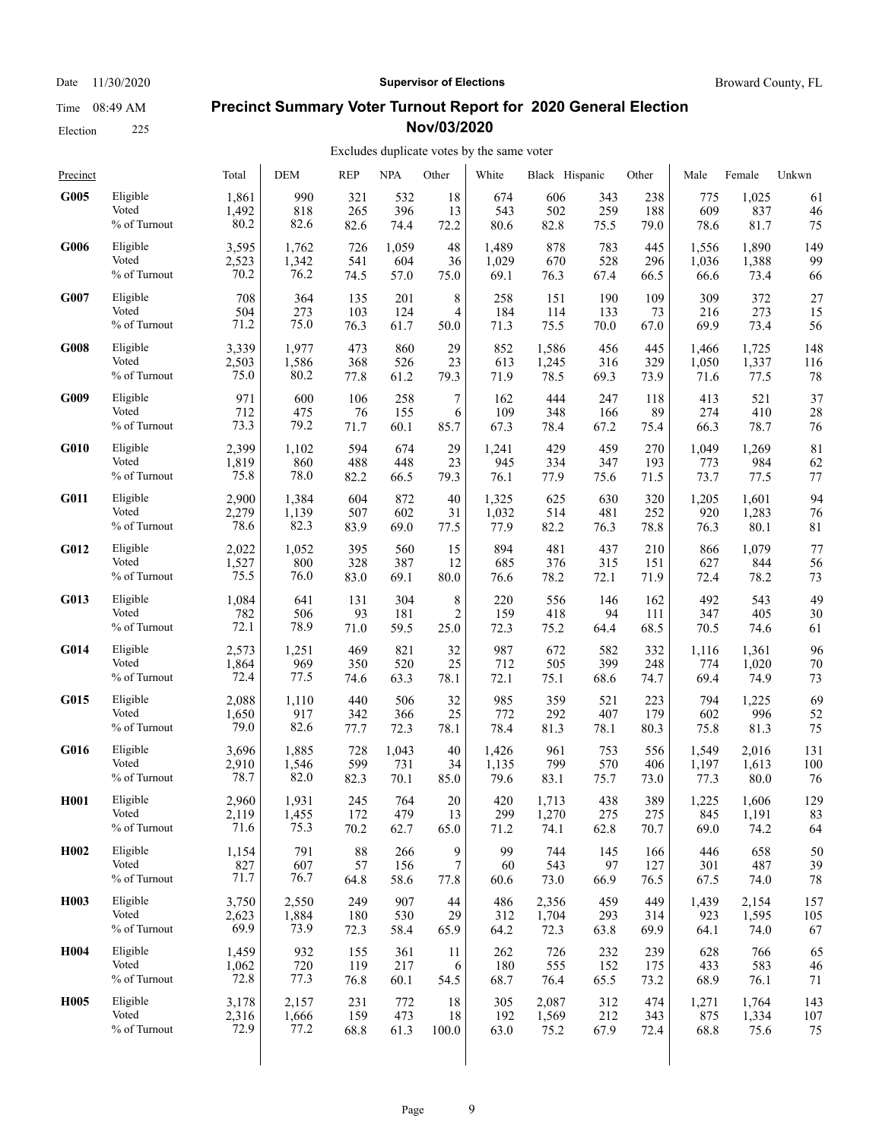Election 225

#### Date 11/30/2020 **Supervisor of Elections Supervisor of Elections** Broward County, FL

### **Precinct Summary Voter Turnout Report for 2020 General Election Nov/03/2020**

| Precinct          |              | Total | <b>DEM</b> | <b>REP</b> | <b>NPA</b> | Other          | White | Black Hispanic |      | Other | Male  | Female | Unkwn |
|-------------------|--------------|-------|------------|------------|------------|----------------|-------|----------------|------|-------|-------|--------|-------|
| G005              | Eligible     | 1,861 | 990        | 321        | 532        | 18             | 674   | 606            | 343  | 238   | 775   | 1,025  | 61    |
|                   | Voted        | 1,492 | 818        | 265        | 396        | 13             | 543   | 502            | 259  | 188   | 609   | 837    | 46    |
|                   | % of Turnout | 80.2  | 82.6       | 82.6       | 74.4       | 72.2           | 80.6  | 82.8           | 75.5 | 79.0  | 78.6  | 81.7   | 75    |
| G006              | Eligible     | 3,595 | 1,762      | 726        | 1,059      | 48             | 1,489 | 878            | 783  | 445   | 1,556 | 1,890  | 149   |
|                   | Voted        | 2,523 | 1,342      | 541        | 604        | 36             | 1,029 | 670            | 528  | 296   | 1,036 | 1,388  | 99    |
|                   | % of Turnout | 70.2  | 76.2       | 74.5       | 57.0       | 75.0           | 69.1  | 76.3           | 67.4 | 66.5  | 66.6  | 73.4   | 66    |
| G007              | Eligible     | 708   | 364        | 135        | 201        | 8              | 258   | 151            | 190  | 109   | 309   | 372    | 27    |
|                   | Voted        | 504   | 273        | 103        | 124        | $\overline{4}$ | 184   | 114            | 133  | 73    | 216   | 273    | 15    |
|                   | % of Turnout | 71.2  | 75.0       | 76.3       | 61.7       | 50.0           | 71.3  | 75.5           | 70.0 | 67.0  | 69.9  | 73.4   | 56    |
| G008              | Eligible     | 3,339 | 1,977      | 473        | 860        | 29             | 852   | 1,586          | 456  | 445   | 1,466 | 1,725  | 148   |
|                   | Voted        | 2,503 | 1,586      | 368        | 526        | 23             | 613   | 1,245          | 316  | 329   | 1,050 | 1,337  | 116   |
|                   | % of Turnout | 75.0  | 80.2       | 77.8       | 61.2       | 79.3           | 71.9  | 78.5           | 69.3 | 73.9  | 71.6  | 77.5   | 78    |
| G009              | Eligible     | 971   | 600        | 106        | 258        | 7              | 162   | 444            | 247  | 118   | 413   | 521    | 37    |
|                   | Voted        | 712   | 475        | 76         | 155        | 6              | 109   | 348            | 166  | 89    | 274   | 410    | 28    |
|                   | % of Turnout | 73.3  | 79.2       | 71.7       | 60.1       | 85.7           | 67.3  | 78.4           | 67.2 | 75.4  | 66.3  | 78.7   | 76    |
| <b>G010</b>       | Eligible     | 2,399 | 1,102      | 594        | 674        | 29             | 1,241 | 429            | 459  | 270   | 1,049 | 1,269  | 81    |
|                   | Voted        | 1,819 | 860        | 488        | 448        | 23             | 945   | 334            | 347  | 193   | 773   | 984    | 62    |
|                   | % of Turnout | 75.8  | 78.0       | 82.2       | 66.5       | 79.3           | 76.1  | 77.9           | 75.6 | 71.5  | 73.7  | 77.5   | 77    |
| G011              | Eligible     | 2,900 | 1,384      | 604        | 872        | 40             | 1,325 | 625            | 630  | 320   | 1,205 | 1,601  | 94    |
|                   | Voted        | 2,279 | 1,139      | 507        | 602        | 31             | 1,032 | 514            | 481  | 252   | 920   | 1,283  | 76    |
|                   | % of Turnout | 78.6  | 82.3       | 83.9       | 69.0       | 77.5           | 77.9  | 82.2           | 76.3 | 78.8  | 76.3  | 80.1   | 81    |
| G012              | Eligible     | 2,022 | 1,052      | 395        | 560        | 15             | 894   | 481            | 437  | 210   | 866   | 1,079  | 77    |
|                   | Voted        | 1,527 | 800        | 328        | 387        | 12             | 685   | 376            | 315  | 151   | 627   | 844    | 56    |
|                   | % of Turnout | 75.5  | 76.0       | 83.0       | 69.1       | 80.0           | 76.6  | 78.2           | 72.1 | 71.9  | 72.4  | 78.2   | 73    |
| G013              | Eligible     | 1,084 | 641        | 131        | 304        | 8              | 220   | 556            | 146  | 162   | 492   | 543    | 49    |
|                   | Voted        | 782   | 506        | 93         | 181        | $\overline{c}$ | 159   | 418            | 94   | 111   | 347   | 405    | 30    |
|                   | % of Turnout | 72.1  | 78.9       | 71.0       | 59.5       | 25.0           | 72.3  | 75.2           | 64.4 | 68.5  | 70.5  | 74.6   | 61    |
| G014              | Eligible     | 2,573 | 1,251      | 469        | 821        | 32             | 987   | 672            | 582  | 332   | 1,116 | 1,361  | 96    |
|                   | Voted        | 1,864 | 969        | 350        | 520        | 25             | 712   | 505            | 399  | 248   | 774   | 1,020  | 70    |
|                   | % of Turnout | 72.4  | 77.5       | 74.6       | 63.3       | 78.1           | 72.1  | 75.1           | 68.6 | 74.7  | 69.4  | 74.9   | 73    |
| G015              | Eligible     | 2,088 | 1,110      | 440        | 506        | 32             | 985   | 359            | 521  | 223   | 794   | 1,225  | 69    |
|                   | Voted        | 1,650 | 917        | 342        | 366        | 25             | 772   | 292            | 407  | 179   | 602   | 996    | 52    |
|                   | % of Turnout | 79.0  | 82.6       | 77.7       | 72.3       | 78.1           | 78.4  | 81.3           | 78.1 | 80.3  | 75.8  | 81.3   | 75    |
| G016              | Eligible     | 3,696 | 1,885      | 728        | 1,043      | 40             | 1,426 | 961            | 753  | 556   | 1,549 | 2,016  | 131   |
|                   | Voted        | 2,910 | 1,546      | 599        | 731        | 34             | 1,135 | 799            | 570  | 406   | 1,197 | 1,613  | 100   |
|                   | % of Turnout | 78.7  | 82.0       | 82.3       | 70.1       | 85.0           | 79.6  | 83.1           | 75.7 | 73.0  | 77.3  | 80.0   | 76    |
| H <sub>001</sub>  | Eligible     | 2,960 | 1,931      | 245        | 764        | 20             | 420   | 1,713          | 438  | 389   | 1,225 | 1,606  | 129   |
|                   | Voted        | 2,119 | 1,455      | 172        | 479        | 13             | 299   | 1,270          | 275  | 275   | 845   | 1,191  | 83    |
|                   | % of Turnout | 71.6  | 75.3       | 70.2       | 62.7       | 65.0           | 71.2  | 74.1           | 62.8 | 70.7  | 69.0  | 74.2   | 64    |
| H <sub>0</sub> 02 | Eligible     | 1,154 | 791        | 88         | 266        | 9              | 99    | 744            | 145  | 166   | 446   | 658    | 50    |
|                   | Voted        | 827   | 607        | 57         | 156        | 7              | 60    | 543            | 97   | 127   | 301   | 487    | 39    |
|                   | % of Turnout | 71.7  | 76.7       | 64.8       | 58.6       | 77.8           | 60.6  | 73.0           | 66.9 | 76.5  | 67.5  | 74.0   | 78    |
| H <sub>0</sub> 03 | Eligible     | 3,750 | 2,550      | 249        | 907        | 44             | 486   | 2,356          | 459  | 449   | 1,439 | 2,154  | 157   |
|                   | Voted        | 2,623 | 1,884      | 180        | 530        | 29             | 312   | 1,704          | 293  | 314   | 923   | 1,595  | 105   |
|                   | % of Turnout | 69.9  | 73.9       | 72.3       | 58.4       | 65.9           | 64.2  | 72.3           | 63.8 | 69.9  | 64.1  | 74.0   | 67    |
| H004              | Eligible     | 1,459 | 932        | 155        | 361        | 11             | 262   | 726            | 232  | 239   | 628   | 766    | 65    |
|                   | Voted        | 1,062 | 720        | 119        | 217        | 6              | 180   | 555            | 152  | 175   | 433   | 583    | 46    |
|                   | % of Turnout | 72.8  | 77.3       | 76.8       | 60.1       | 54.5           | 68.7  | 76.4           | 65.5 | 73.2  | 68.9  | 76.1   | 71    |
| <b>H005</b>       | Eligible     | 3,178 | 2,157      | 231        | 772        | 18             | 305   | 2,087          | 312  | 474   | 1,271 | 1,764  | 143   |
|                   | Voted        | 2,316 | 1,666      | 159        | 473        | 18             | 192   | 1,569          | 212  | 343   | 875   | 1,334  | 107   |
|                   | % of Turnout | 72.9  | 77.2       | 68.8       | 61.3       | 100.0          | 63.0  | 75.2           | 67.9 | 72.4  | 68.8  | 75.6   | 75    |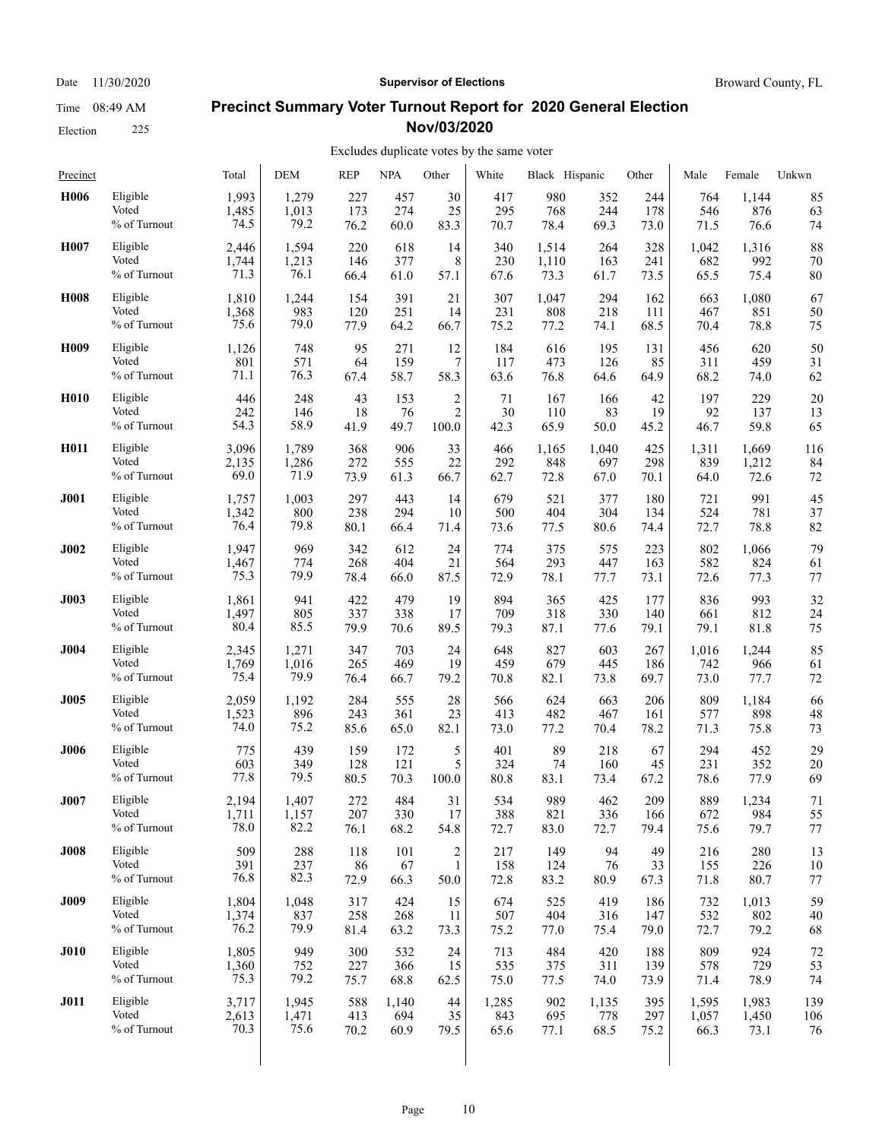Election 225

#### Date 11/30/2020 **Supervisor of Elections Supervisor of Elections** Broward County, FL

### **Precinct Summary Voter Turnout Report for 2020 General Election Nov/03/2020**

#### Excludes duplicate votes by the same voter

| Precinct         |              | Total | <b>DEM</b> | <b>REP</b> | <b>NPA</b> | Other                   | White | Black Hispanic |       | Other | Male  | Female | Unkwn |
|------------------|--------------|-------|------------|------------|------------|-------------------------|-------|----------------|-------|-------|-------|--------|-------|
| H <sub>006</sub> | Eligible     | 1,993 | 1,279      | 227        | 457        | 30                      | 417   | 980            | 352   | 244   | 764   | 1,144  | 85    |
|                  | Voted        | 1,485 | 1,013      | 173        | 274        | 25                      | 295   | 768            | 244   | 178   | 546   | 876    | 63    |
|                  | % of Turnout | 74.5  | 79.2       | 76.2       | 60.0       | 83.3                    | 70.7  | 78.4           | 69.3  | 73.0  | 71.5  | 76.6   | 74    |
| H007             | Eligible     | 2.446 | 1,594      | 220        | 618        | 14                      | 340   | 1,514          | 264   | 328   | 1,042 | 1,316  | 88    |
|                  | Voted        | 1,744 | 1,213      | 146        | 377        | 8                       | 230   | 1,110          | 163   | 241   | 682   | 992    | 70    |
|                  | % of Turnout | 71.3  | 76.1       | 66.4       | 61.0       | 57.1                    | 67.6  | 73.3           | 61.7  | 73.5  | 65.5  | 75.4   | 80    |
| <b>H008</b>      | Eligible     | 1,810 | 1,244      | 154        | 391        | 21                      | 307   | 1,047          | 294   | 162   | 663   | 1,080  | 67    |
|                  | Voted        | 1,368 | 983        | 120        | 251        | 14                      | 231   | 808            | 218   | 111   | 467   | 851    | 50    |
|                  | % of Turnout | 75.6  | 79.0       | 77.9       | 64.2       | 66.7                    | 75.2  | 77.2           | 74.1  | 68.5  | 70.4  | 78.8   | 75    |
| H <sub>009</sub> | Eligible     | 1,126 | 748        | 95         | 271        | 12                      | 184   | 616            | 195   | 131   | 456   | 620    | 50    |
|                  | Voted        | 801   | 571        | 64         | 159        | 7                       | 117   | 473            | 126   | 85    | 311   | 459    | 31    |
|                  | % of Turnout | 71.1  | 76.3       | 67.4       | 58.7       | 58.3                    | 63.6  | 76.8           | 64.6  | 64.9  | 68.2  | 74.0   | 62    |
| H <sub>010</sub> | Eligible     | 446   | 248        | 43         | 153        | $\overline{\mathbf{c}}$ | 71    | 167            | 166   | 42    | 197   | 229    | 20    |
|                  | Voted        | 242   | 146        | 18         | 76         | $\overline{c}$          | 30    | 110            | 83    | 19    | 92    | 137    | 13    |
|                  | % of Turnout | 54.3  | 58.9       | 41.9       | 49.7       | 100.0                   | 42.3  | 65.9           | 50.0  | 45.2  | 46.7  | 59.8   | 65    |
| H011             | Eligible     | 3,096 | 1,789      | 368        | 906        | 33                      | 466   | 1,165          | 1,040 | 425   | 1,311 | 1,669  | 116   |
|                  | Voted        | 2,135 | 1,286      | 272        | 555        | 22                      | 292   | 848            | 697   | 298   | 839   | 1,212  | 84    |
|                  | % of Turnout | 69.0  | 71.9       | 73.9       | 61.3       | 66.7                    | 62.7  | 72.8           | 67.0  | 70.1  | 64.0  | 72.6   | 72    |
| J001             | Eligible     | 1,757 | 1,003      | 297        | 443        | 14                      | 679   | 521            | 377   | 180   | 721   | 991    | 45    |
|                  | Voted        | 1,342 | 800        | 238        | 294        | 10                      | 500   | 404            | 304   | 134   | 524   | 781    | 37    |
|                  | % of Turnout | 76.4  | 79.8       | 80.1       | 66.4       | 71.4                    | 73.6  | 77.5           | 80.6  | 74.4  | 72.7  | 78.8   | 82    |
| <b>J002</b>      | Eligible     | 1,947 | 969        | 342        | 612        | 24                      | 774   | 375            | 575   | 223   | 802   | 1,066  | 79    |
|                  | Voted        | 1,467 | 774        | 268        | 404        | 21                      | 564   | 293            | 447   | 163   | 582   | 824    | 61    |
|                  | % of Turnout | 75.3  | 79.9       | 78.4       | 66.0       | 87.5                    | 72.9  | 78.1           | 77.7  | 73.1  | 72.6  | 77.3   | 77    |
| <b>J003</b>      | Eligible     | 1,861 | 941        | 422        | 479        | 19                      | 894   | 365            | 425   | 177   | 836   | 993    | 32    |
|                  | Voted        | 1,497 | 805        | 337        | 338        | 17                      | 709   | 318            | 330   | 140   | 661   | 812    | 24    |
|                  | % of Turnout | 80.4  | 85.5       | 79.9       | 70.6       | 89.5                    | 79.3  | 87.1           | 77.6  | 79.1  | 79.1  | 81.8   | 75    |
| <b>J004</b>      | Eligible     | 2,345 | 1,271      | 347        | 703        | 24                      | 648   | 827            | 603   | 267   | 1,016 | 1,244  | 85    |
|                  | Voted        | 1,769 | 1,016      | 265        | 469        | 19                      | 459   | 679            | 445   | 186   | 742   | 966    | 61    |
|                  | % of Turnout | 75.4  | 79.9       | 76.4       | 66.7       | 79.2                    | 70.8  | 82.1           | 73.8  | 69.7  | 73.0  | 77.7   | 72    |
| <b>J005</b>      | Eligible     | 2,059 | 1,192      | 284        | 555        | 28                      | 566   | 624            | 663   | 206   | 809   | 1,184  | 66    |
|                  | Voted        | 1,523 | 896        | 243        | 361        | 23                      | 413   | 482            | 467   | 161   | 577   | 898    | 48    |
|                  | % of Turnout | 74.0  | 75.2       | 85.6       | 65.0       | 82.1                    | 73.0  | 77.2           | 70.4  | 78.2  | 71.3  | 75.8   | 73    |
| <b>J006</b>      | Eligible     | 775   | 439        | 159        | 172        | 5                       | 401   | 89             | 218   | 67    | 294   | 452    | 29    |
|                  | Voted        | 603   | 349        | 128        | 121        | 5                       | 324   | 74             | 160   | 45    | 231   | 352    | 20    |
|                  | % of Turnout | 77.8  | 79.5       | 80.5       | 70.3       | 100.0                   | 80.8  | 83.1           | 73.4  | 67.2  | 78.6  | 77.9   | 69    |
| <b>J007</b>      | Eligible     | 2,194 | 1,407      | 272        | 484        | 31                      | 534   | 989            | 462   | 209   | 889   | 1,234  | 71    |
|                  | Voted        | 1,711 | 1,157      | 207        | 330        | 17                      | 388   | 821            | 336   | 166   | 672   | 984    | 55    |
|                  | % of Turnout | 78.0  | 82.2       | 76.1       | 68.2       | 54.8                    | 72.7  | 83.0           | 72.7  | 79.4  | 75.6  | 79.7   | 77    |
| <b>J008</b>      | Eligible     | 509   | 288        | 118        | 101        | $\boldsymbol{2}$        | 217   | 149            | 94    | 49    | 216   | 280    | 13    |
|                  | Voted        | 391   | 237        | 86         | 67         | $\mathbf{1}$            | 158   | 124            | 76    | 33    | 155   | 226    | 10    |
|                  | % of Turnout | 76.8  | 82.3       | 72.9       | 66.3       | 50.0                    | 72.8  | 83.2           | 80.9  | 67.3  | 71.8  | 80.7   | 77    |
| <b>J009</b>      | Eligible     | 1,804 | 1,048      | 317        | 424        | 15                      | 674   | 525            | 419   | 186   | 732   | 1,013  | 59    |
|                  | Voted        | 1,374 | 837        | 258        | 268        | 11                      | 507   | 404            | 316   | 147   | 532   | 802    | 40    |
|                  | % of Turnout | 76.2  | 79.9       | 81.4       | 63.2       | 73.3                    | 75.2  | 77.0           | 75.4  | 79.0  | 72.7  | 79.2   | 68    |
| <b>J010</b>      | Eligible     | 1,805 | 949        | 300        | 532        | 24                      | 713   | 484            | 420   | 188   | 809   | 924    | 72    |
|                  | Voted        | 1,360 | 752        | 227        | 366        | 15                      | 535   | 375            | 311   | 139   | 578   | 729    | 53    |
|                  | % of Turnout | 75.3  | 79.2       | 75.7       | 68.8       | 62.5                    | 75.0  | 77.5           | 74.0  | 73.9  | 71.4  | 78.9   | 74    |
| <b>J011</b>      | Eligible     | 3,717 | 1,945      | 588        | 1,140      | 44                      | 1,285 | 902            | 1,135 | 395   | 1,595 | 1,983  | 139   |
|                  | Voted        | 2,613 | 1,471      | 413        | 694        | 35                      | 843   | 695            | 778   | 297   | 1,057 | 1,450  | 106   |
|                  | % of Turnout | 70.3  | 75.6       | 70.2       | 60.9       | 79.5                    | 65.6  | 77.1           | 68.5  | 75.2  | 66.3  | 73.1   | 76    |
|                  |              |       |            |            |            |                         |       |                |       |       |       |        |       |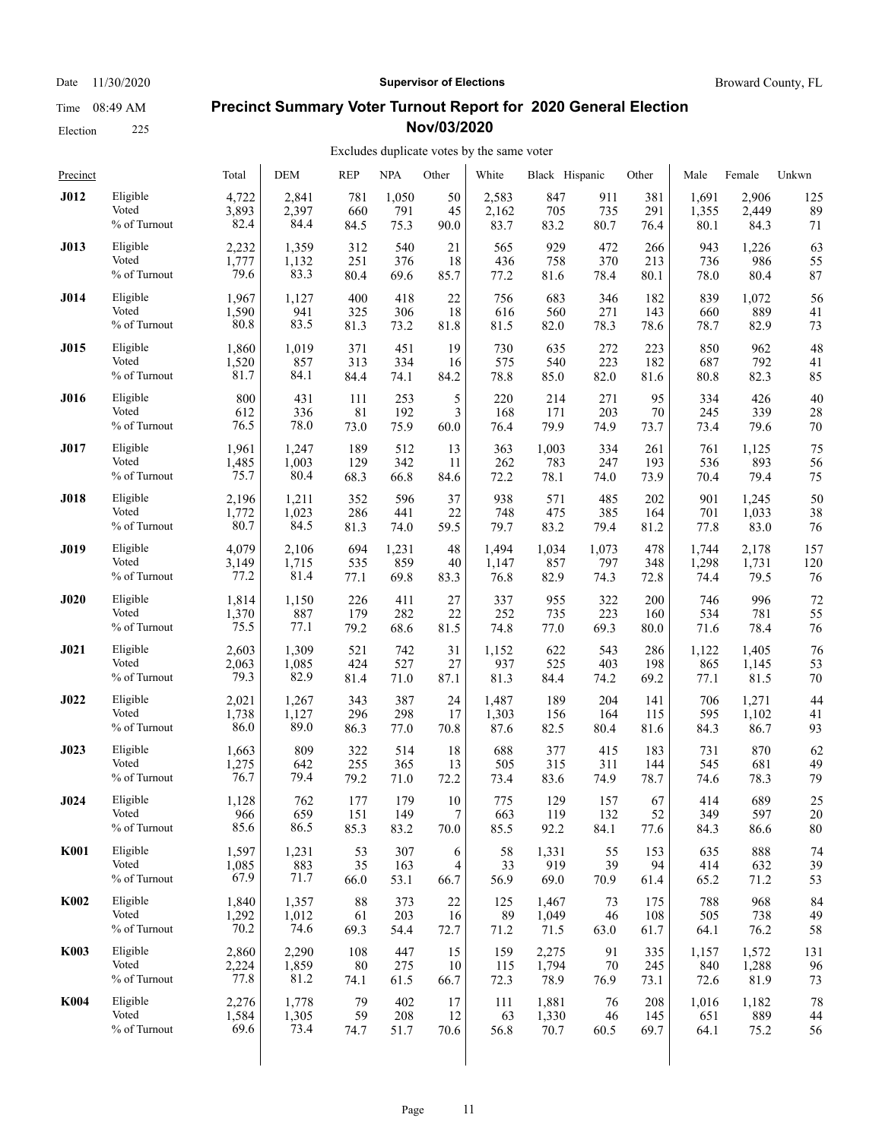Election 225

#### Date 11/30/2020 **Supervisor of Elections Supervisor of Elections** Broward County, FL

#### **Precinct Summary Voter Turnout Report for 2020 General Election Nov/03/2020**

| Precinct    |              | Total | <b>DEM</b> | <b>REP</b> | <b>NPA</b> | Other | White | Black Hispanic |        | Other | Male  | Female | Unkwn |
|-------------|--------------|-------|------------|------------|------------|-------|-------|----------------|--------|-------|-------|--------|-------|
| <b>J012</b> | Eligible     | 4,722 | 2,841      | 781        | 1,050      | 50    | 2,583 | 847            | 911    | 381   | 1,691 | 2,906  | 125   |
|             | Voted        | 3,893 | 2,397      | 660        | 791        | 45    | 2,162 | 705            | 735    | 291   | 1,355 | 2,449  | 89    |
|             | % of Turnout | 82.4  | 84.4       | 84.5       | 75.3       | 90.0  | 83.7  | 83.2           | 80.7   | 76.4  | 80.1  | 84.3   | 71    |
| <b>J013</b> | Eligible     | 2,232 | 1,359      | 312        | 540        | 21    | 565   | 929            | 472    | 266   | 943   | 1,226  | 63    |
|             | Voted        | 1,777 | 1,132      | 251        | 376        | 18    | 436   | 758            | 370    | 213   | 736   | 986    | 55    |
|             | % of Turnout | 79.6  | 83.3       | 80.4       | 69.6       | 85.7  | 77.2  | 81.6           | 78.4   | 80.1  | 78.0  | 80.4   | 87    |
| J014        | Eligible     | 1,967 | 1,127      | 400        | 418        | 22    | 756   | 683            | 346    | 182   | 839   | 1,072  | 56    |
|             | Voted        | 1,590 | 941        | 325        | 306        | 18    | 616   | 560            | 271    | 143   | 660   | 889    | 41    |
|             | % of Turnout | 80.8  | 83.5       | 81.3       | 73.2       | 81.8  | 81.5  | 82.0           | 78.3   | 78.6  | 78.7  | 82.9   | 73    |
| <b>J015</b> | Eligible     | 1,860 | 1,019      | 371        | 451        | 19    | 730   | 635            | 272    | 223   | 850   | 962    | 48    |
|             | Voted        | 1,520 | 857        | 313        | 334        | 16    | 575   | 540            | 223    | 182   | 687   | 792    | 41    |
|             | % of Turnout | 81.7  | 84.1       | 84.4       | 74.1       | 84.2  | 78.8  | 85.0           | 82.0   | 81.6  | 80.8  | 82.3   | 85    |
| <b>J016</b> | Eligible     | 800   | 431        | 111        | 253        | 5     | 220   | 214            | 271    | 95    | 334   | 426    | 40    |
|             | Voted        | 612   | 336        | 81         | 192        | 3     | 168   | 171            | 203    | 70    | 245   | 339    | 28    |
|             | % of Turnout | 76.5  | 78.0       | 73.0       | 75.9       | 60.0  | 76.4  | 79.9           | 74.9   | 73.7  | 73.4  | 79.6   | 70    |
| <b>J017</b> | Eligible     | 1,961 | 1,247      | 189        | 512        | 13    | 363   | 1,003          | 334    | 261   | 761   | 1,125  | 75    |
|             | Voted        | 1,485 | 1,003      | 129        | 342        | 11    | 262   | 783            | 247    | 193   | 536   | 893    | 56    |
|             | % of Turnout | 75.7  | 80.4       | 68.3       | 66.8       | 84.6  | 72.2  | 78.1           | 74.0   | 73.9  | 70.4  | 79.4   | 75    |
| <b>J018</b> | Eligible     | 2,196 | 1,211      | 352        | 596        | 37    | 938   | 571            | 485    | 202   | 901   | 1,245  | 50    |
|             | Voted        | 1,772 | 1,023      | 286        | 441        | 22    | 748   | 475            | 385    | 164   | 701   | 1,033  | 38    |
|             | % of Turnout | 80.7  | 84.5       | 81.3       | 74.0       | 59.5  | 79.7  | 83.2           | 79.4   | 81.2  | 77.8  | 83.0   | 76    |
| <b>J019</b> | Eligible     | 4,079 | 2,106      | 694        | 1,231      | 48    | 1,494 | 1,034          | 1,073  | 478   | 1,744 | 2,178  | 157   |
|             | Voted        | 3,149 | 1,715      | 535        | 859        | 40    | 1,147 | 857            | 797    | 348   | 1,298 | 1,731  | 120   |
|             | % of Turnout | 77.2  | 81.4       | 77.1       | 69.8       | 83.3  | 76.8  | 82.9           | 74.3   | 72.8  | 74.4  | 79.5   | 76    |
| J020        | Eligible     | 1,814 | 1,150      | 226        | 411        | 27    | 337   | 955            | 322    | 200   | 746   | 996    | 72    |
|             | Voted        | 1,370 | 887        | 179        | 282        | 22    | 252   | 735            | 223    | 160   | 534   | 781    | 55    |
|             | % of Turnout | 75.5  | 77.1       | 79.2       | 68.6       | 81.5  | 74.8  | 77.0           | 69.3   | 80.0  | 71.6  | 78.4   | 76    |
| J021        | Eligible     | 2,603 | 1,309      | 521        | 742        | 31    | 1,152 | 622            | 543    | 286   | 1,122 | 1,405  | 76    |
|             | Voted        | 2,063 | 1,085      | 424        | 527        | 27    | 937   | 525            | 403    | 198   | 865   | 1,145  | 53    |
|             | % of Turnout | 79.3  | 82.9       | 81.4       | 71.0       | 87.1  | 81.3  | 84.4           | 74.2   | 69.2  | 77.1  | 81.5   | 70    |
| J022        | Eligible     | 2,021 | 1,267      | 343        | 387        | 24    | 1,487 | 189            | 204    | 141   | 706   | 1,271  | 44    |
|             | Voted        | 1,738 | 1,127      | 296        | 298        | 17    | 1,303 | 156            | 164    | 115   | 595   | 1,102  | 41    |
|             | % of Turnout | 86.0  | 89.0       | 86.3       | 77.0       | 70.8  | 87.6  | 82.5           | 80.4   | 81.6  | 84.3  | 86.7   | 93    |
| <b>J023</b> | Eligible     | 1,663 | 809        | 322        | 514        | 18    | 688   | 377            | 415    | 183   | 731   | 870    | 62    |
|             | Voted        | 1,275 | 642        | 255        | 365        | 13    | 505   | 315            | 311    | 144   | 545   | 681    | 49    |
|             | % of Turnout | 76.7  | 79.4       | 79.2       | 71.0       | 72.2  | 73.4  | 83.6           | 74.9   | 78.7  | 74.6  | 78.3   | 79    |
| J024        | Eligible     | 1,128 | 762        | 177        | 179        | 10    | 775   | 129            | 157    | 67    | 414   | 689    | 25    |
|             | Voted        | 966   | 659        | 151        | 149        | 7     | 663   | 119            | 132    | 52    | 349   | 597    | 20    |
|             | % of Turnout | 85.6  | 86.5       | 85.3       | 83.2       | 70.0  | 85.5  | 92.2           | 84.1   | 77.6  | 84.3  | 86.6   | 80    |
| <b>K001</b> | Eligible     | 1,597 | 1,231      | 53         | 307        | 6     | 58    | 1,331          | 55     | 153   | 635   | 888    | 74    |
|             | Voted        | 1,085 | 883        | 35         | 163        | 4     | 33    | 919            | 39     | 94    | 414   | 632    | 39    |
|             | % of Turnout | 67.9  | 71.7       | 66.0       | 53.1       | 66.7  | 56.9  | 69.0           | 70.9   | 61.4  | 65.2  | 71.2   | 53    |
| <b>K002</b> | Eligible     | 1,840 | 1,357      | 88         | 373        | 22    | 125   | 1,467          | 73     | 175   | 788   | 968    | 84    |
|             | Voted        | 1,292 | 1,012      | 61         | 203        | 16    | 89    | 1,049          | 46     | 108   | 505   | 738    | 49    |
|             | % of Turnout | 70.2  | 74.6       | 69.3       | 54.4       | 72.7  | 71.2  | 71.5           | 63.0   | 61.7  | 64.1  | 76.2   | 58    |
| <b>K003</b> | Eligible     | 2,860 | 2,290      | 108        | 447        | 15    | 159   | 2,275          | 91     | 335   | 1,157 | 1,572  | 131   |
|             | Voted        | 2,224 | 1,859      | 80         | 275        | 10    | 115   | 1,794          | $70\,$ | 245   | 840   | 1,288  | 96    |
|             | % of Turnout | 77.8  | 81.2       | 74.1       | 61.5       | 66.7  | 72.3  | 78.9           | 76.9   | 73.1  | 72.6  | 81.9   | 73    |
| <b>K004</b> | Eligible     | 2,276 | 1,778      | 79         | 402        | 17    | 111   | 1,881          | 76     | 208   | 1,016 | 1,182  | 78    |
|             | Voted        | 1,584 | 1,305      | 59         | 208        | 12    | 63    | 1,330          | 46     | 145   | 651   | 889    | 44    |
|             | % of Turnout | 69.6  | 73.4       | 74.7       | 51.7       | 70.6  | 56.8  | 70.7           | 60.5   | 69.7  | 64.1  | 75.2   | 56    |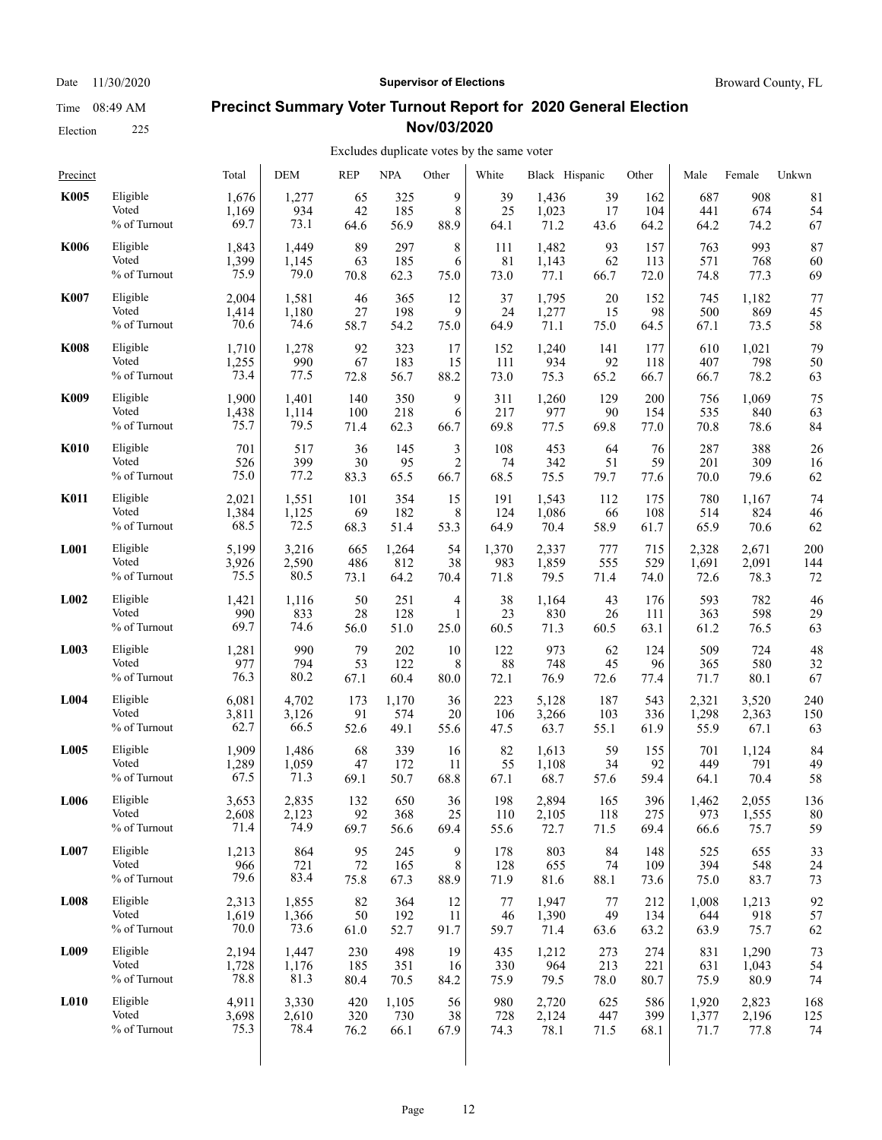#### Election 225

# Date 11/30/2020 **Supervisor of Elections Supervisor of Elections** Broward County, FL

### **Precinct Summary Voter Turnout Report for 2020 General Election Nov/03/2020**

| Precinct         |              | Total | DEM   | <b>REP</b> | <b>NPA</b> | Other          | White | Black Hispanic |      | Other | Male  | Female | Unkwn |
|------------------|--------------|-------|-------|------------|------------|----------------|-------|----------------|------|-------|-------|--------|-------|
| <b>K005</b>      | Eligible     | 1,676 | 1,277 | 65         | 325        | 9              | 39    | 1,436          | 39   | 162   | 687   | 908    | 81    |
|                  | Voted        | 1,169 | 934   | 42         | 185        | 8              | 25    | 1,023          | 17   | 104   | 441   | 674    | 54    |
|                  | % of Turnout | 69.7  | 73.1  | 64.6       | 56.9       | 88.9           | 64.1  | 71.2           | 43.6 | 64.2  | 64.2  | 74.2   | 67    |
| <b>K006</b>      | Eligible     | 1,843 | 1,449 | 89         | 297        | 8              | 111   | 1,482          | 93   | 157   | 763   | 993    | 87    |
|                  | Voted        | 1,399 | 1,145 | 63         | 185        | 6              | 81    | 1,143          | 62   | 113   | 571   | 768    | 60    |
|                  | % of Turnout | 75.9  | 79.0  | 70.8       | 62.3       | 75.0           | 73.0  | 77.1           | 66.7 | 72.0  | 74.8  | 77.3   | 69    |
| <b>K007</b>      | Eligible     | 2,004 | 1,581 | 46         | 365        | 12             | 37    | 1,795          | 20   | 152   | 745   | 1,182  | 77    |
|                  | Voted        | 1,414 | 1,180 | 27         | 198        | 9              | 24    | 1,277          | 15   | 98    | 500   | 869    | 45    |
|                  | % of Turnout | 70.6  | 74.6  | 58.7       | 54.2       | 75.0           | 64.9  | 71.1           | 75.0 | 64.5  | 67.1  | 73.5   | 58    |
| <b>K008</b>      | Eligible     | 1,710 | 1,278 | 92         | 323        | 17             | 152   | 1,240          | 141  | 177   | 610   | 1,021  | 79    |
|                  | Voted        | 1,255 | 990   | 67         | 183        | 15             | 111   | 934            | 92   | 118   | 407   | 798    | 50    |
|                  | % of Turnout | 73.4  | 77.5  | 72.8       | 56.7       | 88.2           | 73.0  | 75.3           | 65.2 | 66.7  | 66.7  | 78.2   | 63    |
| <b>K009</b>      | Eligible     | 1,900 | 1,401 | 140        | 350        | 9              | 311   | 1,260          | 129  | 200   | 756   | 1,069  | 75    |
|                  | Voted        | 1,438 | 1,114 | 100        | 218        | 6              | 217   | 977            | 90   | 154   | 535   | 840    | 63    |
|                  | % of Turnout | 75.7  | 79.5  | 71.4       | 62.3       | 66.7           | 69.8  | 77.5           | 69.8 | 77.0  | 70.8  | 78.6   | 84    |
| <b>K010</b>      | Eligible     | 701   | 517   | 36         | 145        | 3              | 108   | 453            | 64   | 76    | 287   | 388    | 26    |
|                  | Voted        | 526   | 399   | 30         | 95         | $\overline{2}$ | 74    | 342            | 51   | 59    | 201   | 309    | 16    |
|                  | % of Turnout | 75.0  | 77.2  | 83.3       | 65.5       | 66.7           | 68.5  | 75.5           | 79.7 | 77.6  | 70.0  | 79.6   | 62    |
| <b>K011</b>      | Eligible     | 2,021 | 1,551 | 101        | 354        | 15             | 191   | 1,543          | 112  | 175   | 780   | 1,167  | 74    |
|                  | Voted        | 1,384 | 1,125 | 69         | 182        | 8              | 124   | 1,086          | 66   | 108   | 514   | 824    | 46    |
|                  | % of Turnout | 68.5  | 72.5  | 68.3       | 51.4       | 53.3           | 64.9  | 70.4           | 58.9 | 61.7  | 65.9  | 70.6   | 62    |
| <b>L001</b>      | Eligible     | 5,199 | 3,216 | 665        | 1,264      | 54             | 1,370 | 2,337          | 777  | 715   | 2,328 | 2,671  | 200   |
|                  | Voted        | 3,926 | 2,590 | 486        | 812        | 38             | 983   | 1,859          | 555  | 529   | 1,691 | 2,091  | 144   |
|                  | % of Turnout | 75.5  | 80.5  | 73.1       | 64.2       | 70.4           | 71.8  | 79.5           | 71.4 | 74.0  | 72.6  | 78.3   | 72    |
| L <sub>002</sub> | Eligible     | 1,421 | 1,116 | 50         | 251        | 4              | 38    | 1,164          | 43   | 176   | 593   | 782    | 46    |
|                  | Voted        | 990   | 833   | 28         | 128        | 1              | 23    | 830            | 26   | 111   | 363   | 598    | 29    |
|                  | % of Turnout | 69.7  | 74.6  | 56.0       | 51.0       | 25.0           | 60.5  | 71.3           | 60.5 | 63.1  | 61.2  | 76.5   | 63    |
| L003             | Eligible     | 1,281 | 990   | 79         | 202        | 10             | 122   | 973            | 62   | 124   | 509   | 724    | 48    |
|                  | Voted        | 977   | 794   | 53         | 122        | 8              | 88    | 748            | 45   | 96    | 365   | 580    | 32    |
|                  | % of Turnout | 76.3  | 80.2  | 67.1       | 60.4       | 80.0           | 72.1  | 76.9           | 72.6 | 77.4  | 71.7  | 80.1   | 67    |
| L004             | Eligible     | 6,081 | 4,702 | 173        | 1,170      | 36             | 223   | 5,128          | 187  | 543   | 2,321 | 3,520  | 240   |
|                  | Voted        | 3,811 | 3,126 | 91         | 574        | 20             | 106   | 3,266          | 103  | 336   | 1,298 | 2,363  | 150   |
|                  | % of Turnout | 62.7  | 66.5  | 52.6       | 49.1       | 55.6           | 47.5  | 63.7           | 55.1 | 61.9  | 55.9  | 67.1   | 63    |
| L005             | Eligible     | 1,909 | 1,486 | 68         | 339        | 16             | 82    | 1,613          | 59   | 155   | 701   | 1,124  | 84    |
|                  | Voted        | 1,289 | 1,059 | 47         | 172        | 11             | 55    | 1,108          | 34   | 92    | 449   | 791    | 49    |
|                  | % of Turnout | 67.5  | 71.3  | 69.1       | 50.7       | 68.8           | 67.1  | 68.7           | 57.6 | 59.4  | 64.1  | 70.4   | 58    |
| L006             | Eligible     | 3,653 | 2,835 | 132        | 650        | 36             | 198   | 2,894          | 165  | 396   | 1,462 | 2,055  | 136   |
|                  | Voted        | 2,608 | 2,123 | 92         | 368        | $25\,$         | 110   | 2,105          | 118  | 275   | 973   | 1,555  | 80    |
|                  | % of Turnout | 71.4  | 74.9  | 69.7       | 56.6       | 69.4           | 55.6  | 72.7           | 71.5 | 69.4  | 66.6  | 75.7   | 59    |
| L007             | Eligible     | 1,213 | 864   | 95         | 245        | 9              | 178   | 803            | 84   | 148   | 525   | 655    | 33    |
|                  | Voted        | 966   | 721   | $72\,$     | 165        | 8              | 128   | 655            | 74   | 109   | 394   | 548    | 24    |
|                  | % of Turnout | 79.6  | 83.4  | 75.8       | 67.3       | 88.9           | 71.9  | 81.6           | 88.1 | 73.6  | 75.0  | 83.7   | 73    |
| <b>L008</b>      | Eligible     | 2,313 | 1,855 | 82         | 364        | 12             | 77    | 1,947          | 77   | 212   | 1,008 | 1,213  | 92    |
|                  | Voted        | 1,619 | 1,366 | 50         | 192        | 11             | 46    | 1,390          | 49   | 134   | 644   | 918    | 57    |
|                  | % of Turnout | 70.0  | 73.6  | 61.0       | 52.7       | 91.7           | 59.7  | 71.4           | 63.6 | 63.2  | 63.9  | 75.7   | 62    |
| L009             | Eligible     | 2,194 | 1,447 | 230        | 498        | 19             | 435   | 1,212          | 273  | 274   | 831   | 1,290  | 73    |
|                  | Voted        | 1,728 | 1,176 | 185        | 351        | 16             | 330   | 964            | 213  | 221   | 631   | 1,043  | 54    |
|                  | % of Turnout | 78.8  | 81.3  | 80.4       | 70.5       | 84.2           | 75.9  | 79.5           | 78.0 | 80.7  | 75.9  | 80.9   | 74    |
| <b>L010</b>      | Eligible     | 4,911 | 3,330 | 420        | 1,105      | 56             | 980   | 2,720          | 625  | 586   | 1,920 | 2,823  | 168   |
|                  | Voted        | 3,698 | 2,610 | 320        | 730        | 38             | 728   | 2,124          | 447  | 399   | 1,377 | 2,196  | 125   |
|                  | % of Turnout | 75.3  | 78.4  | 76.2       | 66.1       | 67.9           | 74.3  | 78.1           | 71.5 | 68.1  | 71.7  | 77.8   | 74    |
|                  |              |       |       |            |            |                |       |                |      |       |       |        |       |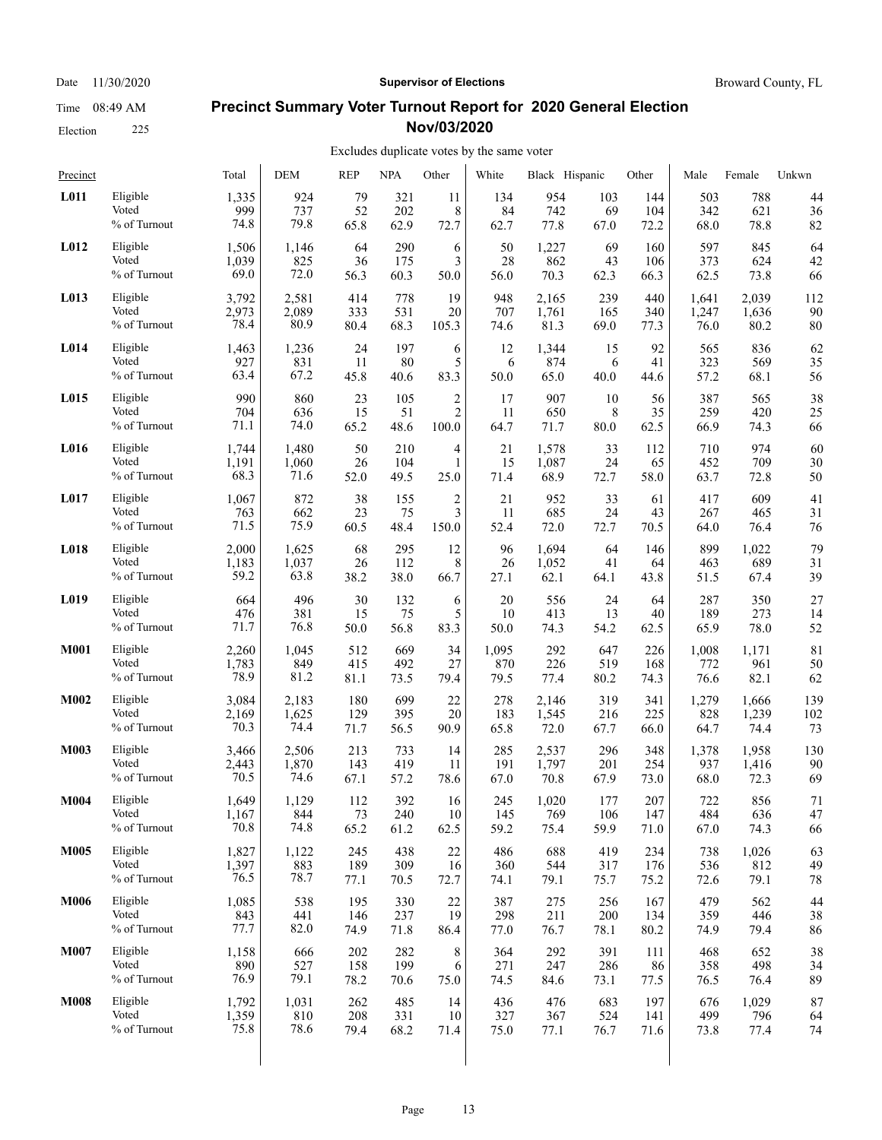Date 11/30/2020 **Supervisor of Elections Supervisor of Elections** Broward County, FL

#### **Precinct Summary Voter Turnout Report for 2020 General Election Nov/03/2020**

### Excludes duplicate votes by the same voter

| Precinct    |              | Total | <b>DEM</b> | <b>REP</b> | <b>NPA</b> | Other          | White | Black Hispanic |      | Other | Male  | Female | Unkwn |
|-------------|--------------|-------|------------|------------|------------|----------------|-------|----------------|------|-------|-------|--------|-------|
| L011        | Eligible     | 1,335 | 924        | 79         | 321        | 11             | 134   | 954            | 103  | 144   | 503   | 788    | 44    |
|             | Voted        | 999   | 737        | 52         | 202        | 8              | 84    | 742            | 69   | 104   | 342   | 621    | 36    |
|             | % of Turnout | 74.8  | 79.8       | 65.8       | 62.9       | 72.7           | 62.7  | 77.8           | 67.0 | 72.2  | 68.0  | 78.8   | 82    |
| L012        | Eligible     | 1,506 | 1,146      | 64         | 290        | 6              | 50    | 1,227          | 69   | 160   | 597   | 845    | 64    |
|             | Voted        | 1,039 | 825        | 36         | 175        | 3              | 28    | 862            | 43   | 106   | 373   | 624    | 42    |
|             | % of Turnout | 69.0  | 72.0       | 56.3       | 60.3       | 50.0           | 56.0  | 70.3           | 62.3 | 66.3  | 62.5  | 73.8   | 66    |
| L013        | Eligible     | 3,792 | 2,581      | 414        | 778        | 19             | 948   | 2,165          | 239  | 440   | 1,641 | 2,039  | 112   |
|             | Voted        | 2,973 | 2,089      | 333        | 531        | 20             | 707   | 1,761          | 165  | 340   | 1,247 | 1,636  | 90    |
|             | % of Turnout | 78.4  | 80.9       | 80.4       | 68.3       | 105.3          | 74.6  | 81.3           | 69.0 | 77.3  | 76.0  | 80.2   | 80    |
| L014        | Eligible     | 1,463 | 1,236      | 24         | 197        | 6              | 12    | 1,344          | 15   | 92    | 565   | 836    | 62    |
|             | Voted        | 927   | 831        | 11         | 80         | 5              | 6     | 874            | 6    | 41    | 323   | 569    | 35    |
|             | % of Turnout | 63.4  | 67.2       | 45.8       | 40.6       | 83.3           | 50.0  | 65.0           | 40.0 | 44.6  | 57.2  | 68.1   | 56    |
| L015        | Eligible     | 990   | 860        | 23         | 105        | $\overline{c}$ | 17    | 907            | 10   | 56    | 387   | 565    | 38    |
|             | Voted        | 704   | 636        | 15         | 51         | $\overline{2}$ | 11    | 650            | 8    | 35    | 259   | 420    | 25    |
|             | % of Turnout | 71.1  | 74.0       | 65.2       | 48.6       | 100.0          | 64.7  | 71.7           | 80.0 | 62.5  | 66.9  | 74.3   | 66    |
| L016        | Eligible     | 1,744 | 1,480      | 50         | 210        | 4              | 21    | 1,578          | 33   | 112   | 710   | 974    | 60    |
|             | Voted        | 1,191 | 1,060      | 26         | 104        | $\mathbf{1}$   | 15    | 1,087          | 24   | 65    | 452   | 709    | 30    |
|             | % of Turnout | 68.3  | 71.6       | 52.0       | 49.5       | 25.0           | 71.4  | 68.9           | 72.7 | 58.0  | 63.7  | 72.8   | 50    |
| L017        | Eligible     | 1,067 | 872        | 38         | 155        | $\overline{c}$ | 21    | 952            | 33   | 61    | 417   | 609    | 41    |
|             | Voted        | 763   | 662        | 23         | 75         | 3              | 11    | 685            | 24   | 43    | 267   | 465    | 31    |
|             | % of Turnout | 71.5  | 75.9       | 60.5       | 48.4       | 150.0          | 52.4  | 72.0           | 72.7 | 70.5  | 64.0  | 76.4   | 76    |
| L018        | Eligible     | 2,000 | 1,625      | 68         | 295        | 12             | 96    | 1,694          | 64   | 146   | 899   | 1,022  | 79    |
|             | Voted        | 1,183 | 1,037      | 26         | 112        | 8              | 26    | 1,052          | 41   | 64    | 463   | 689    | 31    |
|             | % of Turnout | 59.2  | 63.8       | 38.2       | 38.0       | 66.7           | 27.1  | 62.1           | 64.1 | 43.8  | 51.5  | 67.4   | 39    |
| L019        | Eligible     | 664   | 496        | 30         | 132        | 6              | 20    | 556            | 24   | 64    | 287   | 350    | 27    |
|             | Voted        | 476   | 381        | 15         | 75         | 5              | 10    | 413            | 13   | 40    | 189   | 273    | 14    |
|             | % of Turnout | 71.7  | 76.8       | 50.0       | 56.8       | 83.3           | 50.0  | 74.3           | 54.2 | 62.5  | 65.9  | 78.0   | 52    |
| <b>M001</b> | Eligible     | 2,260 | 1,045      | 512        | 669        | 34             | 1,095 | 292            | 647  | 226   | 1,008 | 1,171  | 81    |
|             | Voted        | 1,783 | 849        | 415        | 492        | 27             | 870   | 226            | 519  | 168   | 772   | 961    | 50    |
|             | % of Turnout | 78.9  | 81.2       | 81.1       | 73.5       | 79.4           | 79.5  | 77.4           | 80.2 | 74.3  | 76.6  | 82.1   | 62    |
| M002        | Eligible     | 3,084 | 2,183      | 180        | 699        | 22             | 278   | 2,146          | 319  | 341   | 1,279 | 1,666  | 139   |
|             | Voted        | 2,169 | 1,625      | 129        | 395        | 20             | 183   | 1,545          | 216  | 225   | 828   | 1,239  | 102   |
|             | % of Turnout | 70.3  | 74.4       | 71.7       | 56.5       | 90.9           | 65.8  | 72.0           | 67.7 | 66.0  | 64.7  | 74.4   | 73    |
| <b>M003</b> | Eligible     | 3,466 | 2,506      | 213        | 733        | 14             | 285   | 2,537          | 296  | 348   | 1,378 | 1,958  | 130   |
|             | Voted        | 2,443 | 1,870      | 143        | 419        | 11             | 191   | 1,797          | 201  | 254   | 937   | 1,416  | 90    |
|             | % of Turnout | 70.5  | 74.6       | 67.1       | 57.2       | 78.6           | 67.0  | 70.8           | 67.9 | 73.0  | 68.0  | 72.3   | 69    |
| <b>M004</b> | Eligible     | 1,649 | 1,129      | 112        | 392        | 16             | 245   | 1,020          | 177  | 207   | 722   | 856    | 71    |
|             | Voted        | 1,167 | 844        | 73         | 240        | 10             | 145   | 769            | 106  | 147   | 484   | 636    | 47    |
|             | % of Turnout | 70.8  | 74.8       | 65.2       | 61.2       | 62.5           | 59.2  | 75.4           | 59.9 | 71.0  | 67.0  | 74.3   | 66    |
| <b>M005</b> | Eligible     | 1,827 | 1,122      | 245        | 438        | 22             | 486   | 688            | 419  | 234   | 738   | 1,026  | 63    |
|             | Voted        | 1,397 | 883        | 189        | 309        | 16             | 360   | 544            | 317  | 176   | 536   | 812    | 49    |
|             | % of Turnout | 76.5  | 78.7       | 77.1       | 70.5       | 72.7           | 74.1  | 79.1           | 75.7 | 75.2  | 72.6  | 79.1   | 78    |
| <b>M006</b> | Eligible     | 1,085 | 538        | 195        | 330        | 22             | 387   | 275            | 256  | 167   | 479   | 562    | 44    |
|             | Voted        | 843   | 441        | 146        | 237        | 19             | 298   | 211            | 200  | 134   | 359   | 446    | 38    |
|             | % of Turnout | 77.7  | 82.0       | 74.9       | 71.8       | 86.4           | 77.0  | 76.7           | 78.1 | 80.2  | 74.9  | 79.4   | 86    |
| <b>M007</b> | Eligible     | 1,158 | 666        | 202        | 282        | 8              | 364   | 292            | 391  | 111   | 468   | 652    | 38    |
|             | Voted        | 890   | 527        | 158        | 199        | 6              | 271   | 247            | 286  | 86    | 358   | 498    | 34    |
|             | % of Turnout | 76.9  | 79.1       | 78.2       | 70.6       | 75.0           | 74.5  | 84.6           | 73.1 | 77.5  | 76.5  | 76.4   | 89    |
| <b>M008</b> | Eligible     | 1,792 | 1,031      | 262        | 485        | 14             | 436   | 476            | 683  | 197   | 676   | 1,029  | 87    |
|             | Voted        | 1,359 | 810        | 208        | 331        | 10             | 327   | 367            | 524  | 141   | 499   | 796    | 64    |
|             | % of Turnout | 75.8  | 78.6       | 79.4       | 68.2       | 71.4           | 75.0  | 77.1           | 76.7 | 71.6  | 73.8  | 77.4   | 74    |

Election 225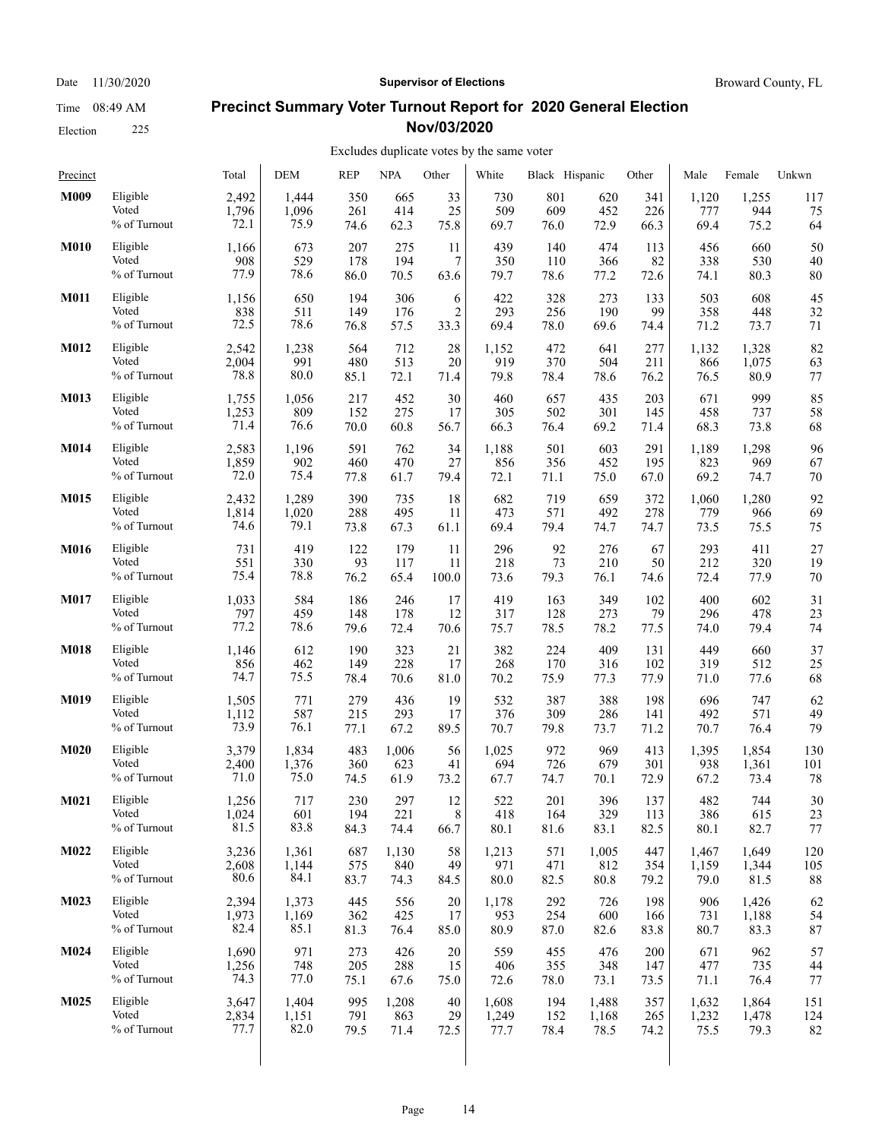#### **Precinct Summary Voter Turnout Report for 2020 General Election Nov/03/2020**

#### Excludes duplicate votes by the same voter  $\overline{1}$

| Precinct    |              | Total | DEM   | <b>REP</b> | <b>NPA</b> | Other          | White | Black Hispanic |       | Other | Male  | Female | Unkwn |
|-------------|--------------|-------|-------|------------|------------|----------------|-------|----------------|-------|-------|-------|--------|-------|
| M009        | Eligible     | 2,492 | 1,444 | 350        | 665        | 33             | 730   | 801            | 620   | 341   | 1,120 | 1,255  | 117   |
|             | Voted        | 1,796 | 1,096 | 261        | 414        | 25             | 509   | 609            | 452   | 226   | 777   | 944    | 75    |
|             | % of Turnout | 72.1  | 75.9  | 74.6       | 62.3       | 75.8           | 69.7  | 76.0           | 72.9  | 66.3  | 69.4  | 75.2   | 64    |
| <b>M010</b> | Eligible     | 1,166 | 673   | 207        | 275        | 11             | 439   | 140            | 474   | 113   | 456   | 660    | 50    |
|             | Voted        | 908   | 529   | 178        | 194        | 7              | 350   | 110            | 366   | 82    | 338   | 530    | 40    |
|             | % of Turnout | 77.9  | 78.6  | 86.0       | 70.5       | 63.6           | 79.7  | 78.6           | 77.2  | 72.6  | 74.1  | 80.3   | 80    |
| <b>M011</b> | Eligible     | 1,156 | 650   | 194        | 306        | 6              | 422   | 328            | 273   | 133   | 503   | 608    | 45    |
|             | Voted        | 838   | 511   | 149        | 176        | $\overline{c}$ | 293   | 256            | 190   | 99    | 358   | 448    | 32    |
|             | % of Turnout | 72.5  | 78.6  | 76.8       | 57.5       | 33.3           | 69.4  | 78.0           | 69.6  | 74.4  | 71.2  | 73.7   | 71    |
| M012        | Eligible     | 2,542 | 1,238 | 564        | 712        | 28             | 1,152 | 472            | 641   | 277   | 1,132 | 1,328  | 82    |
|             | Voted        | 2,004 | 991   | 480        | 513        | 20             | 919   | 370            | 504   | 211   | 866   | 1,075  | 63    |
|             | % of Turnout | 78.8  | 80.0  | 85.1       | 72.1       | 71.4           | 79.8  | 78.4           | 78.6  | 76.2  | 76.5  | 80.9   | 77    |
| M013        | Eligible     | 1,755 | 1,056 | 217        | 452        | 30             | 460   | 657            | 435   | 203   | 671   | 999    | 85    |
|             | Voted        | 1,253 | 809   | 152        | 275        | 17             | 305   | 502            | 301   | 145   | 458   | 737    | 58    |
|             | % of Turnout | 71.4  | 76.6  | 70.0       | 60.8       | 56.7           | 66.3  | 76.4           | 69.2  | 71.4  | 68.3  | 73.8   | 68    |
| M014        | Eligible     | 2,583 | 1,196 | 591        | 762        | 34             | 1,188 | 501            | 603   | 291   | 1,189 | 1,298  | 96    |
|             | Voted        | 1,859 | 902   | 460        | 470        | 27             | 856   | 356            | 452   | 195   | 823   | 969    | 67    |
|             | % of Turnout | 72.0  | 75.4  | 77.8       | 61.7       | 79.4           | 72.1  | 71.1           | 75.0  | 67.0  | 69.2  | 74.7   | 70    |
| M015        | Eligible     | 2,432 | 1,289 | 390        | 735        | 18             | 682   | 719            | 659   | 372   | 1,060 | 1,280  | 92    |
|             | Voted        | 1,814 | 1,020 | 288        | 495        | 11             | 473   | 571            | 492   | 278   | 779   | 966    | 69    |
|             | % of Turnout | 74.6  | 79.1  | 73.8       | 67.3       | 61.1           | 69.4  | 79.4           | 74.7  | 74.7  | 73.5  | 75.5   | 75    |
| M016        | Eligible     | 731   | 419   | 122        | 179        | 11             | 296   | 92             | 276   | 67    | 293   | 411    | 27    |
|             | Voted        | 551   | 330   | 93         | 117        | 11             | 218   | 73             | 210   | 50    | 212   | 320    | 19    |
|             | % of Turnout | 75.4  | 78.8  | 76.2       | 65.4       | 100.0          | 73.6  | 79.3           | 76.1  | 74.6  | 72.4  | 77.9   | 70    |
| M017        | Eligible     | 1,033 | 584   | 186        | 246        | 17             | 419   | 163            | 349   | 102   | 400   | 602    | 31    |
|             | Voted        | 797   | 459   | 148        | 178        | 12             | 317   | 128            | 273   | 79    | 296   | 478    | 23    |
|             | % of Turnout | 77.2  | 78.6  | 79.6       | 72.4       | 70.6           | 75.7  | 78.5           | 78.2  | 77.5  | 74.0  | 79.4   | 74    |
| M018        | Eligible     | 1,146 | 612   | 190        | 323        | 21             | 382   | 224            | 409   | 131   | 449   | 660    | 37    |
|             | Voted        | 856   | 462   | 149        | 228        | 17             | 268   | 170            | 316   | 102   | 319   | 512    | 25    |
|             | % of Turnout | 74.7  | 75.5  | 78.4       | 70.6       | 81.0           | 70.2  | 75.9           | 77.3  | 77.9  | 71.0  | 77.6   | 68    |
| M019        | Eligible     | 1,505 | 771   | 279        | 436        | 19             | 532   | 387            | 388   | 198   | 696   | 747    | 62    |
|             | Voted        | 1,112 | 587   | 215        | 293        | 17             | 376   | 309            | 286   | 141   | 492   | 571    | 49    |
|             | % of Turnout | 73.9  | 76.1  | 77.1       | 67.2       | 89.5           | 70.7  | 79.8           | 73.7  | 71.2  | 70.7  | 76.4   | 79    |
| <b>M020</b> | Eligible     | 3,379 | 1,834 | 483        | 1,006      | 56             | 1,025 | 972            | 969   | 413   | 1,395 | 1,854  | 130   |
|             | Voted        | 2,400 | 1,376 | 360        | 623        | 41             | 694   | 726            | 679   | 301   | 938   | 1,361  | 101   |
|             | % of Turnout | 71.0  | 75.0  | 74.5       | 61.9       | 73.2           | 67.7  | 74.7           | 70.1  | 72.9  | 67.2  | 73.4   | 78    |
| M021        | Eligible     | 1,256 | 717   | 230        | 297        | 12             | 522   | 201            | 396   | 137   | 482   | 744    | 30    |
|             | Voted        | 1,024 | 601   | 194        | 221        | 8              | 418   | 164            | 329   | 113   | 386   | 615    | 23    |
|             | % of Turnout | 81.5  | 83.8  | 84.3       | 74.4       | 66.7           | 80.1  | 81.6           | 83.1  | 82.5  | 80.1  | 82.7   | 77    |
| M022        | Eligible     | 3,236 | 1,361 | 687        | 1,130      | 58             | 1,213 | 571            | 1,005 | 447   | 1,467 | 1,649  | 120   |
|             | Voted        | 2,608 | 1,144 | 575        | 840        | 49             | 971   | 471            | 812   | 354   | 1,159 | 1,344  | 105   |
|             | % of Turnout | 80.6  | 84.1  | 83.7       | 74.3       | 84.5           | 80.0  | 82.5           | 80.8  | 79.2  | 79.0  | 81.5   | 88    |
| M023        | Eligible     | 2,394 | 1,373 | 445        | 556        | 20             | 1,178 | 292            | 726   | 198   | 906   | 1,426  | 62    |
|             | Voted        | 1,973 | 1,169 | 362        | 425        | 17             | 953   | 254            | 600   | 166   | 731   | 1,188  | 54    |
|             | % of Turnout | 82.4  | 85.1  | 81.3       | 76.4       | 85.0           | 80.9  | 87.0           | 82.6  | 83.8  | 80.7  | 83.3   | 87    |
| M024        | Eligible     | 1,690 | 971   | 273        | 426        | $20\,$         | 559   | 455            | 476   | 200   | 671   | 962    | 57    |
|             | Voted        | 1,256 | 748   | 205        | 288        | 15             | 406   | 355            | 348   | 147   | 477   | 735    | 44    |
|             | % of Turnout | 74.3  | 77.0  | 75.1       | 67.6       | 75.0           | 72.6  | 78.0           | 73.1  | 73.5  | 71.1  | 76.4   | 77    |
| M025        | Eligible     | 3,647 | 1,404 | 995        | 1,208      | 40             | 1,608 | 194            | 1,488 | 357   | 1,632 | 1,864  | 151   |
|             | Voted        | 2,834 | 1,151 | 791        | 863        | 29             | 1,249 | 152            | 1,168 | 265   | 1,232 | 1,478  | 124   |
|             | % of Turnout | 77.7  | 82.0  | 79.5       | 71.4       | 72.5           | 77.7  | 78.4           | 78.5  | 74.2  | 75.5  | 79.3   | 82    |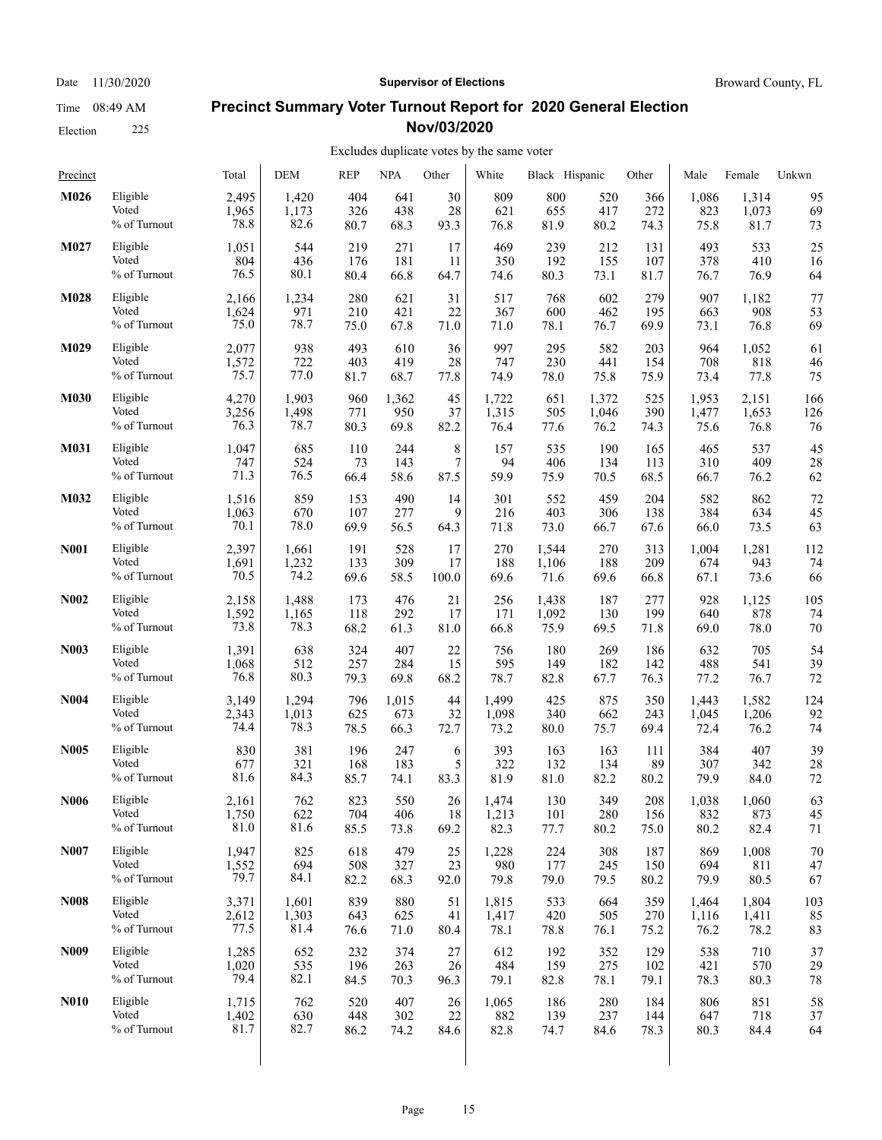## Election 225

#### **Precinct Summary Voter Turnout Report for 2020 General Election Nov/03/2020**

| M026<br>Eligible<br>404<br>2,495<br>1,420<br>641<br>30                                                                                                                      | 95<br>809<br>800<br>520<br>1,086<br>1,314<br>366                                                                                                                     |
|-----------------------------------------------------------------------------------------------------------------------------------------------------------------------------|----------------------------------------------------------------------------------------------------------------------------------------------------------------------|
| Voted<br>28<br>1,965<br>1,173<br>326<br>438<br>82.6<br>% of Turnout<br>78.8<br>80.7<br>68.3<br>93.3                                                                         | 621<br>655<br>417<br>272<br>823<br>1,073<br>69<br>75.8<br>76.8<br>81.9<br>80.2<br>74.3<br>81.7<br>73                                                                 |
| Eligible<br>M027<br>1,051<br>544<br>219<br>271<br>17<br>Voted<br>804<br>436<br>181<br>176<br>11<br>80.1<br>% of Turnout<br>76.5<br>80.4<br>66.8<br>64.7                     | 469<br>239<br>212<br>131<br>493<br>533<br>25<br>378<br>410<br>350<br>192<br>155<br>107<br>16<br>73.1<br>76.9<br>74.6<br>80.3<br>81.7<br>76.7<br>64                   |
| M028<br>280<br>Eligible<br>2,166<br>1,234<br>621<br>31<br>Voted<br>971<br>1,624<br>210<br>421<br>22<br>75.0<br>78.7<br>% of Turnout<br>75.0<br>67.8<br>71.0                 | 77<br>517<br>768<br>602<br>279<br>907<br>1,182<br>367<br>908<br>600<br>462<br>195<br>663<br>53<br>71.0<br>78.1<br>76.7<br>69.9<br>73.1<br>76.8<br>69                 |
| M029<br>Eligible<br>493<br>2,077<br>938<br>610<br>36<br>Voted<br>1,572<br>722<br>403<br>419<br>28<br>77.0<br>% of Turnout<br>75.7<br>81.7<br>68.7<br>77.8                   | 997<br>582<br>295<br>203<br>964<br>1,052<br>61<br>747<br>230<br>441<br>708<br>818<br>154<br>46<br>77.8<br>75<br>74.9<br>78.0<br>75.8<br>75.9<br>73.4                 |
| Eligible<br><b>M030</b><br>4,270<br>1,903<br>960<br>1,362<br>45<br>Voted<br>3,256<br>1,498<br>771<br>950<br>37<br>76.3<br>% of Turnout<br>78.7<br>80.3<br>69.8<br>82.2      | 1,722<br>651<br>1,372<br>525<br>1,953<br>2,151<br>166<br>1,315<br>505<br>1,046<br>390<br>1,477<br>1,653<br>126<br>76.4<br>77.6<br>76.2<br>75.6<br>76<br>74.3<br>76.8 |
| M031<br>Eligible<br>8<br>1,047<br>685<br>110<br>244<br>7<br>Voted<br>747<br>524<br>73<br>143<br>76.5<br>% of Turnout<br>71.3<br>66.4<br>58.6<br>87.5                        | 190<br>537<br>45<br>157<br>535<br>165<br>465<br>134<br>310<br>409<br>94<br>406<br>113<br>28<br>59.9<br>75.9<br>70.5<br>68.5<br>66.7<br>76.2<br>62                    |
| M032<br>Eligible<br>859<br>490<br>1,516<br>153<br>14<br>Voted<br>9<br>1,063<br>670<br>107<br>277<br>% of Turnout<br>70.1<br>78.0<br>69.9<br>56.5<br>64.3                    | 301<br>552<br>459<br>204<br>582<br>862<br>72<br>384<br>216<br>403<br>306<br>138<br>634<br>45<br>73.5<br>71.8<br>73.0<br>66.7<br>66.0<br>63<br>67.6                   |
| <b>N001</b><br>528<br>Eligible<br>2,397<br>191<br>17<br>1,661<br>Voted<br>133<br>309<br>1,691<br>1,232<br>17<br>74.2<br>70.5<br>% of Turnout<br>69.6<br>58.5<br>100.0       | 270<br>270<br>1,281<br>112<br>1,544<br>313<br>1,004<br>188<br>943<br>1,106<br>188<br>209<br>674<br>74<br>69.6<br>73.6<br>66<br>71.6<br>69.6<br>66.8<br>67.1          |
| <b>N002</b><br>Eligible<br>476<br>21<br>2,158<br>1,488<br>173<br>Voted<br>1,592<br>292<br>1,165<br>118<br>17<br>78.3<br>% of Turnout<br>73.8<br>68.2<br>61.3<br>81.0        | 105<br>256<br>1,438<br>187<br>277<br>928<br>1,125<br>171<br>130<br>640<br>878<br>1,092<br>199<br>74<br>66.8<br>70<br>75.9<br>69.5<br>71.8<br>69.0<br>78.0            |
| <b>N003</b><br>Eligible<br>638<br>324<br>407<br>22<br>1,391<br>Voted<br>284<br>1,068<br>512<br>257<br>15<br>80.3<br>% of Turnout<br>76.8<br>79.3<br>69.8<br>68.2            | 180<br>269<br>632<br>705<br>756<br>186<br>54<br>595<br>488<br>541<br>39<br>149<br>182<br>142<br>78.7<br>82.8<br>76.3<br>76.7<br>72<br>67.7<br>77.2                   |
| N <sub>004</sub><br>Eligible<br>796<br>3,149<br>1,294<br>1,015<br>44<br>Voted<br>2,343<br>1,013<br>625<br>673<br>32<br>78.3<br>% of Turnout<br>74.4<br>78.5<br>66.3<br>72.7 | 425<br>875<br>1,499<br>350<br>1,582<br>124<br>1,443<br>1,098<br>340<br>662<br>243<br>1,045<br>1,206<br>92<br>73.2<br>75.7<br>69.4<br>72.4<br>76.2<br>74<br>80.0      |
| Eligible<br>196<br><b>N005</b><br>830<br>381<br>247<br>6<br>Voted<br>321<br>168<br>183<br>5<br>677<br>84.3<br>% of Turnout<br>81.6<br>85.7<br>74.1<br>83.3                  | 407<br>39<br>393<br>163<br>163<br>384<br>111<br>322<br>89<br>307<br>28<br>132<br>134<br>342<br>72<br>81.9<br>81.0<br>82.2<br>80.2<br>79.9<br>84.0                    |
| <b>N006</b><br>762<br>823<br>Eligible<br>2.161<br>550<br>26<br>Voted<br>704<br>406<br>1,750<br>622<br>18<br>81.0<br>81.6<br>% of Turnout<br>85.5<br>73.8<br>69.2            | 349<br>208<br>63<br>1,474<br>130<br>1,038<br>1,060<br>280<br>832<br>873<br>1,213<br>101<br>156<br>45<br>82.3<br>82.4<br>77.7<br>80.2<br>75.0<br>80.2<br>71           |
| N007<br>Eligible<br>1,947<br>618<br>479<br>25<br>825<br>Voted<br>508<br>1,552<br>694<br>327<br>23<br>79.7<br>84.1<br>% of Turnout<br>82.2<br>68.3<br>92.0                   | 308<br>70<br>1,228<br>224<br>187<br>869<br>1,008<br>980<br>177<br>245<br>694<br>811<br>47<br>150<br>79.8<br>79.0<br>79.5<br>79.9<br>80.5<br>80.2<br>67               |
| <b>N008</b><br>Eligible<br>839<br>3,371<br>1,601<br>880<br>51<br>Voted<br>2,612<br>1,303<br>643<br>625<br>41<br>77.5<br>81.4<br>% of Turnout<br>76.6<br>71.0<br>80.4        | 1,815<br>533<br>664<br>359<br>1,464<br>1,804<br>103<br>1,417<br>420<br>505<br>270<br>1,116<br>1,411<br>85<br>78.1<br>75.2<br>76.2<br>78.2<br>83<br>78.8<br>76.1      |
| Eligible<br>N <sub>009</sub><br>232<br>1,285<br>652<br>374<br>27<br>Voted<br>1,020<br>535<br>196<br>263<br>26<br>79.4<br>82.1<br>% of Turnout<br>84.5<br>70.3<br>96.3       | 612<br>192<br>352<br>129<br>538<br>710<br>37<br>570<br>484<br>159<br>275<br>102<br>421<br>29<br>79.1<br>82.8<br>78.1<br>79.1<br>78.3<br>80.3<br>78                   |
| <b>N010</b><br>Eligible<br>1,715<br>762<br>520<br>407<br>26<br>Voted<br>1,402<br>630<br>22<br>448<br>302<br>81.7<br>% of Turnout<br>82.7<br>86.2<br>74.2<br>84.6            | 58<br>280<br>184<br>806<br>851<br>1,065<br>186<br>882<br>139<br>237<br>144<br>647<br>718<br>37<br>82.8<br>74.7<br>84.6<br>78.3<br>80.3<br>84.4<br>64                 |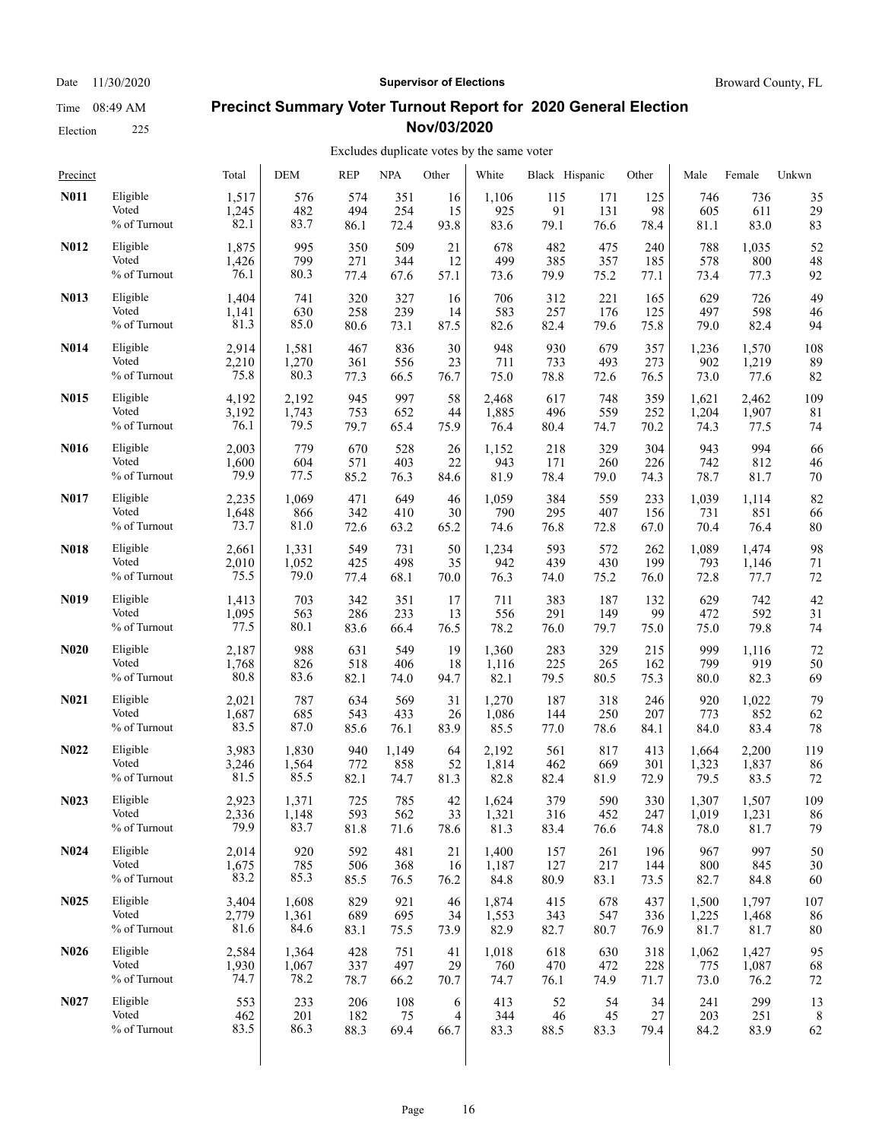## Election 225

#### Date 11/30/2020 **Supervisor of Elections Supervisor of Elections** Broward County, FL

### **Precinct Summary Voter Turnout Report for 2020 General Election Nov/03/2020**

| Precinct          |              | Total | DEM   | <b>REP</b> | <b>NPA</b> | Other          | White | Black Hispanic |      | Other | Male  | Female | Unkwn |
|-------------------|--------------|-------|-------|------------|------------|----------------|-------|----------------|------|-------|-------|--------|-------|
| N011              | Eligible     | 1,517 | 576   | 574        | 351        | 16             | 1,106 | 115            | 171  | 125   | 746   | 736    | 35    |
|                   | Voted        | 1,245 | 482   | 494        | 254        | 15             | 925   | 91             | 131  | 98    | 605   | 611    | 29    |
|                   | % of Turnout | 82.1  | 83.7  | 86.1       | 72.4       | 93.8           | 83.6  | 79.1           | 76.6 | 78.4  | 81.1  | 83.0   | 83    |
| N012              | Eligible     | 1,875 | 995   | 350        | 509        | 21             | 678   | 482            | 475  | 240   | 788   | 1,035  | 52    |
|                   | Voted        | 1,426 | 799   | 271        | 344        | 12             | 499   | 385            | 357  | 185   | 578   | 800    | 48    |
|                   | % of Turnout | 76.1  | 80.3  | 77.4       | 67.6       | 57.1           | 73.6  | 79.9           | 75.2 | 77.1  | 73.4  | 77.3   | 92    |
| N013              | Eligible     | 1,404 | 741   | 320        | 327        | 16             | 706   | 312            | 221  | 165   | 629   | 726    | 49    |
|                   | Voted        | 1,141 | 630   | 258        | 239        | 14             | 583   | 257            | 176  | 125   | 497   | 598    | 46    |
|                   | % of Turnout | 81.3  | 85.0  | 80.6       | 73.1       | 87.5           | 82.6  | 82.4           | 79.6 | 75.8  | 79.0  | 82.4   | 94    |
| N014              | Eligible     | 2,914 | 1,581 | 467        | 836        | 30             | 948   | 930            | 679  | 357   | 1,236 | 1,570  | 108   |
|                   | Voted        | 2,210 | 1,270 | 361        | 556        | 23             | 711   | 733            | 493  | 273   | 902   | 1,219  | 89    |
|                   | % of Turnout | 75.8  | 80.3  | 77.3       | 66.5       | 76.7           | 75.0  | 78.8           | 72.6 | 76.5  | 73.0  | 77.6   | 82    |
| N015              | Eligible     | 4,192 | 2,192 | 945        | 997        | 58             | 2,468 | 617            | 748  | 359   | 1,621 | 2,462  | 109   |
|                   | Voted        | 3,192 | 1,743 | 753        | 652        | 44             | 1,885 | 496            | 559  | 252   | 1,204 | 1,907  | 81    |
|                   | % of Turnout | 76.1  | 79.5  | 79.7       | 65.4       | 75.9           | 76.4  | 80.4           | 74.7 | 70.2  | 74.3  | 77.5   | 74    |
| N016              | Eligible     | 2,003 | 779   | 670        | 528        | 26             | 1,152 | 218            | 329  | 304   | 943   | 994    | 66    |
|                   | Voted        | 1,600 | 604   | 571        | 403        | 22             | 943   | 171            | 260  | 226   | 742   | 812    | 46    |
|                   | % of Turnout | 79.9  | 77.5  | 85.2       | 76.3       | 84.6           | 81.9  | 78.4           | 79.0 | 74.3  | 78.7  | 81.7   | 70    |
| N017              | Eligible     | 2,235 | 1,069 | 471        | 649        | 46             | 1,059 | 384            | 559  | 233   | 1,039 | 1,114  | 82    |
|                   | Voted        | 1,648 | 866   | 342        | 410        | 30             | 790   | 295            | 407  | 156   | 731   | 851    | 66    |
|                   | % of Turnout | 73.7  | 81.0  | 72.6       | 63.2       | 65.2           | 74.6  | 76.8           | 72.8 | 67.0  | 70.4  | 76.4   | 80    |
| N018              | Eligible     | 2,661 | 1,331 | 549        | 731        | 50             | 1,234 | 593            | 572  | 262   | 1,089 | 1,474  | 98    |
|                   | Voted        | 2,010 | 1,052 | 425        | 498        | 35             | 942   | 439            | 430  | 199   | 793   | 1,146  | 71    |
|                   | % of Turnout | 75.5  | 79.0  | 77.4       | 68.1       | 70.0           | 76.3  | 74.0           | 75.2 | 76.0  | 72.8  | 77.7   | 72    |
| N <sub>0</sub> 19 | Eligible     | 1,413 | 703   | 342        | 351        | 17             | 711   | 383            | 187  | 132   | 629   | 742    | 42    |
|                   | Voted        | 1,095 | 563   | 286        | 233        | 13             | 556   | 291            | 149  | 99    | 472   | 592    | 31    |
|                   | % of Turnout | 77.5  | 80.1  | 83.6       | 66.4       | 76.5           | 78.2  | 76.0           | 79.7 | 75.0  | 75.0  | 79.8   | 74    |
| <b>N020</b>       | Eligible     | 2,187 | 988   | 631        | 549        | 19             | 1,360 | 283            | 329  | 215   | 999   | 1,116  | 72    |
|                   | Voted        | 1,768 | 826   | 518        | 406        | 18             | 1,116 | 225            | 265  | 162   | 799   | 919    | 50    |
|                   | % of Turnout | 80.8  | 83.6  | 82.1       | 74.0       | 94.7           | 82.1  | 79.5           | 80.5 | 75.3  | 80.0  | 82.3   | 69    |
| N <sub>0</sub> 21 | Eligible     | 2,021 | 787   | 634        | 569        | 31             | 1,270 | 187            | 318  | 246   | 920   | 1,022  | 79    |
|                   | Voted        | 1,687 | 685   | 543        | 433        | 26             | 1,086 | 144            | 250  | 207   | 773   | 852    | 62    |
|                   | % of Turnout | 83.5  | 87.0  | 85.6       | 76.1       | 83.9           | 85.5  | 77.0           | 78.6 | 84.1  | 84.0  | 83.4   | 78    |
| N <sub>0</sub> 22 | Eligible     | 3,983 | 1,830 | 940        | 1,149      | 64             | 2,192 | 561            | 817  | 413   | 1,664 | 2,200  | 119   |
|                   | Voted        | 3,246 | 1,564 | 772        | 858        | 52             | 1,814 | 462            | 669  | 301   | 1,323 | 1,837  | 86    |
|                   | % of Turnout | 81.5  | 85.5  | 82.1       | 74.7       | 81.3           | 82.8  | 82.4           | 81.9 | 72.9  | 79.5  | 83.5   | 72    |
| N <sub>0</sub> 23 | Eligible     | 2,923 | 1,371 | 725        | 785        | 42             | 1,624 | 379            | 590  | 330   | 1,307 | 1,507  | 109   |
|                   | Voted        | 2,336 | 1,148 | 593        | 562        | 33             | 1,321 | 316            | 452  | 247   | 1,019 | 1,231  | 86    |
|                   | % of Turnout | 79.9  | 83.7  | 81.8       | 71.6       | 78.6           | 81.3  | 83.4           | 76.6 | 74.8  | 78.0  | 81.7   | 79    |
| <b>N024</b>       | Eligible     | 2,014 | 920   | 592        | 481        | 21             | 1,400 | 157            | 261  | 196   | 967   | 997    | 50    |
|                   | Voted        | 1,675 | 785   | 506        | 368        | 16             | 1,187 | 127            | 217  | 144   | 800   | 845    | 30    |
|                   | % of Turnout | 83.2  | 85.3  | 85.5       | 76.5       | 76.2           | 84.8  | 80.9           | 83.1 | 73.5  | 82.7  | 84.8   | 60    |
| N <sub>0</sub> 25 | Eligible     | 3,404 | 1,608 | 829        | 921        | 46             | 1,874 | 415            | 678  | 437   | 1,500 | 1,797  | 107   |
|                   | Voted        | 2,779 | 1,361 | 689        | 695        | 34             | 1,553 | 343            | 547  | 336   | 1,225 | 1,468  | 86    |
|                   | % of Turnout | 81.6  | 84.6  | 83.1       | 75.5       | 73.9           | 82.9  | 82.7           | 80.7 | 76.9  | 81.7  | 81.7   | 80    |
| N <sub>0</sub> 26 | Eligible     | 2,584 | 1,364 | 428        | 751        | 41             | 1,018 | 618            | 630  | 318   | 1,062 | 1,427  | 95    |
|                   | Voted        | 1,930 | 1,067 | 337        | 497        | 29             | 760   | 470            | 472  | 228   | 775   | 1,087  | 68    |
|                   | % of Turnout | 74.7  | 78.2  | 78.7       | 66.2       | 70.7           | 74.7  | 76.1           | 74.9 | 71.7  | 73.0  | 76.2   | 72    |
| N <sub>0</sub> 27 | Eligible     | 553   | 233   | 206        | 108        | 6              | 413   | 52             | 54   | 34    | 241   | 299    | 13    |
|                   | Voted        | 462   | 201   | 182        | 75         | $\overline{4}$ | 344   | 46             | 45   | 27    | 203   | 251    | 8     |
|                   | % of Turnout | 83.5  | 86.3  | 88.3       | 69.4       | 66.7           | 83.3  | 88.5           | 83.3 | 79.4  | 84.2  | 83.9   | 62    |
|                   |              |       |       |            |            |                |       |                |      |       |       |        |       |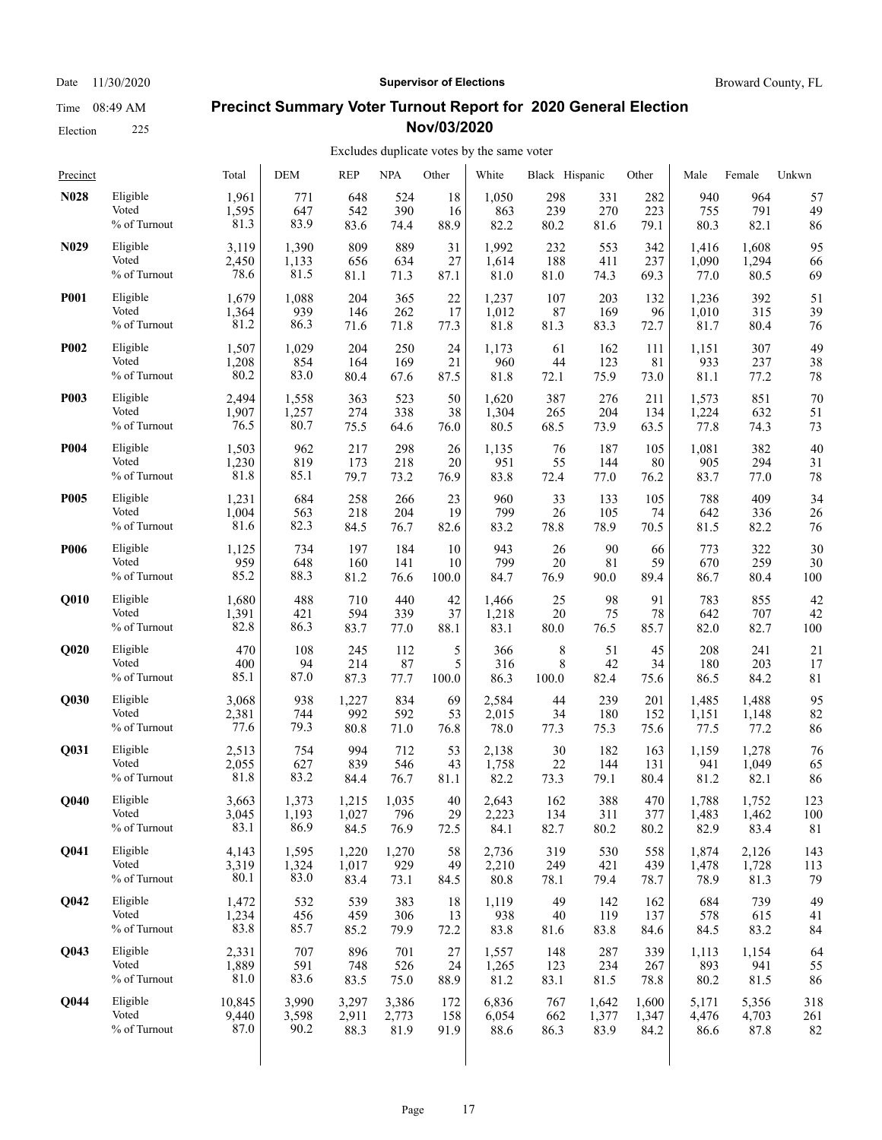Election 225

#### **Precinct Summary Voter Turnout Report for 2020 General Election Nov/03/2020**

#### Excludes duplicate votes by the same voter  $\overline{1}$

| Precinct          |              | Total  | DEM   | <b>REP</b> | NPA   | Other | White | Black Hispanic |       | Other | Male  | Female | Unkwn |
|-------------------|--------------|--------|-------|------------|-------|-------|-------|----------------|-------|-------|-------|--------|-------|
| <b>N028</b>       | Eligible     | 1,961  | 771   | 648        | 524   | 18    | 1,050 | 298            | 331   | 282   | 940   | 964    | 57    |
|                   | Voted        | 1,595  | 647   | 542        | 390   | 16    | 863   | 239            | 270   | 223   | 755   | 791    | 49    |
|                   | % of Turnout | 81.3   | 83.9  | 83.6       | 74.4  | 88.9  | 82.2  | 80.2           | 81.6  | 79.1  | 80.3  | 82.1   | 86    |
| N <sub>0</sub> 29 | Eligible     | 3,119  | 1,390 | 809        | 889   | 31    | 1,992 | 232            | 553   | 342   | 1,416 | 1,608  | 95    |
|                   | Voted        | 2,450  | 1,133 | 656        | 634   | 27    | 1,614 | 188            | 411   | 237   | 1,090 | 1,294  | 66    |
|                   | % of Turnout | 78.6   | 81.5  | 81.1       | 71.3  | 87.1  | 81.0  | 81.0           | 74.3  | 69.3  | 77.0  | 80.5   | 69    |
| <b>P001</b>       | Eligible     | 1,679  | 1,088 | 204        | 365   | 22    | 1,237 | 107            | 203   | 132   | 1,236 | 392    | 51    |
|                   | Voted        | 1,364  | 939   | 146        | 262   | 17    | 1,012 | 87             | 169   | 96    | 1,010 | 315    | 39    |
|                   | % of Turnout | 81.2   | 86.3  | 71.6       | 71.8  | 77.3  | 81.8  | 81.3           | 83.3  | 72.7  | 81.7  | 80.4   | 76    |
| <b>P002</b>       | Eligible     | 1,507  | 1,029 | 204        | 250   | 24    | 1,173 | 61             | 162   | 111   | 1,151 | 307    | 49    |
|                   | Voted        | 1,208  | 854   | 164        | 169   | 21    | 960   | 44             | 123   | 81    | 933   | 237    | 38    |
|                   | % of Turnout | 80.2   | 83.0  | 80.4       | 67.6  | 87.5  | 81.8  | 72.1           | 75.9  | 73.0  | 81.1  | 77.2   | 78    |
| <b>P003</b>       | Eligible     | 2,494  | 1,558 | 363        | 523   | 50    | 1,620 | 387            | 276   | 211   | 1,573 | 851    | 70    |
|                   | Voted        | 1,907  | 1,257 | 274        | 338   | 38    | 1,304 | 265            | 204   | 134   | 1,224 | 632    | 51    |
|                   | % of Turnout | 76.5   | 80.7  | 75.5       | 64.6  | 76.0  | 80.5  | 68.5           | 73.9  | 63.5  | 77.8  | 74.3   | 73    |
| <b>P004</b>       | Eligible     | 1,503  | 962   | 217        | 298   | 26    | 1,135 | 76             | 187   | 105   | 1,081 | 382    | 40    |
|                   | Voted        | 1,230  | 819   | 173        | 218   | 20    | 951   | 55             | 144   | 80    | 905   | 294    | 31    |
|                   | % of Turnout | 81.8   | 85.1  | 79.7       | 73.2  | 76.9  | 83.8  | 72.4           | 77.0  | 76.2  | 83.7  | 77.0   | 78    |
| <b>P005</b>       | Eligible     | 1,231  | 684   | 258        | 266   | 23    | 960   | 33             | 133   | 105   | 788   | 409    | 34    |
|                   | Voted        | 1,004  | 563   | 218        | 204   | 19    | 799   | 26             | 105   | 74    | 642   | 336    | 26    |
|                   | % of Turnout | 81.6   | 82.3  | 84.5       | 76.7  | 82.6  | 83.2  | 78.8           | 78.9  | 70.5  | 81.5  | 82.2   | 76    |
| <b>P006</b>       | Eligible     | 1,125  | 734   | 197        | 184   | 10    | 943   | 26             | 90    | 66    | 773   | 322    | 30    |
|                   | Voted        | 959    | 648   | 160        | 141   | 10    | 799   | 20             | 81    | 59    | 670   | 259    | 30    |
|                   | % of Turnout | 85.2   | 88.3  | 81.2       | 76.6  | 100.0 | 84.7  | 76.9           | 90.0  | 89.4  | 86.7  | 80.4   | 100   |
| Q010              | Eligible     | 1,680  | 488   | 710        | 440   | 42    | 1,466 | 25             | 98    | 91    | 783   | 855    | 42    |
|                   | Voted        | 1,391  | 421   | 594        | 339   | 37    | 1,218 | 20             | 75    | 78    | 642   | 707    | 42    |
|                   | % of Turnout | 82.8   | 86.3  | 83.7       | 77.0  | 88.1  | 83.1  | 80.0           | 76.5  | 85.7  | 82.0  | 82.7   | 100   |
| Q020              | Eligible     | 470    | 108   | 245        | 112   | 5     | 366   | 8              | 51    | 45    | 208   | 241    | 21    |
|                   | Voted        | 400    | 94    | 214        | 87    | 5     | 316   | 8              | 42    | 34    | 180   | 203    | 17    |
|                   | % of Turnout | 85.1   | 87.0  | 87.3       | 77.7  | 100.0 | 86.3  | 100.0          | 82.4  | 75.6  | 86.5  | 84.2   | 81    |
| Q030              | Eligible     | 3,068  | 938   | 1,227      | 834   | 69    | 2,584 | 44             | 239   | 201   | 1,485 | 1,488  | 95    |
|                   | Voted        | 2,381  | 744   | 992        | 592   | 53    | 2,015 | 34             | 180   | 152   | 1,151 | 1,148  | 82    |
|                   | % of Turnout | 77.6   | 79.3  | 80.8       | 71.0  | 76.8  | 78.0  | 77.3           | 75.3  | 75.6  | 77.5  | 77.2   | 86    |
| Q031              | Eligible     | 2,513  | 754   | 994        | 712   | 53    | 2,138 | 30             | 182   | 163   | 1,159 | 1,278  | 76    |
|                   | Voted        | 2,055  | 627   | 839        | 546   | 43    | 1,758 | 22             | 144   | 131   | 941   | 1,049  | 65    |
|                   | % of Turnout | 81.8   | 83.2  | 84.4       | 76.7  | 81.1  | 82.2  | 73.3           | 79.1  | 80.4  | 81.2  | 82.1   | 86    |
| Q040              | Eligible     | 3,663  | 1,373 | 1,215      | 1,035 | 40    | 2,643 | 162            | 388   | 470   | 1,788 | 1,752  | 123   |
|                   | Voted        | 3,045  | 1,193 | 1,027      | 796   | 29    | 2,223 | 134            | 311   | 377   | 1,483 | 1,462  | 100   |
|                   | % of Turnout | 83.1   | 86.9  | 84.5       | 76.9  | 72.5  | 84.1  | 82.7           | 80.2  | 80.2  | 82.9  | 83.4   | 81    |
| Q041              | Eligible     | 4,143  | 1,595 | 1,220      | 1,270 | 58    | 2,736 | 319            | 530   | 558   | 1,874 | 2,126  | 143   |
|                   | Voted        | 3,319  | 1,324 | 1,017      | 929   | 49    | 2,210 | 249            | 421   | 439   | 1,478 | 1,728  | 113   |
|                   | % of Turnout | 80.1   | 83.0  | 83.4       | 73.1  | 84.5  | 80.8  | 78.1           | 79.4  | 78.7  | 78.9  | 81.3   | 79    |
| Q042              | Eligible     | 1,472  | 532   | 539        | 383   | 18    | 1,119 | 49             | 142   | 162   | 684   | 739    | 49    |
|                   | Voted        | 1,234  | 456   | 459        | 306   | 13    | 938   | 40             | 119   | 137   | 578   | 615    | 41    |
|                   | % of Turnout | 83.8   | 85.7  | 85.2       | 79.9  | 72.2  | 83.8  | 81.6           | 83.8  | 84.6  | 84.5  | 83.2   | 84    |
| Q043              | Eligible     | 2,331  | 707   | 896        | 701   | 27    | 1,557 | 148            | 287   | 339   | 1,113 | 1,154  | 64    |
|                   | Voted        | 1,889  | 591   | 748        | 526   | 24    | 1,265 | 123            | 234   | 267   | 893   | 941    | 55    |
|                   | % of Turnout | 81.0   | 83.6  | 83.5       | 75.0  | 88.9  | 81.2  | 83.1           | 81.5  | 78.8  | 80.2  | 81.5   | 86    |
| Q044              | Eligible     | 10,845 | 3,990 | 3,297      | 3,386 | 172   | 6,836 | 767            | 1,642 | 1,600 | 5,171 | 5,356  | 318   |
|                   | Voted        | 9,440  | 3,598 | 2,911      | 2,773 | 158   | 6,054 | 662            | 1,377 | 1,347 | 4,476 | 4,703  | 261   |
|                   | % of Turnout | 87.0   | 90.2  | 88.3       | 81.9  | 91.9  | 88.6  | 86.3           | 83.9  | 84.2  | 86.6  | 87.8   | 82    |
|                   |              |        |       |            |       |       |       |                |       |       |       |        |       |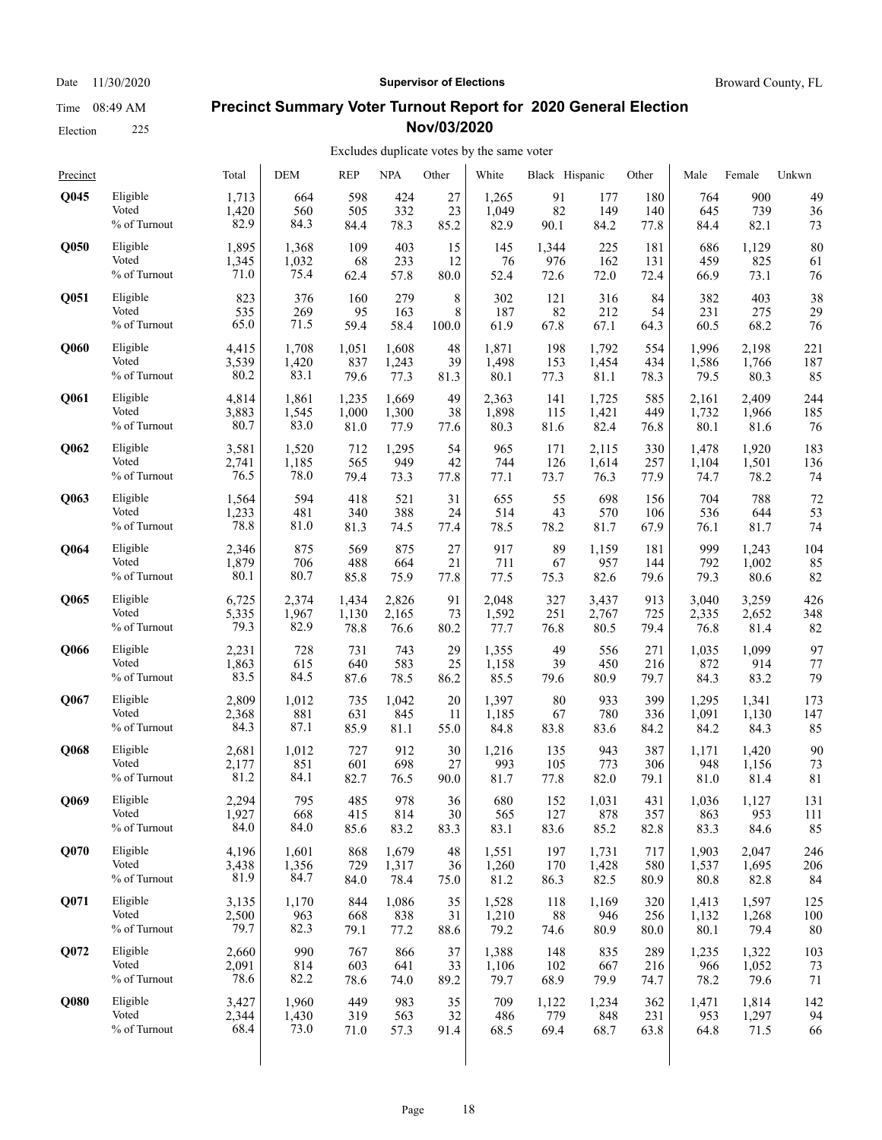## Election 225

#### **Precinct Summary Voter Turnout Report for 2020 General Election Nov/03/2020**

#### Excludes duplicate votes by the same voter

| Precinct    |              | Total | <b>DEM</b> | <b>REP</b> | <b>NPA</b> | Other | White | Black Hispanic |       | Other | Male  | Female | Unkwn |
|-------------|--------------|-------|------------|------------|------------|-------|-------|----------------|-------|-------|-------|--------|-------|
| <b>O045</b> | Eligible     | 1,713 | 664        | 598        | 424        | 27    | 1,265 | 91             | 177   | 180   | 764   | 900    | 49    |
|             | Voted        | 1,420 | 560        | 505        | 332        | 23    | 1,049 | 82             | 149   | 140   | 645   | 739    | 36    |
|             | % of Turnout | 82.9  | 84.3       | 84.4       | 78.3       | 85.2  | 82.9  | 90.1           | 84.2  | 77.8  | 84.4  | 82.1   | 73    |
| <b>O050</b> | Eligible     | 1,895 | 1,368      | 109        | 403        | 15    | 145   | 1,344          | 225   | 181   | 686   | 1,129  | 80    |
|             | Voted        | 1,345 | 1,032      | 68         | 233        | 12    | 76    | 976            | 162   | 131   | 459   | 825    | 61    |
|             | % of Turnout | 71.0  | 75.4       | 62.4       | 57.8       | 80.0  | 52.4  | 72.6           | 72.0  | 72.4  | 66.9  | 73.1   | 76    |
| Q051        | Eligible     | 823   | 376        | 160        | 279        | 8     | 302   | 121            | 316   | 84    | 382   | 403    | 38    |
|             | Voted        | 535   | 269        | 95         | 163        | 8     | 187   | 82             | 212   | 54    | 231   | 275    | 29    |
|             | % of Turnout | 65.0  | 71.5       | 59.4       | 58.4       | 100.0 | 61.9  | 67.8           | 67.1  | 64.3  | 60.5  | 68.2   | 76    |
| <b>O060</b> | Eligible     | 4,415 | 1,708      | 1,051      | 1,608      | 48    | 1,871 | 198            | 1,792 | 554   | 1,996 | 2,198  | 221   |
|             | Voted        | 3,539 | 1,420      | 837        | 1,243      | 39    | 1,498 | 153            | 1,454 | 434   | 1,586 | 1,766  | 187   |
|             | % of Turnout | 80.2  | 83.1       | 79.6       | 77.3       | 81.3  | 80.1  | 77.3           | 81.1  | 78.3  | 79.5  | 80.3   | 85    |
| Q061        | Eligible     | 4,814 | 1,861      | 1,235      | 1,669      | 49    | 2,363 | 141            | 1,725 | 585   | 2,161 | 2,409  | 244   |
|             | Voted        | 3,883 | 1,545      | 1,000      | 1,300      | 38    | 1,898 | 115            | 1,421 | 449   | 1,732 | 1,966  | 185   |
|             | % of Turnout | 80.7  | 83.0       | 81.0       | 77.9       | 77.6  | 80.3  | 81.6           | 82.4  | 76.8  | 80.1  | 81.6   | 76    |
| Q062        | Eligible     | 3,581 | 1,520      | 712        | 1,295      | 54    | 965   | 171            | 2,115 | 330   | 1,478 | 1,920  | 183   |
|             | Voted        | 2,741 | 1,185      | 565        | 949        | 42    | 744   | 126            | 1,614 | 257   | 1,104 | 1,501  | 136   |
|             | % of Turnout | 76.5  | 78.0       | 79.4       | 73.3       | 77.8  | 77.1  | 73.7           | 76.3  | 77.9  | 74.7  | 78.2   | 74    |
| Q063        | Eligible     | 1,564 | 594        | 418        | 521        | 31    | 655   | 55             | 698   | 156   | 704   | 788    | 72    |
|             | Voted        | 1,233 | 481        | 340        | 388        | 24    | 514   | 43             | 570   | 106   | 536   | 644    | 53    |
|             | % of Turnout | 78.8  | 81.0       | 81.3       | 74.5       | 77.4  | 78.5  | 78.2           | 81.7  | 67.9  | 76.1  | 81.7   | 74    |
| Q064        | Eligible     | 2,346 | 875        | 569        | 875        | 27    | 917   | 89             | 1,159 | 181   | 999   | 1,243  | 104   |
|             | Voted        | 1,879 | 706        | 488        | 664        | 21    | 711   | 67             | 957   | 144   | 792   | 1,002  | 85    |
|             | % of Turnout | 80.1  | 80.7       | 85.8       | 75.9       | 77.8  | 77.5  | 75.3           | 82.6  | 79.6  | 79.3  | 80.6   | 82    |
| Q065        | Eligible     | 6,725 | 2,374      | 1,434      | 2,826      | 91    | 2,048 | 327            | 3,437 | 913   | 3,040 | 3,259  | 426   |
|             | Voted        | 5,335 | 1,967      | 1,130      | 2,165      | 73    | 1,592 | 251            | 2,767 | 725   | 2,335 | 2,652  | 348   |
|             | % of Turnout | 79.3  | 82.9       | 78.8       | 76.6       | 80.2  | 77.7  | 76.8           | 80.5  | 79.4  | 76.8  | 81.4   | 82    |
| Q066        | Eligible     | 2,231 | 728        | 731        | 743        | 29    | 1,355 | 49             | 556   | 271   | 1,035 | 1,099  | 97    |
|             | Voted        | 1,863 | 615        | 640        | 583        | 25    | 1,158 | 39             | 450   | 216   | 872   | 914    | 77    |
|             | % of Turnout | 83.5  | 84.5       | 87.6       | 78.5       | 86.2  | 85.5  | 79.6           | 80.9  | 79.7  | 84.3  | 83.2   | 79    |
| Q067        | Eligible     | 2,809 | 1,012      | 735        | 1,042      | 20    | 1,397 | 80             | 933   | 399   | 1,295 | 1,341  | 173   |
|             | Voted        | 2,368 | 881        | 631        | 845        | 11    | 1,185 | 67             | 780   | 336   | 1,091 | 1,130  | 147   |
|             | % of Turnout | 84.3  | 87.1       | 85.9       | 81.1       | 55.0  | 84.8  | 83.8           | 83.6  | 84.2  | 84.2  | 84.3   | 85    |
| Q068        | Eligible     | 2,681 | 1,012      | 727        | 912        | 30    | 1,216 | 135            | 943   | 387   | 1,171 | 1,420  | 90    |
|             | Voted        | 2,177 | 851        | 601        | 698        | 27    | 993   | 105            | 773   | 306   | 948   | 1,156  | 73    |
|             | % of Turnout | 81.2  | 84.1       | 82.7       | 76.5       | 90.0  | 81.7  | 77.8           | 82.0  | 79.1  | 81.0  | 81.4   | 81    |
| Q069        | Eligible     | 2,294 | 795        | 485        | 978        | 36    | 680   | 152            | 1,031 | 431   | 1,036 | 1,127  | 131   |
|             | Voted        | 1,927 | 668        | 415        | 814        | 30    | 565   | 127            | 878   | 357   | 863   | 953    | 111   |
|             | % of Turnout | 84.0  | 84.0       | 85.6       | 83.2       | 83.3  | 83.1  | 83.6           | 85.2  | 82.8  | 83.3  | 84.6   | 85    |
| Q070        | Eligible     | 4,196 | 1,601      | 868        | 1,679      | 48    | 1,551 | 197            | 1,731 | 717   | 1,903 | 2,047  | 246   |
|             | Voted        | 3,438 | 1,356      | 729        | 1,317      | 36    | 1,260 | 170            | 1,428 | 580   | 1,537 | 1,695  | 206   |
|             | % of Turnout | 81.9  | 84.7       | 84.0       | 78.4       | 75.0  | 81.2  | 86.3           | 82.5  | 80.9  | 80.8  | 82.8   | 84    |
| Q071        | Eligible     | 3,135 | 1,170      | 844        | 1,086      | 35    | 1,528 | 118            | 1,169 | 320   | 1,413 | 1,597  | 125   |
|             | Voted        | 2,500 | 963        | 668        | 838        | 31    | 1,210 | 88             | 946   | 256   | 1,132 | 1,268  | 100   |
|             | % of Turnout | 79.7  | 82.3       | 79.1       | 77.2       | 88.6  | 79.2  | 74.6           | 80.9  | 80.0  | 80.1  | 79.4   | 80    |
| Q072        | Eligible     | 2,660 | 990        | 767        | 866        | 37    | 1,388 | 148            | 835   | 289   | 1,235 | 1,322  | 103   |
|             | Voted        | 2,091 | 814        | 603        | 641        | 33    | 1,106 | 102            | 667   | 216   | 966   | 1,052  | 73    |
|             | % of Turnout | 78.6  | 82.2       | 78.6       | 74.0       | 89.2  | 79.7  | 68.9           | 79.9  | 74.7  | 78.2  | 79.6   | 71    |
| Q080        | Eligible     | 3,427 | 1,960      | 449        | 983        | 35    | 709   | 1,122          | 1,234 | 362   | 1,471 | 1,814  | 142   |
|             | Voted        | 2,344 | 1,430      | 319        | 563        | 32    | 486   | 779            | 848   | 231   | 953   | 1,297  | 94    |
|             | % of Turnout | 68.4  | 73.0       | 71.0       | 57.3       | 91.4  | 68.5  | 69.4           | 68.7  | 63.8  | 64.8  | 71.5   | 66    |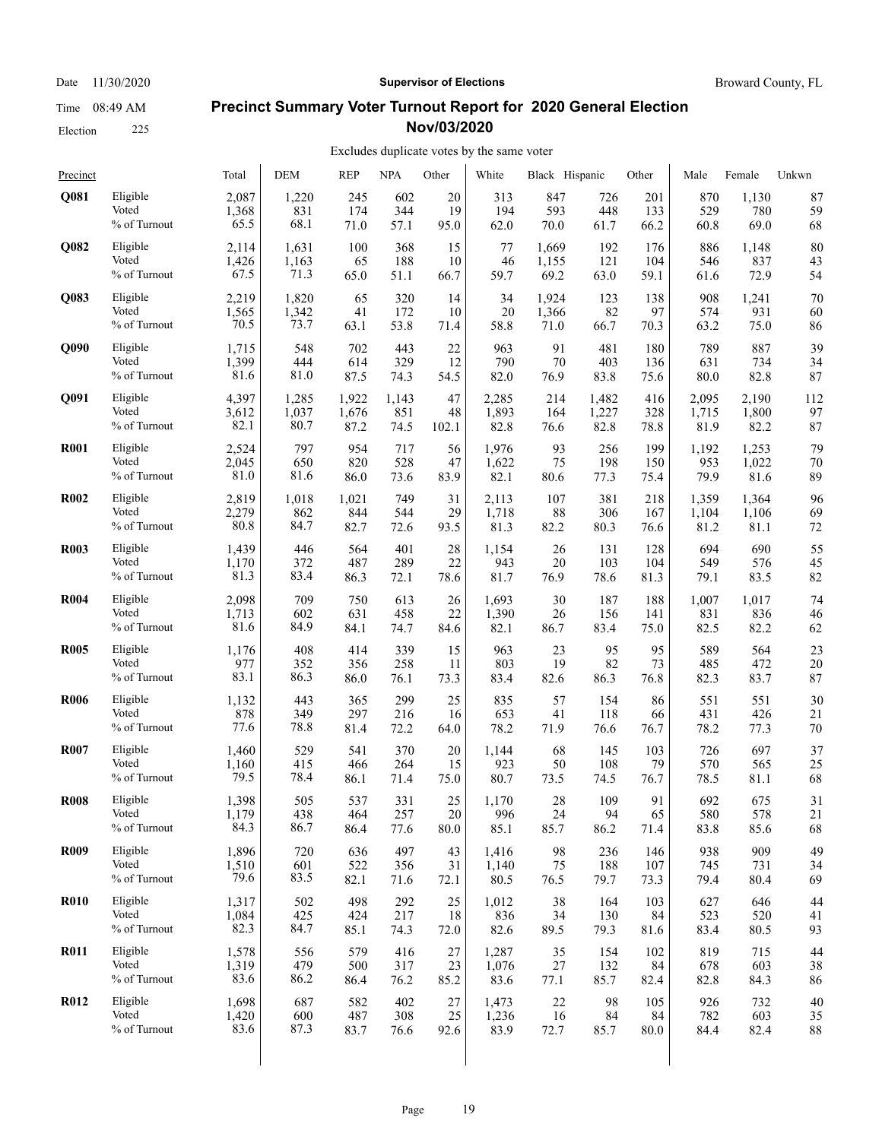#### **Precinct Summary Voter Turnout Report for 2020 General Election Nov/03/2020**

#### Excludes duplicate votes by the same voter

| Precinct    |              | Total | <b>DEM</b> | <b>REP</b> | <b>NPA</b> | Other  | White | Black Hispanic |       | Other | Male  | Female | Unkwn |
|-------------|--------------|-------|------------|------------|------------|--------|-------|----------------|-------|-------|-------|--------|-------|
| Q081        | Eligible     | 2,087 | 1,220      | 245        | 602        | 20     | 313   | 847            | 726   | 201   | 870   | 1,130  | 87    |
|             | Voted        | 1,368 | 831        | 174        | 344        | 19     | 194   | 593            | 448   | 133   | 529   | 780    | 59    |
|             | % of Turnout | 65.5  | 68.1       | 71.0       | 57.1       | 95.0   | 62.0  | 70.0           | 61.7  | 66.2  | 60.8  | 69.0   | 68    |
| Q082        | Eligible     | 2,114 | 1,631      | 100        | 368        | 15     | 77    | 1,669          | 192   | 176   | 886   | 1,148  | 80    |
|             | Voted        | 1,426 | 1,163      | 65         | 188        | 10     | 46    | 1,155          | 121   | 104   | 546   | 837    | 43    |
|             | % of Turnout | 67.5  | 71.3       | 65.0       | 51.1       | 66.7   | 59.7  | 69.2           | 63.0  | 59.1  | 61.6  | 72.9   | 54    |
| Q083        | Eligible     | 2,219 | 1,820      | 65         | 320        | 14     | 34    | 1,924          | 123   | 138   | 908   | 1,241  | 70    |
|             | Voted        | 1,565 | 1,342      | 41         | 172        | 10     | 20    | 1,366          | 82    | 97    | 574   | 931    | 60    |
|             | % of Turnout | 70.5  | 73.7       | 63.1       | 53.8       | 71.4   | 58.8  | 71.0           | 66.7  | 70.3  | 63.2  | 75.0   | 86    |
| <b>O090</b> | Eligible     | 1,715 | 548        | 702        | 443        | 22     | 963   | 91             | 481   | 180   | 789   | 887    | 39    |
|             | Voted        | 1,399 | 444        | 614        | 329        | 12     | 790   | 70             | 403   | 136   | 631   | 734    | 34    |
|             | % of Turnout | 81.6  | 81.0       | 87.5       | 74.3       | 54.5   | 82.0  | 76.9           | 83.8  | 75.6  | 80.0  | 82.8   | 87    |
| Q091        | Eligible     | 4,397 | 1,285      | 1,922      | 1,143      | 47     | 2,285 | 214            | 1,482 | 416   | 2,095 | 2,190  | 112   |
|             | Voted        | 3,612 | 1,037      | 1,676      | 851        | 48     | 1,893 | 164            | 1,227 | 328   | 1,715 | 1,800  | 97    |
|             | % of Turnout | 82.1  | 80.7       | 87.2       | 74.5       | 102.1  | 82.8  | 76.6           | 82.8  | 78.8  | 81.9  | 82.2   | 87    |
| <b>R001</b> | Eligible     | 2,524 | 797        | 954        | 717        | 56     | 1,976 | 93             | 256   | 199   | 1,192 | 1,253  | 79    |
|             | Voted        | 2,045 | 650        | 820        | 528        | 47     | 1,622 | 75             | 198   | 150   | 953   | 1,022  | 70    |
|             | % of Turnout | 81.0  | 81.6       | 86.0       | 73.6       | 83.9   | 82.1  | 80.6           | 77.3  | 75.4  | 79.9  | 81.6   | 89    |
| <b>R002</b> | Eligible     | 2,819 | 1,018      | 1,021      | 749        | 31     | 2,113 | 107            | 381   | 218   | 1,359 | 1,364  | 96    |
|             | Voted        | 2,279 | 862        | 844        | 544        | 29     | 1,718 | 88             | 306   | 167   | 1,104 | 1,106  | 69    |
|             | % of Turnout | 80.8  | 84.7       | 82.7       | 72.6       | 93.5   | 81.3  | 82.2           | 80.3  | 76.6  | 81.2  | 81.1   | 72    |
| <b>R003</b> | Eligible     | 1,439 | 446        | 564        | 401        | 28     | 1,154 | 26             | 131   | 128   | 694   | 690    | 55    |
|             | Voted        | 1,170 | 372        | 487        | 289        | 22     | 943   | 20             | 103   | 104   | 549   | 576    | 45    |
|             | % of Turnout | 81.3  | 83.4       | 86.3       | 72.1       | 78.6   | 81.7  | 76.9           | 78.6  | 81.3  | 79.1  | 83.5   | 82    |
| <b>R004</b> | Eligible     | 2,098 | 709        | 750        | 613        | 26     | 1,693 | 30             | 187   | 188   | 1,007 | 1,017  | 74    |
|             | Voted        | 1,713 | 602        | 631        | 458        | 22     | 1,390 | 26             | 156   | 141   | 831   | 836    | 46    |
|             | % of Turnout | 81.6  | 84.9       | 84.1       | 74.7       | 84.6   | 82.1  | 86.7           | 83.4  | 75.0  | 82.5  | 82.2   | 62    |
| <b>R005</b> | Eligible     | 1,176 | 408        | 414        | 339        | 15     | 963   | 23             | 95    | 95    | 589   | 564    | 23    |
|             | Voted        | 977   | 352        | 356        | 258        | 11     | 803   | 19             | 82    | 73    | 485   | 472    | 20    |
|             | % of Turnout | 83.1  | 86.3       | 86.0       | 76.1       | 73.3   | 83.4  | 82.6           | 86.3  | 76.8  | 82.3  | 83.7   | 87    |
| <b>R006</b> | Eligible     | 1,132 | 443        | 365        | 299        | 25     | 835   | 57             | 154   | 86    | 551   | 551    | 30    |
|             | Voted        | 878   | 349        | 297        | 216        | 16     | 653   | 41             | 118   | 66    | 431   | 426    | 21    |
|             | % of Turnout | 77.6  | 78.8       | 81.4       | 72.2       | 64.0   | 78.2  | 71.9           | 76.6  | 76.7  | 78.2  | 77.3   | 70    |
| <b>R007</b> | Eligible     | 1,460 | 529        | 541        | 370        | 20     | 1,144 | 68             | 145   | 103   | 726   | 697    | 37    |
|             | Voted        | 1,160 | 415        | 466        | 264        | 15     | 923   | 50             | 108   | 79    | 570   | 565    | 25    |
|             | % of Turnout | 79.5  | 78.4       | 86.1       | 71.4       | 75.0   | 80.7  | 73.5           | 74.5  | 76.7  | 78.5  | 81.1   | 68    |
| <b>R008</b> | Eligible     | 1,398 | 505        | 537        | 331        | 25     | 1,170 | 28             | 109   | 91    | 692   | 675    | 31    |
|             | Voted        | 1,179 | 438        | 464        | 257        | $20\,$ | 996   | 24             | 94    | 65    | 580   | 578    | 21    |
|             | % of Turnout | 84.3  | 86.7       | 86.4       | 77.6       | 80.0   | 85.1  | 85.7           | 86.2  | 71.4  | 83.8  | 85.6   | 68    |
| <b>R009</b> | Eligible     | 1,896 | 720        | 636        | 497        | 43     | 1,416 | 98             | 236   | 146   | 938   | 909    | 49    |
|             | Voted        | 1,510 | 601        | 522        | 356        | 31     | 1,140 | 75             | 188   | 107   | 745   | 731    | 34    |
|             | % of Turnout | 79.6  | 83.5       | 82.1       | 71.6       | 72.1   | 80.5  | 76.5           | 79.7  | 73.3  | 79.4  | 80.4   | 69    |
| <b>R010</b> | Eligible     | 1,317 | 502        | 498        | 292        | 25     | 1,012 | 38             | 164   | 103   | 627   | 646    | 44    |
|             | Voted        | 1,084 | 425        | 424        | 217        | 18     | 836   | 34             | 130   | 84    | 523   | 520    | 41    |
|             | % of Turnout | 82.3  | 84.7       | 85.1       | 74.3       | 72.0   | 82.6  | 89.5           | 79.3  | 81.6  | 83.4  | 80.5   | 93    |
| <b>R011</b> | Eligible     | 1,578 | 556        | 579        | 416        | $27\,$ | 1,287 | 35             | 154   | 102   | 819   | 715    | 44    |
|             | Voted        | 1,319 | 479        | 500        | 317        | 23     | 1,076 | 27             | 132   | 84    | 678   | 603    | 38    |
|             | % of Turnout | 83.6  | 86.2       | 86.4       | 76.2       | 85.2   | 83.6  | 77.1           | 85.7  | 82.4  | 82.8  | 84.3   | 86    |
| <b>R012</b> | Eligible     | 1,698 | 687        | 582        | 402        | 27     | 1,473 | 22             | 98    | 105   | 926   | 732    | 40    |
|             | Voted        | 1,420 | 600        | 487        | 308        | 25     | 1,236 | 16             | 84    | 84    | 782   | 603    | 35    |
|             | % of Turnout | 83.6  | 87.3       | 83.7       | 76.6       | 92.6   | 83.9  | 72.7           | 85.7  | 80.0  | 84.4  | 82.4   | 88    |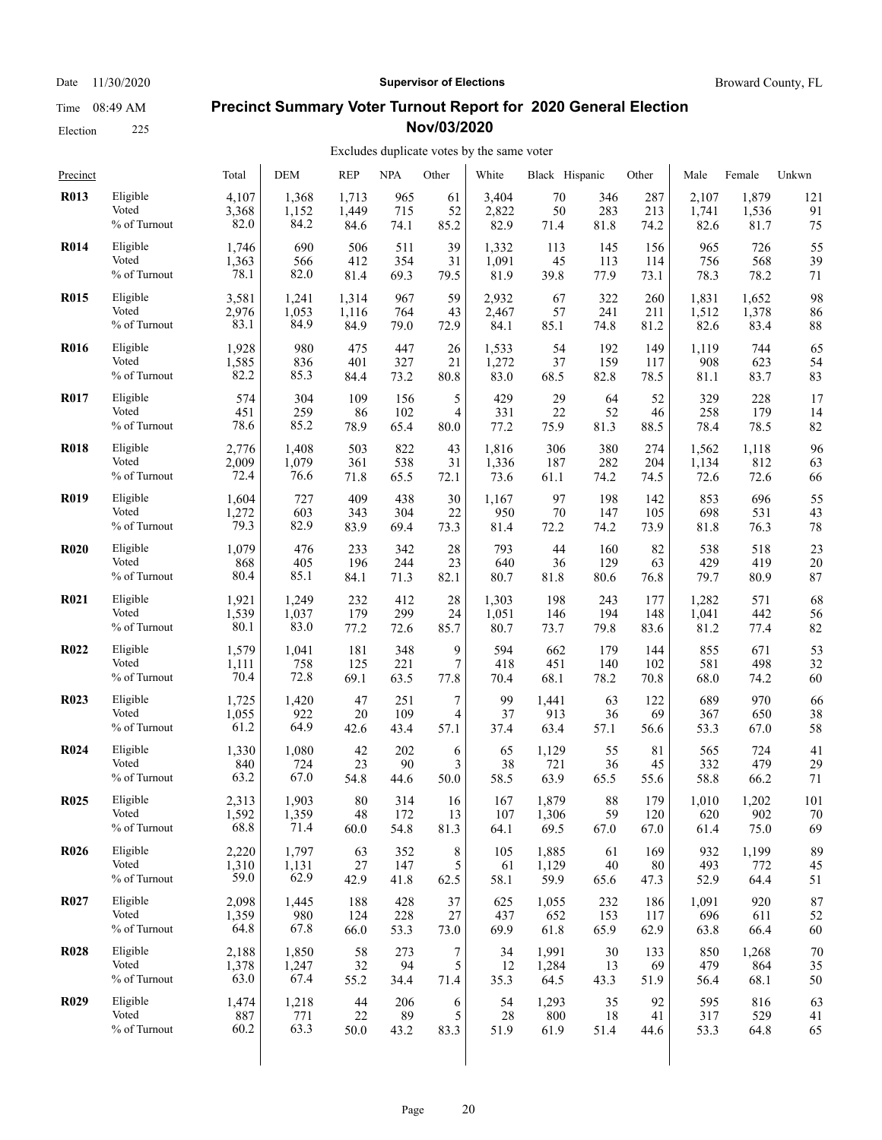Election 225

#### Date 11/30/2020 **Supervisor of Elections Supervisor of Elections** Broward County, FL

#### **Precinct Summary Voter Turnout Report for 2020 General Election Nov/03/2020**

| Precinct    |              | Total | <b>DEM</b> | <b>REP</b> | <b>NPA</b> | Other   | White | Black Hispanic |      | Other | Male  | Female | Unkwn |
|-------------|--------------|-------|------------|------------|------------|---------|-------|----------------|------|-------|-------|--------|-------|
| <b>R013</b> | Eligible     | 4,107 | 1,368      | 1,713      | 965        | 61      | 3,404 | 70             | 346  | 287   | 2,107 | 1,879  | 121   |
|             | Voted        | 3,368 | 1,152      | 1,449      | 715        | 52      | 2,822 | 50             | 283  | 213   | 1,741 | 1,536  | 91    |
|             | % of Turnout | 82.0  | 84.2       | 84.6       | 74.1       | 85.2    | 82.9  | 71.4           | 81.8 | 74.2  | 82.6  | 81.7   | 75    |
| <b>R014</b> | Eligible     | 1,746 | 690        | 506        | 511        | 39      | 1,332 | 113            | 145  | 156   | 965   | 726    | 55    |
|             | Voted        | 1,363 | 566        | 412        | 354        | 31      | 1,091 | 45             | 113  | 114   | 756   | 568    | 39    |
|             | % of Turnout | 78.1  | 82.0       | 81.4       | 69.3       | 79.5    | 81.9  | 39.8           | 77.9 | 73.1  | 78.3  | 78.2   | 71    |
| <b>R015</b> | Eligible     | 3,581 | 1,241      | 1,314      | 967        | 59      | 2,932 | 67             | 322  | 260   | 1,831 | 1,652  | 98    |
|             | Voted        | 2,976 | 1,053      | 1,116      | 764        | 43      | 2,467 | 57             | 241  | 211   | 1,512 | 1,378  | 86    |
|             | % of Turnout | 83.1  | 84.9       | 84.9       | 79.0       | 72.9    | 84.1  | 85.1           | 74.8 | 81.2  | 82.6  | 83.4   | 88    |
| <b>R016</b> | Eligible     | 1,928 | 980        | 475        | 447        | 26      | 1,533 | 54             | 192  | 149   | 1,119 | 744    | 65    |
|             | Voted        | 1,585 | 836        | 401        | 327        | 21      | 1,272 | 37             | 159  | 117   | 908   | 623    | 54    |
|             | % of Turnout | 82.2  | 85.3       | 84.4       | 73.2       | 80.8    | 83.0  | 68.5           | 82.8 | 78.5  | 81.1  | 83.7   | 83    |
| <b>R017</b> | Eligible     | 574   | 304        | 109        | 156        | 5       | 429   | 29             | 64   | 52    | 329   | 228    | 17    |
|             | Voted        | 451   | 259        | 86         | 102        | 4       | 331   | 22             | 52   | 46    | 258   | 179    | 14    |
|             | % of Turnout | 78.6  | 85.2       | 78.9       | 65.4       | 80.0    | 77.2  | 75.9           | 81.3 | 88.5  | 78.4  | 78.5   | 82    |
| <b>R018</b> | Eligible     | 2,776 | 1,408      | 503        | 822        | 43      | 1,816 | 306            | 380  | 274   | 1,562 | 1,118  | 96    |
|             | Voted        | 2,009 | 1,079      | 361        | 538        | 31      | 1,336 | 187            | 282  | 204   | 1,134 | 812    | 63    |
|             | % of Turnout | 72.4  | 76.6       | 71.8       | 65.5       | 72.1    | 73.6  | 61.1           | 74.2 | 74.5  | 72.6  | 72.6   | 66    |
| <b>R019</b> | Eligible     | 1,604 | 727        | 409        | 438        | 30      | 1,167 | 97             | 198  | 142   | 853   | 696    | 55    |
|             | Voted        | 1,272 | 603        | 343        | 304        | 22      | 950   | 70             | 147  | 105   | 698   | 531    | 43    |
|             | % of Turnout | 79.3  | 82.9       | 83.9       | 69.4       | 73.3    | 81.4  | 72.2           | 74.2 | 73.9  | 81.8  | 76.3   | 78    |
| <b>R020</b> | Eligible     | 1,079 | 476        | 233        | 342        | 28      | 793   | 44             | 160  | 82    | 538   | 518    | 23    |
|             | Voted        | 868   | 405        | 196        | 244        | 23      | 640   | 36             | 129  | 63    | 429   | 419    | 20    |
|             | % of Turnout | 80.4  | 85.1       | 84.1       | 71.3       | 82.1    | 80.7  | 81.8           | 80.6 | 76.8  | 79.7  | 80.9   | 87    |
| <b>R021</b> | Eligible     | 1,921 | 1,249      | 232        | 412        | 28      | 1,303 | 198            | 243  | 177   | 1,282 | 571    | 68    |
|             | Voted        | 1,539 | 1,037      | 179        | 299        | 24      | 1,051 | 146            | 194  | 148   | 1,041 | 442    | 56    |
|             | % of Turnout | 80.1  | 83.0       | 77.2       | 72.6       | 85.7    | 80.7  | 73.7           | 79.8 | 83.6  | 81.2  | 77.4   | 82    |
| <b>R022</b> | Eligible     | 1,579 | 1,041      | 181        | 348        | 9       | 594   | 662            | 179  | 144   | 855   | 671    | 53    |
|             | Voted        | 1,111 | 758        | 125        | 221        | 7       | 418   | 451            | 140  | 102   | 581   | 498    | 32    |
|             | % of Turnout | 70.4  | 72.8       | 69.1       | 63.5       | 77.8    | 70.4  | 68.1           | 78.2 | 70.8  | 68.0  | 74.2   | 60    |
| <b>R023</b> | Eligible     | 1,725 | 1,420      | 47         | 251        | 7       | 99    | 1,441          | 63   | 122   | 689   | 970    | 66    |
|             | Voted        | 1,055 | 922        | 20         | 109        | 4       | 37    | 913            | 36   | 69    | 367   | 650    | 38    |
|             | % of Turnout | 61.2  | 64.9       | 42.6       | 43.4       | 57.1    | 37.4  | 63.4           | 57.1 | 56.6  | 53.3  | 67.0   | 58    |
| <b>R024</b> | Eligible     | 1,330 | 1,080      | 42         | 202        | 6       | 65    | 1,129          | 55   | 81    | 565   | 724    | 41    |
|             | Voted        | 840   | 724        | 23         | 90         | 3       | 38    | 721            | 36   | 45    | 332   | 479    | 29    |
|             | % of Turnout | 63.2  | 67.0       | 54.8       | 44.6       | 50.0    | 58.5  | 63.9           | 65.5 | 55.6  | 58.8  | 66.2   | 71    |
| <b>R025</b> | Eligible     | 2,313 | 1.903      | 80         | 314        | 16      | 167   | 1,879          | 88   | 179   | 1,010 | 1,202  | 101   |
|             | Voted        | 1,592 | 1,359      | $48\,$     | 172        | 13      | 107   | 1,306          | 59   | 120   | 620   | 902    | 70    |
|             | % of Turnout | 68.8  | 71.4       | 60.0       | 54.8       | 81.3    | 64.1  | 69.5           | 67.0 | 67.0  | 61.4  | 75.0   | 69    |
| <b>R026</b> | Eligible     | 2,220 | 1,797      | 63         | 352        | $\,8\,$ | 105   | 1,885          | 61   | 169   | 932   | 1,199  | 89    |
|             | Voted        | 1,310 | 1,131      | 27         | 147        | 5       | 61    | 1,129          | 40   | 80    | 493   | 772    | 45    |
|             | % of Turnout | 59.0  | 62.9       | 42.9       | 41.8       | 62.5    | 58.1  | 59.9           | 65.6 | 47.3  | 52.9  | 64.4   | 51    |
| <b>R027</b> | Eligible     | 2,098 | 1,445      | 188        | 428        | 37      | 625   | 1,055          | 232  | 186   | 1,091 | 920    | 87    |
|             | Voted        | 1,359 | 980        | 124        | 228        | 27      | 437   | 652            | 153  | 117   | 696   | 611    | 52    |
|             | % of Turnout | 64.8  | 67.8       | 66.0       | 53.3       | 73.0    | 69.9  | 61.8           | 65.9 | 62.9  | 63.8  | 66.4   | 60    |
| <b>R028</b> | Eligible     | 2,188 | 1,850      | 58         | 273        | 7       | 34    | 1,991          | 30   | 133   | 850   | 1,268  | 70    |
|             | Voted        | 1,378 | 1,247      | 32         | 94         | 5       | 12    | 1,284          | 13   | 69    | 479   | 864    | 35    |
|             | % of Turnout | 63.0  | 67.4       | 55.2       | 34.4       | 71.4    | 35.3  | 64.5           | 43.3 | 51.9  | 56.4  | 68.1   | 50    |
| <b>R029</b> | Eligible     | 1,474 | 1,218      | 44         | 206        | 6       | 54    | 1,293          | 35   | 92    | 595   | 816    | 63    |
|             | Voted        | 887   | 771        | $22\,$     | 89         | 5       | 28    | 800            | 18   | 41    | 317   | 529    | 41    |
|             | % of Turnout | 60.2  | 63.3       | 50.0       | 43.2       | 83.3    | 51.9  | 61.9           | 51.4 | 44.6  | 53.3  | 64.8   | 65    |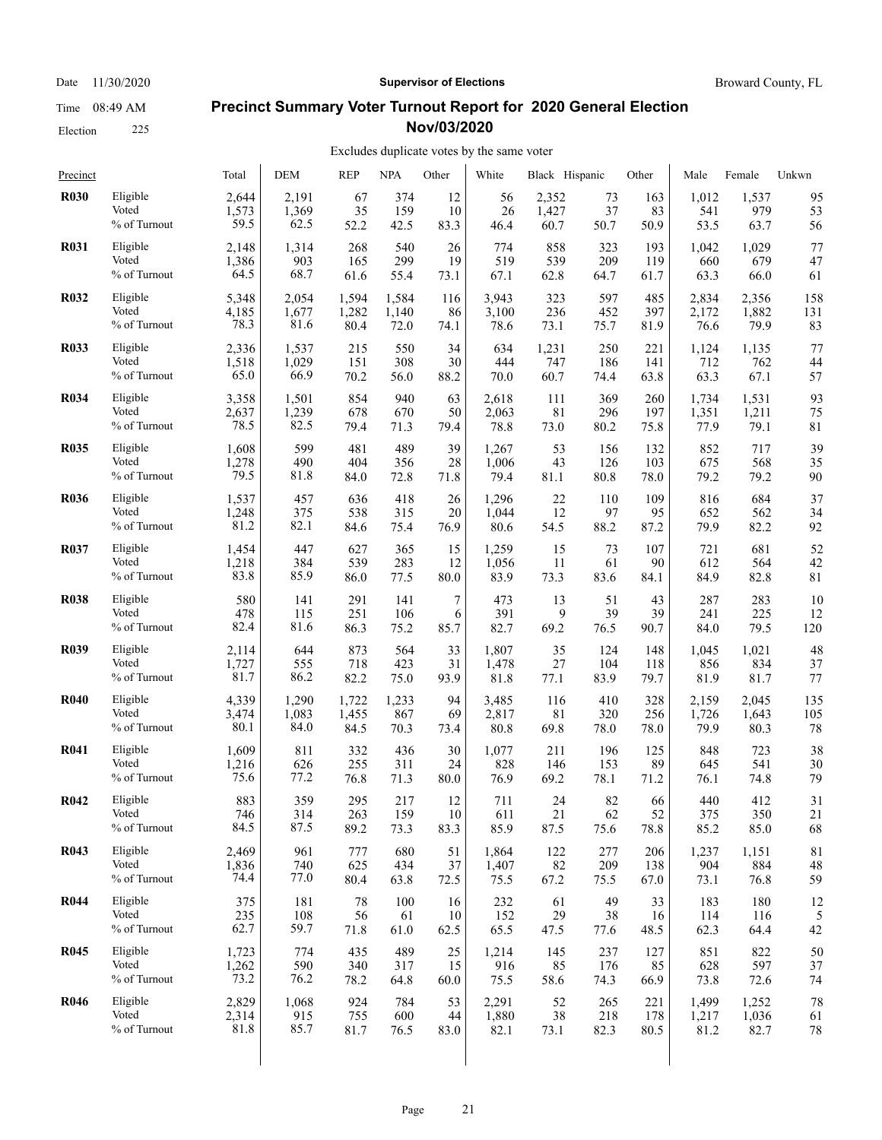Election 225

#### Date 11/30/2020 **Supervisor of Elections Supervisor of Elections** Broward County, FL

### **Precinct Summary Voter Turnout Report for 2020 General Election Nov/03/2020**

#### Excludes duplicate votes by the same voter

| Precinct    |              | Total | DEM   | REP   | <b>NPA</b> | Other | White | Black Hispanic |      | Other | Male  | Female | Unkwn |
|-------------|--------------|-------|-------|-------|------------|-------|-------|----------------|------|-------|-------|--------|-------|
| <b>R030</b> | Eligible     | 2,644 | 2,191 | 67    | 374        | 12    | 56    | 2,352          | 73   | 163   | 1,012 | 1,537  | 95    |
|             | Voted        | 1,573 | 1,369 | 35    | 159        | 10    | 26    | 1,427          | 37   | 83    | 541   | 979    | 53    |
|             | % of Turnout | 59.5  | 62.5  | 52.2  | 42.5       | 83.3  | 46.4  | 60.7           | 50.7 | 50.9  | 53.5  | 63.7   | 56    |
| <b>R031</b> | Eligible     | 2,148 | 1,314 | 268   | 540        | 26    | 774   | 858            | 323  | 193   | 1,042 | 1,029  | 77    |
|             | Voted        | 1,386 | 903   | 165   | 299        | 19    | 519   | 539            | 209  | 119   | 660   | 679    | 47    |
|             | % of Turnout | 64.5  | 68.7  | 61.6  | 55.4       | 73.1  | 67.1  | 62.8           | 64.7 | 61.7  | 63.3  | 66.0   | 61    |
| <b>R032</b> | Eligible     | 5,348 | 2,054 | 1,594 | 1,584      | 116   | 3,943 | 323            | 597  | 485   | 2,834 | 2,356  | 158   |
|             | Voted        | 4,185 | 1,677 | 1,282 | 1,140      | 86    | 3,100 | 236            | 452  | 397   | 2,172 | 1,882  | 131   |
|             | % of Turnout | 78.3  | 81.6  | 80.4  | 72.0       | 74.1  | 78.6  | 73.1           | 75.7 | 81.9  | 76.6  | 79.9   | 83    |
| <b>R033</b> | Eligible     | 2,336 | 1,537 | 215   | 550        | 34    | 634   | 1,231          | 250  | 221   | 1,124 | 1,135  | 77    |
|             | Voted        | 1,518 | 1,029 | 151   | 308        | 30    | 444   | 747            | 186  | 141   | 712   | 762    | 44    |
|             | % of Turnout | 65.0  | 66.9  | 70.2  | 56.0       | 88.2  | 70.0  | 60.7           | 74.4 | 63.8  | 63.3  | 67.1   | 57    |
| <b>R034</b> | Eligible     | 3,358 | 1,501 | 854   | 940        | 63    | 2,618 | 111            | 369  | 260   | 1,734 | 1,531  | 93    |
|             | Voted        | 2,637 | 1,239 | 678   | 670        | 50    | 2,063 | 81             | 296  | 197   | 1,351 | 1,211  | 75    |
|             | % of Turnout | 78.5  | 82.5  | 79.4  | 71.3       | 79.4  | 78.8  | 73.0           | 80.2 | 75.8  | 77.9  | 79.1   | 81    |
| <b>R035</b> | Eligible     | 1,608 | 599   | 481   | 489        | 39    | 1,267 | 53             | 156  | 132   | 852   | 717    | 39    |
|             | Voted        | 1,278 | 490   | 404   | 356        | 28    | 1,006 | 43             | 126  | 103   | 675   | 568    | 35    |
|             | % of Turnout | 79.5  | 81.8  | 84.0  | 72.8       | 71.8  | 79.4  | 81.1           | 80.8 | 78.0  | 79.2  | 79.2   | 90    |
| <b>R036</b> | Eligible     | 1,537 | 457   | 636   | 418        | 26    | 1,296 | 22             | 110  | 109   | 816   | 684    | 37    |
|             | Voted        | 1,248 | 375   | 538   | 315        | 20    | 1,044 | 12             | 97   | 95    | 652   | 562    | 34    |
|             | % of Turnout | 81.2  | 82.1  | 84.6  | 75.4       | 76.9  | 80.6  | 54.5           | 88.2 | 87.2  | 79.9  | 82.2   | 92    |
| <b>R037</b> | Eligible     | 1,454 | 447   | 627   | 365        | 15    | 1,259 | 15             | 73   | 107   | 721   | 681    | 52    |
|             | Voted        | 1,218 | 384   | 539   | 283        | 12    | 1,056 | 11             | 61   | 90    | 612   | 564    | 42    |
|             | % of Turnout | 83.8  | 85.9  | 86.0  | 77.5       | 80.0  | 83.9  | 73.3           | 83.6 | 84.1  | 84.9  | 82.8   | 81    |
| <b>R038</b> | Eligible     | 580   | 141   | 291   | 141        | 7     | 473   | 13             | 51   | 43    | 287   | 283    | 10    |
|             | Voted        | 478   | 115   | 251   | 106        | 6     | 391   | 9              | 39   | 39    | 241   | 225    | 12    |
|             | % of Turnout | 82.4  | 81.6  | 86.3  | 75.2       | 85.7  | 82.7  | 69.2           | 76.5 | 90.7  | 84.0  | 79.5   | 120   |
| <b>R039</b> | Eligible     | 2,114 | 644   | 873   | 564        | 33    | 1,807 | 35             | 124  | 148   | 1,045 | 1,021  | 48    |
|             | Voted        | 1,727 | 555   | 718   | 423        | 31    | 1,478 | 27             | 104  | 118   | 856   | 834    | 37    |
|             | % of Turnout | 81.7  | 86.2  | 82.2  | 75.0       | 93.9  | 81.8  | 77.1           | 83.9 | 79.7  | 81.9  | 81.7   | 77    |
| <b>R040</b> | Eligible     | 4,339 | 1,290 | 1,722 | 1,233      | 94    | 3,485 | 116            | 410  | 328   | 2,159 | 2,045  | 135   |
|             | Voted        | 3,474 | 1,083 | 1,455 | 867        | 69    | 2,817 | 81             | 320  | 256   | 1,726 | 1,643  | 105   |
|             | % of Turnout | 80.1  | 84.0  | 84.5  | 70.3       | 73.4  | 80.8  | 69.8           | 78.0 | 78.0  | 79.9  | 80.3   | 78    |
| <b>R041</b> | Eligible     | 1,609 | 811   | 332   | 436        | 30    | 1,077 | 211            | 196  | 125   | 848   | 723    | 38    |
|             | Voted        | 1,216 | 626   | 255   | 311        | 24    | 828   | 146            | 153  | 89    | 645   | 541    | 30    |
|             | % of Turnout | 75.6  | 77.2  | 76.8  | 71.3       | 80.0  | 76.9  | 69.2           | 78.1 | 71.2  | 76.1  | 74.8   | 79    |
| R042        | Eligible     | 883   | 359   | 295   | 217        | 12    | 711   | 24             | 82   | 66    | 440   | 412    | 31    |
|             | Voted        | 746   | 314   | 263   | 159        | 10    | 611   | 21             | 62   | 52    | 375   | 350    | 21    |
|             | % of Turnout | 84.5  | 87.5  | 89.2  | 73.3       | 83.3  | 85.9  | 87.5           | 75.6 | 78.8  | 85.2  | 85.0   | 68    |
| <b>R043</b> | Eligible     | 2,469 | 961   | 777   | 680        | 51    | 1,864 | 122            | 277  | 206   | 1,237 | 1,151  | 81    |
|             | Voted        | 1,836 | 740   | 625   | 434        | 37    | 1,407 | 82             | 209  | 138   | 904   | 884    | 48    |
|             | % of Turnout | 74.4  | 77.0  | 80.4  | 63.8       | 72.5  | 75.5  | 67.2           | 75.5 | 67.0  | 73.1  | 76.8   | 59    |
| <b>R044</b> | Eligible     | 375   | 181   | 78    | 100        | 16    | 232   | 61             | 49   | 33    | 183   | 180    | 12    |
|             | Voted        | 235   | 108   | 56    | 61         | 10    | 152   | 29             | 38   | 16    | 114   | 116    | 5     |
|             | % of Turnout | 62.7  | 59.7  | 71.8  | 61.0       | 62.5  | 65.5  | 47.5           | 77.6 | 48.5  | 62.3  | 64.4   | 42    |
| <b>R045</b> | Eligible     | 1,723 | 774   | 435   | 489        | 25    | 1,214 | 145            | 237  | 127   | 851   | 822    | 50    |
|             | Voted        | 1,262 | 590   | 340   | 317        | 15    | 916   | 85             | 176  | 85    | 628   | 597    | 37    |
|             | % of Turnout | 73.2  | 76.2  | 78.2  | 64.8       | 60.0  | 75.5  | 58.6           | 74.3 | 66.9  | 73.8  | 72.6   | 74    |
| <b>R046</b> | Eligible     | 2,829 | 1,068 | 924   | 784        | 53    | 2,291 | 52             | 265  | 221   | 1,499 | 1,252  | 78    |
|             | Voted        | 2,314 | 915   | 755   | 600        | 44    | 1,880 | 38             | 218  | 178   | 1,217 | 1,036  | 61    |
|             | % of Turnout | 81.8  | 85.7  | 81.7  | 76.5       | 83.0  | 82.1  | 73.1           | 82.3 | 80.5  | 81.2  | 82.7   | 78    |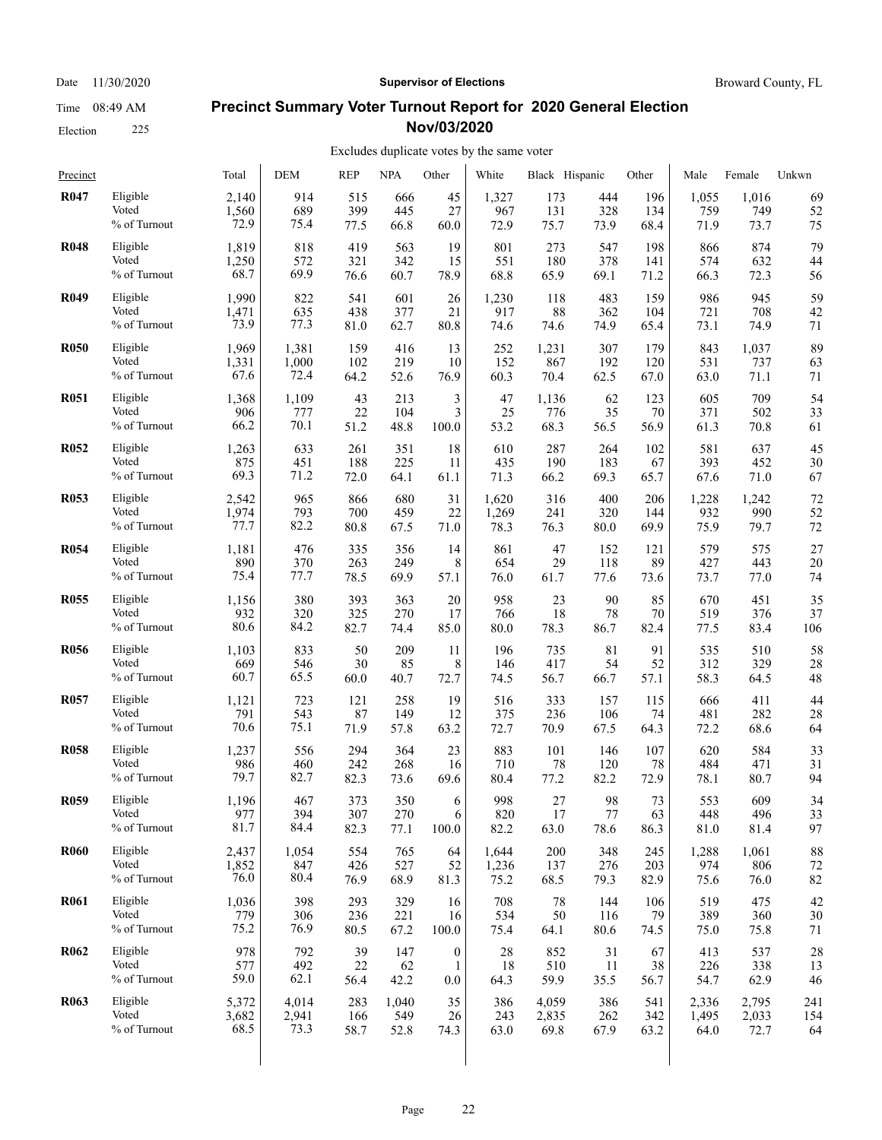### Election 225

#### Date 11/30/2020 **Supervisor of Elections Supervisor of Elections** Broward County, FL

#### **Precinct Summary Voter Turnout Report for 2020 General Election Nov/03/2020**

#### Excludes duplicate votes by the same voter

| Precinct    |                 | Total | <b>DEM</b> | <b>REP</b> | <b>NPA</b> | Other            | White | Black Hispanic |      | Other | Male  | Female | Unkwn |
|-------------|-----------------|-------|------------|------------|------------|------------------|-------|----------------|------|-------|-------|--------|-------|
| <b>R047</b> | Eligible        | 2,140 | 914        | 515        | 666        | 45               | 1,327 | 173            | 444  | 196   | 1,055 | 1,016  | 69    |
|             | Voted           | 1,560 | 689        | 399        | 445        | 27               | 967   | 131            | 328  | 134   | 759   | 749    | 52    |
|             | % of Turnout    | 72.9  | 75.4       | 77.5       | 66.8       | 60.0             | 72.9  | 75.7           | 73.9 | 68.4  | 71.9  | 73.7   | 75    |
| <b>R048</b> | Eligible        | 1,819 | 818        | 419        | 563        | 19               | 801   | 273            | 547  | 198   | 866   | 874    | 79    |
|             | Voted           | 1,250 | 572        | 321        | 342        | 15               | 551   | 180            | 378  | 141   | 574   | 632    | 44    |
|             | % of Turnout    | 68.7  | 69.9       | 76.6       | 60.7       | 78.9             | 68.8  | 65.9           | 69.1 | 71.2  | 66.3  | 72.3   | 56    |
| <b>R049</b> | Eligible        | 1,990 | 822        | 541        | 601        | 26               | 1,230 | 118            | 483  | 159   | 986   | 945    | 59    |
|             | Voted           | 1,471 | 635        | 438        | 377        | 21               | 917   | 88             | 362  | 104   | 721   | 708    | 42    |
|             | % of Turnout    | 73.9  | 77.3       | 81.0       | 62.7       | 80.8             | 74.6  | 74.6           | 74.9 | 65.4  | 73.1  | 74.9   | 71    |
| <b>R050</b> | Eligible        | 1,969 | 1,381      | 159        | 416        | 13               | 252   | 1,231          | 307  | 179   | 843   | 1,037  | 89    |
|             | Voted           | 1,331 | 1,000      | 102        | 219        | 10               | 152   | 867            | 192  | 120   | 531   | 737    | 63    |
|             | $\%$ of Turnout | 67.6  | 72.4       | 64.2       | 52.6       | 76.9             | 60.3  | 70.4           | 62.5 | 67.0  | 63.0  | 71.1   | 71    |
| <b>R051</b> | Eligible        | 1,368 | 1,109      | 43         | 213        | 3                | 47    | 1,136          | 62   | 123   | 605   | 709    | 54    |
|             | Voted           | 906   | 777        | 22         | 104        | 3                | 25    | 776            | 35   | 70    | 371   | 502    | 33    |
|             | % of Turnout    | 66.2  | 70.1       | 51.2       | 48.8       | 100.0            | 53.2  | 68.3           | 56.5 | 56.9  | 61.3  | 70.8   | 61    |
| <b>R052</b> | Eligible        | 1,263 | 633        | 261        | 351        | 18               | 610   | 287            | 264  | 102   | 581   | 637    | 45    |
|             | Voted           | 875   | 451        | 188        | 225        | 11               | 435   | 190            | 183  | 67    | 393   | 452    | 30    |
|             | % of Turnout    | 69.3  | 71.2       | 72.0       | 64.1       | 61.1             | 71.3  | 66.2           | 69.3 | 65.7  | 67.6  | 71.0   | 67    |
| <b>R053</b> | Eligible        | 2,542 | 965        | 866        | 680        | 31               | 1,620 | 316            | 400  | 206   | 1,228 | 1,242  | 72    |
|             | Voted           | 1,974 | 793        | 700        | 459        | 22               | 1,269 | 241            | 320  | 144   | 932   | 990    | 52    |
|             | % of Turnout    | 77.7  | 82.2       | 80.8       | 67.5       | 71.0             | 78.3  | 76.3           | 80.0 | 69.9  | 75.9  | 79.7   | 72    |
| <b>R054</b> | Eligible        | 1,181 | 476        | 335        | 356        | 14               | 861   | 47             | 152  | 121   | 579   | 575    | 27    |
|             | Voted           | 890   | 370        | 263        | 249        | 8                | 654   | 29             | 118  | 89    | 427   | 443    | 20    |
|             | % of Turnout    | 75.4  | 77.7       | 78.5       | 69.9       | 57.1             | 76.0  | 61.7           | 77.6 | 73.6  | 73.7  | 77.0   | 74    |
| <b>R055</b> | Eligible        | 1,156 | 380        | 393        | 363        | 20               | 958   | 23             | 90   | 85    | 670   | 451    | 35    |
|             | Voted           | 932   | 320        | 325        | 270        | 17               | 766   | 18             | 78   | 70    | 519   | 376    | 37    |
|             | % of Turnout    | 80.6  | 84.2       | 82.7       | 74.4       | 85.0             | 80.0  | 78.3           | 86.7 | 82.4  | 77.5  | 83.4   | 106   |
| <b>R056</b> | Eligible        | 1,103 | 833        | 50         | 209        | 11               | 196   | 735            | 81   | 91    | 535   | 510    | 58    |
|             | Voted           | 669   | 546        | 30         | 85         | 8                | 146   | 417            | 54   | 52    | 312   | 329    | 28    |
|             | % of Turnout    | 60.7  | 65.5       | 60.0       | 40.7       | 72.7             | 74.5  | 56.7           | 66.7 | 57.1  | 58.3  | 64.5   | 48    |
| <b>R057</b> | Eligible        | 1,121 | 723        | 121        | 258        | 19               | 516   | 333            | 157  | 115   | 666   | 411    | 44    |
|             | Voted           | 791   | 543        | 87         | 149        | 12               | 375   | 236            | 106  | 74    | 481   | 282    | 28    |
|             | % of Turnout    | 70.6  | 75.1       | 71.9       | 57.8       | 63.2             | 72.7  | 70.9           | 67.5 | 64.3  | 72.2  | 68.6   | 64    |
| <b>R058</b> | Eligible        | 1,237 | 556        | 294        | 364        | 23               | 883   | 101            | 146  | 107   | 620   | 584    | 33    |
|             | Voted           | 986   | 460        | 242        | 268        | 16               | 710   | 78             | 120  | 78    | 484   | 471    | 31    |
|             | % of Turnout    | 79.7  | 82.7       | 82.3       | 73.6       | 69.6             | 80.4  | 77.2           | 82.2 | 72.9  | 78.1  | 80.7   | 94    |
| <b>R059</b> | Eligible        | 1.196 | 467        | 373        | 350        | 6                | 998   | 27             | 98   | 73    | 553   | 609    | 34    |
|             | Voted           | 977   | 394        | 307        | 270        | 6                | 820   | 17             | 77   | 63    | 448   | 496    | 33    |
|             | % of Turnout    | 81.7  | 84.4       | 82.3       | 77.1       | 100.0            | 82.2  | 63.0           | 78.6 | 86.3  | 81.0  | 81.4   | 97    |
| <b>R060</b> | Eligible        | 2,437 | 1,054      | 554        | 765        | 64               | 1,644 | 200            | 348  | 245   | 1,288 | 1,061  | 88    |
|             | Voted           | 1,852 | 847        | 426        | 527        | 52               | 1,236 | 137            | 276  | 203   | 974   | 806    | 72    |
|             | % of Turnout    | 76.0  | 80.4       | 76.9       | 68.9       | 81.3             | 75.2  | 68.5           | 79.3 | 82.9  | 75.6  | 76.0   | 82    |
| <b>R061</b> | Eligible        | 1,036 | 398        | 293        | 329        | 16               | 708   | 78             | 144  | 106   | 519   | 475    | 42    |
|             | Voted           | 779   | 306        | 236        | 221        | 16               | 534   | 50             | 116  | 79    | 389   | 360    | 30    |
|             | % of Turnout    | 75.2  | 76.9       | 80.5       | 67.2       | 100.0            | 75.4  | 64.1           | 80.6 | 74.5  | 75.0  | 75.8   | 71    |
| <b>R062</b> | Eligible        | 978   | 792        | 39         | 147        | $\boldsymbol{0}$ | 28    | 852            | 31   | 67    | 413   | 537    | 28    |
|             | Voted           | 577   | 492        | 22         | 62         | 1                | 18    | 510            | 11   | 38    | 226   | 338    | 13    |
|             | % of Turnout    | 59.0  | 62.1       | 56.4       | 42.2       | 0.0              | 64.3  | 59.9           | 35.5 | 56.7  | 54.7  | 62.9   | 46    |
| <b>R063</b> | Eligible        | 5,372 | 4,014      | 283        | 1,040      | 35               | 386   | 4,059          | 386  | 541   | 2,336 | 2,795  | 241   |
|             | Voted           | 3,682 | 2,941      | 166        | 549        | 26               | 243   | 2,835          | 262  | 342   | 1,495 | 2,033  | 154   |
|             | % of Turnout    | 68.5  | 73.3       | 58.7       | 52.8       | 74.3             | 63.0  | 69.8           | 67.9 | 63.2  | 64.0  | 72.7   | 64    |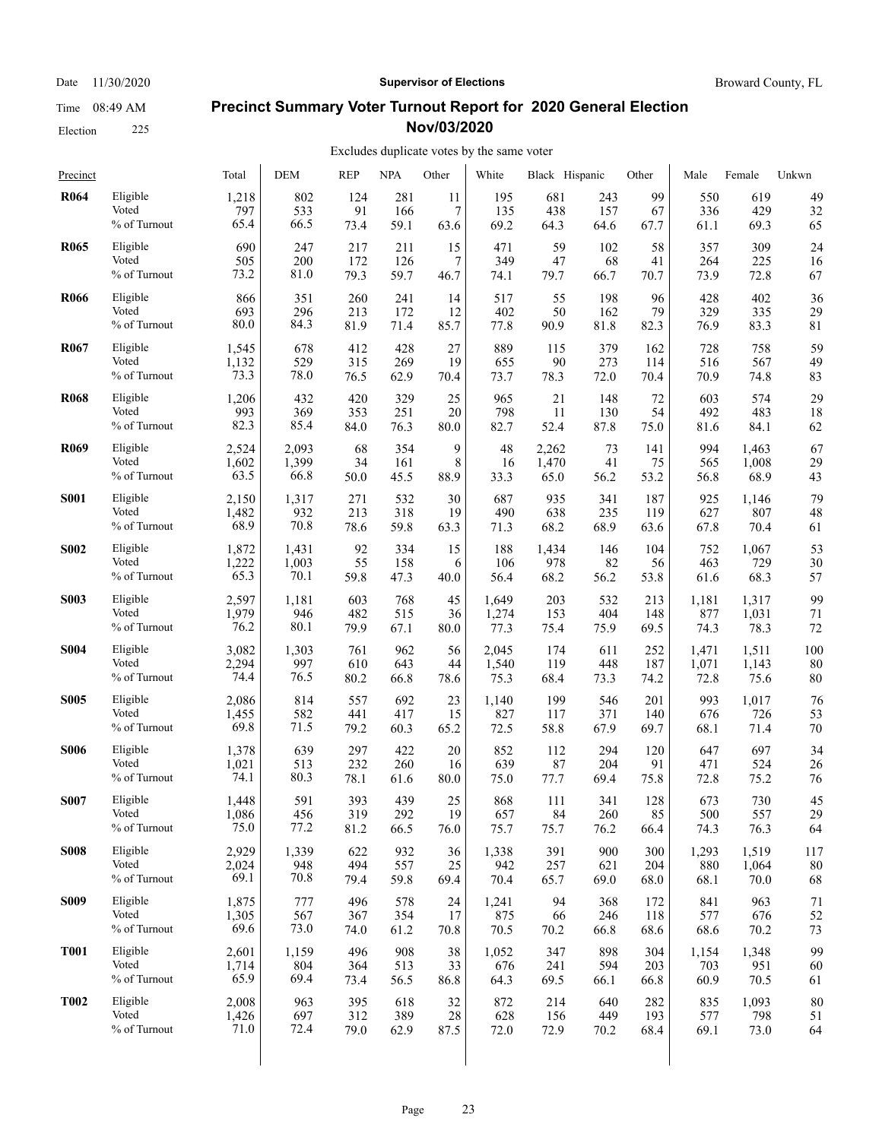Date 11/30/2020 **Supervisor of Elections Supervisor of Elections** Broward County, FL

#### **Precinct Summary Voter Turnout Report for 2020 General Election Nov/03/2020**

#### Excludes duplicate votes by the same voter  $\overline{1}$

| Precinct    |              | Total | DEM   | <b>REP</b> | <b>NPA</b> | Other | White | Black Hispanic |      | Other | Male  | Female | Unkwn |
|-------------|--------------|-------|-------|------------|------------|-------|-------|----------------|------|-------|-------|--------|-------|
| <b>R064</b> | Eligible     | 1,218 | 802   | 124        | 281        | 11    | 195   | 681            | 243  | 99    | 550   | 619    | 49    |
|             | Voted        | 797   | 533   | 91         | 166        | 7     | 135   | 438            | 157  | 67    | 336   | 429    | 32    |
|             | % of Turnout | 65.4  | 66.5  | 73.4       | 59.1       | 63.6  | 69.2  | 64.3           | 64.6 | 67.7  | 61.1  | 69.3   | 65    |
| <b>R065</b> | Eligible     | 690   | 247   | 217        | 211        | 15    | 471   | 59             | 102  | 58    | 357   | 309    | 24    |
|             | Voted        | 505   | 200   | 172        | 126        | 7     | 349   | 47             | 68   | 41    | 264   | 225    | 16    |
|             | % of Turnout | 73.2  | 81.0  | 79.3       | 59.7       | 46.7  | 74.1  | 79.7           | 66.7 | 70.7  | 73.9  | 72.8   | 67    |
| <b>R066</b> | Eligible     | 866   | 351   | 260        | 241        | 14    | 517   | 55             | 198  | 96    | 428   | 402    | 36    |
|             | Voted        | 693   | 296   | 213        | 172        | 12    | 402   | 50             | 162  | 79    | 329   | 335    | 29    |
|             | % of Turnout | 80.0  | 84.3  | 81.9       | 71.4       | 85.7  | 77.8  | 90.9           | 81.8 | 82.3  | 76.9  | 83.3   | 81    |
| <b>R067</b> | Eligible     | 1,545 | 678   | 412        | 428        | 27    | 889   | 115            | 379  | 162   | 728   | 758    | 59    |
|             | Voted        | 1,132 | 529   | 315        | 269        | 19    | 655   | 90             | 273  | 114   | 516   | 567    | 49    |
|             | % of Turnout | 73.3  | 78.0  | 76.5       | 62.9       | 70.4  | 73.7  | 78.3           | 72.0 | 70.4  | 70.9  | 74.8   | 83    |
| <b>R068</b> | Eligible     | 1,206 | 432   | 420        | 329        | 25    | 965   | 21             | 148  | 72    | 603   | 574    | 29    |
|             | Voted        | 993   | 369   | 353        | 251        | 20    | 798   | 11             | 130  | 54    | 492   | 483    | 18    |
|             | % of Turnout | 82.3  | 85.4  | 84.0       | 76.3       | 80.0  | 82.7  | 52.4           | 87.8 | 75.0  | 81.6  | 84.1   | 62    |
| <b>R069</b> | Eligible     | 2,524 | 2,093 | 68         | 354        | 9     | 48    | 2,262          | 73   | 141   | 994   | 1,463  | 67    |
|             | Voted        | 1,602 | 1,399 | 34         | 161        | 8     | 16    | 1,470          | 41   | 75    | 565   | 1,008  | 29    |
|             | % of Turnout | 63.5  | 66.8  | 50.0       | 45.5       | 88.9  | 33.3  | 65.0           | 56.2 | 53.2  | 56.8  | 68.9   | 43    |
| <b>S001</b> | Eligible     | 2,150 | 1,317 | 271        | 532        | 30    | 687   | 935            | 341  | 187   | 925   | 1,146  | 79    |
|             | Voted        | 1,482 | 932   | 213        | 318        | 19    | 490   | 638            | 235  | 119   | 627   | 807    | 48    |
|             | % of Turnout | 68.9  | 70.8  | 78.6       | 59.8       | 63.3  | 71.3  | 68.2           | 68.9 | 63.6  | 67.8  | 70.4   | 61    |
| <b>S002</b> | Eligible     | 1,872 | 1,431 | 92         | 334        | 15    | 188   | 1,434          | 146  | 104   | 752   | 1,067  | 53    |
|             | Voted        | 1,222 | 1,003 | 55         | 158        | 6     | 106   | 978            | 82   | 56    | 463   | 729    | 30    |
|             | % of Turnout | 65.3  | 70.1  | 59.8       | 47.3       | 40.0  | 56.4  | 68.2           | 56.2 | 53.8  | 61.6  | 68.3   | 57    |
| <b>S003</b> | Eligible     | 2,597 | 1,181 | 603        | 768        | 45    | 1,649 | 203            | 532  | 213   | 1,181 | 1,317  | 99    |
|             | Voted        | 1,979 | 946   | 482        | 515        | 36    | 1,274 | 153            | 404  | 148   | 877   | 1,031  | 71    |
|             | % of Turnout | 76.2  | 80.1  | 79.9       | 67.1       | 80.0  | 77.3  | 75.4           | 75.9 | 69.5  | 74.3  | 78.3   | 72    |
| <b>S004</b> | Eligible     | 3,082 | 1,303 | 761        | 962        | 56    | 2,045 | 174            | 611  | 252   | 1,471 | 1,511  | 100   |
|             | Voted        | 2,294 | 997   | 610        | 643        | 44    | 1,540 | 119            | 448  | 187   | 1,071 | 1,143  | 80    |
|             | % of Turnout | 74.4  | 76.5  | 80.2       | 66.8       | 78.6  | 75.3  | 68.4           | 73.3 | 74.2  | 72.8  | 75.6   | 80    |
| <b>S005</b> | Eligible     | 2,086 | 814   | 557        | 692        | 23    | 1,140 | 199            | 546  | 201   | 993   | 1,017  | 76    |
|             | Voted        | 1,455 | 582   | 441        | 417        | 15    | 827   | 117            | 371  | 140   | 676   | 726    | 53    |
|             | % of Turnout | 69.8  | 71.5  | 79.2       | 60.3       | 65.2  | 72.5  | 58.8           | 67.9 | 69.7  | 68.1  | 71.4   | 70    |
| <b>S006</b> | Eligible     | 1,378 | 639   | 297        | 422        | 20    | 852   | 112            | 294  | 120   | 647   | 697    | 34    |
|             | Voted        | 1,021 | 513   | 232        | 260        | 16    | 639   | 87             | 204  | 91    | 471   | 524    | 26    |
|             | % of Turnout | 74.1  | 80.3  | 78.1       | 61.6       | 80.0  | 75.0  | 77.7           | 69.4 | 75.8  | 72.8  | 75.2   | 76    |
| <b>S007</b> | Eligible     | 1,448 | 591   | 393        | 439        | 25    | 868   | 111            | 341  | 128   | 673   | 730    | 45    |
|             | Voted        | 1,086 | 456   | 319        | 292        | 19    | 657   | 84             | 260  | 85    | 500   | 557    | 29    |
|             | % of Turnout | 75.0  | 77.2  | 81.2       | 66.5       | 76.0  | 75.7  | 75.7           | 76.2 | 66.4  | 74.3  | 76.3   | 64    |
| <b>S008</b> | Eligible     | 2,929 | 1,339 | 622        | 932        | 36    | 1,338 | 391            | 900  | 300   | 1,293 | 1,519  | 117   |
|             | Voted        | 2,024 | 948   | 494        | 557        | 25    | 942   | 257            | 621  | 204   | 880   | 1,064  | 80    |
|             | % of Turnout | 69.1  | 70.8  | 79.4       | 59.8       | 69.4  | 70.4  | 65.7           | 69.0 | 68.0  | 68.1  | 70.0   | 68    |
| <b>S009</b> | Eligible     | 1,875 | 777   | 496        | 578        | 24    | 1,241 | 94             | 368  | 172   | 841   | 963    | 71    |
|             | Voted        | 1,305 | 567   | 367        | 354        | 17    | 875   | 66             | 246  | 118   | 577   | 676    | 52    |
|             | % of Turnout | 69.6  | 73.0  | 74.0       | 61.2       | 70.8  | 70.5  | 70.2           | 66.8 | 68.6  | 68.6  | 70.2   | 73    |
| <b>T001</b> | Eligible     | 2,601 | 1,159 | 496        | 908        | 38    | 1,052 | 347            | 898  | 304   | 1,154 | 1,348  | 99    |
|             | Voted        | 1,714 | 804   | 364        | 513        | 33    | 676   | 241            | 594  | 203   | 703   | 951    | 60    |
|             | % of Turnout | 65.9  | 69.4  | 73.4       | 56.5       | 86.8  | 64.3  | 69.5           | 66.1 | 66.8  | 60.9  | 70.5   | 61    |
| <b>T002</b> | Eligible     | 2,008 | 963   | 395        | 618        | 32    | 872   | 214            | 640  | 282   | 835   | 1,093  | 80    |
|             | Voted        | 1,426 | 697   | 312        | 389        | 28    | 628   | 156            | 449  | 193   | 577   | 798    | 51    |
|             | % of Turnout | 71.0  | 72.4  | 79.0       | 62.9       | 87.5  | 72.0  | 72.9           | 70.2 | 68.4  | 69.1  | 73.0   | 64    |
|             |              |       |       |            |            |       |       |                |      |       |       |        |       |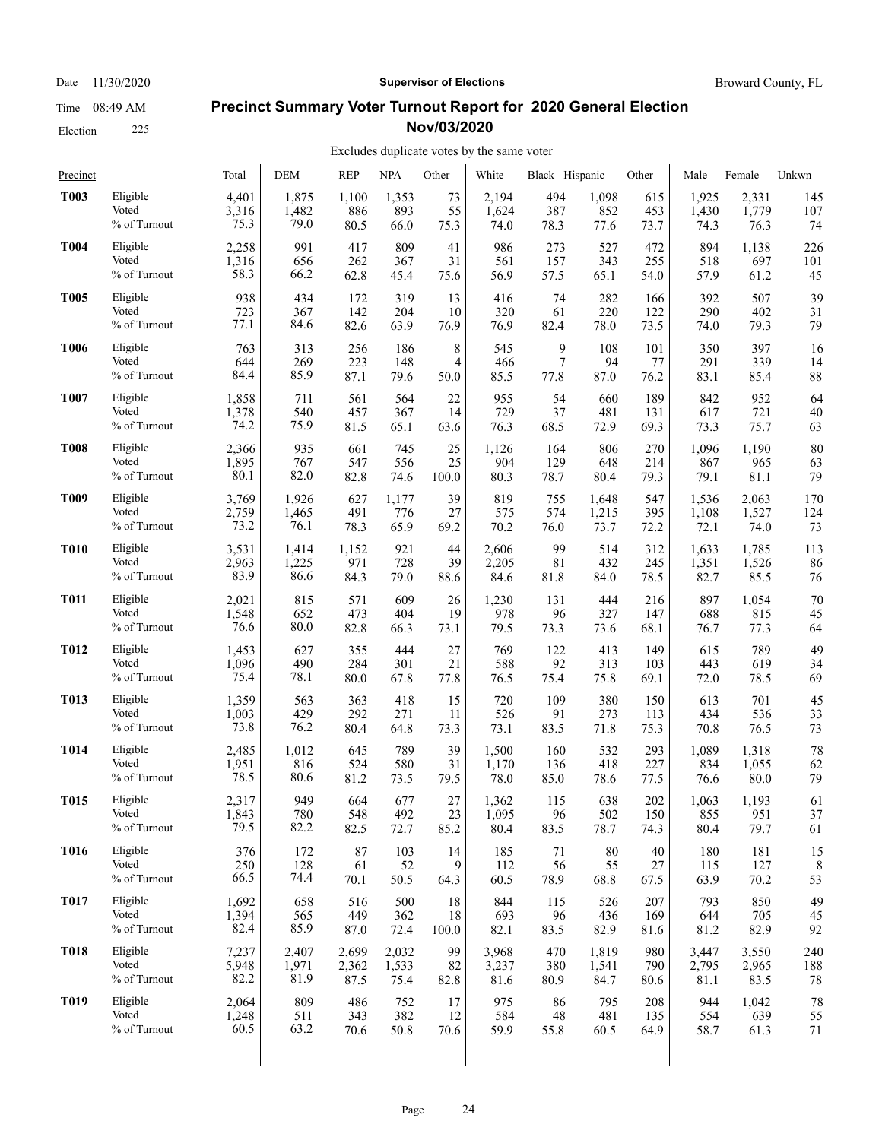Election 225

#### Date 11/30/2020 **Supervisor of Elections Supervisor of Elections** Broward County, FL

### **Precinct Summary Voter Turnout Report for 2020 General Election Nov/03/2020**

| Precinct    |                 | Total | <b>DEM</b> | <b>REP</b> | <b>NPA</b> | Other | White | Black Hispanic |        | Other | Male  | Female | Unkwn |
|-------------|-----------------|-------|------------|------------|------------|-------|-------|----------------|--------|-------|-------|--------|-------|
| <b>T003</b> | Eligible        | 4,401 | 1,875      | 1,100      | 1,353      | 73    | 2,194 | 494            | 1,098  | 615   | 1,925 | 2,331  | 145   |
|             | Voted           | 3,316 | 1,482      | 886        | 893        | 55    | 1,624 | 387            | 852    | 453   | 1,430 | 1,779  | 107   |
|             | % of Turnout    | 75.3  | 79.0       | 80.5       | 66.0       | 75.3  | 74.0  | 78.3           | 77.6   | 73.7  | 74.3  | 76.3   | 74    |
| <b>T004</b> | Eligible        | 2,258 | 991        | 417        | 809        | 41    | 986   | 273            | 527    | 472   | 894   | 1,138  | 226   |
|             | Voted           | 1,316 | 656        | 262        | 367        | 31    | 561   | 157            | 343    | 255   | 518   | 697    | 101   |
|             | % of Turnout    | 58.3  | 66.2       | 62.8       | 45.4       | 75.6  | 56.9  | 57.5           | 65.1   | 54.0  | 57.9  | 61.2   | 45    |
| <b>T005</b> | Eligible        | 938   | 434        | 172        | 319        | 13    | 416   | 74             | 282    | 166   | 392   | 507    | 39    |
|             | Voted           | 723   | 367        | 142        | 204        | 10    | 320   | 61             | 220    | 122   | 290   | 402    | 31    |
|             | % of Turnout    | 77.1  | 84.6       | 82.6       | 63.9       | 76.9  | 76.9  | 82.4           | 78.0   | 73.5  | 74.0  | 79.3   | 79    |
| <b>T006</b> | Eligible        | 763   | 313        | 256        | 186        | 8     | 545   | 9              | 108    | 101   | 350   | 397    | 16    |
|             | Voted           | 644   | 269        | 223        | 148        | 4     | 466   | 7              | 94     | 77    | 291   | 339    | 14    |
|             | % of Turnout    | 84.4  | 85.9       | 87.1       | 79.6       | 50.0  | 85.5  | 77.8           | 87.0   | 76.2  | 83.1  | 85.4   | 88    |
| <b>T007</b> | Eligible        | 1,858 | 711        | 561        | 564        | 22    | 955   | 54             | 660    | 189   | 842   | 952    | 64    |
|             | Voted           | 1,378 | 540        | 457        | 367        | 14    | 729   | 37             | 481    | 131   | 617   | 721    | 40    |
|             | % of Turnout    | 74.2  | 75.9       | 81.5       | 65.1       | 63.6  | 76.3  | 68.5           | 72.9   | 69.3  | 73.3  | 75.7   | 63    |
| <b>T008</b> | Eligible        | 2,366 | 935        | 661        | 745        | 25    | 1,126 | 164            | 806    | 270   | 1,096 | 1,190  | 80    |
|             | Voted           | 1,895 | 767        | 547        | 556        | 25    | 904   | 129            | 648    | 214   | 867   | 965    | 63    |
|             | % of Turnout    | 80.1  | 82.0       | 82.8       | 74.6       | 100.0 | 80.3  | 78.7           | 80.4   | 79.3  | 79.1  | 81.1   | 79    |
| <b>T009</b> | Eligible        | 3,769 | 1,926      | 627        | 1,177      | 39    | 819   | 755            | 1,648  | 547   | 1,536 | 2,063  | 170   |
|             | Voted           | 2,759 | 1,465      | 491        | 776        | 27    | 575   | 574            | 1,215  | 395   | 1,108 | 1,527  | 124   |
|             | % of Turnout    | 73.2  | 76.1       | 78.3       | 65.9       | 69.2  | 70.2  | 76.0           | 73.7   | 72.2  | 72.1  | 74.0   | 73    |
| <b>T010</b> | Eligible        | 3,531 | 1,414      | 1,152      | 921        | 44    | 2,606 | 99             | 514    | 312   | 1,633 | 1,785  | 113   |
|             | Voted           | 2,963 | 1,225      | 971        | 728        | 39    | 2,205 | 81             | 432    | 245   | 1,351 | 1,526  | 86    |
|             | % of Turnout    | 83.9  | 86.6       | 84.3       | 79.0       | 88.6  | 84.6  | 81.8           | 84.0   | 78.5  | 82.7  | 85.5   | 76    |
| <b>T011</b> | Eligible        | 2,021 | 815        | 571        | 609        | 26    | 1,230 | 131            | 444    | 216   | 897   | 1,054  | 70    |
|             | Voted           | 1,548 | 652        | 473        | 404        | 19    | 978   | 96             | 327    | 147   | 688   | 815    | 45    |
|             | % of Turnout    | 76.6  | 80.0       | 82.8       | 66.3       | 73.1  | 79.5  | 73.3           | 73.6   | 68.1  | 76.7  | 77.3   | 64    |
| <b>T012</b> | Eligible        | 1,453 | 627        | 355        | 444        | 27    | 769   | 122            | 413    | 149   | 615   | 789    | 49    |
|             | Voted           | 1,096 | 490        | 284        | 301        | 21    | 588   | 92             | 313    | 103   | 443   | 619    | 34    |
|             | % of Turnout    | 75.4  | 78.1       | 80.0       | 67.8       | 77.8  | 76.5  | 75.4           | 75.8   | 69.1  | 72.0  | 78.5   | 69    |
| <b>T013</b> | Eligible        | 1,359 | 563        | 363        | 418        | 15    | 720   | 109            | 380    | 150   | 613   | 701    | 45    |
|             | Voted           | 1,003 | 429        | 292        | 271        | 11    | 526   | 91             | 273    | 113   | 434   | 536    | 33    |
|             | % of Turnout    | 73.8  | 76.2       | 80.4       | 64.8       | 73.3  | 73.1  | 83.5           | 71.8   | 75.3  | 70.8  | 76.5   | 73    |
| <b>T014</b> | Eligible        | 2,485 | 1,012      | 645        | 789        | 39    | 1,500 | 160            | 532    | 293   | 1,089 | 1,318  | 78    |
|             | Voted           | 1,951 | 816        | 524        | 580        | 31    | 1,170 | 136            | 418    | 227   | 834   | 1,055  | 62    |
|             | % of Turnout    | 78.5  | 80.6       | 81.2       | 73.5       | 79.5  | 78.0  | 85.0           | 78.6   | 77.5  | 76.6  | 80.0   | 79    |
| <b>T015</b> | Eligible        | 2,317 | 949        | 664        | 677        | 27    | 1,362 | 115            | 638    | 202   | 1,063 | 1,193  | 61    |
|             | Voted           | 1,843 | 780        | 548        | 492        | 23    | 1,095 | 96             | 502    | 150   | 855   | 951    | 37    |
|             | $\%$ of Turnout | 79.5  | 82.2       | 82.5       | 72.7       | 85.2  | 80.4  | 83.5           | 78.7   | 74.3  | 80.4  | 79.7   | 61    |
| <b>T016</b> | Eligible        | 376   | 172        | 87         | 103        | 14    | 185   | 71             | $80\,$ | 40    | 180   | 181    | 15    |
|             | Voted           | 250   | 128        | 61         | 52         | 9     | 112   | 56             | 55     | 27    | 115   | 127    | 8     |
|             | % of Turnout    | 66.5  | 74.4       | 70.1       | 50.5       | 64.3  | 60.5  | 78.9           | 68.8   | 67.5  | 63.9  | 70.2   | 53    |
| <b>T017</b> | Eligible        | 1,692 | 658        | 516        | 500        | 18    | 844   | 115            | 526    | 207   | 793   | 850    | 49    |
|             | Voted           | 1,394 | 565        | 449        | 362        | 18    | 693   | 96             | 436    | 169   | 644   | 705    | 45    |
|             | % of Turnout    | 82.4  | 85.9       | 87.0       | 72.4       | 100.0 | 82.1  | 83.5           | 82.9   | 81.6  | 81.2  | 82.9   | 92    |
| <b>T018</b> | Eligible        | 7,237 | 2,407      | 2,699      | 2,032      | 99    | 3,968 | 470            | 1,819  | 980   | 3,447 | 3,550  | 240   |
|             | Voted           | 5,948 | 1,971      | 2,362      | 1,533      | 82    | 3,237 | 380            | 1,541  | 790   | 2,795 | 2,965  | 188   |
|             | % of Turnout    | 82.2  | 81.9       | 87.5       | 75.4       | 82.8  | 81.6  | 80.9           | 84.7   | 80.6  | 81.1  | 83.5   | 78    |
| <b>T019</b> | Eligible        | 2,064 | 809        | 486        | 752        | 17    | 975   | 86             | 795    | 208   | 944   | 1,042  | 78    |
|             | Voted           | 1,248 | 511        | 343        | 382        | 12    | 584   | 48             | 481    | 135   | 554   | 639    | 55    |
|             | % of Turnout    | 60.5  | 63.2       | 70.6       | 50.8       | 70.6  | 59.9  | 55.8           | 60.5   | 64.9  | 58.7  | 61.3   | 71    |
|             |                 |       |            |            |            |       |       |                |        |       |       |        |       |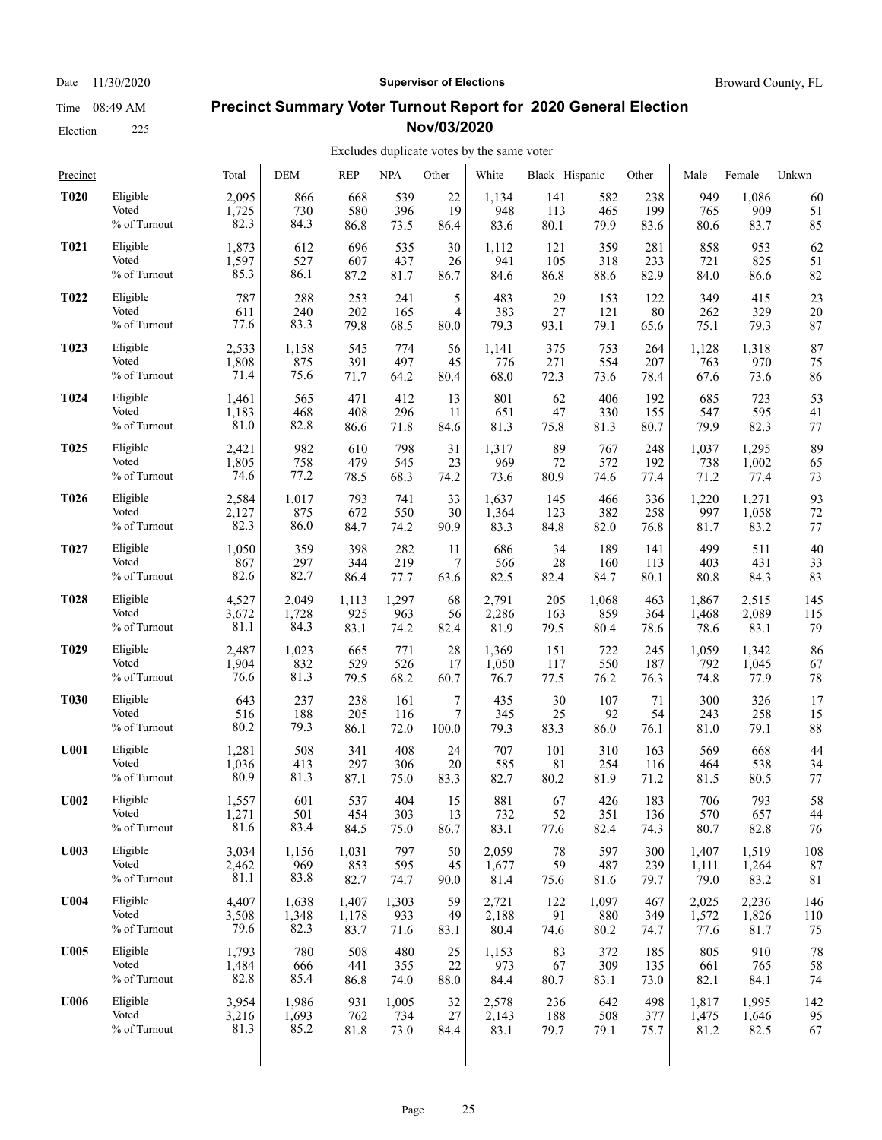Election 225

#### Date 11/30/2020 **Supervisor of Elections Supervisor of Elections** Broward County, FL

#### **Precinct Summary Voter Turnout Report for 2020 General Election Nov/03/2020**

| Precinct         |              | Total | <b>DEM</b> | <b>REP</b> | <b>NPA</b> | Other | White | Black Hispanic |       | Other | Male  | Female | Unkwn |
|------------------|--------------|-------|------------|------------|------------|-------|-------|----------------|-------|-------|-------|--------|-------|
| <b>T020</b>      | Eligible     | 2,095 | 866        | 668        | 539        | 22    | 1,134 | 141            | 582   | 238   | 949   | 1,086  | 60    |
|                  | Voted        | 1,725 | 730        | 580        | 396        | 19    | 948   | 113            | 465   | 199   | 765   | 909    | 51    |
|                  | % of Turnout | 82.3  | 84.3       | 86.8       | 73.5       | 86.4  | 83.6  | 80.1           | 79.9  | 83.6  | 80.6  | 83.7   | 85    |
| <b>T021</b>      | Eligible     | 1,873 | 612        | 696        | 535        | 30    | 1,112 | 121            | 359   | 281   | 858   | 953    | 62    |
|                  | Voted        | 1,597 | 527        | 607        | 437        | 26    | 941   | 105            | 318   | 233   | 721   | 825    | 51    |
|                  | % of Turnout | 85.3  | 86.1       | 87.2       | 81.7       | 86.7  | 84.6  | 86.8           | 88.6  | 82.9  | 84.0  | 86.6   | 82    |
| <b>T022</b>      | Eligible     | 787   | 288        | 253        | 241        | 5     | 483   | 29             | 153   | 122   | 349   | 415    | 23    |
|                  | Voted        | 611   | 240        | 202        | 165        | 4     | 383   | 27             | 121   | 80    | 262   | 329    | 20    |
|                  | % of Turnout | 77.6  | 83.3       | 79.8       | 68.5       | 80.0  | 79.3  | 93.1           | 79.1  | 65.6  | 75.1  | 79.3   | 87    |
| <b>T023</b>      | Eligible     | 2,533 | 1.158      | 545        | 774        | 56    | 1,141 | 375            | 753   | 264   | 1,128 | 1,318  | 87    |
|                  | Voted        | 1,808 | 875        | 391        | 497        | 45    | 776   | 271            | 554   | 207   | 763   | 970    | 75    |
|                  | % of Turnout | 71.4  | 75.6       | 71.7       | 64.2       | 80.4  | 68.0  | 72.3           | 73.6  | 78.4  | 67.6  | 73.6   | 86    |
| <b>T024</b>      | Eligible     | 1,461 | 565        | 471        | 412        | 13    | 801   | 62             | 406   | 192   | 685   | 723    | 53    |
|                  | Voted        | 1,183 | 468        | 408        | 296        | 11    | 651   | 47             | 330   | 155   | 547   | 595    | 41    |
|                  | % of Turnout | 81.0  | 82.8       | 86.6       | 71.8       | 84.6  | 81.3  | 75.8           | 81.3  | 80.7  | 79.9  | 82.3   | 77    |
| <b>T025</b>      | Eligible     | 2,421 | 982        | 610        | 798        | 31    | 1,317 | 89             | 767   | 248   | 1,037 | 1,295  | 89    |
|                  | Voted        | 1,805 | 758        | 479        | 545        | 23    | 969   | 72             | 572   | 192   | 738   | 1,002  | 65    |
|                  | % of Turnout | 74.6  | 77.2       | 78.5       | 68.3       | 74.2  | 73.6  | 80.9           | 74.6  | 77.4  | 71.2  | 77.4   | 73    |
| <b>T026</b>      | Eligible     | 2,584 | 1,017      | 793        | 741        | 33    | 1,637 | 145            | 466   | 336   | 1,220 | 1,271  | 93    |
|                  | Voted        | 2,127 | 875        | 672        | 550        | 30    | 1,364 | 123            | 382   | 258   | 997   | 1,058  | 72    |
|                  | % of Turnout | 82.3  | 86.0       | 84.7       | 74.2       | 90.9  | 83.3  | 84.8           | 82.0  | 76.8  | 81.7  | 83.2   | 77    |
| <b>T027</b>      | Eligible     | 1,050 | 359        | 398        | 282        | 11    | 686   | 34             | 189   | 141   | 499   | 511    | 40    |
|                  | Voted        | 867   | 297        | 344        | 219        | 7     | 566   | 28             | 160   | 113   | 403   | 431    | 33    |
|                  | % of Turnout | 82.6  | 82.7       | 86.4       | 77.7       | 63.6  | 82.5  | 82.4           | 84.7  | 80.1  | 80.8  | 84.3   | 83    |
| <b>T028</b>      | Eligible     | 4,527 | 2,049      | 1,113      | 1,297      | 68    | 2,791 | 205            | 1,068 | 463   | 1,867 | 2,515  | 145   |
|                  | Voted        | 3,672 | 1,728      | 925        | 963        | 56    | 2,286 | 163            | 859   | 364   | 1,468 | 2,089  | 115   |
|                  | % of Turnout | 81.1  | 84.3       | 83.1       | 74.2       | 82.4  | 81.9  | 79.5           | 80.4  | 78.6  | 78.6  | 83.1   | 79    |
| T <sub>029</sub> | Eligible     | 2,487 | 1,023      | 665        | 771        | 28    | 1,369 | 151            | 722   | 245   | 1,059 | 1,342  | 86    |
|                  | Voted        | 1,904 | 832        | 529        | 526        | 17    | 1,050 | 117            | 550   | 187   | 792   | 1,045  | 67    |
|                  | % of Turnout | 76.6  | 81.3       | 79.5       | 68.2       | 60.7  | 76.7  | 77.5           | 76.2  | 76.3  | 74.8  | 77.9   | 78    |
| <b>T030</b>      | Eligible     | 643   | 237        | 238        | 161        | 7     | 435   | 30             | 107   | 71    | 300   | 326    | 17    |
|                  | Voted        | 516   | 188        | 205        | 116        | 7     | 345   | 25             | 92    | 54    | 243   | 258    | 15    |
|                  | % of Turnout | 80.2  | 79.3       | 86.1       | 72.0       | 100.0 | 79.3  | 83.3           | 86.0  | 76.1  | 81.0  | 79.1   | 88    |
| <b>U001</b>      | Eligible     | 1,281 | 508        | 341        | 408        | 24    | 707   | 101            | 310   | 163   | 569   | 668    | 44    |
|                  | Voted        | 1,036 | 413        | 297        | 306        | 20    | 585   | 81             | 254   | 116   | 464   | 538    | 34    |
|                  | % of Turnout | 80.9  | 81.3       | 87.1       | 75.0       | 83.3  | 82.7  | 80.2           | 81.9  | 71.2  | 81.5  | 80.5   | 77    |
| U002             | Eligible     | 1,557 | 601        | 537        | 404        | 15    | 881   | 67             | 426   | 183   | 706   | 793    | 58    |
|                  | Voted        | 1,271 | 501        | 454        | 303        | 13    | 732   | 52             | 351   | 136   | 570   | 657    | 44    |
|                  | % of Turnout | 81.6  | 83.4       | 84.5       | 75.0       | 86.7  | 83.1  | 77.6           | 82.4  | 74.3  | 80.7  | 82.8   | 76    |
| <b>U003</b>      | Eligible     | 3,034 | 1,156      | 1,031      | 797        | 50    | 2,059 | 78             | 597   | 300   | 1,407 | 1,519  | 108   |
|                  | Voted        | 2,462 | 969        | 853        | 595        | 45    | 1,677 | 59             | 487   | 239   | 1,111 | 1,264  | 87    |
|                  | % of Turnout | 81.1  | 83.8       | 82.7       | 74.7       | 90.0  | 81.4  | 75.6           | 81.6  | 79.7  | 79.0  | 83.2   | 81    |
| <b>U004</b>      | Eligible     | 4,407 | 1,638      | 1,407      | 1,303      | 59    | 2,721 | 122            | 1,097 | 467   | 2,025 | 2,236  | 146   |
|                  | Voted        | 3,508 | 1,348      | 1,178      | 933        | 49    | 2,188 | 91             | 880   | 349   | 1,572 | 1,826  | 110   |
|                  | % of Turnout | 79.6  | 82.3       | 83.7       | 71.6       | 83.1  | 80.4  | 74.6           | 80.2  | 74.7  | 77.6  | 81.7   | 75    |
| U005             | Eligible     | 1,793 | 780        | 508        | 480        | 25    | 1,153 | 83             | 372   | 185   | 805   | 910    | 78    |
|                  | Voted        | 1,484 | 666        | 441        | 355        | 22    | 973   | 67             | 309   | 135   | 661   | 765    | 58    |
|                  | % of Turnout | 82.8  | 85.4       | 86.8       | 74.0       | 88.0  | 84.4  | 80.7           | 83.1  | 73.0  | 82.1  | 84.1   | 74    |
| <b>U006</b>      | Eligible     | 3,954 | 1,986      | 931        | 1,005      | 32    | 2,578 | 236            | 642   | 498   | 1,817 | 1,995  | 142   |
|                  | Voted        | 3,216 | 1,693      | 762        | 734        | 27    | 2,143 | 188            | 508   | 377   | 1,475 | 1,646  | 95    |
|                  | % of Turnout | 81.3  | 85.2       | 81.8       | 73.0       | 84.4  | 83.1  | 79.7           | 79.1  | 75.7  | 81.2  | 82.5   | 67    |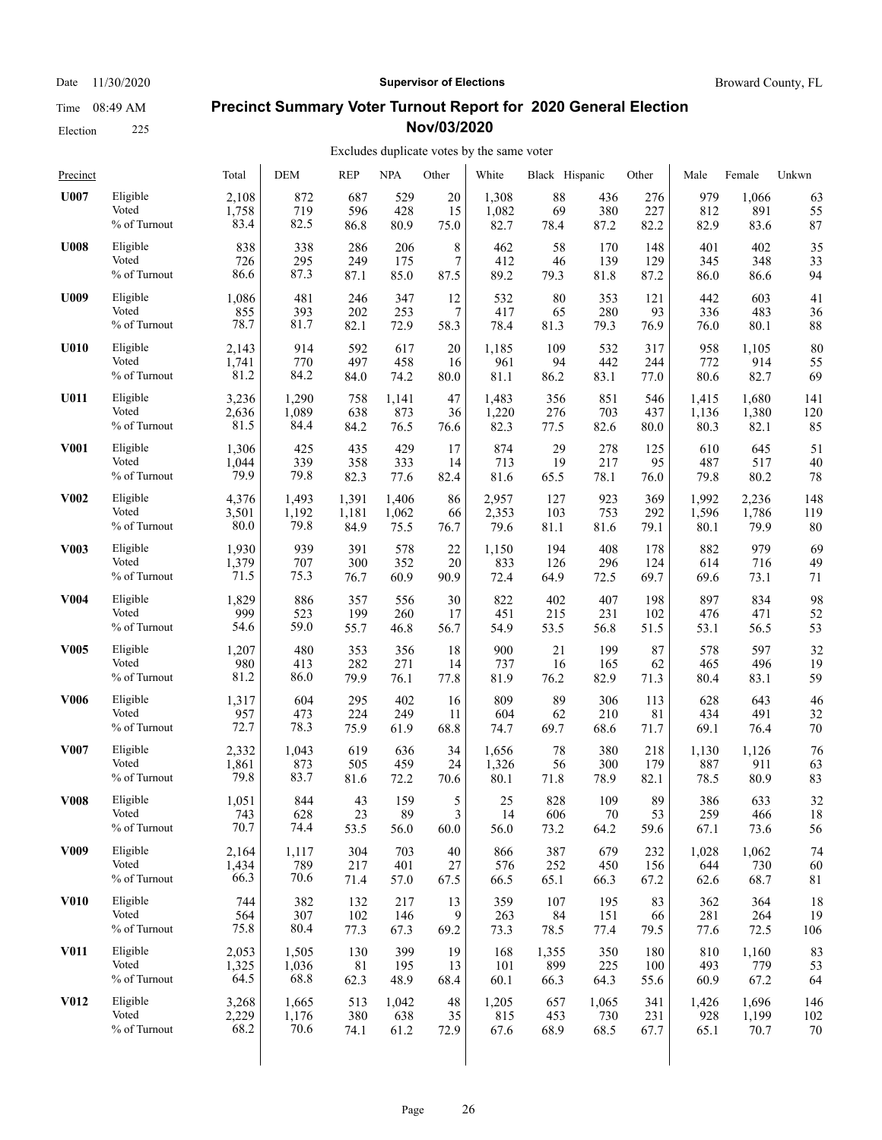### Election 225

#### Date 11/30/2020 **Supervisor of Elections Supervisor of Elections** Broward County, FL

#### **Precinct Summary Voter Turnout Report for 2020 General Election Nov/03/2020**

| Precinct         |              | Total | <b>DEM</b> | <b>REP</b> | <b>NPA</b> | Other | White | Black Hispanic |        | Other | Male  | Female | Unkwn |
|------------------|--------------|-------|------------|------------|------------|-------|-------|----------------|--------|-------|-------|--------|-------|
| U007             | Eligible     | 2,108 | 872        | 687        | 529        | 20    | 1,308 | 88             | 436    | 276   | 979   | 1,066  | 63    |
|                  | Voted        | 1,758 | 719        | 596        | 428        | 15    | 1,082 | 69             | 380    | 227   | 812   | 891    | 55    |
|                  | % of Turnout | 83.4  | 82.5       | 86.8       | 80.9       | 75.0  | 82.7  | 78.4           | 87.2   | 82.2  | 82.9  | 83.6   | 87    |
| <b>U008</b>      | Eligible     | 838   | 338        | 286        | 206        | 8     | 462   | 58             | 170    | 148   | 401   | 402    | 35    |
|                  | Voted        | 726   | 295        | 249        | 175        | 7     | 412   | 46             | 139    | 129   | 345   | 348    | 33    |
|                  | % of Turnout | 86.6  | 87.3       | 87.1       | 85.0       | 87.5  | 89.2  | 79.3           | 81.8   | 87.2  | 86.0  | 86.6   | 94    |
| U009             | Eligible     | 1,086 | 481        | 246        | 347        | 12    | 532   | 80             | 353    | 121   | 442   | 603    | 41    |
|                  | Voted        | 855   | 393        | 202        | 253        | 7     | 417   | 65             | 280    | 93    | 336   | 483    | 36    |
|                  | % of Turnout | 78.7  | 81.7       | 82.1       | 72.9       | 58.3  | 78.4  | 81.3           | 79.3   | 76.9  | 76.0  | 80.1   | 88    |
| <b>U010</b>      | Eligible     | 2,143 | 914        | 592        | 617        | 20    | 1,185 | 109            | 532    | 317   | 958   | 1,105  | 80    |
|                  | Voted        | 1,741 | 770        | 497        | 458        | 16    | 961   | 94             | 442    | 244   | 772   | 914    | 55    |
|                  | % of Turnout | 81.2  | 84.2       | 84.0       | 74.2       | 80.0  | 81.1  | 86.2           | 83.1   | 77.0  | 80.6  | 82.7   | 69    |
| U011             | Eligible     | 3,236 | 1,290      | 758        | 1,141      | 47    | 1,483 | 356            | 851    | 546   | 1,415 | 1,680  | 141   |
|                  | Voted        | 2,636 | 1,089      | 638        | 873        | 36    | 1,220 | 276            | 703    | 437   | 1,136 | 1,380  | 120   |
|                  | % of Turnout | 81.5  | 84.4       | 84.2       | 76.5       | 76.6  | 82.3  | 77.5           | 82.6   | 80.0  | 80.3  | 82.1   | 85    |
| <b>V001</b>      | Eligible     | 1,306 | 425        | 435        | 429        | 17    | 874   | 29             | 278    | 125   | 610   | 645    | 51    |
|                  | Voted        | 1,044 | 339        | 358        | 333        | 14    | 713   | 19             | 217    | 95    | 487   | 517    | 40    |
|                  | % of Turnout | 79.9  | 79.8       | 82.3       | 77.6       | 82.4  | 81.6  | 65.5           | 78.1   | 76.0  | 79.8  | 80.2   | 78    |
| <b>V002</b>      | Eligible     | 4,376 | 1,493      | 1,391      | 1,406      | 86    | 2,957 | 127            | 923    | 369   | 1,992 | 2,236  | 148   |
|                  | Voted        | 3,501 | 1,192      | 1,181      | 1,062      | 66    | 2,353 | 103            | 753    | 292   | 1,596 | 1,786  | 119   |
|                  | % of Turnout | 80.0  | 79.8       | 84.9       | 75.5       | 76.7  | 79.6  | 81.1           | 81.6   | 79.1  | 80.1  | 79.9   | 80    |
| <b>V003</b>      | Eligible     | 1,930 | 939        | 391        | 578        | 22    | 1,150 | 194            | 408    | 178   | 882   | 979    | 69    |
|                  | Voted        | 1,379 | 707        | 300        | 352        | 20    | 833   | 126            | 296    | 124   | 614   | 716    | 49    |
|                  | % of Turnout | 71.5  | 75.3       | 76.7       | 60.9       | 90.9  | 72.4  | 64.9           | 72.5   | 69.7  | 69.6  | 73.1   | 71    |
| <b>V004</b>      | Eligible     | 1,829 | 886        | 357        | 556        | 30    | 822   | 402            | 407    | 198   | 897   | 834    | 98    |
|                  | Voted        | 999   | 523        | 199        | 260        | 17    | 451   | 215            | 231    | 102   | 476   | 471    | 52    |
|                  | % of Turnout | 54.6  | 59.0       | 55.7       | 46.8       | 56.7  | 54.9  | 53.5           | 56.8   | 51.5  | 53.1  | 56.5   | 53    |
| <b>V005</b>      | Eligible     | 1,207 | 480        | 353        | 356        | 18    | 900   | 21             | 199    | 87    | 578   | 597    | 32    |
|                  | Voted        | 980   | 413        | 282        | 271        | 14    | 737   | 16             | 165    | 62    | 465   | 496    | 19    |
|                  | % of Turnout | 81.2  | 86.0       | 79.9       | 76.1       | 77.8  | 81.9  | 76.2           | 82.9   | 71.3  | 80.4  | 83.1   | 59    |
| <b>V006</b>      | Eligible     | 1,317 | 604        | 295        | 402        | 16    | 809   | 89             | 306    | 113   | 628   | 643    | 46    |
|                  | Voted        | 957   | 473        | 224        | 249        | 11    | 604   | 62             | 210    | 81    | 434   | 491    | 32    |
|                  | % of Turnout | 72.7  | 78.3       | 75.9       | 61.9       | 68.8  | 74.7  | 69.7           | 68.6   | 71.7  | 69.1  | 76.4   | 70    |
| V007             | Eligible     | 2,332 | 1,043      | 619        | 636        | 34    | 1,656 | 78             | 380    | 218   | 1,130 | 1,126  | 76    |
|                  | Voted        | 1,861 | 873        | 505        | 459        | 24    | 1,326 | 56             | 300    | 179   | 887   | 911    | 63    |
|                  | % of Turnout | 79.8  | 83.7       | 81.6       | 72.2       | 70.6  | 80.1  | 71.8           | 78.9   | 82.1  | 78.5  | 80.9   | 83    |
| <b>V008</b>      | Eligible     | 1,051 | 844        | 43         | 159        | 5     | 25    | 828            | 109    | 89    | 386   | 633    | 32    |
|                  | Voted        | 743   | 628        | 23         | 89         | 3     | 14    | 606            | $70\,$ | 53    | 259   | 466    | 18    |
|                  | % of Turnout | 70.7  | 74.4       | 53.5       | 56.0       | 60.0  | 56.0  | 73.2           | 64.2   | 59.6  | 67.1  | 73.6   | 56    |
| V <sub>009</sub> | Eligible     | 2,164 | 1,117      | 304        | 703        | 40    | 866   | 387            | 679    | 232   | 1,028 | 1,062  | 74    |
|                  | Voted        | 1,434 | 789        | 217        | 401        | 27    | 576   | 252            | 450    | 156   | 644   | 730    | 60    |
|                  | % of Turnout | 66.3  | 70.6       | 71.4       | 57.0       | 67.5  | 66.5  | 65.1           | 66.3   | 67.2  | 62.6  | 68.7   | 81    |
| <b>V010</b>      | Eligible     | 744   | 382        | 132        | 217        | 13    | 359   | 107            | 195    | 83    | 362   | 364    | 18    |
|                  | Voted        | 564   | 307        | 102        | 146        | 9     | 263   | 84             | 151    | 66    | 281   | 264    | 19    |
|                  | % of Turnout | 75.8  | 80.4       | 77.3       | 67.3       | 69.2  | 73.3  | 78.5           | 77.4   | 79.5  | 77.6  | 72.5   | 106   |
| <b>V011</b>      | Eligible     | 2,053 | 1,505      | 130        | 399        | 19    | 168   | 1,355          | 350    | 180   | 810   | 1,160  | 83    |
|                  | Voted        | 1,325 | 1,036      | 81         | 195        | 13    | 101   | 899            | 225    | 100   | 493   | 779    | 53    |
|                  | % of Turnout | 64.5  | 68.8       | 62.3       | 48.9       | 68.4  | 60.1  | 66.3           | 64.3   | 55.6  | 60.9  | 67.2   | 64    |
| V012             | Eligible     | 3,268 | 1,665      | 513        | 1,042      | 48    | 1,205 | 657            | 1,065  | 341   | 1,426 | 1,696  | 146   |
|                  | Voted        | 2,229 | 1,176      | 380        | 638        | 35    | 815   | 453            | 730    | 231   | 928   | 1,199  | 102   |
|                  | % of Turnout | 68.2  | 70.6       | 74.1       | 61.2       | 72.9  | 67.6  | 68.9           | 68.5   | 67.7  | 65.1  | 70.7   | 70    |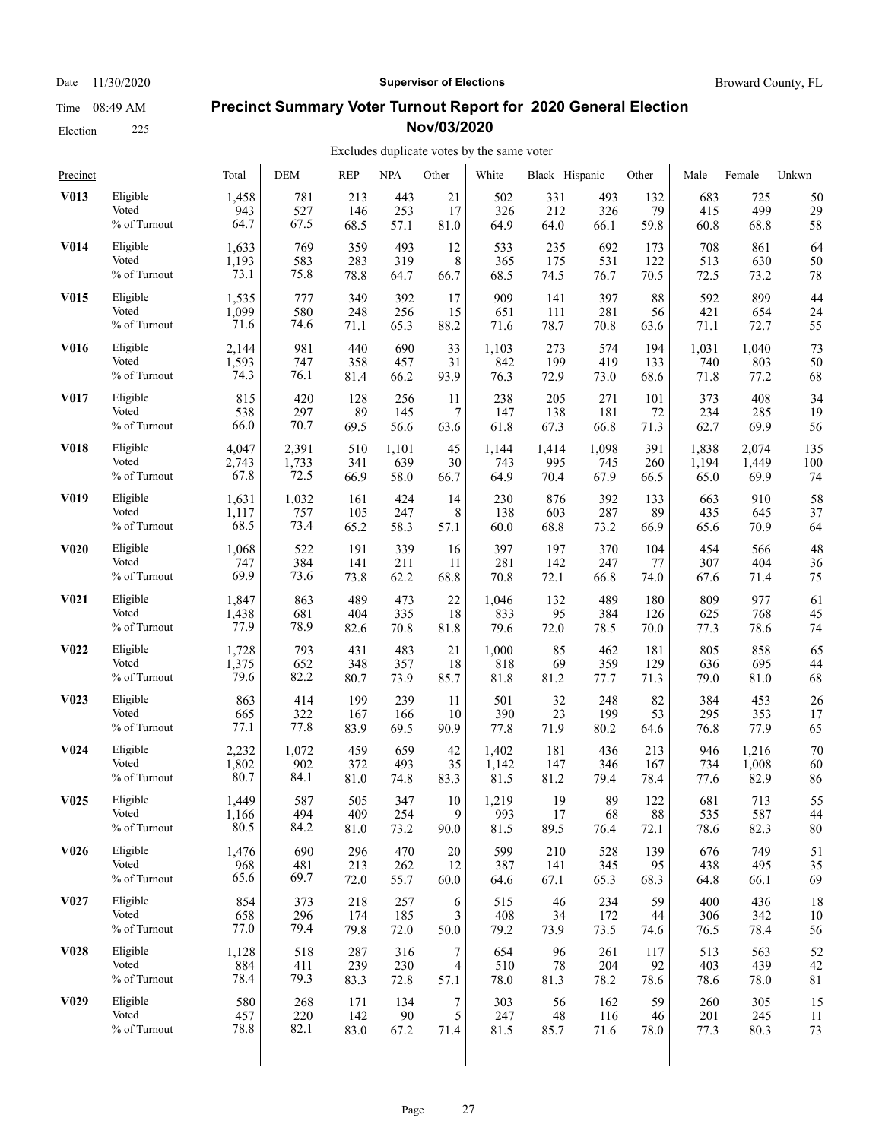Date 11/30/2020 **Supervisor of Elections Supervisor of Elections** Broward County, FL

#### **Precinct Summary Voter Turnout Report for 2020 General Election Nov/03/2020**

### Excludes duplicate votes by the same voter

| Precinct          |              | Total | <b>DEM</b> | <b>REP</b> | <b>NPA</b> | Other | White | Black Hispanic |       | Other | Male  | Female | Unkwn       |
|-------------------|--------------|-------|------------|------------|------------|-------|-------|----------------|-------|-------|-------|--------|-------------|
| V013              | Eligible     | 1,458 | 781        | 213        | 443        | 21    | 502   | 331            | 493   | 132   | 683   | 725    | 50          |
|                   | Voted        | 943   | 527        | 146        | 253        | 17    | 326   | 212            | 326   | 79    | 415   | 499    | 29          |
|                   | % of Turnout | 64.7  | 67.5       | 68.5       | 57.1       | 81.0  | 64.9  | 64.0           | 66.1  | 59.8  | 60.8  | 68.8   | 58          |
| <b>V014</b>       | Eligible     | 1,633 | 769        | 359        | 493        | 12    | 533   | 235            | 692   | 173   | 708   | 861    | 64          |
|                   | Voted        | 1,193 | 583        | 283        | 319        | 8     | 365   | 175            | 531   | 122   | 513   | 630    | 50          |
|                   | % of Turnout | 73.1  | 75.8       | 78.8       | 64.7       | 66.7  | 68.5  | 74.5           | 76.7  | 70.5  | 72.5  | 73.2   | 78          |
| <b>V015</b>       | Eligible     | 1,535 | 777        | 349        | 392        | 17    | 909   | 141            | 397   | 88    | 592   | 899    | 44          |
|                   | Voted        | 1,099 | 580        | 248        | 256        | 15    | 651   | 111            | 281   | 56    | 421   | 654    | 24          |
|                   | % of Turnout | 71.6  | 74.6       | 71.1       | 65.3       | 88.2  | 71.6  | 78.7           | 70.8  | 63.6  | 71.1  | 72.7   | 55          |
| V016              | Eligible     | 2,144 | 981        | 440        | 690        | 33    | 1,103 | 273            | 574   | 194   | 1,031 | 1,040  | 73          |
|                   | Voted        | 1,593 | 747        | 358        | 457        | 31    | 842   | 199            | 419   | 133   | 740   | 803    | 50          |
|                   | % of Turnout | 74.3  | 76.1       | 81.4       | 66.2       | 93.9  | 76.3  | 72.9           | 73.0  | 68.6  | 71.8  | 77.2   | 68          |
| V017              | Eligible     | 815   | 420        | 128        | 256        | 11    | 238   | 205            | 271   | 101   | 373   | 408    | 34          |
|                   | Voted        | 538   | 297        | 89         | 145        | 7     | 147   | 138            | 181   | 72    | 234   | 285    | 19          |
|                   | % of Turnout | 66.0  | 70.7       | 69.5       | 56.6       | 63.6  | 61.8  | 67.3           | 66.8  | 71.3  | 62.7  | 69.9   | 56          |
| <b>V018</b>       | Eligible     | 4,047 | 2,391      | 510        | 1,101      | 45    | 1,144 | 1,414          | 1,098 | 391   | 1,838 | 2,074  | 135         |
|                   | Voted        | 2,743 | 1,733      | 341        | 639        | 30    | 743   | 995            | 745   | 260   | 1,194 | 1,449  | 100         |
|                   | % of Turnout | 67.8  | 72.5       | 66.9       | 58.0       | 66.7  | 64.9  | 70.4           | 67.9  | 66.5  | 65.0  | 69.9   | 74          |
| V <sub>0</sub> 19 | Eligible     | 1,631 | 1,032      | 161        | 424        | 14    | 230   | 876            | 392   | 133   | 663   | 910    | 58          |
|                   | Voted        | 1,117 | 757        | 105        | 247        | 8     | 138   | 603            | 287   | 89    | 435   | 645    | 37          |
|                   | % of Turnout | 68.5  | 73.4       | 65.2       | 58.3       | 57.1  | 60.0  | 68.8           | 73.2  | 66.9  | 65.6  | 70.9   | 64          |
| <b>V020</b>       | Eligible     | 1,068 | 522        | 191        | 339        | 16    | 397   | 197            | 370   | 104   | 454   | 566    | 48          |
|                   | Voted        | 747   | 384        | 141        | 211        | 11    | 281   | 142            | 247   | 77    | 307   | 404    | 36          |
|                   | % of Turnout | 69.9  | 73.6       | 73.8       | 62.2       | 68.8  | 70.8  | 72.1           | 66.8  | 74.0  | 67.6  | 71.4   | 75          |
| V <sub>0</sub> 21 | Eligible     | 1,847 | 863        | 489        | 473        | 22    | 1,046 | 132            | 489   | 180   | 809   | 977    | 61          |
|                   | Voted        | 1,438 | 681        | 404        | 335        | 18    | 833   | 95             | 384   | 126   | 625   | 768    | 45          |
|                   | % of Turnout | 77.9  | 78.9       | 82.6       | 70.8       | 81.8  | 79.6  | 72.0           | 78.5  | 70.0  | 77.3  | 78.6   | 74          |
| V <sub>0</sub> 22 | Eligible     | 1,728 | 793        | 431        | 483        | 21    | 1,000 | 85             | 462   | 181   | 805   | 858    | 65          |
|                   | Voted        | 1,375 | 652        | 348        | 357        | 18    | 818   | 69             | 359   | 129   | 636   | 695    | 44          |
|                   | % of Turnout | 79.6  | 82.2       | 80.7       | 73.9       | 85.7  | 81.8  | 81.2           | 77.7  | 71.3  | 79.0  | 81.0   | 68          |
| V <sub>0</sub> 23 | Eligible     | 863   | 414        | 199        | 239        | 11    | 501   | 32             | 248   | 82    | 384   | 453    | 26          |
|                   | Voted        | 665   | 322        | 167        | 166        | 10    | 390   | 23             | 199   | 53    | 295   | 353    | 17          |
|                   | % of Turnout | 77.1  | 77.8       | 83.9       | 69.5       | 90.9  | 77.8  | 71.9           | 80.2  | 64.6  | 76.8  | 77.9   | 65          |
| V <sub>0</sub> 24 | Eligible     | 2,232 | 1,072      | 459        | 659        | 42    | 1,402 | 181            | 436   | 213   | 946   | 1,216  | 70          |
|                   | Voted        | 1,802 | 902        | 372        | 493        | 35    | 1,142 | 147            | 346   | 167   | 734   | 1,008  | 60          |
|                   | % of Turnout | 80.7  | 84.1       | 81.0       | 74.8       | 83.3  | 81.5  | 81.2           | 79.4  | 78.4  | 77.6  | 82.9   | 86          |
| V <sub>0</sub> 25 | Eligible     | 1,449 | 587        | 505        | 347        | 10    | 1,219 | 19             | 89    | 122   | 681   | 713    | 55          |
|                   | Voted        | 1,166 | 494        | 409        | 254        | 9     | 993   | 17             | 68    | 88    | 535   | 587    | 44          |
|                   | % of Turnout | 80.5  | 84.2       | 81.0       | 73.2       | 90.0  | 81.5  | 89.5           | 76.4  | 72.1  | 78.6  | 82.3   | 80          |
| V <sub>0</sub> 26 | Eligible     | 1,476 | 690        | 296        | 470        | 20    | 599   | 210            | 528   | 139   | 676   | 749    | 51          |
|                   | Voted        | 968   | 481        | 213        | 262        | 12    | 387   | 141            | 345   | 95    | 438   | 495    | 35          |
|                   | % of Turnout | 65.6  | 69.7       | 72.0       | 55.7       | 60.0  | 64.6  | 67.1           | 65.3  | 68.3  | 64.8  | 66.1   | 69          |
| V <sub>0</sub> 27 | Eligible     | 854   | 373        | 218        | 257        | 6     | 515   | 46             | 234   | 59    | 400   | 436    | 18          |
|                   | Voted        | 658   | 296        | 174        | 185        | 3     | 408   | 34             | 172   | 44    | 306   | 342    | 10          |
|                   | % of Turnout | 77.0  | 79.4       | 79.8       | 72.0       | 50.0  | 79.2  | 73.9           | 73.5  | 74.6  | 76.5  | 78.4   | 56          |
| <b>V028</b>       | Eligible     | 1,128 | 518        | 287        | 316        | 7     | 654   | 96             | 261   | 117   | 513   | 563    | 52          |
|                   | Voted        | 884   | 411        | 239        | 230        | 4     | 510   | 78             | 204   | 92    | 403   | 439    | 42          |
|                   | % of Turnout | 78.4  | 79.3       | 83.3       | 72.8       | 57.1  | 78.0  | 81.3           | 78.2  | 78.6  | 78.6  | 78.0   | $8\sqrt{1}$ |
| V <sub>0</sub> 29 | Eligible     | 580   | 268        | 171        | 134        | 7     | 303   | 56             | 162   | 59    | 260   | 305    | 15          |
|                   | Voted        | 457   | 220        | 142        | 90         | 5     | 247   | 48             | 116   | 46    | 201   | 245    | 11          |
|                   | % of Turnout | 78.8  | 82.1       | 83.0       | 67.2       | 71.4  | 81.5  | 85.7           | 71.6  | 78.0  | 77.3  | 80.3   | 73          |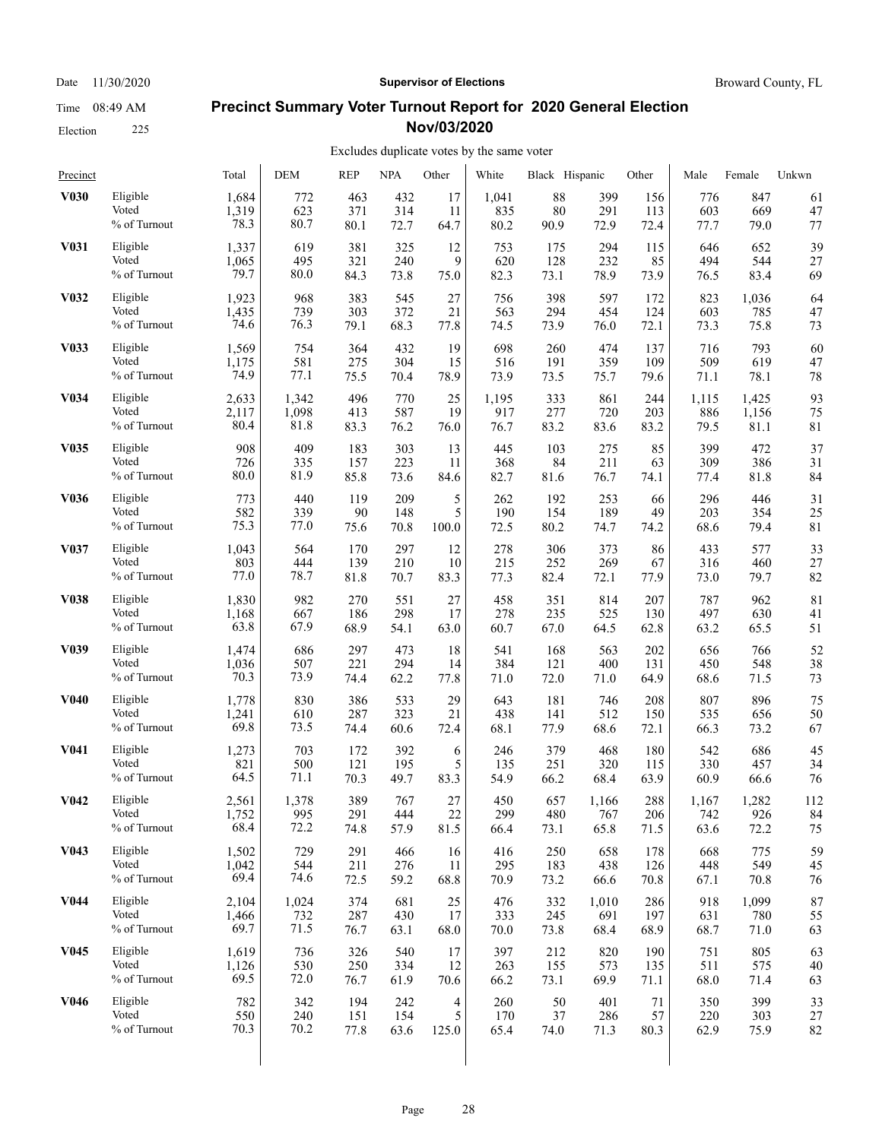Election 225

## **Precinct Summary Voter Turnout Report for 2020 General Election Nov/03/2020**

| Precinct          |              | Total | <b>DEM</b> | <b>REP</b> | <b>NPA</b> | Other  | White | Black Hispanic |       | Other | Male  | Female | Unkwn |
|-------------------|--------------|-------|------------|------------|------------|--------|-------|----------------|-------|-------|-------|--------|-------|
| <b>V030</b>       | Eligible     | 1,684 | 772        | 463        | 432        | 17     | 1,041 | 88             | 399   | 156   | 776   | 847    | 61    |
|                   | Voted        | 1,319 | 623        | 371        | 314        | 11     | 835   | 80             | 291   | 113   | 603   | 669    | 47    |
|                   | % of Turnout | 78.3  | 80.7       | 80.1       | 72.7       | 64.7   | 80.2  | 90.9           | 72.9  | 72.4  | 77.7  | 79.0   | 77    |
| V <sub>0</sub> 31 | Eligible     | 1,337 | 619        | 381        | 325        | 12     | 753   | 175            | 294   | 115   | 646   | 652    | 39    |
|                   | Voted        | 1,065 | 495        | 321        | 240        | 9      | 620   | 128            | 232   | 85    | 494   | 544    | 27    |
|                   | % of Turnout | 79.7  | 80.0       | 84.3       | 73.8       | 75.0   | 82.3  | 73.1           | 78.9  | 73.9  | 76.5  | 83.4   | 69    |
| V <sub>0</sub> 32 | Eligible     | 1,923 | 968        | 383        | 545        | 27     | 756   | 398            | 597   | 172   | 823   | 1,036  | 64    |
|                   | Voted        | 1,435 | 739        | 303        | 372        | 21     | 563   | 294            | 454   | 124   | 603   | 785    | 47    |
|                   | % of Turnout | 74.6  | 76.3       | 79.1       | 68.3       | 77.8   | 74.5  | 73.9           | 76.0  | 72.1  | 73.3  | 75.8   | 73    |
| <b>V033</b>       | Eligible     | 1,569 | 754        | 364        | 432        | 19     | 698   | 260            | 474   | 137   | 716   | 793    | 60    |
|                   | Voted        | 1,175 | 581        | 275        | 304        | 15     | 516   | 191            | 359   | 109   | 509   | 619    | 47    |
|                   | % of Turnout | 74.9  | 77.1       | 75.5       | 70.4       | 78.9   | 73.9  | 73.5           | 75.7  | 79.6  | 71.1  | 78.1   | 78    |
| V034              | Eligible     | 2,633 | 1,342      | 496        | 770        | 25     | 1,195 | 333            | 861   | 244   | 1,115 | 1,425  | 93    |
|                   | Voted        | 2,117 | 1,098      | 413        | 587        | 19     | 917   | 277            | 720   | 203   | 886   | 1,156  | 75    |
|                   | % of Turnout | 80.4  | 81.8       | 83.3       | 76.2       | 76.0   | 76.7  | 83.2           | 83.6  | 83.2  | 79.5  | 81.1   | 81    |
| <b>V035</b>       | Eligible     | 908   | 409        | 183        | 303        | 13     | 445   | 103            | 275   | 85    | 399   | 472    | 37    |
|                   | Voted        | 726   | 335        | 157        | 223        | 11     | 368   | 84             | 211   | 63    | 309   | 386    | 31    |
|                   | % of Turnout | 80.0  | 81.9       | 85.8       | 73.6       | 84.6   | 82.7  | 81.6           | 76.7  | 74.1  | 77.4  | 81.8   | 84    |
| <b>V036</b>       | Eligible     | 773   | 440        | 119        | 209        | 5      | 262   | 192            | 253   | 66    | 296   | 446    | 31    |
|                   | Voted        | 582   | 339        | 90         | 148        | 5      | 190   | 154            | 189   | 49    | 203   | 354    | 25    |
|                   | % of Turnout | 75.3  | 77.0       | 75.6       | 70.8       | 100.0  | 72.5  | 80.2           | 74.7  | 74.2  | 68.6  | 79.4   | 81    |
| V037              | Eligible     | 1,043 | 564        | 170        | 297        | 12     | 278   | 306            | 373   | 86    | 433   | 577    | 33    |
|                   | Voted        | 803   | 444        | 139        | 210        | 10     | 215   | 252            | 269   | 67    | 316   | 460    | 27    |
|                   | % of Turnout | 77.0  | 78.7       | 81.8       | 70.7       | 83.3   | 77.3  | 82.4           | 72.1  | 77.9  | 73.0  | 79.7   | 82    |
| <b>V038</b>       | Eligible     | 1,830 | 982        | 270        | 551        | 27     | 458   | 351            | 814   | 207   | 787   | 962    | 81    |
|                   | Voted        | 1,168 | 667        | 186        | 298        | 17     | 278   | 235            | 525   | 130   | 497   | 630    | 41    |
|                   | % of Turnout | 63.8  | 67.9       | 68.9       | 54.1       | 63.0   | 60.7  | 67.0           | 64.5  | 62.8  | 63.2  | 65.5   | 51    |
| V <sub>0</sub> 39 | Eligible     | 1,474 | 686        | 297        | 473        | 18     | 541   | 168            | 563   | 202   | 656   | 766    | 52    |
|                   | Voted        | 1,036 | 507        | 221        | 294        | 14     | 384   | 121            | 400   | 131   | 450   | 548    | 38    |
|                   | % of Turnout | 70.3  | 73.9       | 74.4       | 62.2       | 77.8   | 71.0  | 72.0           | 71.0  | 64.9  | 68.6  | 71.5   | 73    |
| <b>V040</b>       | Eligible     | 1,778 | 830        | 386        | 533        | 29     | 643   | 181            | 746   | 208   | 807   | 896    | 75    |
|                   | Voted        | 1,241 | 610        | 287        | 323        | 21     | 438   | 141            | 512   | 150   | 535   | 656    | 50    |
|                   | % of Turnout | 69.8  | 73.5       | 74.4       | 60.6       | 72.4   | 68.1  | 77.9           | 68.6  | 72.1  | 66.3  | 73.2   | 67    |
| V <sub>041</sub>  | Eligible     | 1,273 | 703        | 172        | 392        | 6      | 246   | 379            | 468   | 180   | 542   | 686    | 45    |
|                   | Voted        | 821   | 500        | 121        | 195        | 5      | 135   | 251            | 320   | 115   | 330   | 457    | 34    |
|                   | % of Turnout | 64.5  | 71.1       | 70.3       | 49.7       | 83.3   | 54.9  | 66.2           | 68.4  | 63.9  | 60.9  | 66.6   | 76    |
| V <sub>0</sub> 42 | Eligible     | 2,561 | 1,378      | 389        | 767        | 27     | 450   | 657            | 1,166 | 288   | 1,167 | 1,282  | 112   |
|                   | Voted        | 1,752 | 995        | 291        | 444        | $22\,$ | 299   | 480            | 767   | 206   | 742   | 926    | 84    |
|                   | % of Turnout | 68.4  | 72.2       | 74.8       | 57.9       | 81.5   | 66.4  | 73.1           | 65.8  | 71.5  | 63.6  | 72.2   | 75    |
| V <sub>0</sub> 43 | Eligible     | 1,502 | 729        | 291        | 466        | 16     | 416   | 250            | 658   | 178   | 668   | 775    | 59    |
|                   | Voted        | 1,042 | 544        | 211        | 276        | 11     | 295   | 183            | 438   | 126   | 448   | 549    | 45    |
|                   | % of Turnout | 69.4  | 74.6       | 72.5       | 59.2       | 68.8   | 70.9  | 73.2           | 66.6  | 70.8  | 67.1  | 70.8   | 76    |
| <b>V044</b>       | Eligible     | 2,104 | 1,024      | 374        | 681        | 25     | 476   | 332            | 1,010 | 286   | 918   | 1,099  | 87    |
|                   | Voted        | 1,466 | 732        | 287        | 430        | 17     | 333   | 245            | 691   | 197   | 631   | 780    | 55    |
|                   | % of Turnout | 69.7  | 71.5       | 76.7       | 63.1       | 68.0   | 70.0  | 73.8           | 68.4  | 68.9  | 68.7  | 71.0   | 63    |
| V <sub>045</sub>  | Eligible     | 1,619 | 736        | 326        | 540        | 17     | 397   | 212            | 820   | 190   | 751   | 805    | 63    |
|                   | Voted        | 1,126 | 530        | 250        | 334        | 12     | 263   | 155            | 573   | 135   | 511   | 575    | 40    |
|                   | % of Turnout | 69.5  | 72.0       | 76.7       | 61.9       | 70.6   | 66.2  | 73.1           | 69.9  | 71.1  | 68.0  | 71.4   | 63    |
| V046              | Eligible     | 782   | 342        | 194        | 242        | 4      | 260   | 50             | 401   | 71    | 350   | 399    | 33    |
|                   | Voted        | 550   | 240        | 151        | 154        | 5      | 170   | 37             | 286   | 57    | 220   | 303    | 27    |
|                   | % of Turnout | 70.3  | 70.2       | 77.8       | 63.6       | 125.0  | 65.4  | 74.0           | 71.3  | 80.3  | 62.9  | 75.9   | 82    |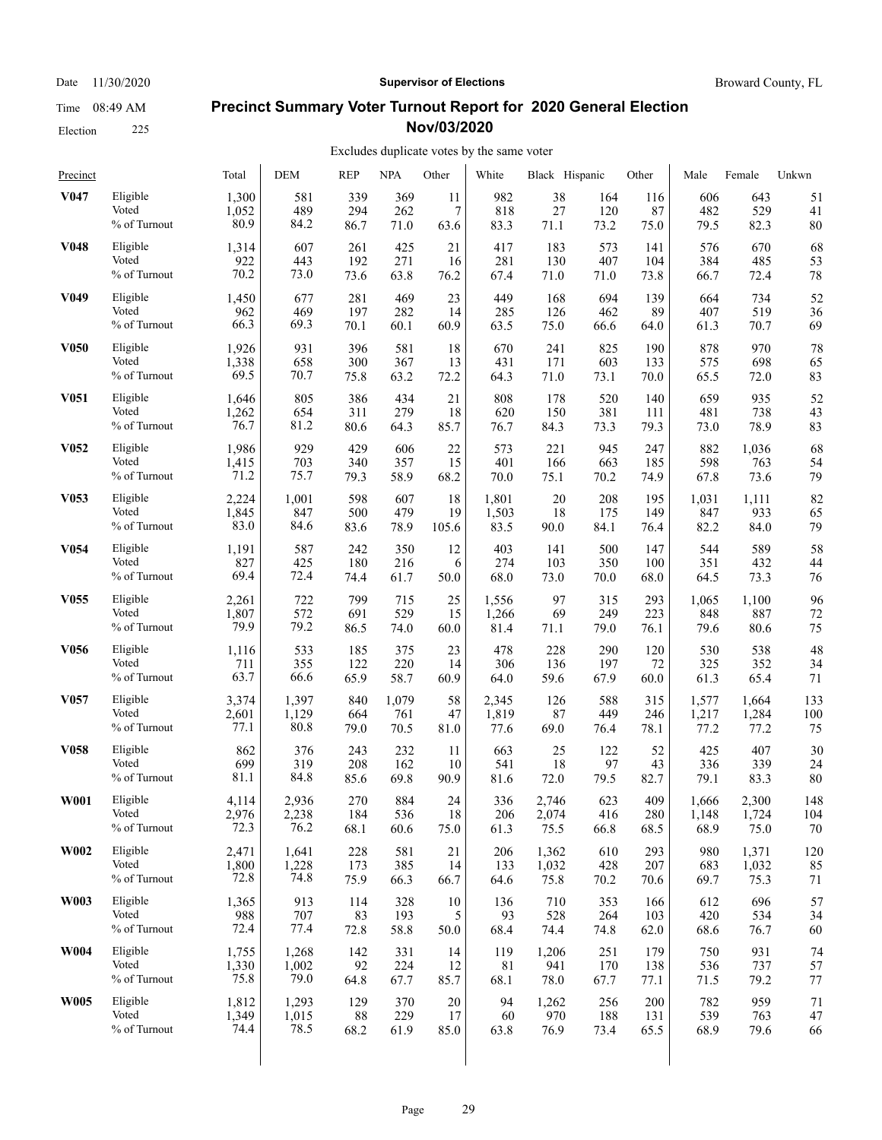Election 225

#### Date 11/30/2020 **Supervisor of Elections Supervisor of Elections** Broward County, FL

### **Precinct Summary Voter Turnout Report for 2020 General Election Nov/03/2020**

| Precinct          |                 | Total | DEM   | <b>REP</b> | <b>NPA</b> | Other | White | Black Hispanic |      | Other | Male  | Female | Unkwn |
|-------------------|-----------------|-------|-------|------------|------------|-------|-------|----------------|------|-------|-------|--------|-------|
| V <sub>047</sub>  | Eligible        | 1,300 | 581   | 339        | 369        | 11    | 982   | 38             | 164  | 116   | 606   | 643    | 51    |
|                   | Voted           | 1,052 | 489   | 294        | 262        | 7     | 818   | 27             | 120  | 87    | 482   | 529    | 41    |
|                   | % of Turnout    | 80.9  | 84.2  | 86.7       | 71.0       | 63.6  | 83.3  | 71.1           | 73.2 | 75.0  | 79.5  | 82.3   | 80    |
| <b>V048</b>       | Eligible        | 1,314 | 607   | 261        | 425        | 21    | 417   | 183            | 573  | 141   | 576   | 670    | 68    |
|                   | Voted           | 922   | 443   | 192        | 271        | 16    | 281   | 130            | 407  | 104   | 384   | 485    | 53    |
|                   | % of Turnout    | 70.2  | 73.0  | 73.6       | 63.8       | 76.2  | 67.4  | 71.0           | 71.0 | 73.8  | 66.7  | 72.4   | 78    |
| V <sub>0</sub> 49 | Eligible        | 1,450 | 677   | 281        | 469        | 23    | 449   | 168            | 694  | 139   | 664   | 734    | 52    |
|                   | Voted           | 962   | 469   | 197        | 282        | 14    | 285   | 126            | 462  | 89    | 407   | 519    | 36    |
|                   | % of Turnout    | 66.3  | 69.3  | 70.1       | 60.1       | 60.9  | 63.5  | 75.0           | 66.6 | 64.0  | 61.3  | 70.7   | 69    |
| <b>V050</b>       | Eligible        | 1,926 | 931   | 396        | 581        | 18    | 670   | 241            | 825  | 190   | 878   | 970    | 78    |
|                   | Voted           | 1,338 | 658   | 300        | 367        | 13    | 431   | 171            | 603  | 133   | 575   | 698    | 65    |
|                   | % of Turnout    | 69.5  | 70.7  | 75.8       | 63.2       | 72.2  | 64.3  | 71.0           | 73.1 | 70.0  | 65.5  | 72.0   | 83    |
| <b>V051</b>       | Eligible        | 1,646 | 805   | 386        | 434        | 21    | 808   | 178            | 520  | 140   | 659   | 935    | 52    |
|                   | Voted           | 1,262 | 654   | 311        | 279        | 18    | 620   | 150            | 381  | 111   | 481   | 738    | 43    |
|                   | % of Turnout    | 76.7  | 81.2  | 80.6       | 64.3       | 85.7  | 76.7  | 84.3           | 73.3 | 79.3  | 73.0  | 78.9   | 83    |
| V <sub>052</sub>  | Eligible        | 1,986 | 929   | 429        | 606        | 22    | 573   | 221            | 945  | 247   | 882   | 1,036  | 68    |
|                   | Voted           | 1,415 | 703   | 340        | 357        | 15    | 401   | 166            | 663  | 185   | 598   | 763    | 54    |
|                   | % of Turnout    | 71.2  | 75.7  | 79.3       | 58.9       | 68.2  | 70.0  | 75.1           | 70.2 | 74.9  | 67.8  | 73.6   | 79    |
| V <sub>053</sub>  | Eligible        | 2,224 | 1,001 | 598        | 607        | 18    | 1,801 | 20             | 208  | 195   | 1,031 | 1,111  | 82    |
|                   | Voted           | 1,845 | 847   | 500        | 479        | 19    | 1,503 | 18             | 175  | 149   | 847   | 933    | 65    |
|                   | % of Turnout    | 83.0  | 84.6  | 83.6       | 78.9       | 105.6 | 83.5  | 90.0           | 84.1 | 76.4  | 82.2  | 84.0   | 79    |
| V <sub>054</sub>  | Eligible        | 1,191 | 587   | 242        | 350        | 12    | 403   | 141            | 500  | 147   | 544   | 589    | 58    |
|                   | Voted           | 827   | 425   | 180        | 216        | 6     | 274   | 103            | 350  | 100   | 351   | 432    | 44    |
|                   | $\%$ of Turnout | 69.4  | 72.4  | 74.4       | 61.7       | 50.0  | 68.0  | 73.0           | 70.0 | 68.0  | 64.5  | 73.3   | 76    |
| V <sub>055</sub>  | Eligible        | 2,261 | 722   | 799        | 715        | 25    | 1,556 | 97             | 315  | 293   | 1,065 | 1,100  | 96    |
|                   | Voted           | 1,807 | 572   | 691        | 529        | 15    | 1,266 | 69             | 249  | 223   | 848   | 887    | 72    |
|                   | % of Turnout    | 79.9  | 79.2  | 86.5       | 74.0       | 60.0  | 81.4  | 71.1           | 79.0 | 76.1  | 79.6  | 80.6   | 75    |
| <b>V056</b>       | Eligible        | 1,116 | 533   | 185        | 375        | 23    | 478   | 228            | 290  | 120   | 530   | 538    | 48    |
|                   | Voted           | 711   | 355   | 122        | 220        | 14    | 306   | 136            | 197  | 72    | 325   | 352    | 34    |
|                   | % of Turnout    | 63.7  | 66.6  | 65.9       | 58.7       | 60.9  | 64.0  | 59.6           | 67.9 | 60.0  | 61.3  | 65.4   | 71    |
| V <sub>057</sub>  | Eligible        | 3,374 | 1,397 | 840        | 1,079      | 58    | 2,345 | 126            | 588  | 315   | 1,577 | 1,664  | 133   |
|                   | Voted           | 2,601 | 1,129 | 664        | 761        | 47    | 1,819 | 87             | 449  | 246   | 1,217 | 1,284  | 100   |
|                   | % of Turnout    | 77.1  | 80.8  | 79.0       | 70.5       | 81.0  | 77.6  | 69.0           | 76.4 | 78.1  | 77.2  | 77.2   | 75    |
| V <sub>058</sub>  | Eligible        | 862   | 376   | 243        | 232        | 11    | 663   | 25             | 122  | 52    | 425   | 407    | 30    |
|                   | Voted           | 699   | 319   | 208        | 162        | 10    | 541   | 18             | 97   | 43    | 336   | 339    | 24    |
|                   | % of Turnout    | 81.1  | 84.8  | 85.6       | 69.8       | 90.9  | 81.6  | 72.0           | 79.5 | 82.7  | 79.1  | 83.3   | 80    |
| <b>W001</b>       | Eligible        | 4,114 | 2,936 | 270        | 884        | 24    | 336   | 2,746          | 623  | 409   | 1,666 | 2,300  | 148   |
|                   | Voted           | 2,976 | 2,238 | 184        | 536        | 18    | 206   | 2,074          | 416  | 280   | 1,148 | 1,724  | 104   |
|                   | % of Turnout    | 72.3  | 76.2  | 68.1       | 60.6       | 75.0  | 61.3  | 75.5           | 66.8 | 68.5  | 68.9  | 75.0   | 70    |
| <b>W002</b>       | Eligible        | 2,471 | 1,641 | 228        | 581        | 21    | 206   | 1,362          | 610  | 293   | 980   | 1,371  | 120   |
|                   | Voted           | 1,800 | 1,228 | 173        | 385        | 14    | 133   | 1,032          | 428  | 207   | 683   | 1,032  | 85    |
|                   | % of Turnout    | 72.8  | 74.8  | 75.9       | 66.3       | 66.7  | 64.6  | 75.8           | 70.2 | 70.6  | 69.7  | 75.3   | 71    |
| W003              | Eligible        | 1,365 | 913   | 114        | 328        | 10    | 136   | 710            | 353  | 166   | 612   | 696    | 57    |
|                   | Voted           | 988   | 707   | 83         | 193        | 5     | 93    | 528            | 264  | 103   | 420   | 534    | 34    |
|                   | % of Turnout    | 72.4  | 77.4  | 72.8       | 58.8       | 50.0  | 68.4  | 74.4           | 74.8 | 62.0  | 68.6  | 76.7   | 60    |
| <b>W004</b>       | Eligible        | 1,755 | 1,268 | 142        | 331        | 14    | 119   | 1,206          | 251  | 179   | 750   | 931    | 74    |
|                   | Voted           | 1,330 | 1,002 | 92         | 224        | 12    | 81    | 941            | 170  | 138   | 536   | 737    | 57    |
|                   | % of Turnout    | 75.8  | 79.0  | 64.8       | 67.7       | 85.7  | 68.1  | 78.0           | 67.7 | 77.1  | 71.5  | 79.2   | 77    |
| <b>W005</b>       | Eligible        | 1,812 | 1,293 | 129        | 370        | 20    | 94    | 1,262          | 256  | 200   | 782   | 959    | 71    |
|                   | Voted           | 1,349 | 1,015 | 88         | 229        | 17    | 60    | 970            | 188  | 131   | 539   | 763    | 47    |
|                   | % of Turnout    | 74.4  | 78.5  | 68.2       | 61.9       | 85.0  | 63.8  | 76.9           | 73.4 | 65.5  | 68.9  | 79.6   | 66    |
|                   |                 |       |       |            |            |       |       |                |      |       |       |        |       |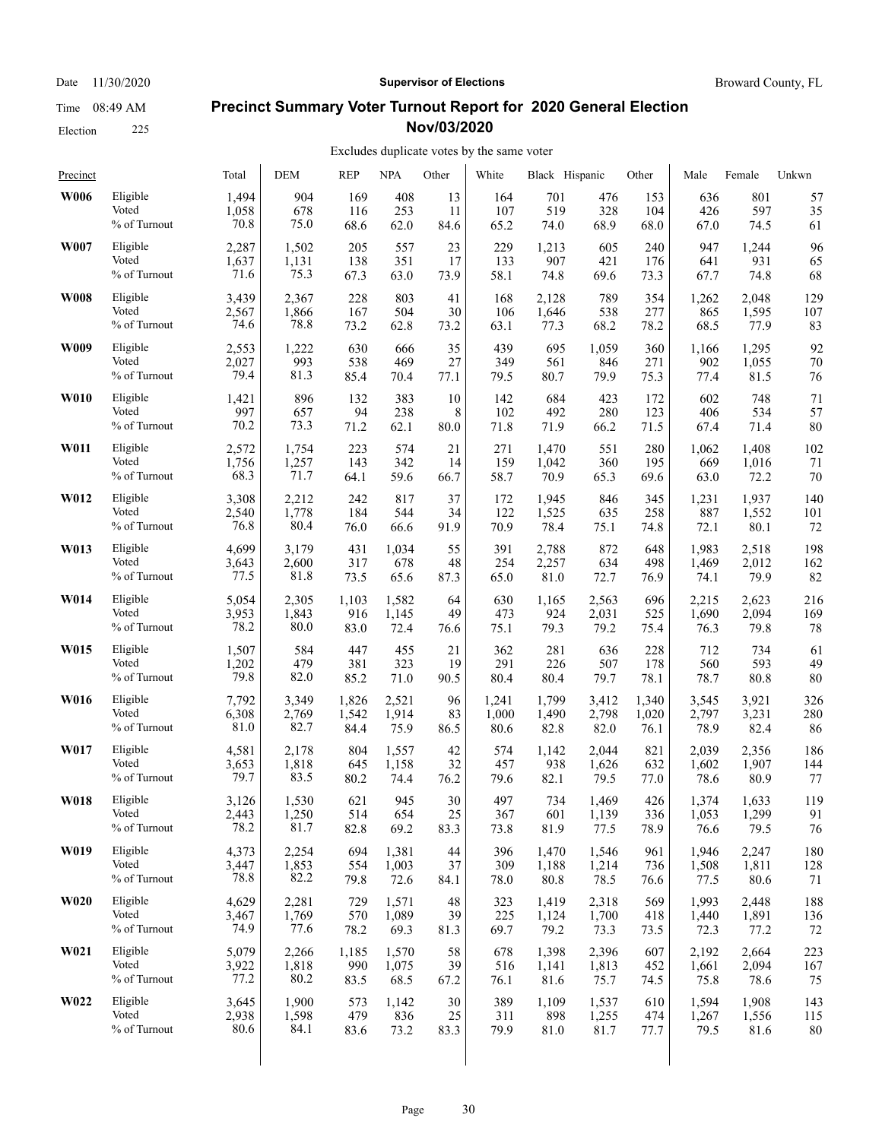Date 11/30/2020 **Supervisor of Elections Supervisor of Elections** Broward County, FL

#### **Precinct Summary Voter Turnout Report for 2020 General Election Nov/03/2020**

#### Excludes duplicate votes by the same voter

| Precinct    |                 | Total | <b>DEM</b> | <b>REP</b> | <b>NPA</b> | Other | White | Black Hispanic |       | Other | Male  | Female | Unkwn |
|-------------|-----------------|-------|------------|------------|------------|-------|-------|----------------|-------|-------|-------|--------|-------|
| W006        | Eligible        | 1,494 | 904        | 169        | 408        | 13    | 164   | 701            | 476   | 153   | 636   | 801    | 57    |
|             | Voted           | 1,058 | 678        | 116        | 253        | 11    | 107   | 519            | 328   | 104   | 426   | 597    | 35    |
|             | % of Turnout    | 70.8  | 75.0       | 68.6       | 62.0       | 84.6  | 65.2  | 74.0           | 68.9  | 68.0  | 67.0  | 74.5   | 61    |
| W007        | Eligible        | 2,287 | 1,502      | 205        | 557        | 23    | 229   | 1,213          | 605   | 240   | 947   | 1,244  | 96    |
|             | Voted           | 1,637 | 1,131      | 138        | 351        | 17    | 133   | 907            | 421   | 176   | 641   | 931    | 65    |
|             | % of Turnout    | 71.6  | 75.3       | 67.3       | 63.0       | 73.9  | 58.1  | 74.8           | 69.6  | 73.3  | 67.7  | 74.8   | 68    |
| <b>W008</b> | Eligible        | 3,439 | 2,367      | 228        | 803        | 41    | 168   | 2,128          | 789   | 354   | 1,262 | 2,048  | 129   |
|             | Voted           | 2,567 | 1,866      | 167        | 504        | 30    | 106   | 1,646          | 538   | 277   | 865   | 1,595  | 107   |
|             | % of Turnout    | 74.6  | 78.8       | 73.2       | 62.8       | 73.2  | 63.1  | 77.3           | 68.2  | 78.2  | 68.5  | 77.9   | 83    |
| W009        | Eligible        | 2,553 | 1,222      | 630        | 666        | 35    | 439   | 695            | 1,059 | 360   | 1,166 | 1,295  | 92    |
|             | Voted           | 2,027 | 993        | 538        | 469        | 27    | 349   | 561            | 846   | 271   | 902   | 1,055  | 70    |
|             | % of Turnout    | 79.4  | 81.3       | 85.4       | 70.4       | 77.1  | 79.5  | 80.7           | 79.9  | 75.3  | 77.4  | 81.5   | 76    |
| <b>W010</b> | Eligible        | 1,421 | 896        | 132        | 383        | 10    | 142   | 684            | 423   | 172   | 602   | 748    | 71    |
|             | Voted           | 997   | 657        | 94         | 238        | 8     | 102   | 492            | 280   | 123   | 406   | 534    | 57    |
|             | % of Turnout    | 70.2  | 73.3       | 71.2       | 62.1       | 80.0  | 71.8  | 71.9           | 66.2  | 71.5  | 67.4  | 71.4   | 80    |
| <b>W011</b> | Eligible        | 2,572 | 1,754      | 223        | 574        | 21    | 271   | 1,470          | 551   | 280   | 1,062 | 1,408  | 102   |
|             | Voted           | 1,756 | 1,257      | 143        | 342        | 14    | 159   | 1,042          | 360   | 195   | 669   | 1,016  | 71    |
|             | $\%$ of Turnout | 68.3  | 71.7       | 64.1       | 59.6       | 66.7  | 58.7  | 70.9           | 65.3  | 69.6  | 63.0  | 72.2   | 70    |
| W012        | Eligible        | 3,308 | 2,212      | 242        | 817        | 37    | 172   | 1,945          | 846   | 345   | 1,231 | 1,937  | 140   |
|             | Voted           | 2,540 | 1,778      | 184        | 544        | 34    | 122   | 1,525          | 635   | 258   | 887   | 1,552  | 101   |
|             | % of Turnout    | 76.8  | 80.4       | 76.0       | 66.6       | 91.9  | 70.9  | 78.4           | 75.1  | 74.8  | 72.1  | 80.1   | 72    |
| W013        | Eligible        | 4,699 | 3.179      | 431        | 1,034      | 55    | 391   | 2,788          | 872   | 648   | 1,983 | 2,518  | 198   |
|             | Voted           | 3,643 | 2,600      | 317        | 678        | 48    | 254   | 2,257          | 634   | 498   | 1,469 | 2,012  | 162   |
|             | % of Turnout    | 77.5  | 81.8       | 73.5       | 65.6       | 87.3  | 65.0  | 81.0           | 72.7  | 76.9  | 74.1  | 79.9   | 82    |
| W014        | Eligible        | 5,054 | 2,305      | 1,103      | 1,582      | 64    | 630   | 1,165          | 2,563 | 696   | 2,215 | 2,623  | 216   |
|             | Voted           | 3,953 | 1,843      | 916        | 1,145      | 49    | 473   | 924            | 2,031 | 525   | 1,690 | 2,094  | 169   |
|             | % of Turnout    | 78.2  | 80.0       | 83.0       | 72.4       | 76.6  | 75.1  | 79.3           | 79.2  | 75.4  | 76.3  | 79.8   | 78    |
| W015        | Eligible        | 1,507 | 584        | 447        | 455        | 21    | 362   | 281            | 636   | 228   | 712   | 734    | 61    |
|             | Voted           | 1,202 | 479        | 381        | 323        | 19    | 291   | 226            | 507   | 178   | 560   | 593    | 49    |
|             | % of Turnout    | 79.8  | 82.0       | 85.2       | 71.0       | 90.5  | 80.4  | 80.4           | 79.7  | 78.1  | 78.7  | 80.8   | 80    |
| W016        | Eligible        | 7,792 | 3,349      | 1,826      | 2,521      | 96    | 1,241 | 1,799          | 3,412 | 1,340 | 3,545 | 3,921  | 326   |
|             | Voted           | 6,308 | 2,769      | 1,542      | 1,914      | 83    | 1,000 | 1,490          | 2,798 | 1,020 | 2,797 | 3,231  | 280   |
|             | % of Turnout    | 81.0  | 82.7       | 84.4       | 75.9       | 86.5  | 80.6  | 82.8           | 82.0  | 76.1  | 78.9  | 82.4   | 86    |
| W017        | Eligible        | 4,581 | 2,178      | 804        | 1,557      | 42    | 574   | 1,142          | 2,044 | 821   | 2,039 | 2,356  | 186   |
|             | Voted           | 3,653 | 1,818      | 645        | 1,158      | 32    | 457   | 938            | 1,626 | 632   | 1,602 | 1,907  | 144   |
|             | % of Turnout    | 79.7  | 83.5       | 80.2       | 74.4       | 76.2  | 79.6  | 82.1           | 79.5  | 77.0  | 78.6  | 80.9   | 77    |
| W018        | Eligible        | 3,126 | 1,530      | 621        | 945        | 30    | 497   | 734            | 1,469 | 426   | 1,374 | 1,633  | 119   |
|             | Voted           | 2,443 | 1,250      | 514        | 654        | 25    | 367   | 601            | 1,139 | 336   | 1,053 | 1,299  | 91    |
|             | % of Turnout    | 78.2  | 81.7       | 82.8       | 69.2       | 83.3  | 73.8  | 81.9           | 77.5  | 78.9  | 76.6  | 79.5   | 76    |
| W019        | Eligible        | 4,373 | 2,254      | 694        | 1,381      | 44    | 396   | 1,470          | 1,546 | 961   | 1,946 | 2,247  | 180   |
|             | Voted           | 3,447 | 1,853      | 554        | 1,003      | 37    | 309   | 1,188          | 1,214 | 736   | 1,508 | 1,811  | 128   |
|             | % of Turnout    | 78.8  | 82.2       | 79.8       | 72.6       | 84.1  | 78.0  | 80.8           | 78.5  | 76.6  | 77.5  | 80.6   | 71    |
| W020        | Eligible        | 4,629 | 2,281      | 729        | 1,571      | 48    | 323   | 1,419          | 2,318 | 569   | 1,993 | 2,448  | 188   |
|             | Voted           | 3,467 | 1,769      | 570        | 1,089      | 39    | 225   | 1,124          | 1,700 | 418   | 1,440 | 1,891  | 136   |
|             | % of Turnout    | 74.9  | 77.6       | 78.2       | 69.3       | 81.3  | 69.7  | 79.2           | 73.3  | 73.5  | 72.3  | 77.2   | 72    |
| W021        | Eligible        | 5,079 | 2,266      | 1,185      | 1,570      | 58    | 678   | 1,398          | 2,396 | 607   | 2,192 | 2.664  | 223   |
|             | Voted           | 3,922 | 1,818      | 990        | 1,075      | 39    | 516   | 1,141          | 1,813 | 452   | 1,661 | 2,094  | 167   |
|             | % of Turnout    | 77.2  | 80.2       | 83.5       | 68.5       | 67.2  | 76.1  | 81.6           | 75.7  | 74.5  | 75.8  | 78.6   | 75    |
| W022        | Eligible        | 3,645 | 1,900      | 573        | 1,142      | 30    | 389   | 1,109          | 1,537 | 610   | 1,594 | 1,908  | 143   |
|             | Voted           | 2,938 | 1,598      | 479        | 836        | 25    | 311   | 898            | 1,255 | 474   | 1,267 | 1,556  | 115   |
|             | % of Turnout    | 80.6  | 84.1       | 83.6       | 73.2       | 83.3  | 79.9  | 81.0           | 81.7  | 77.7  | 79.5  | 81.6   | 80    |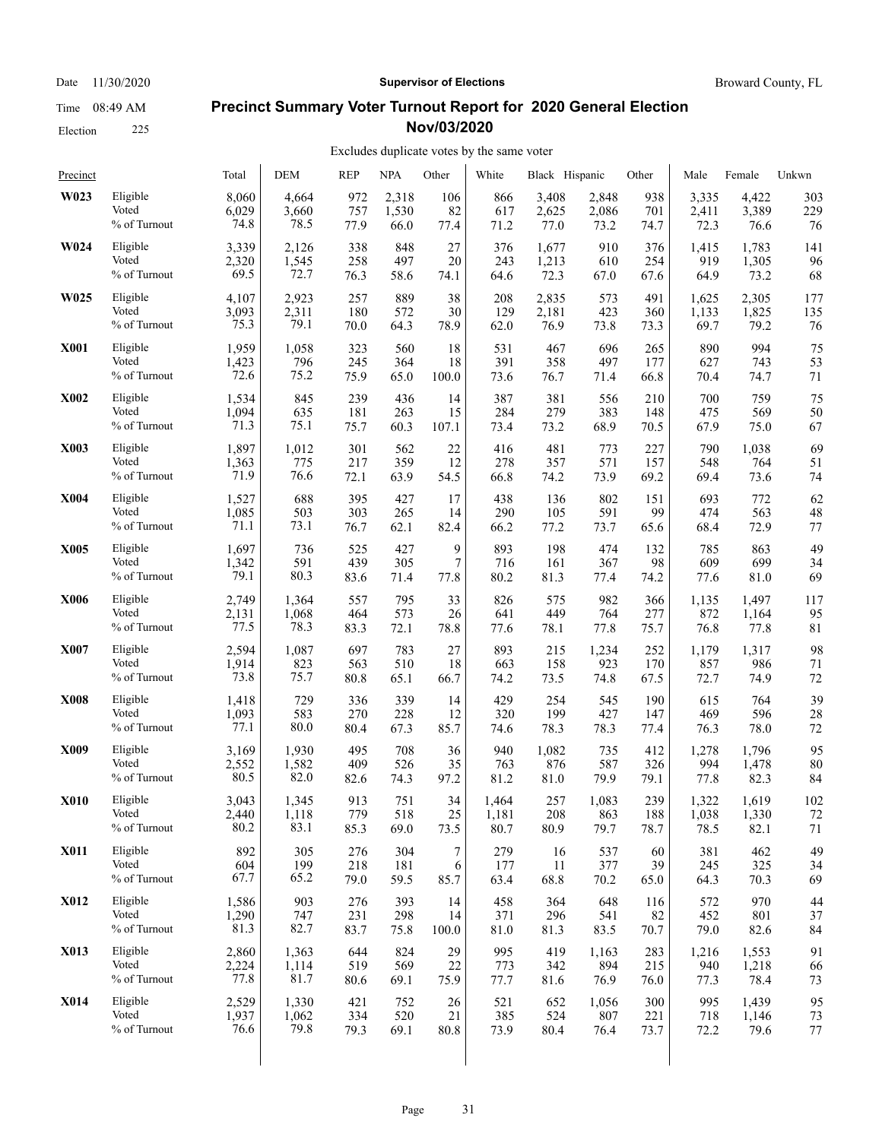# Election 225

## **Precinct Summary Voter Turnout Report for 2020 General Election Nov/03/2020**

### Excludes duplicate votes by the same voter

| Precinct    |              | Total | <b>DEM</b> | <b>REP</b> | <b>NPA</b> | Other            | White | Black Hispanic |       | Other | Male  | Female | Unkwn |
|-------------|--------------|-------|------------|------------|------------|------------------|-------|----------------|-------|-------|-------|--------|-------|
| W023        | Eligible     | 8,060 | 4,664      | 972        | 2,318      | 106              | 866   | 3,408          | 2,848 | 938   | 3,335 | 4,422  | 303   |
|             | Voted        | 6,029 | 3,660      | 757        | 1,530      | 82               | 617   | 2,625          | 2,086 | 701   | 2,411 | 3,389  | 229   |
|             | % of Turnout | 74.8  | 78.5       | 77.9       | 66.0       | 77.4             | 71.2  | 77.0           | 73.2  | 74.7  | 72.3  | 76.6   | 76    |
| W024        | Eligible     | 3,339 | 2,126      | 338        | 848        | 27               | 376   | 1,677          | 910   | 376   | 1,415 | 1,783  | 141   |
|             | Voted        | 2,320 | 1,545      | 258        | 497        | 20               | 243   | 1,213          | 610   | 254   | 919   | 1,305  | 96    |
|             | % of Turnout | 69.5  | 72.7       | 76.3       | 58.6       | 74.1             | 64.6  | 72.3           | 67.0  | 67.6  | 64.9  | 73.2   | 68    |
| W025        | Eligible     | 4,107 | 2,923      | 257        | 889        | 38               | 208   | 2,835          | 573   | 491   | 1,625 | 2,305  | 177   |
|             | Voted        | 3,093 | 2,311      | 180        | 572        | 30               | 129   | 2,181          | 423   | 360   | 1,133 | 1,825  | 135   |
|             | % of Turnout | 75.3  | 79.1       | 70.0       | 64.3       | 78.9             | 62.0  | 76.9           | 73.8  | 73.3  | 69.7  | 79.2   | 76    |
| <b>X001</b> | Eligible     | 1,959 | 1,058      | 323        | 560        | 18               | 531   | 467            | 696   | 265   | 890   | 994    | 75    |
|             | Voted        | 1,423 | 796        | 245        | 364        | 18               | 391   | 358            | 497   | 177   | 627   | 743    | 53    |
|             | % of Turnout | 72.6  | 75.2       | 75.9       | 65.0       | 100.0            | 73.6  | 76.7           | 71.4  | 66.8  | 70.4  | 74.7   | 71    |
| <b>X002</b> | Eligible     | 1,534 | 845        | 239        | 436        | 14               | 387   | 381            | 556   | 210   | 700   | 759    | 75    |
|             | Voted        | 1,094 | 635        | 181        | 263        | 15               | 284   | 279            | 383   | 148   | 475   | 569    | 50    |
|             | % of Turnout | 71.3  | 75.1       | 75.7       | 60.3       | 107.1            | 73.4  | 73.2           | 68.9  | 70.5  | 67.9  | 75.0   | 67    |
| X003        | Eligible     | 1,897 | 1,012      | 301        | 562        | 22               | 416   | 481            | 773   | 227   | 790   | 1,038  | 69    |
|             | Voted        | 1,363 | 775        | 217        | 359        | 12               | 278   | 357            | 571   | 157   | 548   | 764    | 51    |
|             | % of Turnout | 71.9  | 76.6       | 72.1       | 63.9       | 54.5             | 66.8  | 74.2           | 73.9  | 69.2  | 69.4  | 73.6   | 74    |
| <b>X004</b> | Eligible     | 1,527 | 688        | 395        | 427        | 17               | 438   | 136            | 802   | 151   | 693   | 772    | 62    |
|             | Voted        | 1,085 | 503        | 303        | 265        | 14               | 290   | 105            | 591   | 99    | 474   | 563    | 48    |
|             | % of Turnout | 71.1  | 73.1       | 76.7       | 62.1       | 82.4             | 66.2  | 77.2           | 73.7  | 65.6  | 68.4  | 72.9   | 77    |
| <b>X005</b> | Eligible     | 1,697 | 736        | 525        | 427        | 9                | 893   | 198            | 474   | 132   | 785   | 863    | 49    |
|             | Voted        | 1,342 | 591        | 439        | 305        | 7                | 716   | 161            | 367   | 98    | 609   | 699    | 34    |
|             | % of Turnout | 79.1  | 80.3       | 83.6       | 71.4       | 77.8             | 80.2  | 81.3           | 77.4  | 74.2  | 77.6  | 81.0   | 69    |
| <b>X006</b> | Eligible     | 2,749 | 1,364      | 557        | 795        | 33               | 826   | 575            | 982   | 366   | 1,135 | 1,497  | 117   |
|             | Voted        | 2,131 | 1,068      | 464        | 573        | 26               | 641   | 449            | 764   | 277   | 872   | 1,164  | 95    |
|             | % of Turnout | 77.5  | 78.3       | 83.3       | 72.1       | 78.8             | 77.6  | 78.1           | 77.8  | 75.7  | 76.8  | 77.8   | 81    |
| <b>X007</b> | Eligible     | 2,594 | 1,087      | 697        | 783        | 27               | 893   | 215            | 1,234 | 252   | 1,179 | 1,317  | 98    |
|             | Voted        | 1,914 | 823        | 563        | 510        | 18               | 663   | 158            | 923   | 170   | 857   | 986    | 71    |
|             | % of Turnout | 73.8  | 75.7       | 80.8       | 65.1       | 66.7             | 74.2  | 73.5           | 74.8  | 67.5  | 72.7  | 74.9   | 72    |
| <b>X008</b> | Eligible     | 1,418 | 729        | 336        | 339        | 14               | 429   | 254            | 545   | 190   | 615   | 764    | 39    |
|             | Voted        | 1,093 | 583        | 270        | 228        | 12               | 320   | 199            | 427   | 147   | 469   | 596    | 28    |
|             | % of Turnout | 77.1  | 80.0       | 80.4       | 67.3       | 85.7             | 74.6  | 78.3           | 78.3  | 77.4  | 76.3  | 78.0   | 72    |
| X009        | Eligible     | 3,169 | 1,930      | 495        | 708        | 36               | 940   | 1,082          | 735   | 412   | 1,278 | 1,796  | 95    |
|             | Voted        | 2,552 | 1,582      | 409        | 526        | 35               | 763   | 876            | 587   | 326   | 994   | 1,478  | 80    |
|             | % of Turnout | 80.5  | 82.0       | 82.6       | 74.3       | 97.2             | 81.2  | 81.0           | 79.9  | 79.1  | 77.8  | 82.3   | 84    |
| <b>X010</b> | Eligible     | 3,043 | 1.345      | 913        | 751        | 34               | 1,464 | 257            | 1,083 | 239   | 1,322 | 1,619  | 102   |
|             | Voted        | 2,440 | 1,118      | 779        | 518        | 25               | 1,181 | 208            | 863   | 188   | 1,038 | 1,330  | 72    |
|             | % of Turnout | 80.2  | 83.1       | 85.3       | 69.0       | 73.5             | 80.7  | 80.9           | 79.7  | 78.7  | 78.5  | 82.1   | 71    |
| <b>X011</b> | Eligible     | 892   | 305        | 276        | 304        | $\boldsymbol{7}$ | 279   | 16             | 537   | 60    | 381   | 462    | 49    |
|             | Voted        | 604   | 199        | 218        | 181        | 6                | 177   | 11             | 377   | 39    | 245   | 325    | 34    |
|             | % of Turnout | 67.7  | 65.2       | 79.0       | 59.5       | 85.7             | 63.4  | 68.8           | 70.2  | 65.0  | 64.3  | 70.3   | 69    |
| <b>X012</b> | Eligible     | 1,586 | 903        | 276        | 393        | 14               | 458   | 364            | 648   | 116   | 572   | 970    | 44    |
|             | Voted        | 1,290 | 747        | 231        | 298        | 14               | 371   | 296            | 541   | 82    | 452   | 801    | 37    |
|             | % of Turnout | 81.3  | 82.7       | 83.7       | 75.8       | 100.0            | 81.0  | 81.3           | 83.5  | 70.7  | 79.0  | 82.6   | 84    |
| X013        | Eligible     | 2,860 | 1,363      | 644        | 824        | 29               | 995   | 419            | 1,163 | 283   | 1,216 | 1,553  | 91    |
|             | Voted        | 2,224 | 1,114      | 519        | 569        | 22               | 773   | 342            | 894   | 215   | 940   | 1,218  | 66    |
|             | % of Turnout | 77.8  | 81.7       | 80.6       | 69.1       | 75.9             | 77.7  | 81.6           | 76.9  | 76.0  | 77.3  | 78.4   | 73    |
| <b>X014</b> | Eligible     | 2,529 | 1,330      | 421        | 752        | 26               | 521   | 652            | 1,056 | 300   | 995   | 1,439  | 95    |
|             | Voted        | 1,937 | 1,062      | 334        | 520        | 21               | 385   | 524            | 807   | 221   | 718   | 1,146  | 73    |
|             | % of Turnout | 76.6  | 79.8       | 79.3       | 69.1       | 80.8             | 73.9  | 80.4           | 76.4  | 73.7  | 72.2  | 79.6   | 77    |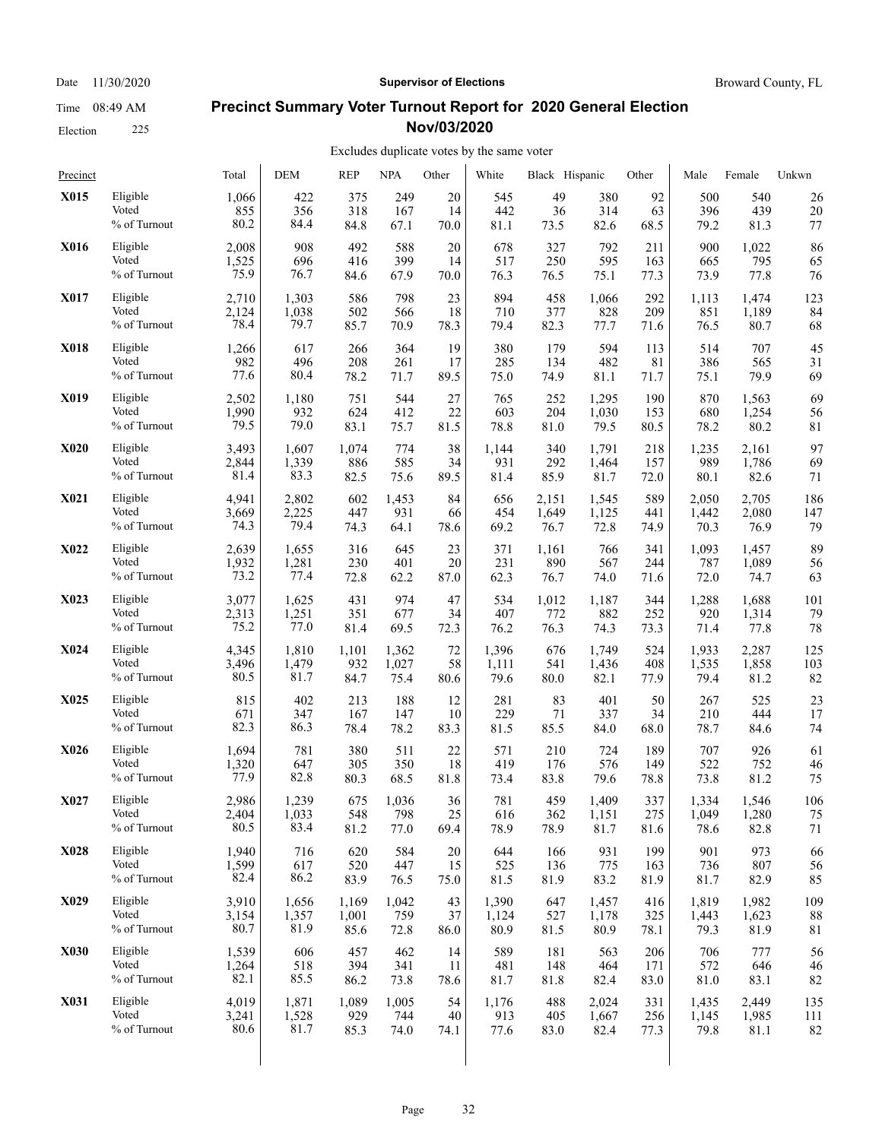## Date 11/30/2020 **Supervisor of Elections Supervisor of Elections** Broward County, FL

### **Precinct Summary Voter Turnout Report for 2020 General Election Nov/03/2020**

#### Excludes duplicate votes by the same voter

| Precinct    |              | Total | DEM   | <b>REP</b> | <b>NPA</b> | Other | White | Black Hispanic |       | Other | Male  | Female | Unkwn |
|-------------|--------------|-------|-------|------------|------------|-------|-------|----------------|-------|-------|-------|--------|-------|
| X015        | Eligible     | 1,066 | 422   | 375        | 249        | 20    | 545   | 49             | 380   | 92    | 500   | 540    | 26    |
|             | Voted        | 855   | 356   | 318        | 167        | 14    | 442   | 36             | 314   | 63    | 396   | 439    | 20    |
|             | % of Turnout | 80.2  | 84.4  | 84.8       | 67.1       | 70.0  | 81.1  | 73.5           | 82.6  | 68.5  | 79.2  | 81.3   | 77    |
| X016        | Eligible     | 2,008 | 908   | 492        | 588        | 20    | 678   | 327            | 792   | 211   | 900   | 1,022  | 86    |
|             | Voted        | 1,525 | 696   | 416        | 399        | 14    | 517   | 250            | 595   | 163   | 665   | 795    | 65    |
|             | % of Turnout | 75.9  | 76.7  | 84.6       | 67.9       | 70.0  | 76.3  | 76.5           | 75.1  | 77.3  | 73.9  | 77.8   | 76    |
| X017        | Eligible     | 2,710 | 1,303 | 586        | 798        | 23    | 894   | 458            | 1,066 | 292   | 1,113 | 1,474  | 123   |
|             | Voted        | 2,124 | 1,038 | 502        | 566        | 18    | 710   | 377            | 828   | 209   | 851   | 1,189  | 84    |
|             | % of Turnout | 78.4  | 79.7  | 85.7       | 70.9       | 78.3  | 79.4  | 82.3           | 77.7  | 71.6  | 76.5  | 80.7   | 68    |
| <b>X018</b> | Eligible     | 1,266 | 617   | 266        | 364        | 19    | 380   | 179            | 594   | 113   | 514   | 707    | 45    |
|             | Voted        | 982   | 496   | 208        | 261        | 17    | 285   | 134            | 482   | 81    | 386   | 565    | 31    |
|             | % of Turnout | 77.6  | 80.4  | 78.2       | 71.7       | 89.5  | 75.0  | 74.9           | 81.1  | 71.7  | 75.1  | 79.9   | 69    |
| X019        | Eligible     | 2,502 | 1,180 | 751        | 544        | 27    | 765   | 252            | 1,295 | 190   | 870   | 1,563  | 69    |
|             | Voted        | 1,990 | 932   | 624        | 412        | 22    | 603   | 204            | 1,030 | 153   | 680   | 1,254  | 56    |
|             | % of Turnout | 79.5  | 79.0  | 83.1       | 75.7       | 81.5  | 78.8  | 81.0           | 79.5  | 80.5  | 78.2  | 80.2   | 81    |
| <b>X020</b> | Eligible     | 3,493 | 1,607 | 1,074      | 774        | 38    | 1,144 | 340            | 1,791 | 218   | 1,235 | 2,161  | 97    |
|             | Voted        | 2,844 | 1,339 | 886        | 585        | 34    | 931   | 292            | 1,464 | 157   | 989   | 1,786  | 69    |
|             | % of Turnout | 81.4  | 83.3  | 82.5       | 75.6       | 89.5  | 81.4  | 85.9           | 81.7  | 72.0  | 80.1  | 82.6   | 71    |
| <b>X021</b> | Eligible     | 4,941 | 2,802 | 602        | 1,453      | 84    | 656   | 2,151          | 1,545 | 589   | 2,050 | 2,705  | 186   |
|             | Voted        | 3,669 | 2,225 | 447        | 931        | 66    | 454   | 1,649          | 1,125 | 441   | 1,442 | 2,080  | 147   |
|             | % of Turnout | 74.3  | 79.4  | 74.3       | 64.1       | 78.6  | 69.2  | 76.7           | 72.8  | 74.9  | 70.3  | 76.9   | 79    |
| <b>X022</b> | Eligible     | 2,639 | 1,655 | 316        | 645        | 23    | 371   | 1,161          | 766   | 341   | 1,093 | 1,457  | 89    |
|             | Voted        | 1,932 | 1,281 | 230        | 401        | 20    | 231   | 890            | 567   | 244   | 787   | 1,089  | 56    |
|             | % of Turnout | 73.2  | 77.4  | 72.8       | 62.2       | 87.0  | 62.3  | 76.7           | 74.0  | 71.6  | 72.0  | 74.7   | 63    |
| X023        | Eligible     | 3,077 | 1,625 | 431        | 974        | 47    | 534   | 1,012          | 1,187 | 344   | 1,288 | 1,688  | 101   |
|             | Voted        | 2,313 | 1,251 | 351        | 677        | 34    | 407   | 772            | 882   | 252   | 920   | 1,314  | 79    |
|             | % of Turnout | 75.2  | 77.0  | 81.4       | 69.5       | 72.3  | 76.2  | 76.3           | 74.3  | 73.3  | 71.4  | 77.8   | 78    |
| X024        | Eligible     | 4,345 | 1,810 | 1,101      | 1,362      | 72    | 1,396 | 676            | 1,749 | 524   | 1,933 | 2,287  | 125   |
|             | Voted        | 3,496 | 1,479 | 932        | 1,027      | 58    | 1,111 | 541            | 1,436 | 408   | 1,535 | 1,858  | 103   |
|             | % of Turnout | 80.5  | 81.7  | 84.7       | 75.4       | 80.6  | 79.6  | 80.0           | 82.1  | 77.9  | 79.4  | 81.2   | 82    |
| X025        | Eligible     | 815   | 402   | 213        | 188        | 12    | 281   | 83             | 401   | 50    | 267   | 525    | 23    |
|             | Voted        | 671   | 347   | 167        | 147        | 10    | 229   | 71             | 337   | 34    | 210   | 444    | 17    |
|             | % of Turnout | 82.3  | 86.3  | 78.4       | 78.2       | 83.3  | 81.5  | 85.5           | 84.0  | 68.0  | 78.7  | 84.6   | 74    |
| X026        | Eligible     | 1,694 | 781   | 380        | 511        | 22    | 571   | 210            | 724   | 189   | 707   | 926    | 61    |
|             | Voted        | 1,320 | 647   | 305        | 350        | 18    | 419   | 176            | 576   | 149   | 522   | 752    | 46    |
|             | % of Turnout | 77.9  | 82.8  | 80.3       | 68.5       | 81.8  | 73.4  | 83.8           | 79.6  | 78.8  | 73.8  | 81.2   | 75    |
| X027        | Eligible     | 2,986 | 1,239 | 675        | 1,036      | 36    | 781   | 459            | 1,409 | 337   | 1,334 | 1,546  | 106   |
|             | Voted        | 2,404 | 1,033 | 548        | 798        | 25    | 616   | 362            | 1,151 | 275   | 1,049 | 1,280  | 75    |
|             | % of Turnout | 80.5  | 83.4  | 81.2       | 77.0       | 69.4  | 78.9  | 78.9           | 81.7  | 81.6  | 78.6  | 82.8   | 71    |
| <b>X028</b> | Eligible     | 1,940 | 716   | 620        | 584        | 20    | 644   | 166            | 931   | 199   | 901   | 973    | 66    |
|             | Voted        | 1,599 | 617   | 520        | 447        | 15    | 525   | 136            | 775   | 163   | 736   | 807    | 56    |
|             | % of Turnout | 82.4  | 86.2  | 83.9       | 76.5       | 75.0  | 81.5  | 81.9           | 83.2  | 81.9  | 81.7  | 82.9   | 85    |
| X029        | Eligible     | 3,910 | 1,656 | 1,169      | 1,042      | 43    | 1,390 | 647            | 1,457 | 416   | 1,819 | 1,982  | 109   |
|             | Voted        | 3,154 | 1,357 | 1,001      | 759        | 37    | 1,124 | 527            | 1,178 | 325   | 1,443 | 1,623  | 88    |
|             | % of Turnout | 80.7  | 81.9  | 85.6       | 72.8       | 86.0  | 80.9  | 81.5           | 80.9  | 78.1  | 79.3  | 81.9   | 81    |
| X030        | Eligible     | 1,539 | 606   | 457        | 462        | 14    | 589   | 181            | 563   | 206   | 706   | 777    | 56    |
|             | Voted        | 1,264 | 518   | 394        | 341        | 11    | 481   | 148            | 464   | 171   | 572   | 646    | 46    |
|             | % of Turnout | 82.1  | 85.5  | 86.2       | 73.8       | 78.6  | 81.7  | 81.8           | 82.4  | 83.0  | 81.0  | 83.1   | 82    |
| X031        | Eligible     | 4,019 | 1,871 | 1,089      | 1,005      | 54    | 1,176 | 488            | 2,024 | 331   | 1,435 | 2,449  | 135   |
|             | Voted        | 3,241 | 1,528 | 929        | 744        | 40    | 913   | 405            | 1,667 | 256   | 1,145 | 1,985  | 111   |
|             | % of Turnout | 80.6  | 81.7  | 85.3       | 74.0       | 74.1  | 77.6  | 83.0           | 82.4  | 77.3  | 79.8  | 81.1   | 82    |
|             |              |       |       |            |            |       |       |                |       |       |       |        |       |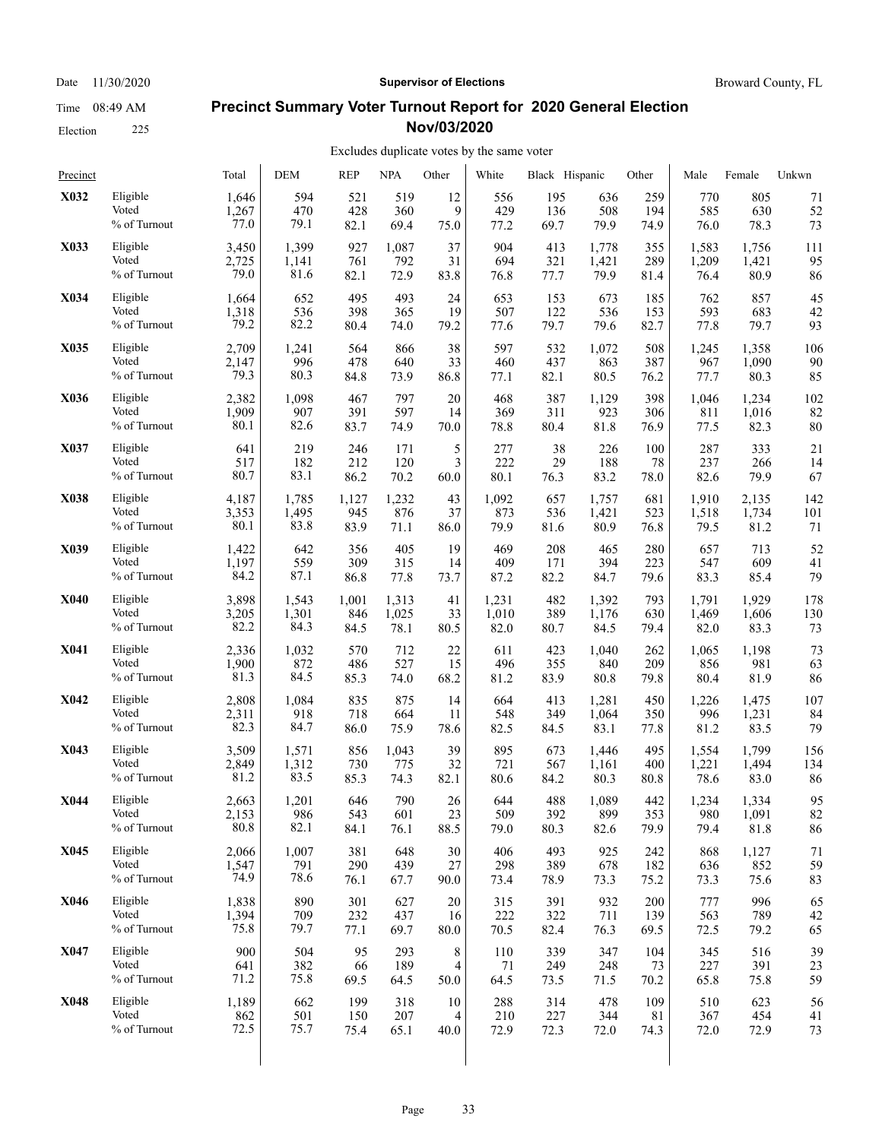Date 11/30/2020 **Supervisor of Elections Supervisor of Elections** Broward County, FL

### **Precinct Summary Voter Turnout Report for 2020 General Election Nov/03/2020**

### Excludes duplicate votes by the same voter

| Precinct    |              | Total | <b>DEM</b> | <b>REP</b> | <b>NPA</b> | Other    | White | Black Hispanic |       | Other | Male  | Female | Unkwn |
|-------------|--------------|-------|------------|------------|------------|----------|-------|----------------|-------|-------|-------|--------|-------|
| X032        | Eligible     | 1,646 | 594        | 521        | 519        | 12       | 556   | 195            | 636   | 259   | 770   | 805    | 71    |
|             | Voted        | 1,267 | 470        | 428        | 360        | 9        | 429   | 136            | 508   | 194   | 585   | 630    | 52    |
|             | % of Turnout | 77.0  | 79.1       | 82.1       | 69.4       | 75.0     | 77.2  | 69.7           | 79.9  | 74.9  | 76.0  | 78.3   | 73    |
| X033        | Eligible     | 3,450 | 1,399      | 927        | 1,087      | 37       | 904   | 413            | 1,778 | 355   | 1,583 | 1,756  | 111   |
|             | Voted        | 2,725 | 1,141      | 761        | 792        | 31       | 694   | 321            | 1,421 | 289   | 1,209 | 1,421  | 95    |
|             | % of Turnout | 79.0  | 81.6       | 82.1       | 72.9       | 83.8     | 76.8  | 77.7           | 79.9  | 81.4  | 76.4  | 80.9   | 86    |
| X034        | Eligible     | 1,664 | 652        | 495        | 493        | 24       | 653   | 153            | 673   | 185   | 762   | 857    | 45    |
|             | Voted        | 1,318 | 536        | 398        | 365        | 19       | 507   | 122            | 536   | 153   | 593   | 683    | 42    |
|             | % of Turnout | 79.2  | 82.2       | 80.4       | 74.0       | 79.2     | 77.6  | 79.7           | 79.6  | 82.7  | 77.8  | 79.7   | 93    |
| X035        | Eligible     | 2,709 | 1,241      | 564        | 866        | 38       | 597   | 532            | 1,072 | 508   | 1,245 | 1,358  | 106   |
|             | Voted        | 2,147 | 996        | 478        | 640        | 33       | 460   | 437            | 863   | 387   | 967   | 1,090  | 90    |
|             | % of Turnout | 79.3  | 80.3       | 84.8       | 73.9       | 86.8     | 77.1  | 82.1           | 80.5  | 76.2  | 77.7  | 80.3   | 85    |
| X036        | Eligible     | 2,382 | 1,098      | 467        | 797        | 20       | 468   | 387            | 1,129 | 398   | 1,046 | 1,234  | 102   |
|             | Voted        | 1,909 | 907        | 391        | 597        | 14       | 369   | 311            | 923   | 306   | 811   | 1,016  | 82    |
|             | % of Turnout | 80.1  | 82.6       | 83.7       | 74.9       | 70.0     | 78.8  | 80.4           | 81.8  | 76.9  | 77.5  | 82.3   | 80    |
| X037        | Eligible     | 641   | 219        | 246        | 171        | 5        | 277   | 38             | 226   | 100   | 287   | 333    | 21    |
|             | Voted        | 517   | 182        | 212        | 120        | 3        | 222   | 29             | 188   | 78    | 237   | 266    | 14    |
|             | % of Turnout | 80.7  | 83.1       | 86.2       | 70.2       | $60.0\,$ | 80.1  | 76.3           | 83.2  | 78.0  | 82.6  | 79.9   | 67    |
| X038        | Eligible     | 4,187 | 1,785      | 1,127      | 1,232      | 43       | 1,092 | 657            | 1,757 | 681   | 1,910 | 2,135  | 142   |
|             | Voted        | 3,353 | 1,495      | 945        | 876        | 37       | 873   | 536            | 1,421 | 523   | 1,518 | 1,734  | 101   |
|             | % of Turnout | 80.1  | 83.8       | 83.9       | 71.1       | 86.0     | 79.9  | 81.6           | 80.9  | 76.8  | 79.5  | 81.2   | 71    |
| X039        | Eligible     | 1,422 | 642        | 356        | 405        | 19       | 469   | 208            | 465   | 280   | 657   | 713    | 52    |
|             | Voted        | 1,197 | 559        | 309        | 315        | 14       | 409   | 171            | 394   | 223   | 547   | 609    | 41    |
|             | % of Turnout | 84.2  | 87.1       | 86.8       | 77.8       | 73.7     | 87.2  | 82.2           | 84.7  | 79.6  | 83.3  | 85.4   | 79    |
| <b>X040</b> | Eligible     | 3,898 | 1,543      | 1,001      | 1,313      | 41       | 1,231 | 482            | 1,392 | 793   | 1,791 | 1,929  | 178   |
|             | Voted        | 3,205 | 1,301      | 846        | 1,025      | 33       | 1,010 | 389            | 1,176 | 630   | 1,469 | 1,606  | 130   |
|             | % of Turnout | 82.2  | 84.3       | 84.5       | 78.1       | 80.5     | 82.0  | 80.7           | 84.5  | 79.4  | 82.0  | 83.3   | 73    |
| X041        | Eligible     | 2,336 | 1,032      | 570        | 712        | 22       | 611   | 423            | 1,040 | 262   | 1,065 | 1,198  | 73    |
|             | Voted        | 1,900 | 872        | 486        | 527        | 15       | 496   | 355            | 840   | 209   | 856   | 981    | 63    |
|             | % of Turnout | 81.3  | 84.5       | 85.3       | 74.0       | 68.2     | 81.2  | 83.9           | 80.8  | 79.8  | 80.4  | 81.9   | 86    |
| X042        | Eligible     | 2,808 | 1,084      | 835        | 875        | 14       | 664   | 413            | 1,281 | 450   | 1,226 | 1,475  | 107   |
|             | Voted        | 2,311 | 918        | 718        | 664        | 11       | 548   | 349            | 1,064 | 350   | 996   | 1,231  | 84    |
|             | % of Turnout | 82.3  | 84.7       | 86.0       | 75.9       | 78.6     | 82.5  | 84.5           | 83.1  | 77.8  | 81.2  | 83.5   | 79    |
| X043        | Eligible     | 3,509 | 1,571      | 856        | 1,043      | 39       | 895   | 673            | 1,446 | 495   | 1,554 | 1,799  | 156   |
|             | Voted        | 2,849 | 1,312      | 730        | 775        | 32       | 721   | 567            | 1,161 | 400   | 1,221 | 1,494  | 134   |
|             | % of Turnout | 81.2  | 83.5       | 85.3       | 74.3       | 82.1     | 80.6  | 84.2           | 80.3  | 80.8  | 78.6  | 83.0   | 86    |
| X044        | Eligible     | 2,663 | 1,201      | 646        | 790        | 26       | 644   | 488            | 1,089 | 442   | 1,234 | 1,334  | 95    |
|             | Voted        | 2,153 | 986        | 543        | 601        | 23       | 509   | 392            | 899   | 353   | 980   | 1,091  | 82    |
|             | % of Turnout | 80.8  | 82.1       | 84.1       | 76.1       | 88.5     | 79.0  | 80.3           | 82.6  | 79.9  | 79.4  | 81.8   | 86    |
| X045        | Eligible     | 2,066 | 1,007      | 381        | 648        | $30\,$   | 406   | 493            | 925   | 242   | 868   | 1,127  | 71    |
|             | Voted        | 1,547 | 791        | 290        | 439        | 27       | 298   | 389            | 678   | 182   | 636   | 852    | 59    |
|             | % of Turnout | 74.9  | 78.6       | 76.1       | 67.7       | 90.0     | 73.4  | 78.9           | 73.3  | 75.2  | 73.3  | 75.6   | 83    |
| <b>X046</b> | Eligible     | 1,838 | 890        | 301        | 627        | 20       | 315   | 391            | 932   | 200   | 777   | 996    | 65    |
|             | Voted        | 1,394 | 709        | 232        | 437        | 16       | 222   | 322            | 711   | 139   | 563   | 789    | 42    |
|             | % of Turnout | 75.8  | 79.7       | 77.1       | 69.7       | 80.0     | 70.5  | 82.4           | 76.3  | 69.5  | 72.5  | 79.2   | 65    |
| X047        | Eligible     | 900   | 504        | 95         | 293        | 8        | 110   | 339            | 347   | 104   | 345   | 516    | 39    |
|             | Voted        | 641   | 382        | 66         | 189        | 4        | 71    | 249            | 248   | 73    | 227   | 391    | 23    |
|             | % of Turnout | 71.2  | 75.8       | 69.5       | 64.5       | 50.0     | 64.5  | 73.5           | 71.5  | 70.2  | 65.8  | 75.8   | 59    |
| X048        | Eligible     | 1,189 | 662        | 199        | 318        | 10       | 288   | 314            | 478   | 109   | 510   | 623    | 56    |
|             | Voted        | 862   | 501        | 150        | 207        | 4        | 210   | 227            | 344   | 81    | 367   | 454    | 41    |
|             | % of Turnout | 72.5  | 75.7       | 75.4       | 65.1       | 40.0     | 72.9  | 72.3           | 72.0  | 74.3  | 72.0  | 72.9   | 73    |

Election 225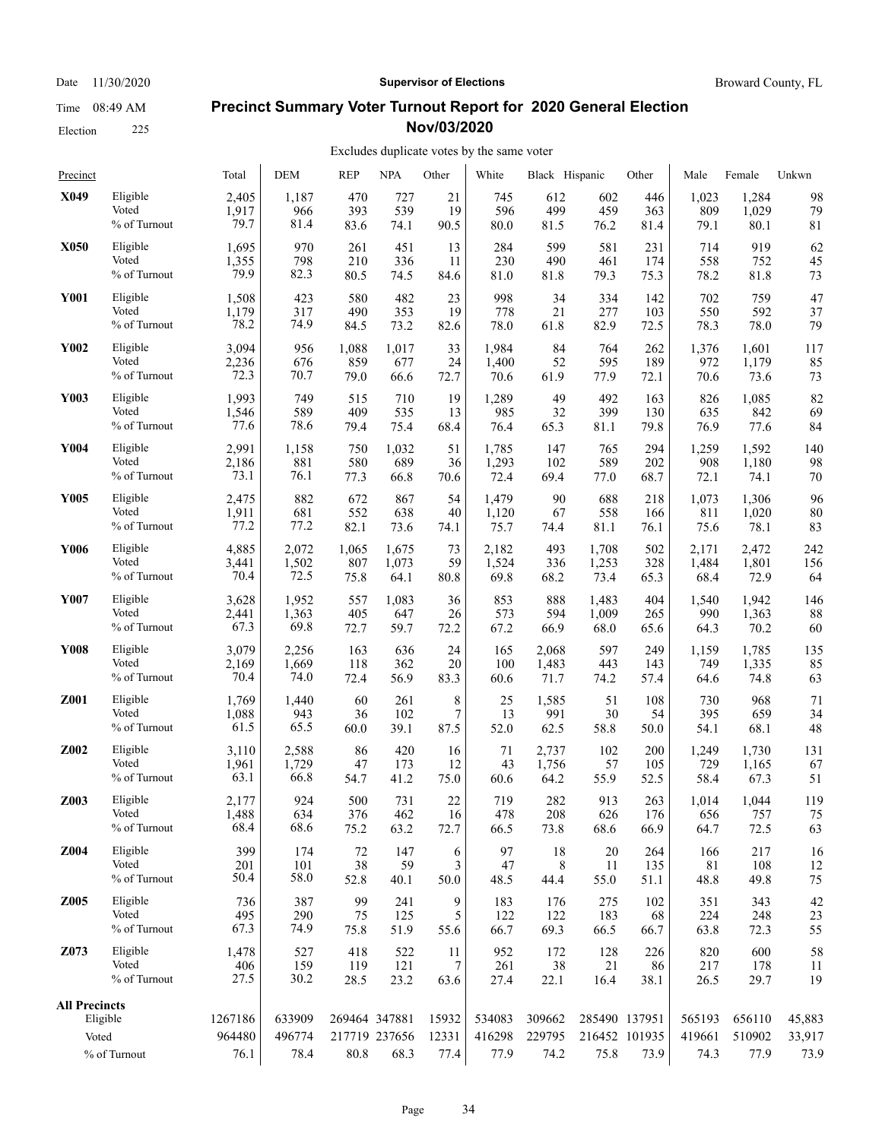## Election 225

#### Date 11/30/2020 **Supervisor of Elections Supervisor of Elections** Broward County, FL

### **Precinct Summary Voter Turnout Report for 2020 General Election Nov/03/2020**

| Precinct                      |                 | Total             | <b>DEM</b>       | <b>REP</b>    | <b>NPA</b>    | Other            | White            | Black Hispanic   |                                | Other | Male             | Female           | Unkwn            |
|-------------------------------|-----------------|-------------------|------------------|---------------|---------------|------------------|------------------|------------------|--------------------------------|-------|------------------|------------------|------------------|
| X049                          | Eligible        | 2,405             | 1,187            | 470           | 727           | 21               | 745              | 612              | 602                            | 446   | 1,023            | 1,284            | 98               |
|                               | Voted           | 1,917             | 966              | 393           | 539           | 19               | 596              | 499              | 459                            | 363   | 809              | 1,029            | 79               |
|                               | % of Turnout    | 79.7              | 81.4             | 83.6          | 74.1          | 90.5             | 80.0             | 81.5             | 76.2                           | 81.4  | 79.1             | 80.1             | 81               |
| X050                          | Eligible        | 1,695             | 970              | 261           | 451           | 13               | 284              | 599              | 581                            | 231   | 714              | 919              | 62               |
|                               | Voted           | 1,355             | 798              | 210           | 336           | 11               | 230              | 490              | 461                            | 174   | 558              | 752              | 45               |
|                               | % of Turnout    | 79.9              | 82.3             | 80.5          | 74.5          | 84.6             | 81.0             | 81.8             | 79.3                           | 75.3  | 78.2             | 81.8             | 73               |
| <b>Y001</b>                   | Eligible        | 1,508             | 423              | 580           | 482           | 23               | 998              | 34               | 334                            | 142   | 702              | 759              | 47               |
|                               | Voted           | 1,179             | 317              | 490           | 353           | 19               | 778              | 21               | 277                            | 103   | 550              | 592              | 37               |
|                               | % of Turnout    | 78.2              | 74.9             | 84.5          | 73.2          | 82.6             | 78.0             | 61.8             | 82.9                           | 72.5  | 78.3             | 78.0             | 79               |
| Y002                          | Eligible        | 3,094             | 956              | 1,088         | 1,017         | 33               | 1,984            | 84               | 764                            | 262   | 1,376            | 1,601            | 117              |
|                               | Voted           | 2,236             | 676              | 859           | 677           | 24               | 1,400            | 52               | 595                            | 189   | 972              | 1,179            | 85               |
|                               | $\%$ of Turnout | 72.3              | 70.7             | 79.0          | 66.6          | 72.7             | 70.6             | 61.9             | 77.9                           | 72.1  | 70.6             | 73.6             | 73               |
| Y003                          | Eligible        | 1,993             | 749              | 515           | 710           | 19               | 1,289            | 49               | 492                            | 163   | 826              | 1,085            | 82               |
|                               | Voted           | 1,546             | 589              | 409           | 535           | 13               | 985              | 32               | 399                            | 130   | 635              | 842              | 69               |
|                               | % of Turnout    | 77.6              | 78.6             | 79.4          | 75.4          | 68.4             | 76.4             | 65.3             | 81.1                           | 79.8  | 76.9             | 77.6             | 84               |
| Y004                          | Eligible        | 2,991             | 1,158            | 750           | 1,032         | 51               | 1,785            | 147              | 765                            | 294   | 1,259            | 1,592            | 140              |
|                               | Voted           | 2,186             | 881              | 580           | 689           | 36               | 1,293            | 102              | 589                            | 202   | 908              | 1,180            | 98               |
|                               | % of Turnout    | 73.1              | 76.1             | 77.3          | 66.8          | 70.6             | 72.4             | 69.4             | 77.0                           | 68.7  | 72.1             | 74.1             | 70               |
| Y005                          | Eligible        | 2,475             | 882              | 672           | 867           | 54               | 1,479            | 90               | 688                            | 218   | 1,073            | 1,306            | 96               |
|                               | Voted           | 1,911             | 681              | 552           | 638           | 40               | 1,120            | 67               | 558                            | 166   | 811              | 1,020            | 80               |
|                               | % of Turnout    | 77.2              | 77.2             | 82.1          | 73.6          | 74.1             | 75.7             | 74.4             | 81.1                           | 76.1  | 75.6             | 78.1             | 83               |
| Y006                          | Eligible        | 4,885             | 2,072            | 1,065         | 1,675         | 73               | 2,182            | 493              | 1,708                          | 502   | 2,171            | 2,472            | 242              |
|                               | Voted           | 3,441             | 1,502            | 807           | 1,073         | 59               | 1,524            | 336              | 1,253                          | 328   | 1,484            | 1,801            | 156              |
|                               | % of Turnout    | 70.4              | 72.5             | 75.8          | 64.1          | 80.8             | 69.8             | 68.2             | 73.4                           | 65.3  | 68.4             | 72.9             | 64               |
| Y007                          | Eligible        | 3,628             | 1,952            | 557           | 1,083         | 36               | 853              | 888              | 1,483                          | 404   | 1.540            | 1.942            | 146              |
|                               | Voted           | 2,441             | 1,363            | 405           | 647           | 26               | 573              | 594              | 1,009                          | 265   | 990              | 1,363            | 88               |
|                               | % of Turnout    | 67.3              | 69.8             | 72.7          | 59.7          | 72.2             | 67.2             | 66.9             | 68.0                           | 65.6  | 64.3             | 70.2             | 60               |
| Y008                          | Eligible        | 3,079             | 2,256            | 163           | 636           | 24               | 165              | 2,068            | 597                            | 249   | 1,159            | 1,785            | 135              |
|                               | Voted           | 2,169             | 1,669            | 118           | 362           | 20               | 100              | 1,483            | 443                            | 143   | 749              | 1,335            | 85               |
|                               | % of Turnout    | 70.4              | 74.0             | 72.4          | 56.9          | 83.3             | 60.6             | 71.7             | 74.2                           | 57.4  | 64.6             | 74.8             | 63               |
| Z001                          | Eligible        | 1,769             | 1,440            | 60            | 261           | 8                | 25               | 1,585            | 51                             | 108   | 730              | 968              | 71               |
|                               | Voted           | 1,088             | 943              | 36            | 102           | $\boldsymbol{7}$ | 13               | 991              | 30                             | 54    | 395              | 659              | 34               |
|                               | % of Turnout    | 61.5              | 65.5             | 60.0          | 39.1          | 87.5             | 52.0             | 62.5             | 58.8                           | 50.0  | 54.1             | 68.1             | 48               |
| Z002                          | Eligible        | 3,110             | 2,588            | 86            | 420           | 16               | 71               | 2,737            | 102                            | 200   | 1,249            | 1,730            | 131              |
|                               | Voted           | 1,961             | 1,729            | 47            | 173           | 12               | 43               | 1,756            | 57                             | 105   | 729              | 1,165            | 67               |
|                               | % of Turnout    | 63.1              | 66.8             | 54.7          | 41.2          | 75.0             | 60.6             | 64.2             | 55.9                           | 52.5  | 58.4             | 67.3             | 51               |
| Z003                          | Eligible        | 2,177             | 924              | 500           | 731           | 22               | 719              | 282              | 913                            | 263   | 1,014            | 1,044            | 119              |
|                               | Voted           | 1,488             | 634              | 376           | 462           | 16               | 478              | 208              | 626                            | 176   | 656              | 757              | 75               |
|                               | % of Turnout    | 68.4              | 68.6             | 75.2          | 63.2          | 72.7             | 66.5             | 73.8             | 68.6                           | 66.9  | 64.7             | 72.5             | 63               |
| Z004                          | Eligible        | 399               | 174              | 72            | 147           | 6                | 97               | 18               | 20                             | 264   | 166              | 217              | 16               |
|                               | Voted           | 201               | 101              | 38            | 59            | 3                | 47               | 8                | 11                             | 135   | 81               | 108              | 12               |
|                               | % of Turnout    | 50.4              | 58.0             | 52.8          | 40.1          | 50.0             | 48.5             | 44.4             | 55.0                           | 51.1  | 48.8             | 49.8             | 75               |
| Z005                          | Eligible        | 736               | 387              | 99            | 241           | 9                | 183              | 176              | 275                            | 102   | 351              | 343              | 42               |
|                               | Voted           | 495               | 290              | 75            | 125           | 5                | 122              | 122              | 183                            | 68    | 224              | 248              | 23               |
|                               | % of Turnout    | 67.3              | 74.9             | 75.8          | 51.9          | 55.6             | 66.7             | 69.3             | 66.5                           | 66.7  | 63.8             | 72.3             | 55               |
| Z073                          | Eligible        | 1,478             | 527              | 418           | 522           | 11               | 952              | 172              | 128                            | 226   | 820              | 600              | 58               |
|                               | Voted           | 406               | 159              | 119           | 121           | 7                | 261              | 38               | 21                             | 86    | 217              | 178              | 11               |
|                               | % of Turnout    | 27.5              | 30.2             | 28.5          | 23.2          | 63.6             | 27.4             | 22.1             | 16.4                           | 38.1  | 26.5             | 29.7             | 19               |
| <b>All Precincts</b><br>Voted | Eligible        | 1267186<br>964480 | 633909<br>496774 | 269464 347881 | 217719 237656 | 15932<br>12331   | 534083<br>416298 | 309662<br>229795 | 285490 137951<br>216452 101935 |       | 565193<br>419661 | 656110<br>510902 | 45,883<br>33,917 |
|                               | % of Turnout    | 76.1              | 78.4             | 80.8          | 68.3          | 77.4             | 77.9             | 74.2             | 75.8                           | 73.9  | 74.3             | 77.9             | 73.9             |